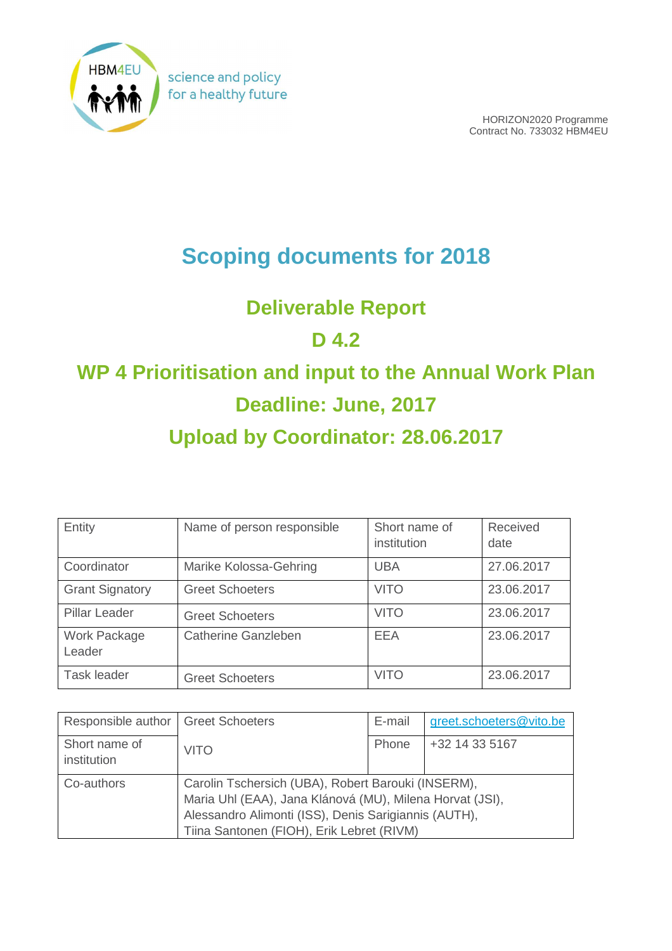

HORIZON2020 Programme Contract No. 733032 HBM4EU

# **Scoping documents for 2018**

# **Deliverable Report**

# **D 4.2**

# **WP 4 Prioritisation and input to the Annual Work Plan Deadline: June, 2017 Upload by Coordinator: 28.06.2017**

| Entity                 | Name of person responsible | Short name of<br>institution | Received<br>date |
|------------------------|----------------------------|------------------------------|------------------|
| Coordinator            | Marike Kolossa-Gehring     | <b>UBA</b>                   | 27.06.2017       |
| <b>Grant Signatory</b> | <b>Greet Schoeters</b>     | <b>VITO</b>                  | 23.06.2017       |
| Pillar Leader          | <b>Greet Schoeters</b>     | <b>VITO</b>                  | 23.06.2017       |
| Work Package<br>Leader | <b>Catherine Ganzleben</b> | <b>EEA</b>                   | 23.06.2017       |
| <b>Task leader</b>     | <b>Greet Schoeters</b>     | <b>VITO</b>                  | 23.06.2017       |

| Responsible author           | <b>Greet Schoeters</b> | E-mail                                                                                                                                                                                                              | greet.schoeters@vito.be |
|------------------------------|------------------------|---------------------------------------------------------------------------------------------------------------------------------------------------------------------------------------------------------------------|-------------------------|
| Short name of<br>institution | <b>VITO</b>            | Phone                                                                                                                                                                                                               | +32 14 33 5167          |
| Co-authors                   |                        | Carolin Tschersich (UBA), Robert Barouki (INSERM),<br>Maria Uhl (EAA), Jana Klánová (MU), Milena Horvat (JSI),<br>Alessandro Alimonti (ISS), Denis Sarigiannis (AUTH),<br>Tiina Santonen (FIOH), Erik Lebret (RIVM) |                         |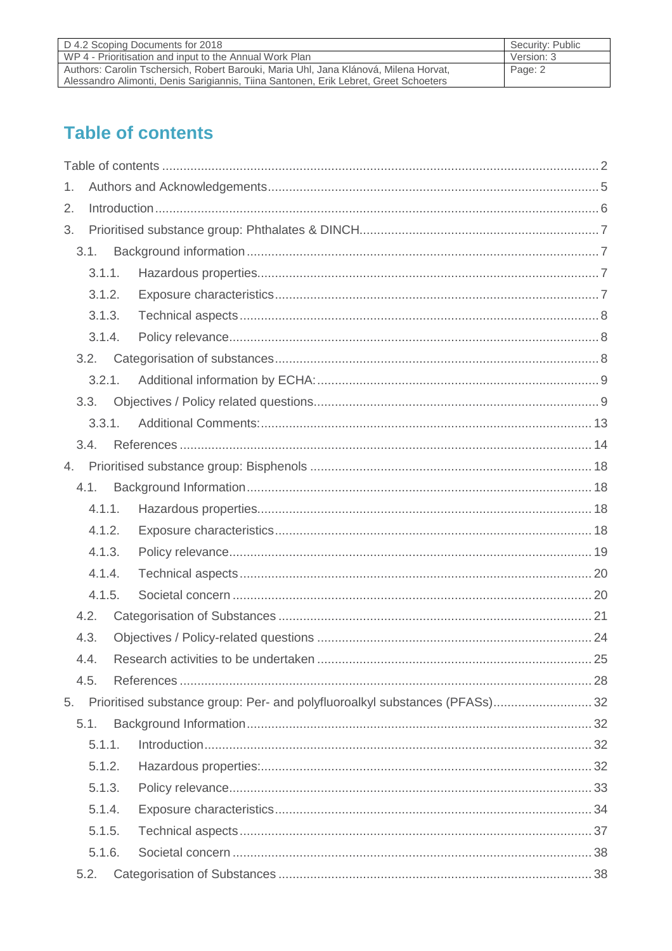| D 4.2 Scoping Documents for 2018                                                     | Security: Public |
|--------------------------------------------------------------------------------------|------------------|
| WP 4 - Prioritisation and input to the Annual Work Plan                              | Version: 3       |
| Authors: Carolin Tschersich, Robert Barouki, Maria Uhl, Jana Klánová, Milena Horvat, | Page: 2          |
| Alessandro Alimonti, Denis Sarigiannis, Tiina Santonen, Erik Lebret, Greet Schoeters |                  |

# **Table of contents**

| 1. |      |        |                                                                             |  |
|----|------|--------|-----------------------------------------------------------------------------|--|
| 2. |      |        |                                                                             |  |
| 3. |      |        |                                                                             |  |
|    | 3.1. |        |                                                                             |  |
|    |      | 3.1.1. |                                                                             |  |
|    |      | 3.1.2. |                                                                             |  |
|    |      | 3.1.3. |                                                                             |  |
|    |      | 3.1.4. |                                                                             |  |
|    | 3.2. |        |                                                                             |  |
|    |      | 3.2.1. |                                                                             |  |
|    | 3.3. |        |                                                                             |  |
|    |      | 3.3.1. |                                                                             |  |
|    | 3.4. |        |                                                                             |  |
| 4. |      |        |                                                                             |  |
|    | 4.1. |        |                                                                             |  |
|    |      | 4.1.1. |                                                                             |  |
|    |      | 4.1.2. |                                                                             |  |
|    |      | 4.1.3. |                                                                             |  |
|    |      | 4.1.4. |                                                                             |  |
|    |      | 4.1.5. |                                                                             |  |
|    | 4.2. |        |                                                                             |  |
|    | 4.3. |        |                                                                             |  |
|    | 4.4. |        |                                                                             |  |
|    | 4.5. |        |                                                                             |  |
| 5. |      |        | Prioritised substance group: Per- and polyfluoroalkyl substances (PFASs) 32 |  |
|    | 5.1. |        |                                                                             |  |
|    |      | 5.1.1. |                                                                             |  |
|    |      | 5.1.2. |                                                                             |  |
|    |      | 5.1.3. |                                                                             |  |
|    |      | 5.1.4. |                                                                             |  |
|    |      | 5.1.5. |                                                                             |  |
|    |      | 5.1.6. |                                                                             |  |
|    | 5.2. |        |                                                                             |  |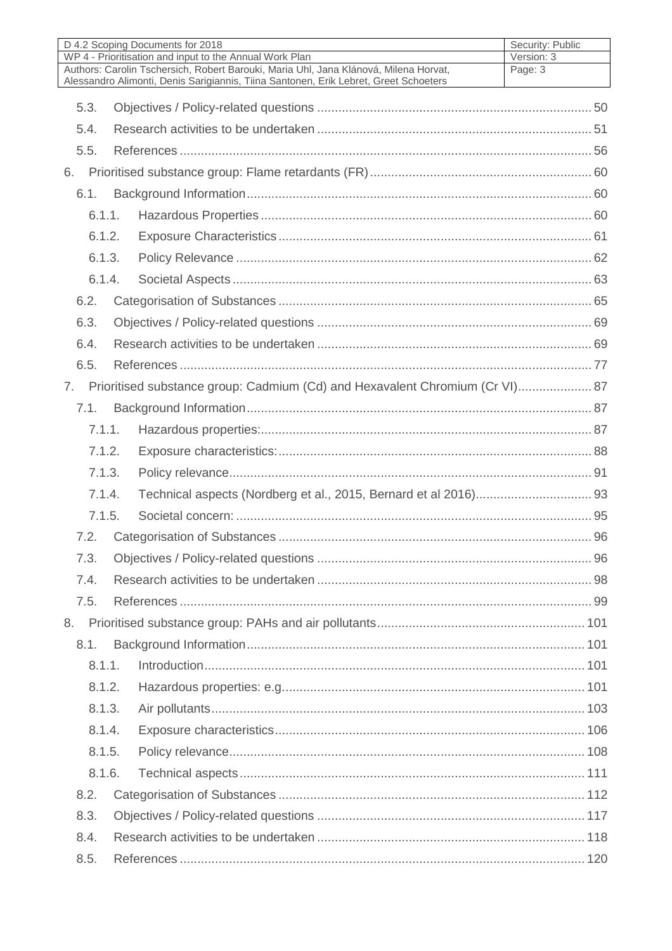|                                                                                                 | D 4.2 Scoping Documents for 2018<br>WP 4 - Prioritisation and input to the Annual Work Plan | Security: Public<br>Version: 3 |
|-------------------------------------------------------------------------------------------------|---------------------------------------------------------------------------------------------|--------------------------------|
| Authors: Carolin Tschersich, Robert Barouki, Maria Uhl, Jana Klánová, Milena Horvat,<br>Page: 3 |                                                                                             |                                |
|                                                                                                 | Alessandro Alimonti, Denis Sarigiannis, Tiina Santonen, Erik Lebret, Greet Schoeters        |                                |
| 5.3.                                                                                            |                                                                                             |                                |
| 5.4.                                                                                            |                                                                                             |                                |
| 5.5.                                                                                            |                                                                                             |                                |
| 6.                                                                                              |                                                                                             |                                |
| 6.1.                                                                                            |                                                                                             |                                |
| 6.1.1.                                                                                          |                                                                                             |                                |
| 6.1.2.                                                                                          |                                                                                             |                                |
| 6.1.3.                                                                                          |                                                                                             |                                |
| 6.1.4.                                                                                          |                                                                                             |                                |
| 6.2.                                                                                            |                                                                                             |                                |
| 6.3.                                                                                            |                                                                                             |                                |
| 6.4.                                                                                            |                                                                                             |                                |
| 6.5.                                                                                            |                                                                                             |                                |
| 7.                                                                                              | Prioritised substance group: Cadmium (Cd) and Hexavalent Chromium (Cr VI) 87                |                                |
| 7.1.                                                                                            |                                                                                             |                                |
| 7.1.1.                                                                                          |                                                                                             |                                |
| 7.1.2.                                                                                          |                                                                                             |                                |
| 7.1.3.                                                                                          |                                                                                             |                                |
| 7.1.4.                                                                                          |                                                                                             |                                |
| 7.1.5.                                                                                          |                                                                                             |                                |
| 7.2.                                                                                            |                                                                                             |                                |
| 7.3.                                                                                            |                                                                                             |                                |
| 7.4.                                                                                            |                                                                                             |                                |
| 7.5.                                                                                            |                                                                                             |                                |
| 8.                                                                                              |                                                                                             |                                |
| 8.1.                                                                                            |                                                                                             |                                |
| 8.1.1.                                                                                          |                                                                                             |                                |
| 8.1.2.                                                                                          |                                                                                             |                                |
| 8.1.3.                                                                                          |                                                                                             |                                |
| 8.1.4.                                                                                          |                                                                                             |                                |
| 8.1.5.                                                                                          |                                                                                             |                                |
| 8.1.6.                                                                                          |                                                                                             |                                |
| 8.2.                                                                                            |                                                                                             |                                |
| 8.3.                                                                                            |                                                                                             |                                |
| 8.4.                                                                                            |                                                                                             |                                |
| 8.5.                                                                                            |                                                                                             |                                |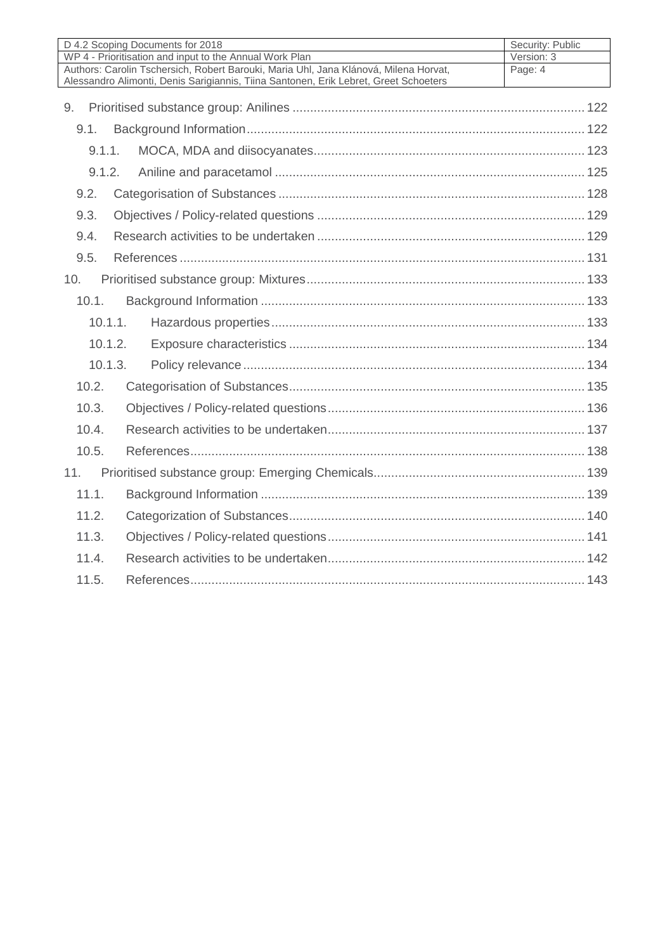| D 4.2 Scoping Documents for 2018                                                                                                                | Security: Public      |
|-------------------------------------------------------------------------------------------------------------------------------------------------|-----------------------|
| WP 4 - Prioritisation and input to the Annual Work Plan<br>Authors: Carolin Tschersich, Robert Barouki, Maria Uhl, Jana Klánová, Milena Horvat, | Version: 3<br>Page: 4 |
| Alessandro Alimonti, Denis Sarigiannis, Tiina Santonen, Erik Lebret, Greet Schoeters                                                            |                       |
|                                                                                                                                                 |                       |
|                                                                                                                                                 |                       |
| 9.1.                                                                                                                                            |                       |
| 9.1.1.                                                                                                                                          |                       |
| 9.1.2.                                                                                                                                          |                       |
| 9.2.                                                                                                                                            |                       |
| 9.3.                                                                                                                                            |                       |
| 9.4.                                                                                                                                            |                       |
| 9.5.                                                                                                                                            |                       |
| 10.                                                                                                                                             |                       |
| 10.1.                                                                                                                                           |                       |
| 10.1.1.                                                                                                                                         |                       |
| 10.1.2.                                                                                                                                         |                       |
| 10.1.3.                                                                                                                                         |                       |
| 10.2.                                                                                                                                           |                       |
| 10.3.                                                                                                                                           |                       |
| 10.4.                                                                                                                                           |                       |
| 10.5.                                                                                                                                           |                       |
| 11.                                                                                                                                             |                       |
| 11.1.                                                                                                                                           |                       |
| 11.2.                                                                                                                                           |                       |
| 11.3.                                                                                                                                           |                       |
| 11.4.                                                                                                                                           |                       |
| 11.5.                                                                                                                                           |                       |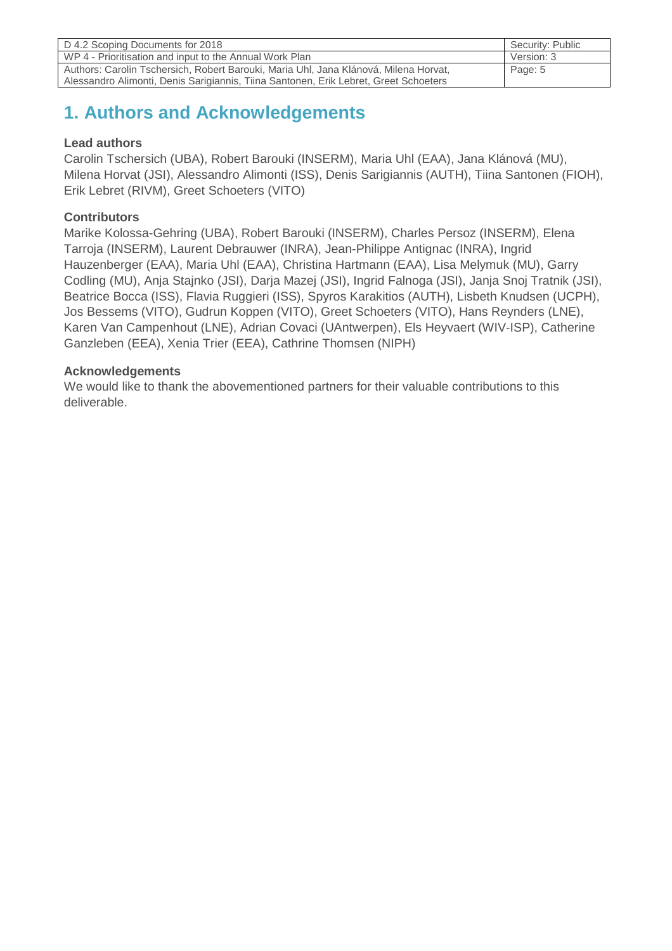| D 4.2 Scoping Documents for 2018                                                     | Security: Public |
|--------------------------------------------------------------------------------------|------------------|
| WP 4 - Prioritisation and input to the Annual Work Plan                              | Version: 3       |
| Authors: Carolin Tschersich, Robert Barouki, Maria Uhl, Jana Klánová, Milena Horvat, | Page: 5          |
| Alessandro Alimonti, Denis Sarigiannis, Tiina Santonen, Erik Lebret, Greet Schoeters |                  |

# **1. Authors and Acknowledgements**

#### **Lead authors**

Carolin Tschersich (UBA), Robert Barouki (INSERM), Maria Uhl (EAA), Jana Klánová (MU), Milena Horvat (JSI), Alessandro Alimonti (ISS), Denis Sarigiannis (AUTH), Tiina Santonen (FIOH), Erik Lebret (RIVM), Greet Schoeters (VITO)

#### **Contributors**

Marike Kolossa-Gehring (UBA), Robert Barouki (INSERM), Charles Persoz (INSERM), Elena Tarroja (INSERM), Laurent Debrauwer (INRA), Jean-Philippe Antignac (INRA), Ingrid Hauzenberger (EAA), Maria Uhl (EAA), Christina Hartmann (EAA), Lisa Melymuk (MU), Garry Codling (MU), Anja Stajnko (JSI), Darja Mazej (JSI), Ingrid Falnoga (JSI), Janja Snoj Tratnik (JSI), Beatrice Bocca (ISS), Flavia Ruggieri (ISS), Spyros Karakitios (AUTH), Lisbeth Knudsen (UCPH), Jos Bessems (VITO), Gudrun Koppen (VITO), Greet Schoeters (VITO), Hans Reynders (LNE), Karen Van Campenhout (LNE), Adrian Covaci (UAntwerpen), Els Heyvaert (WIV-ISP), Catherine Ganzleben (EEA), Xenia Trier (EEA), Cathrine Thomsen (NIPH)

#### **Acknowledgements**

We would like to thank the abovementioned partners for their valuable contributions to this deliverable.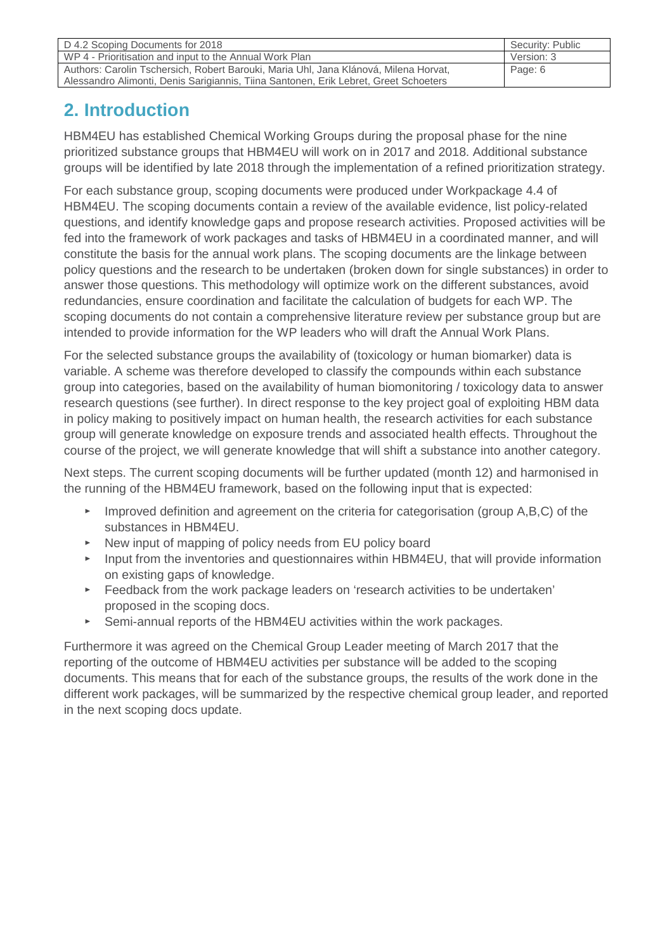| D 4.2 Scoping Documents for 2018                                                     | Security: Public |
|--------------------------------------------------------------------------------------|------------------|
| WP 4 - Prioritisation and input to the Annual Work Plan                              | Version: 3       |
| Authors: Carolin Tschersich, Robert Barouki, Maria Uhl, Jana Klánová, Milena Horvat, | Page: 6          |
| Alessandro Alimonti, Denis Sarigiannis, Tiina Santonen, Erik Lebret, Greet Schoeters |                  |

# **2. Introduction**

HBM4EU has established Chemical Working Groups during the proposal phase for the nine prioritized substance groups that HBM4EU will work on in 2017 and 2018. Additional substance groups will be identified by late 2018 through the implementation of a refined prioritization strategy.

For each substance group, scoping documents were produced under Workpackage 4.4 of HBM4EU. The scoping documents contain a review of the available evidence, list policy-related questions, and identify knowledge gaps and propose research activities. Proposed activities will be fed into the framework of work packages and tasks of HBM4EU in a coordinated manner, and will constitute the basis for the annual work plans. The scoping documents are the linkage between policy questions and the research to be undertaken (broken down for single substances) in order to answer those questions. This methodology will optimize work on the different substances, avoid redundancies, ensure coordination and facilitate the calculation of budgets for each WP. The scoping documents do not contain a comprehensive literature review per substance group but are intended to provide information for the WP leaders who will draft the Annual Work Plans.

For the selected substance groups the availability of (toxicology or human biomarker) data is variable. A scheme was therefore developed to classify the compounds within each substance group into categories, based on the availability of human biomonitoring / toxicology data to answer research questions (see further). In direct response to the key project goal of exploiting HBM data in policy making to positively impact on human health, the research activities for each substance group will generate knowledge on exposure trends and associated health effects. Throughout the course of the project, we will generate knowledge that will shift a substance into another category.

Next steps. The current scoping documents will be further updated (month 12) and harmonised in the running of the HBM4EU framework, based on the following input that is expected:

- ▸ Improved definition and agreement on the criteria for categorisation (group A,B,C) of the substances in HBM4EU.
- ▸ New input of mapping of policy needs from EU policy board
- ▸ Input from the inventories and questionnaires within HBM4EU, that will provide information on existing gaps of knowledge.
- ▸ Feedback from the work package leaders on 'research activities to be undertaken' proposed in the scoping docs.
- ▸ Semi-annual reports of the HBM4EU activities within the work packages.

Furthermore it was agreed on the Chemical Group Leader meeting of March 2017 that the reporting of the outcome of HBM4EU activities per substance will be added to the scoping documents. This means that for each of the substance groups, the results of the work done in the different work packages, will be summarized by the respective chemical group leader, and reported in the next scoping docs update.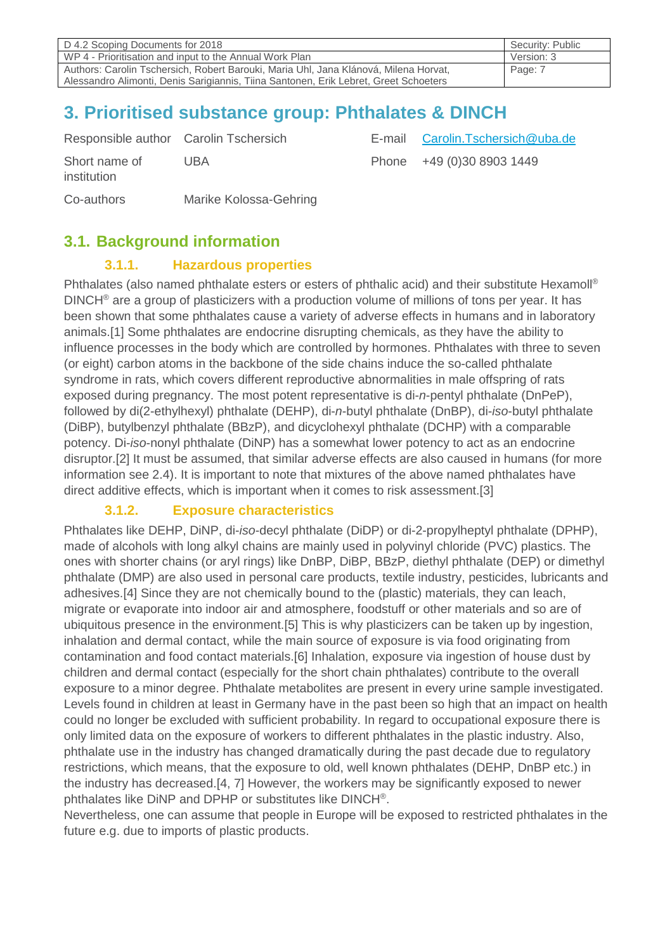| D 4.2 Scoping Documents for 2018                                                     | Security: Public |
|--------------------------------------------------------------------------------------|------------------|
| WP 4 - Prioritisation and input to the Annual Work Plan                              | Version: 3       |
| Authors: Carolin Tschersich, Robert Barouki, Maria Uhl, Jana Klánová, Milena Horvat, | Page: 7          |
| Alessandro Alimonti, Denis Sarigiannis, Tiina Santonen, Erik Lebret, Greet Schoeters |                  |

# **3. Prioritised substance group: Phthalates & DINCH**

Responsible author Carolin Tschersich E-mail Carolin.Tschersich@uba.de Short name of institution UBA Phone +49 (0)30 8903 1449 Co-authors Marike Kolossa-Gehring

### **3.1. Background information**

#### **3.1.1. Hazardous properties**

Phthalates (also named phthalate esters or esters of phthalic acid) and their substitute Hexamoll® DINCH<sup>®</sup> are a group of plasticizers with a production volume of millions of tons per year. It has been shown that some phthalates cause a variety of adverse effects in humans and in laboratory animals.[1] Some phthalates are endocrine disrupting chemicals, as they have the ability to influence processes in the body which are controlled by hormones. Phthalates with three to seven (or eight) carbon atoms in the backbone of the side chains induce the so-called phthalate syndrome in rats, which covers different reproductive abnormalities in male offspring of rats exposed during pregnancy. The most potent representative is di-n-pentyl phthalate (DnPeP), followed by di(2-ethylhexyl) phthalate (DEHP), di-n-butyl phthalate (DnBP), di-iso-butyl phthalate (DiBP), butylbenzyl phthalate (BBzP), and dicyclohexyl phthalate (DCHP) with a comparable potency. Di-iso-nonyl phthalate (DiNP) has a somewhat lower potency to act as an endocrine disruptor.[2] It must be assumed, that similar adverse effects are also caused in humans (for more information see 2.4). It is important to note that mixtures of the above named phthalates have direct additive effects, which is important when it comes to risk assessment.[3]

#### **3.1.2. Exposure characteristics**

Phthalates like DEHP, DiNP, di-iso-decyl phthalate (DiDP) or di-2-propylheptyl phthalate (DPHP), made of alcohols with long alkyl chains are mainly used in polyvinyl chloride (PVC) plastics. The ones with shorter chains (or aryl rings) like DnBP, DiBP, BBzP, diethyl phthalate (DEP) or dimethyl phthalate (DMP) are also used in personal care products, textile industry, pesticides, lubricants and adhesives.[4] Since they are not chemically bound to the (plastic) materials, they can leach, migrate or evaporate into indoor air and atmosphere, foodstuff or other materials and so are of ubiquitous presence in the environment.[5] This is why plasticizers can be taken up by ingestion, inhalation and dermal contact, while the main source of exposure is via food originating from contamination and food contact materials.[6] Inhalation, exposure via ingestion of house dust by children and dermal contact (especially for the short chain phthalates) contribute to the overall exposure to a minor degree. Phthalate metabolites are present in every urine sample investigated. Levels found in children at least in Germany have in the past been so high that an impact on health could no longer be excluded with sufficient probability. In regard to occupational exposure there is only limited data on the exposure of workers to different phthalates in the plastic industry. Also, phthalate use in the industry has changed dramatically during the past decade due to regulatory restrictions, which means, that the exposure to old, well known phthalates (DEHP, DnBP etc.) in the industry has decreased.[4, 7] However, the workers may be significantly exposed to newer phthalates like DiNP and DPHP or substitutes like DINCH® .

Nevertheless, one can assume that people in Europe will be exposed to restricted phthalates in the future e.g. due to imports of plastic products.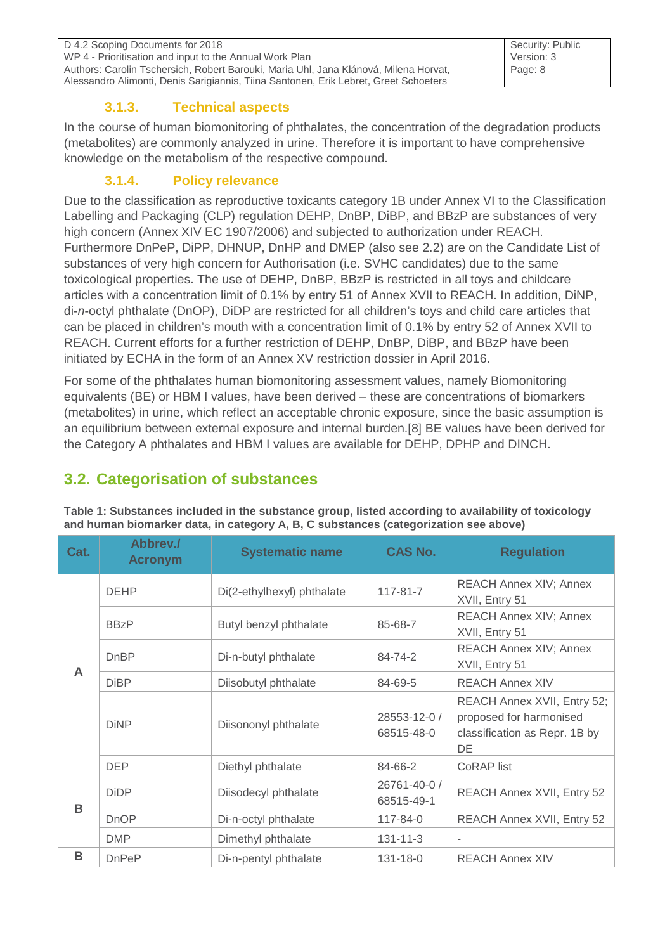| D 4.2 Scoping Documents for 2018                                                     | Security: Public |
|--------------------------------------------------------------------------------------|------------------|
| WP 4 - Prioritisation and input to the Annual Work Plan                              | Version: 3       |
| Authors: Carolin Tschersich, Robert Barouki, Maria Uhl, Jana Klánová, Milena Horvat, | Page: 8          |
| Alessandro Alimonti, Denis Sarigiannis, Tiina Santonen, Erik Lebret, Greet Schoeters |                  |

#### **3.1.3. Technical aspects**

In the course of human biomonitoring of phthalates, the concentration of the degradation products (metabolites) are commonly analyzed in urine. Therefore it is important to have comprehensive knowledge on the metabolism of the respective compound.

### **3.1.4. Policy relevance**

Due to the classification as reproductive toxicants category 1B under Annex VI to the Classification Labelling and Packaging (CLP) regulation DEHP, DnBP, DiBP, and BBzP are substances of very high concern (Annex XIV EC 1907/2006) and subjected to authorization under REACH. Furthermore DnPeP, DiPP, DHNUP, DnHP and DMEP (also see 2.2) are on the Candidate List of substances of very high concern for Authorisation (i.e. SVHC candidates) due to the same toxicological properties. The use of DEHP, DnBP, BBzP is restricted in all toys and childcare articles with a concentration limit of 0.1% by entry 51 of Annex XVII to REACH. In addition, DiNP, di-n-octyl phthalate (DnOP), DiDP are restricted for all children's toys and child care articles that can be placed in children's mouth with a concentration limit of 0.1% by entry 52 of Annex XVII to REACH. Current efforts for a further restriction of DEHP, DnBP, DiBP, and BBzP have been initiated by ECHA in the form of an Annex XV restriction dossier in April 2016.

For some of the phthalates human biomonitoring assessment values, namely Biomonitoring equivalents (BE) or HBM I values, have been derived – these are concentrations of biomarkers (metabolites) in urine, which reflect an acceptable chronic exposure, since the basic assumption is an equilibrium between external exposure and internal burden.[8] BE values have been derived for the Category A phthalates and HBM I values are available for DEHP, DPHP and DINCH.

# **3.2. Categorisation of substances**

| Cat.         | Abbrev./<br><b>Acronym</b> | <b>Systematic name</b>     | <b>CAS No.</b>             | <b>Regulation</b>                                                                              |
|--------------|----------------------------|----------------------------|----------------------------|------------------------------------------------------------------------------------------------|
|              | <b>DEHP</b>                | Di(2-ethylhexyl) phthalate | $117 - 81 - 7$             | REACH Annex XIV; Annex<br>XVII, Entry 51                                                       |
|              | <b>BBzP</b>                | Butyl benzyl phthalate     | 85-68-7                    | <b>REACH Annex XIV; Annex</b><br>XVII, Entry 51                                                |
| $\mathsf{A}$ | <b>DnBP</b>                | Di-n-butyl phthalate       | 84-74-2                    | <b>REACH Annex XIV; Annex</b><br>XVII, Entry 51                                                |
|              | <b>DiBP</b>                | Diisobutyl phthalate       | 84-69-5                    | <b>REACH Annex XIV</b>                                                                         |
|              | <b>DiNP</b>                | Diisononyl phthalate       | 28553-12-0 /<br>68515-48-0 | REACH Annex XVII, Entry 52;<br>proposed for harmonised<br>classification as Repr. 1B by<br>DE. |
|              | <b>DEP</b>                 | Diethyl phthalate          | 84-66-2                    | <b>CoRAP</b> list                                                                              |
|              | <b>DiDP</b>                | Diisodecyl phthalate       | 26761-40-0 /<br>68515-49-1 | <b>REACH Annex XVII, Entry 52</b>                                                              |
| B            | <b>DnOP</b>                | Di-n-octyl phthalate       | 117-84-0                   | REACH Annex XVII, Entry 52                                                                     |
|              | <b>DMP</b>                 | Dimethyl phthalate         | $131 - 11 - 3$             |                                                                                                |
| B            | <b>DnPeP</b>               | Di-n-pentyl phthalate      | 131-18-0                   | <b>REACH Annex XIV</b>                                                                         |

**Table 1: Substances included in the substance group, listed according to availability of toxicology and human biomarker data, in category A, B, C substances (categorization see above)**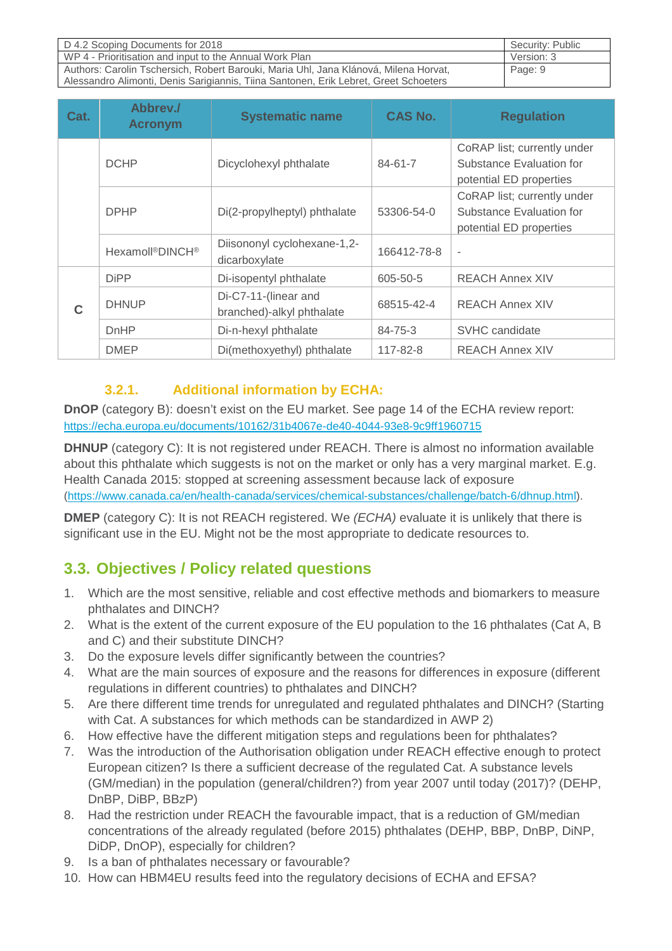| D 4.2 Scoping Documents for 2018                                                     | Security: Public |
|--------------------------------------------------------------------------------------|------------------|
| WP 4 - Prioritisation and input to the Annual Work Plan                              | Version: 3       |
| Authors: Carolin Tschersich, Robert Barouki, Maria Uhl, Jana Klánová, Milena Horvat, | Page: 9          |
| Alessandro Alimonti, Denis Sarigiannis, Tiina Santonen, Erik Lebret, Greet Schoeters |                  |

| Cat. | Abbrey./<br><b>Acronym</b>               | <b>Systematic name</b>                            | <b>CAS No.</b> | <b>Regulation</b>                                                                  |
|------|------------------------------------------|---------------------------------------------------|----------------|------------------------------------------------------------------------------------|
|      | <b>DCHP</b>                              | Dicyclohexyl phthalate                            | 84-61-7        | CoRAP list; currently under<br>Substance Evaluation for<br>potential ED properties |
|      | <b>DPHP</b>                              | Di(2-propylheptyl) phthalate                      | 53306-54-0     | CoRAP list; currently under<br>Substance Evaluation for<br>potential ED properties |
|      | Hexamoll <sup>®</sup> DINCH <sup>®</sup> | Diisononyl cyclohexane-1,2-<br>dicarboxylate      | 166412-78-8    | ×.                                                                                 |
|      | <b>DiPP</b>                              | Di-isopentyl phthalate                            | 605-50-5       | <b>REACH Annex XIV</b>                                                             |
| C    | <b>DHNUP</b>                             | Di-C7-11-(linear and<br>branched)-alkyl phthalate | 68515-42-4     | <b>REACH Annex XIV</b>                                                             |
|      | DnHP                                     | Di-n-hexyl phthalate                              | 84-75-3        | SVHC candidate                                                                     |
|      | <b>DMEP</b>                              | Di(methoxyethyl) phthalate                        | 117-82-8       | <b>REACH Annex XIV</b>                                                             |

### **3.2.1. Additional information by ECHA:**

**DnOP** (category B): doesn't exist on the EU market. See page 14 of the ECHA review report: https://echa.europa.eu/documents/10162/31b4067e-de40-4044-93e8-9c9ff1960715

**DHNUP** (category C): It is not registered under REACH. There is almost no information available about this phthalate which suggests is not on the market or only has a very marginal market. E.g. Health Canada 2015: stopped at screening assessment because lack of exposure (https://www.canada.ca/en/health-canada/services/chemical-substances/challenge/batch-6/dhnup.html).

**DMEP** (category C): It is not REACH registered. We (ECHA) evaluate it is unlikely that there is significant use in the EU. Might not be the most appropriate to dedicate resources to.

### **3.3. Objectives / Policy related questions**

- 1. Which are the most sensitive, reliable and cost effective methods and biomarkers to measure phthalates and DINCH?
- 2. What is the extent of the current exposure of the EU population to the 16 phthalates (Cat A, B and C) and their substitute DINCH?
- 3. Do the exposure levels differ significantly between the countries?
- 4. What are the main sources of exposure and the reasons for differences in exposure (different regulations in different countries) to phthalates and DINCH?
- 5. Are there different time trends for unregulated and regulated phthalates and DINCH? (Starting with Cat. A substances for which methods can be standardized in AWP 2)
- 6. How effective have the different mitigation steps and regulations been for phthalates?
- 7. Was the introduction of the Authorisation obligation under REACH effective enough to protect European citizen? Is there a sufficient decrease of the regulated Cat. A substance levels (GM/median) in the population (general/children?) from year 2007 until today (2017)? (DEHP, DnBP, DiBP, BBzP)
- 8. Had the restriction under REACH the favourable impact, that is a reduction of GM/median concentrations of the already regulated (before 2015) phthalates (DEHP, BBP, DnBP, DiNP, DiDP, DnOP), especially for children?
- 9. Is a ban of phthalates necessary or favourable?
- 10. How can HBM4EU results feed into the regulatory decisions of ECHA and EFSA?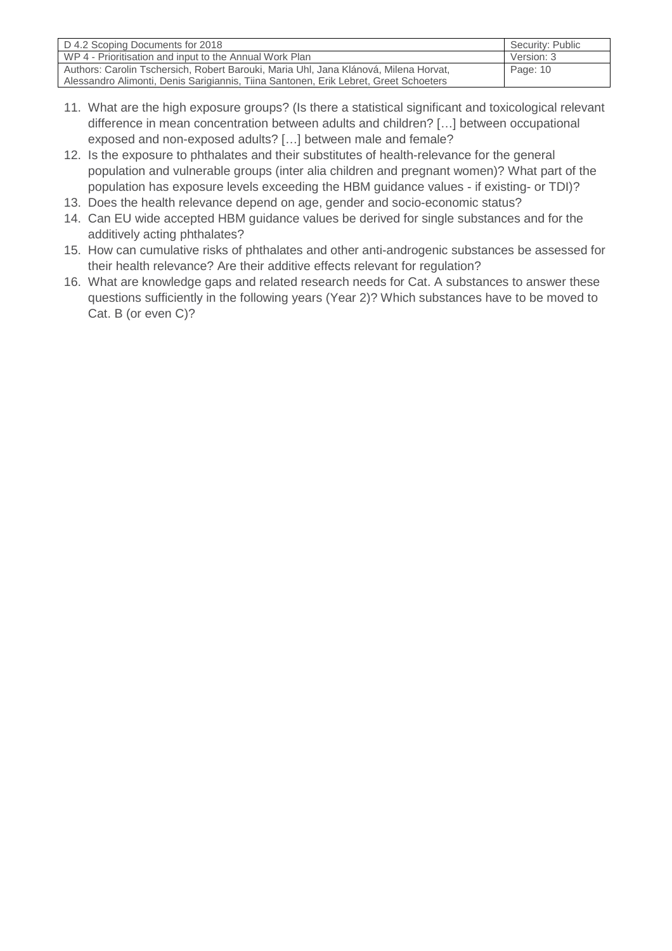| D 4.2 Scoping Documents for 2018                                                     | Security: Public |
|--------------------------------------------------------------------------------------|------------------|
| WP 4 - Prioritisation and input to the Annual Work Plan                              | Version: 3       |
| Authors: Carolin Tschersich, Robert Barouki, Maria Uhl, Jana Klánová, Milena Horvat, | Page: 10         |
| Alessandro Alimonti, Denis Sarigiannis, Tiina Santonen, Erik Lebret, Greet Schoeters |                  |

- 11. What are the high exposure groups? (Is there a statistical significant and toxicological relevant difference in mean concentration between adults and children? […] between occupational exposed and non-exposed adults? […] between male and female?
- 12. Is the exposure to phthalates and their substitutes of health-relevance for the general population and vulnerable groups (inter alia children and pregnant women)? What part of the population has exposure levels exceeding the HBM guidance values - if existing- or TDI)?
- 13. Does the health relevance depend on age, gender and socio-economic status?
- 14. Can EU wide accepted HBM guidance values be derived for single substances and for the additively acting phthalates?
- 15. How can cumulative risks of phthalates and other anti-androgenic substances be assessed for their health relevance? Are their additive effects relevant for regulation?
- 16. What are knowledge gaps and related research needs for Cat. A substances to answer these questions sufficiently in the following years (Year 2)? Which substances have to be moved to Cat. B (or even C)?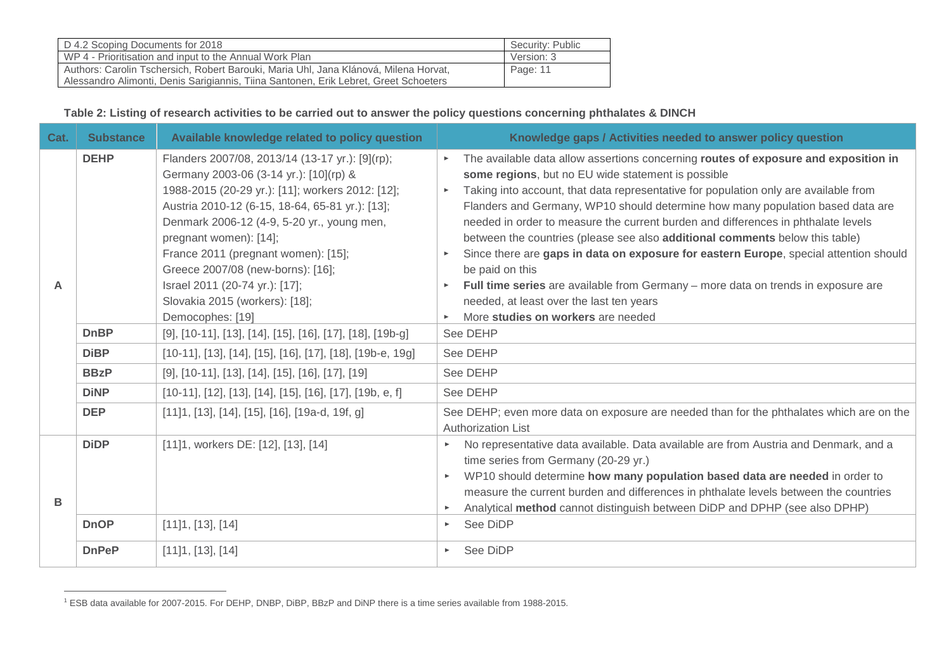| D 4.2 Scoping Documents for 2018                                                     | Security: Public |
|--------------------------------------------------------------------------------------|------------------|
| WP 4 - Prioritisation and input to the Annual Work Plan                              | Version: 3       |
| Authors: Carolin Tschersich, Robert Barouki, Maria Uhl, Jana Klánová, Milena Horvat, | Page: 11         |
| Alessandro Alimonti, Denis Sarigiannis, Tiina Santonen, Erik Lebret, Greet Schoeters |                  |

#### **Table 2: Listing of research activities to be carried out to answer the policy questions concerning phthalates & DINCH**

| Cat. | <b>Substance</b>                                                                      | Available knowledge related to policy question                                                                                                                                                                                                                                                                                                                                                                                                                                                                                                                                                                                                                                                                                             | Knowledge gaps / Activities needed to answer policy question                                                                                                                                                                                                                                                                                                                                                                                                                                                                                                                                                                                                                                                                                                                                                                                                                                                                                                                                       |
|------|---------------------------------------------------------------------------------------|--------------------------------------------------------------------------------------------------------------------------------------------------------------------------------------------------------------------------------------------------------------------------------------------------------------------------------------------------------------------------------------------------------------------------------------------------------------------------------------------------------------------------------------------------------------------------------------------------------------------------------------------------------------------------------------------------------------------------------------------|----------------------------------------------------------------------------------------------------------------------------------------------------------------------------------------------------------------------------------------------------------------------------------------------------------------------------------------------------------------------------------------------------------------------------------------------------------------------------------------------------------------------------------------------------------------------------------------------------------------------------------------------------------------------------------------------------------------------------------------------------------------------------------------------------------------------------------------------------------------------------------------------------------------------------------------------------------------------------------------------------|
| A    | <b>DEHP</b><br><b>DnBP</b><br><b>DiBP</b><br><b>BBzP</b><br><b>DiNP</b><br><b>DEP</b> | Flanders 2007/08, 2013/14 (13-17 yr.): [9](rp);<br>Germany 2003-06 (3-14 yr.): [10](rp) &<br>1988-2015 (20-29 yr.): [11]; workers 2012: [12];<br>Austria 2010-12 (6-15, 18-64, 65-81 yr.): [13];<br>Denmark 2006-12 (4-9, 5-20 yr., young men,<br>pregnant women): [14];<br>France 2011 (pregnant women): [15];<br>Greece 2007/08 (new-borns): [16];<br>Israel 2011 (20-74 yr.): [17];<br>Slovakia 2015 (workers): [18];<br>Democophes: [19]<br>[9], [10-11], [13], [14], [15], [16], [17], [18], [19b-g]<br>[10-11], [13], [14], [15], [16], [17], [18], [19b-e, 19g]<br>[9], [10-11], [13], [14], [15], [16], [17], [19]<br>[10-11], [12], [13], [14], [15], [16], [17], [19b, e, f]<br>$[11]1, [13], [14], [15], [16], [19a-d, 19f, g]$ | The available data allow assertions concerning routes of exposure and exposition in<br>$\blacktriangleright$<br>some regions, but no EU wide statement is possible<br>Taking into account, that data representative for population only are available from<br>$\blacktriangleright$<br>Flanders and Germany, WP10 should determine how many population based data are<br>needed in order to measure the current burden and differences in phthalate levels<br>between the countries (please see also additional comments below this table)<br>Since there are gaps in data on exposure for eastern Europe, special attention should<br>$\blacktriangleright$<br>be paid on this<br>Full time series are available from Germany - more data on trends in exposure are<br>needed, at least over the last ten years<br>More studies on workers are needed<br>See DEHP<br>See DEHP<br>See DEHP<br>See DEHP<br>See DEHP; even more data on exposure are needed than for the phthalates which are on the |
| B    | <b>DiDP</b><br><b>DnOP</b>                                                            | [11]1, workers DE: [12], [13], [14]<br>[11]1, [13], [14]                                                                                                                                                                                                                                                                                                                                                                                                                                                                                                                                                                                                                                                                                   | <b>Authorization List</b><br>No representative data available. Data available are from Austria and Denmark, and a<br>$\blacktriangleright$<br>time series from Germany (20-29 yr.)<br>WP10 should determine how many population based data are needed in order to<br>$\blacktriangleright$<br>measure the current burden and differences in phthalate levels between the countries<br>Analytical method cannot distinguish between DiDP and DPHP (see also DPHP)<br>$\blacktriangleright$<br>See DiDP<br>$\blacktriangleright$                                                                                                                                                                                                                                                                                                                                                                                                                                                                     |
|      | <b>DnPeP</b>                                                                          | [11]1, [13], [14]                                                                                                                                                                                                                                                                                                                                                                                                                                                                                                                                                                                                                                                                                                                          | See DiDP<br>$\blacktriangleright$                                                                                                                                                                                                                                                                                                                                                                                                                                                                                                                                                                                                                                                                                                                                                                                                                                                                                                                                                                  |

<sup>1</sup> ESB data available for 2007-2015. For DEHP, DNBP, DiBP, BBzP and DiNP there is a time series available from 1988-2015.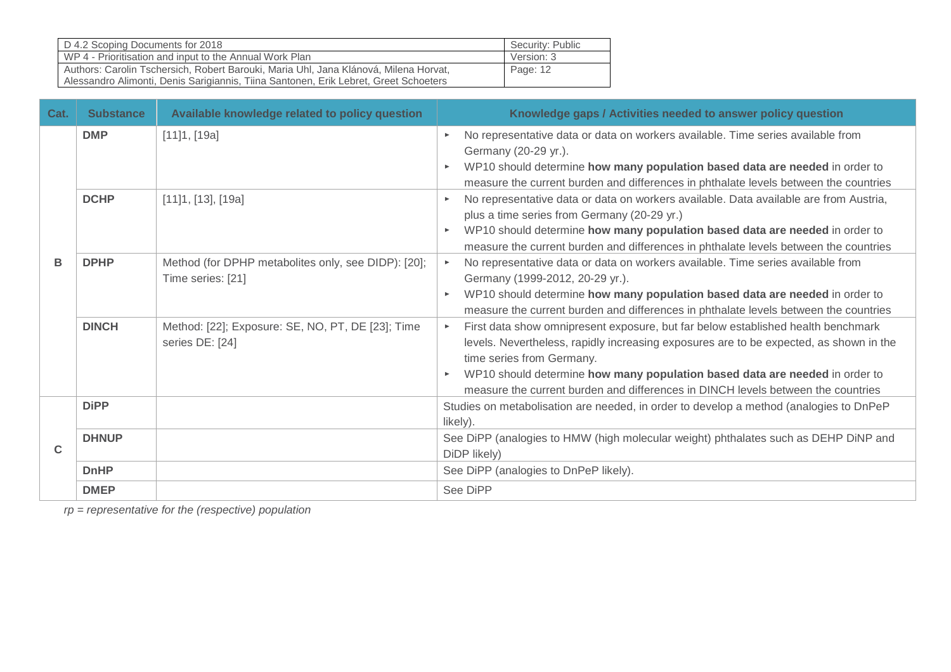| D 4.2 Scoping Documents for 2018                                                     | Security: Public |
|--------------------------------------------------------------------------------------|------------------|
| WP 4 - Prioritisation and input to the Annual Work Plan                              | Version: 3       |
| Authors: Carolin Tschersich, Robert Barouki, Maria Uhl, Jana Klánová, Milena Horvat, | Page: 12         |
| Alessandro Alimonti, Denis Sarigiannis, Tiina Santonen, Erik Lebret, Greet Schoeters |                  |

| Cat.        | <b>Substance</b> | Available knowledge related to policy question                           | Knowledge gaps / Activities needed to answer policy question                                                                                                                                                                                                                                                                                                                                                                 |
|-------------|------------------|--------------------------------------------------------------------------|------------------------------------------------------------------------------------------------------------------------------------------------------------------------------------------------------------------------------------------------------------------------------------------------------------------------------------------------------------------------------------------------------------------------------|
|             | <b>DMP</b>       | [11]1, [19a]                                                             | No representative data or data on workers available. Time series available from<br>$\blacktriangleright$<br>Germany (20-29 yr.).<br>WP10 should determine how many population based data are needed in order to<br>$\blacktriangleright$<br>measure the current burden and differences in phthalate levels between the countries                                                                                             |
|             | <b>DCHP</b>      | [11]1, [13], [19a]                                                       | No representative data or data on workers available. Data available are from Austria,<br>$\blacktriangleright$<br>plus a time series from Germany (20-29 yr.)<br>WP10 should determine how many population based data are needed in order to<br>$\blacktriangleright$<br>measure the current burden and differences in phthalate levels between the countries                                                                |
| B           | <b>DPHP</b>      | Method (for DPHP metabolites only, see DIDP): [20];<br>Time series: [21] | No representative data or data on workers available. Time series available from<br>$\blacktriangleright$<br>Germany (1999-2012, 20-29 yr.).<br>WP10 should determine how many population based data are needed in order to<br>$\blacktriangleright$<br>measure the current burden and differences in phthalate levels between the countries                                                                                  |
|             | <b>DINCH</b>     | Method: [22]; Exposure: SE, NO, PT, DE [23]; Time<br>series DE: [24]     | First data show omnipresent exposure, but far below established health benchmark<br>$\blacktriangleright$<br>levels. Nevertheless, rapidly increasing exposures are to be expected, as shown in the<br>time series from Germany.<br>WP10 should determine how many population based data are needed in order to<br>$\blacktriangleright$<br>measure the current burden and differences in DINCH levels between the countries |
|             | <b>DiPP</b>      |                                                                          | Studies on metabolisation are needed, in order to develop a method (analogies to DnPeP<br>likely).                                                                                                                                                                                                                                                                                                                           |
| $\mathbf C$ | <b>DHNUP</b>     |                                                                          | See DiPP (analogies to HMW (high molecular weight) phthalates such as DEHP DiNP and<br>DiDP likely)                                                                                                                                                                                                                                                                                                                          |
|             | <b>DnHP</b>      |                                                                          | See DiPP (analogies to DnPeP likely).                                                                                                                                                                                                                                                                                                                                                                                        |
|             | <b>DMEP</b>      |                                                                          | See DiPP                                                                                                                                                                                                                                                                                                                                                                                                                     |

rp = representative for the (respective) population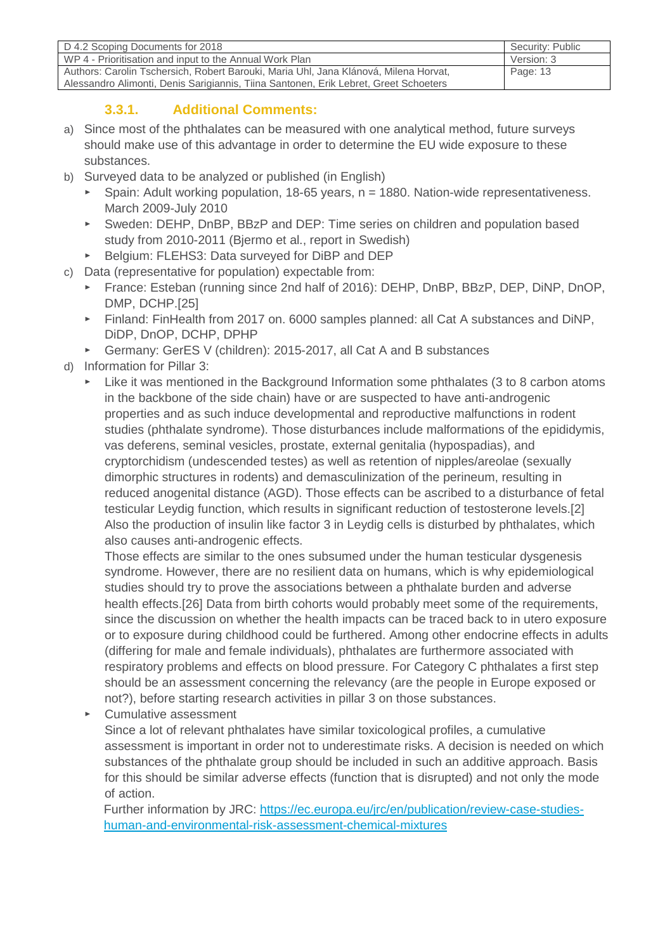| D 4.2 Scoping Documents for 2018                                                     | Security: Public |
|--------------------------------------------------------------------------------------|------------------|
| WP 4 - Prioritisation and input to the Annual Work Plan                              | Version: 3       |
| Authors: Carolin Tschersich, Robert Barouki, Maria Uhl, Jana Klánová, Milena Horvat, | Page: 13         |
| Alessandro Alimonti, Denis Sarigiannis, Tiina Santonen, Erik Lebret, Greet Schoeters |                  |

### **3.3.1. Additional Comments:**

- a) Since most of the phthalates can be measured with one analytical method, future surveys should make use of this advantage in order to determine the EU wide exposure to these substances.
- b) Surveyed data to be analyzed or published (in English)
	- Spain: Adult working population, 18-65 years,  $n = 1880$ . Nation-wide representativeness. March 2009-July 2010
	- ▸ Sweden: DEHP, DnBP, BBzP and DEP: Time series on children and population based study from 2010-2011 (Bjermo et al., report in Swedish)
	- ▸ Belgium: FLEHS3: Data surveyed for DiBP and DEP
- c) Data (representative for population) expectable from:
	- ▸ France: Esteban (running since 2nd half of 2016): DEHP, DnBP, BBzP, DEP, DiNP, DnOP, DMP, DCHP.[25]
	- ▸ Finland: FinHealth from 2017 on. 6000 samples planned: all Cat A substances and DiNP, DiDP, DnOP, DCHP, DPHP
	- ▸ Germany: GerES V (children): 2015-2017, all Cat A and B substances
- d) Information for Pillar 3:
	- ▸ Like it was mentioned in the Background Information some phthalates (3 to 8 carbon atoms in the backbone of the side chain) have or are suspected to have anti-androgenic properties and as such induce developmental and reproductive malfunctions in rodent studies (phthalate syndrome). Those disturbances include malformations of the epididymis, vas deferens, seminal vesicles, prostate, external genitalia (hypospadias), and cryptorchidism (undescended testes) as well as retention of nipples/areolae (sexually dimorphic structures in rodents) and demasculinization of the perineum, resulting in reduced anogenital distance (AGD). Those effects can be ascribed to a disturbance of fetal testicular Leydig function, which results in significant reduction of testosterone levels.[2] Also the production of insulin like factor 3 in Leydig cells is disturbed by phthalates, which also causes anti-androgenic effects.

Those effects are similar to the ones subsumed under the human testicular dysgenesis syndrome. However, there are no resilient data on humans, which is why epidemiological studies should try to prove the associations between a phthalate burden and adverse health effects.[26] Data from birth cohorts would probably meet some of the requirements, since the discussion on whether the health impacts can be traced back to in utero exposure or to exposure during childhood could be furthered. Among other endocrine effects in adults (differing for male and female individuals), phthalates are furthermore associated with respiratory problems and effects on blood pressure. For Category C phthalates a first step should be an assessment concerning the relevancy (are the people in Europe exposed or not?), before starting research activities in pillar 3 on those substances.

▸ Cumulative assessment

Since a lot of relevant phthalates have similar toxicological profiles, a cumulative assessment is important in order not to underestimate risks. A decision is needed on which substances of the phthalate group should be included in such an additive approach. Basis for this should be similar adverse effects (function that is disrupted) and not only the mode of action.

Further information by JRC: https://ec.europa.eu/jrc/en/publication/review-case-studieshuman-and-environmental-risk-assessment-chemical-mixtures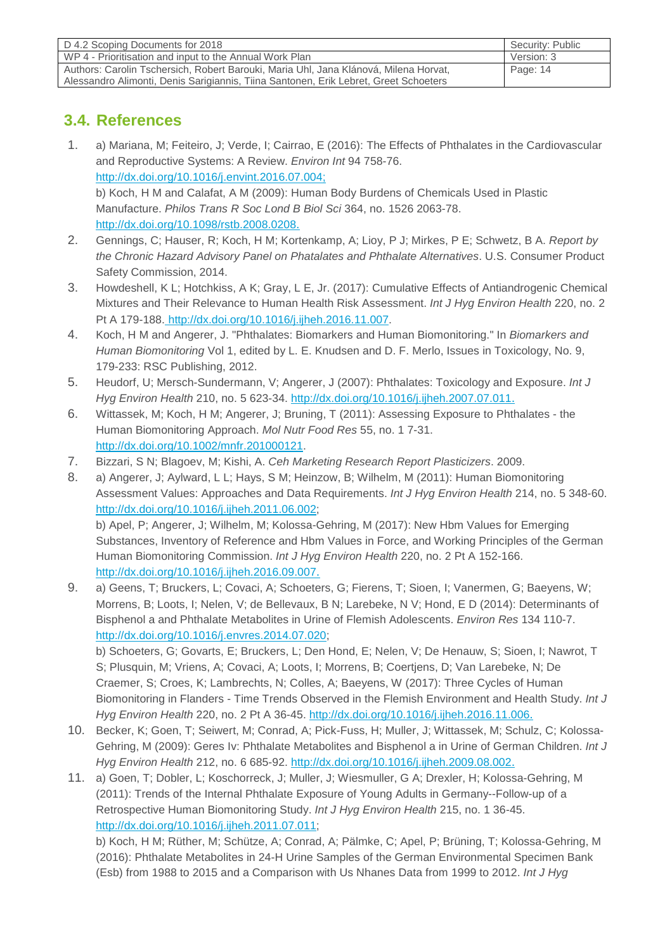| D 4.2 Scoping Documents for 2018                                                     | Security: Public |
|--------------------------------------------------------------------------------------|------------------|
| WP 4 - Prioritisation and input to the Annual Work Plan                              | Version: 3       |
| Authors: Carolin Tschersich, Robert Barouki, Maria Uhl, Jana Klánová, Milena Horvat, | Page: 14         |
| Alessandro Alimonti, Denis Sarigiannis, Tiina Santonen, Erik Lebret, Greet Schoeters |                  |

### **3.4. References**

- 1. a) Mariana, M; Feiteiro, J; Verde, I; Cairrao, E (2016): The Effects of Phthalates in the Cardiovascular and Reproductive Systems: A Review. Environ Int 94 758-76. http://dx.doi.org/10.1016/j.envint.2016.07.004; b) Koch, H M and Calafat, A M (2009): Human Body Burdens of Chemicals Used in Plastic Manufacture. Philos Trans R Soc Lond B Biol Sci 364, no. 1526 2063-78. http://dx.doi.org/10.1098/rstb.2008.0208.
- 2. Gennings, C; Hauser, R; Koch, H M; Kortenkamp, A; Lioy, P J; Mirkes, P E; Schwetz, B A. Report by the Chronic Hazard Advisory Panel on Phatalates and Phthalate Alternatives. U.S. Consumer Product Safety Commission, 2014.
- 3. Howdeshell, K L; Hotchkiss, A K; Gray, L E, Jr. (2017): Cumulative Effects of Antiandrogenic Chemical Mixtures and Their Relevance to Human Health Risk Assessment. Int J Hyg Environ Health 220, no. 2 Pt A 179-188. http://dx.doi.org/10.1016/j.ijheh.2016.11.007.
- 4. Koch, H M and Angerer, J. "Phthalates: Biomarkers and Human Biomonitoring." In Biomarkers and Human Biomonitoring Vol 1, edited by L. E. Knudsen and D. F. Merlo, Issues in Toxicology, No. 9, 179-233: RSC Publishing, 2012.
- 5. Heudorf, U; Mersch-Sundermann, V; Angerer, J (2007): Phthalates: Toxicology and Exposure. Int J Hyg Environ Health 210, no. 5 623-34. http://dx.doi.org/10.1016/j.ijheh.2007.07.011.
- 6. Wittassek, M; Koch, H M; Angerer, J; Bruning, T (2011): Assessing Exposure to Phthalates the Human Biomonitoring Approach. Mol Nutr Food Res 55, no. 1 7-31. http://dx.doi.org/10.1002/mnfr.201000121.
- 7. Bizzari, S N; Blagoev, M; Kishi, A. Ceh Marketing Research Report Plasticizers. 2009.
- 8. a) Angerer, J; Aylward, L L; Hays, S M; Heinzow, B; Wilhelm, M (2011): Human Biomonitoring Assessment Values: Approaches and Data Requirements. Int J Hyg Environ Health 214, no. 5 348-60. http://dx.doi.org/10.1016/j.ijheh.2011.06.002; b) Apel, P; Angerer, J; Wilhelm, M; Kolossa-Gehring, M (2017): New Hbm Values for Emerging Substances, Inventory of Reference and Hbm Values in Force, and Working Principles of the German

Human Biomonitoring Commission. Int J Hyg Environ Health 220, no. 2 Pt A 152-166. http://dx.doi.org/10.1016/j.ijheh.2016.09.007.

9. a) Geens, T; Bruckers, L; Covaci, A; Schoeters, G; Fierens, T; Sioen, I; Vanermen, G; Baeyens, W; Morrens, B; Loots, I; Nelen, V; de Bellevaux, B N; Larebeke, N V; Hond, E D (2014): Determinants of Bisphenol a and Phthalate Metabolites in Urine of Flemish Adolescents. Environ Res 134 110-7. http://dx.doi.org/10.1016/j.envres.2014.07.020;

b) Schoeters, G; Govarts, E; Bruckers, L; Den Hond, E; Nelen, V; De Henauw, S; Sioen, I; Nawrot, T S; Plusquin, M; Vriens, A; Covaci, A; Loots, I; Morrens, B; Coertjens, D; Van Larebeke, N; De Craemer, S; Croes, K; Lambrechts, N; Colles, A; Baeyens, W (2017): Three Cycles of Human Biomonitoring in Flanders - Time Trends Observed in the Flemish Environment and Health Study. Int J Hyg Environ Health 220, no. 2 Pt A 36-45. http://dx.doi.org/10.1016/j.ijheh.2016.11.006.

- 10. Becker, K; Goen, T; Seiwert, M; Conrad, A; Pick-Fuss, H; Muller, J; Wittassek, M; Schulz, C; Kolossa-Gehring, M (2009): Geres Iv: Phthalate Metabolites and Bisphenol a in Urine of German Children. Int J Hyg Environ Health 212, no. 6 685-92. http://dx.doi.org/10.1016/j.ijheh.2009.08.002.
- 11. a) Goen, T; Dobler, L; Koschorreck, J; Muller, J; Wiesmuller, G A; Drexler, H; Kolossa-Gehring, M (2011): Trends of the Internal Phthalate Exposure of Young Adults in Germany--Follow-up of a Retrospective Human Biomonitoring Study. Int J Hyg Environ Health 215, no. 1 36-45. http://dx.doi.org/10.1016/j.ijheh.2011.07.011;

b) Koch, H M; Rüther, M; Schütze, A; Conrad, A; Pälmke, C; Apel, P; Brüning, T; Kolossa-Gehring, M (2016): Phthalate Metabolites in 24-H Urine Samples of the German Environmental Specimen Bank (Esb) from 1988 to 2015 and a Comparison with Us Nhanes Data from 1999 to 2012. Int J Hyg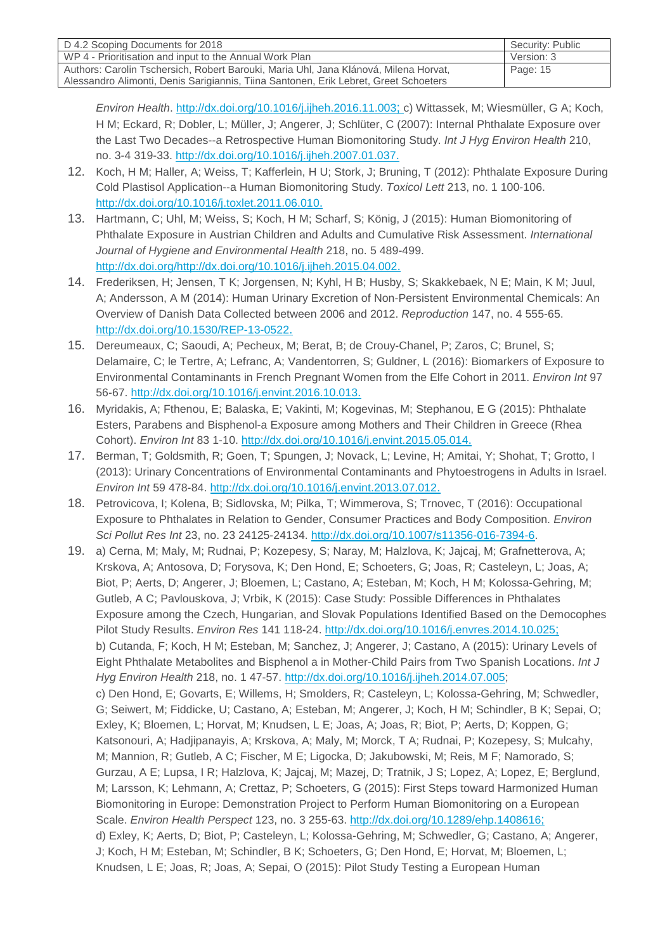| D 4.2 Scoping Documents for 2018                                                     | Security: Public |
|--------------------------------------------------------------------------------------|------------------|
| WP 4 - Prioritisation and input to the Annual Work Plan                              | Version: 3       |
| Authors: Carolin Tschersich, Robert Barouki, Maria Uhl, Jana Klánová, Milena Horvat, | Page: 15         |
| Alessandro Alimonti, Denis Sarigiannis, Tiina Santonen, Erik Lebret, Greet Schoeters |                  |

Environ Health. http://dx.doi.org/10.1016/j.ijheh.2016.11.003; c) Wittassek, M; Wiesmüller, G A; Koch, H M; Eckard, R; Dobler, L; Müller, J; Angerer, J; Schlüter, C (2007): Internal Phthalate Exposure over the Last Two Decades--a Retrospective Human Biomonitoring Study. Int J Hyg Environ Health 210, no. 3-4 319-33. http://dx.doi.org/10.1016/j.ijheh.2007.01.037.

- 12. Koch, H M; Haller, A; Weiss, T; Kafferlein, H U; Stork, J; Bruning, T (2012): Phthalate Exposure During Cold Plastisol Application--a Human Biomonitoring Study. Toxicol Lett 213, no. 1 100-106. http://dx.doi.org/10.1016/j.toxlet.2011.06.010.
- 13. Hartmann, C; Uhl, M; Weiss, S; Koch, H M; Scharf, S; König, J (2015): Human Biomonitoring of Phthalate Exposure in Austrian Children and Adults and Cumulative Risk Assessment. International Journal of Hygiene and Environmental Health 218, no. 5 489-499. http://dx.doi.org/http://dx.doi.org/10.1016/j.ijheh.2015.04.002.
- 14. Frederiksen, H; Jensen, T K; Jorgensen, N; Kyhl, H B; Husby, S; Skakkebaek, N E; Main, K M; Juul, A; Andersson, A M (2014): Human Urinary Excretion of Non-Persistent Environmental Chemicals: An Overview of Danish Data Collected between 2006 and 2012. Reproduction 147, no. 4 555-65. http://dx.doi.org/10.1530/REP-13-0522.
- 15. Dereumeaux, C; Saoudi, A; Pecheux, M; Berat, B; de Crouy-Chanel, P; Zaros, C; Brunel, S; Delamaire, C; le Tertre, A; Lefranc, A; Vandentorren, S; Guldner, L (2016): Biomarkers of Exposure to Environmental Contaminants in French Pregnant Women from the Elfe Cohort in 2011. Environ Int 97 56-67. http://dx.doi.org/10.1016/j.envint.2016.10.013.
- 16. Myridakis, A; Fthenou, E; Balaska, E; Vakinti, M; Kogevinas, M; Stephanou, E G (2015): Phthalate Esters, Parabens and Bisphenol-a Exposure among Mothers and Their Children in Greece (Rhea Cohort). Environ Int 83 1-10. http://dx.doi.org/10.1016/j.envint.2015.05.014.
- 17. Berman, T; Goldsmith, R; Goen, T; Spungen, J; Novack, L; Levine, H; Amitai, Y; Shohat, T; Grotto, I (2013): Urinary Concentrations of Environmental Contaminants and Phytoestrogens in Adults in Israel. Environ Int 59 478-84. http://dx.doi.org/10.1016/j.envint.2013.07.012.
- 18. Petrovicova, I; Kolena, B; Sidlovska, M; Pilka, T; Wimmerova, S; Trnovec, T (2016): Occupational Exposure to Phthalates in Relation to Gender, Consumer Practices and Body Composition. Environ Sci Pollut Res Int 23, no. 23 24125-24134. http://dx.doi.org/10.1007/s11356-016-7394-6.
- 19. a) Cerna, M; Maly, M; Rudnai, P; Kozepesy, S; Naray, M; Halzlova, K; Jajcaj, M; Grafnetterova, A; Krskova, A; Antosova, D; Forysova, K; Den Hond, E; Schoeters, G; Joas, R; Casteleyn, L; Joas, A; Biot, P; Aerts, D; Angerer, J; Bloemen, L; Castano, A; Esteban, M; Koch, H M; Kolossa-Gehring, M; Gutleb, A C; Pavlouskova, J; Vrbik, K (2015): Case Study: Possible Differences in Phthalates Exposure among the Czech, Hungarian, and Slovak Populations Identified Based on the Democophes Pilot Study Results. Environ Res 141 118-24. http://dx.doi.org/10.1016/j.envres.2014.10.025; b) Cutanda, F; Koch, H M; Esteban, M; Sanchez, J; Angerer, J; Castano, A (2015): Urinary Levels of Eight Phthalate Metabolites and Bisphenol a in Mother-Child Pairs from Two Spanish Locations. Int J Hyg Environ Health 218, no. 1 47-57. http://dx.doi.org/10.1016/j.ijheh.2014.07.005; c) Den Hond, E; Govarts, E; Willems, H; Smolders, R; Casteleyn, L; Kolossa-Gehring, M; Schwedler, G; Seiwert, M; Fiddicke, U; Castano, A; Esteban, M; Angerer, J; Koch, H M; Schindler, B K; Sepai, O; Exley, K; Bloemen, L; Horvat, M; Knudsen, L E; Joas, A; Joas, R; Biot, P; Aerts, D; Koppen, G; Katsonouri, A; Hadjipanayis, A; Krskova, A; Maly, M; Morck, T A; Rudnai, P; Kozepesy, S; Mulcahy, M; Mannion, R; Gutleb, A C; Fischer, M E; Ligocka, D; Jakubowski, M; Reis, M F; Namorado, S; Gurzau, A E; Lupsa, I R; Halzlova, K; Jajcaj, M; Mazej, D; Tratnik, J S; Lopez, A; Lopez, E; Berglund, M; Larsson, K; Lehmann, A; Crettaz, P; Schoeters, G (2015): First Steps toward Harmonized Human Biomonitoring in Europe: Demonstration Project to Perform Human Biomonitoring on a European Scale. Environ Health Perspect 123, no. 3 255-63. http://dx.doi.org/10.1289/ehp.1408616; d) Exley, K; Aerts, D; Biot, P; Casteleyn, L; Kolossa-Gehring, M; Schwedler, G; Castano, A; Angerer, J; Koch, H M; Esteban, M; Schindler, B K; Schoeters, G; Den Hond, E; Horvat, M; Bloemen, L; Knudsen, L E; Joas, R; Joas, A; Sepai, O (2015): Pilot Study Testing a European Human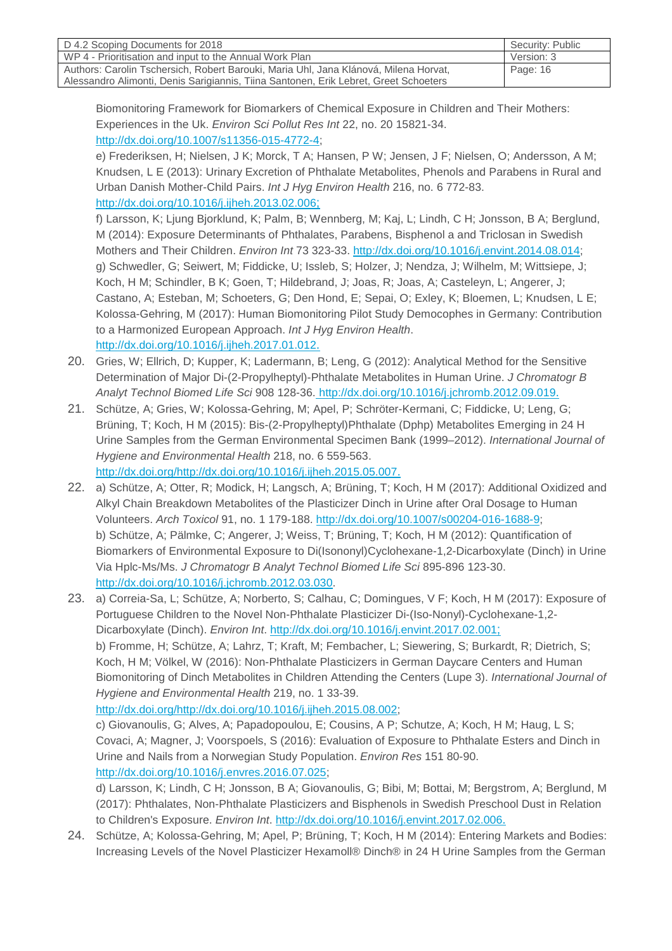| D 4.2 Scoping Documents for 2018                                                     | Security: Public |
|--------------------------------------------------------------------------------------|------------------|
| WP 4 - Prioritisation and input to the Annual Work Plan                              | Version: 3       |
| Authors: Carolin Tschersich, Robert Barouki, Maria Uhl, Jana Klánová, Milena Horvat, | Page: 16         |
| Alessandro Alimonti, Denis Sarigiannis, Tiina Santonen, Erik Lebret, Greet Schoeters |                  |

Biomonitoring Framework for Biomarkers of Chemical Exposure in Children and Their Mothers: Experiences in the Uk. Environ Sci Pollut Res Int 22, no. 20 15821-34.

http://dx.doi.org/10.1007/s11356-015-4772-4;

e) Frederiksen, H; Nielsen, J K; Morck, T A; Hansen, P W; Jensen, J F; Nielsen, O; Andersson, A M; Knudsen, L E (2013): Urinary Excretion of Phthalate Metabolites, Phenols and Parabens in Rural and Urban Danish Mother-Child Pairs. Int J Hyg Environ Health 216, no. 6 772-83. http://dx.doi.org/10.1016/j.ijheh.2013.02.006;

f) Larsson, K; Ljung Bjorklund, K; Palm, B; Wennberg, M; Kaj, L; Lindh, C H; Jonsson, B A; Berglund, M (2014): Exposure Determinants of Phthalates, Parabens, Bisphenol a and Triclosan in Swedish Mothers and Their Children. Environ Int 73 323-33. http://dx.doi.org/10.1016/j.envint.2014.08.014; g) Schwedler, G; Seiwert, M; Fiddicke, U; Issleb, S; Holzer, J; Nendza, J; Wilhelm, M; Wittsiepe, J; Koch, H M; Schindler, B K; Goen, T; Hildebrand, J; Joas, R; Joas, A; Casteleyn, L; Angerer, J; Castano, A; Esteban, M; Schoeters, G; Den Hond, E; Sepai, O; Exley, K; Bloemen, L; Knudsen, L E; Kolossa-Gehring, M (2017): Human Biomonitoring Pilot Study Democophes in Germany: Contribution to a Harmonized European Approach. Int J Hyg Environ Health. http://dx.doi.org/10.1016/j.ijheh.2017.01.012.

- 20. Gries, W; Ellrich, D; Kupper, K; Ladermann, B; Leng, G (2012): Analytical Method for the Sensitive Determination of Major Di-(2-Propylheptyl)-Phthalate Metabolites in Human Urine. J Chromatogr B Analyt Technol Biomed Life Sci 908 128-36. http://dx.doi.org/10.1016/j.jchromb.2012.09.019.
- 21. Schütze, A; Gries, W; Kolossa-Gehring, M; Apel, P; Schröter-Kermani, C; Fiddicke, U; Leng, G; Brüning, T; Koch, H M (2015): Bis-(2-Propylheptyl)Phthalate (Dphp) Metabolites Emerging in 24 H Urine Samples from the German Environmental Specimen Bank (1999–2012). International Journal of Hygiene and Environmental Health 218, no. 6 559-563.

http://dx.doi.org/http://dx.doi.org/10.1016/j.ijheh.2015.05.007.

- 22. a) Schütze, A; Otter, R; Modick, H; Langsch, A; Brüning, T; Koch, H M (2017): Additional Oxidized and Alkyl Chain Breakdown Metabolites of the Plasticizer Dinch in Urine after Oral Dosage to Human Volunteers. Arch Toxicol 91, no. 1 179-188. http://dx.doi.org/10.1007/s00204-016-1688-9; b) Schütze, A; Pälmke, C; Angerer, J; Weiss, T; Brüning, T; Koch, H M (2012): Quantification of Biomarkers of Environmental Exposure to Di(Isononyl)Cyclohexane-1,2-Dicarboxylate (Dinch) in Urine Via Hplc-Ms/Ms. J Chromatogr B Analyt Technol Biomed Life Sci 895-896 123-30. http://dx.doi.org/10.1016/j.jchromb.2012.03.030.
- 23. a) Correia-Sa, L; Schütze, A; Norberto, S; Calhau, C; Domingues, V F; Koch, H M (2017): Exposure of Portuguese Children to the Novel Non-Phthalate Plasticizer Di-(Iso-Nonyl)-Cyclohexane-1,2- Dicarboxylate (Dinch). Environ Int. http://dx.doi.org/10.1016/j.envint.2017.02.001; b) Fromme, H; Schütze, A; Lahrz, T; Kraft, M; Fembacher, L; Siewering, S; Burkardt, R; Dietrich, S; Koch, H M; Völkel, W (2016): Non-Phthalate Plasticizers in German Daycare Centers and Human Biomonitoring of Dinch Metabolites in Children Attending the Centers (Lupe 3). International Journal of Hygiene and Environmental Health 219, no. 1 33-39. http://dx.doi.org/http://dx.doi.org/10.1016/j.ijheh.2015.08.002; c) Giovanoulis, G; Alves, A; Papadopoulou, E; Cousins, A P; Schutze, A; Koch, H M; Haug, L S;

Covaci, A; Magner, J; Voorspoels, S (2016): Evaluation of Exposure to Phthalate Esters and Dinch in Urine and Nails from a Norwegian Study Population. Environ Res 151 80-90. http://dx.doi.org/10.1016/j.envres.2016.07.025;

d) Larsson, K; Lindh, C H; Jonsson, B A; Giovanoulis, G; Bibi, M; Bottai, M; Bergstrom, A; Berglund, M (2017): Phthalates, Non-Phthalate Plasticizers and Bisphenols in Swedish Preschool Dust in Relation to Children's Exposure. Environ Int. http://dx.doi.org/10.1016/j.envint.2017.02.006.

24. Schütze, A; Kolossa-Gehring, M; Apel, P; Brüning, T; Koch, H M (2014): Entering Markets and Bodies: Increasing Levels of the Novel Plasticizer Hexamoll® Dinch® in 24 H Urine Samples from the German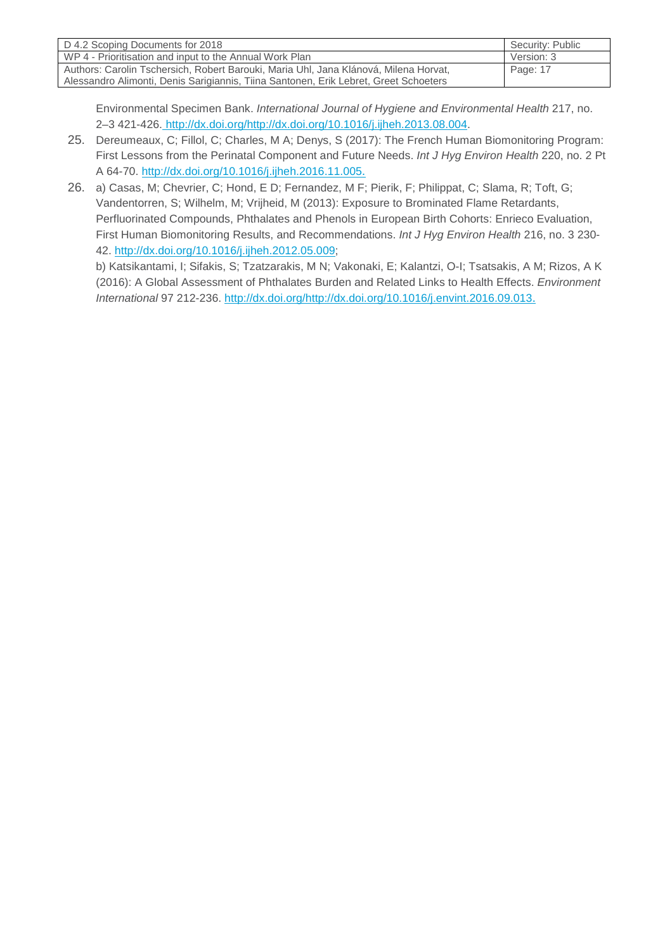| D 4.2 Scoping Documents for 2018                                                     | Security: Public |
|--------------------------------------------------------------------------------------|------------------|
| WP 4 - Prioritisation and input to the Annual Work Plan                              | Version: 3       |
| Authors: Carolin Tschersich, Robert Barouki, Maria Uhl, Jana Klánová, Milena Horvat, | Page: 17         |
| Alessandro Alimonti, Denis Sarigiannis, Tiina Santonen, Erik Lebret, Greet Schoeters |                  |

Environmental Specimen Bank. International Journal of Hygiene and Environmental Health 217, no. 2–3 421-426. http://dx.doi.org/http://dx.doi.org/10.1016/j.ijheh.2013.08.004.

- 25. Dereumeaux, C; Fillol, C; Charles, M A; Denys, S (2017): The French Human Biomonitoring Program: First Lessons from the Perinatal Component and Future Needs. Int J Hyg Environ Health 220, no. 2 Pt A 64-70. http://dx.doi.org/10.1016/j.ijheh.2016.11.005.
- 26. a) Casas, M; Chevrier, C; Hond, E D; Fernandez, M F; Pierik, F; Philippat, C; Slama, R; Toft, G; Vandentorren, S; Wilhelm, M; Vrijheid, M (2013): Exposure to Brominated Flame Retardants, Perfluorinated Compounds, Phthalates and Phenols in European Birth Cohorts: Enrieco Evaluation, First Human Biomonitoring Results, and Recommendations. Int J Hyg Environ Health 216, no. 3 230- 42. http://dx.doi.org/10.1016/j.ijheh.2012.05.009;

b) Katsikantami, I; Sifakis, S; Tzatzarakis, M N; Vakonaki, E; Kalantzi, O-I; Tsatsakis, A M; Rizos, A K (2016): A Global Assessment of Phthalates Burden and Related Links to Health Effects. Environment International 97 212-236. http://dx.doi.org/http://dx.doi.org/10.1016/j.envint.2016.09.013.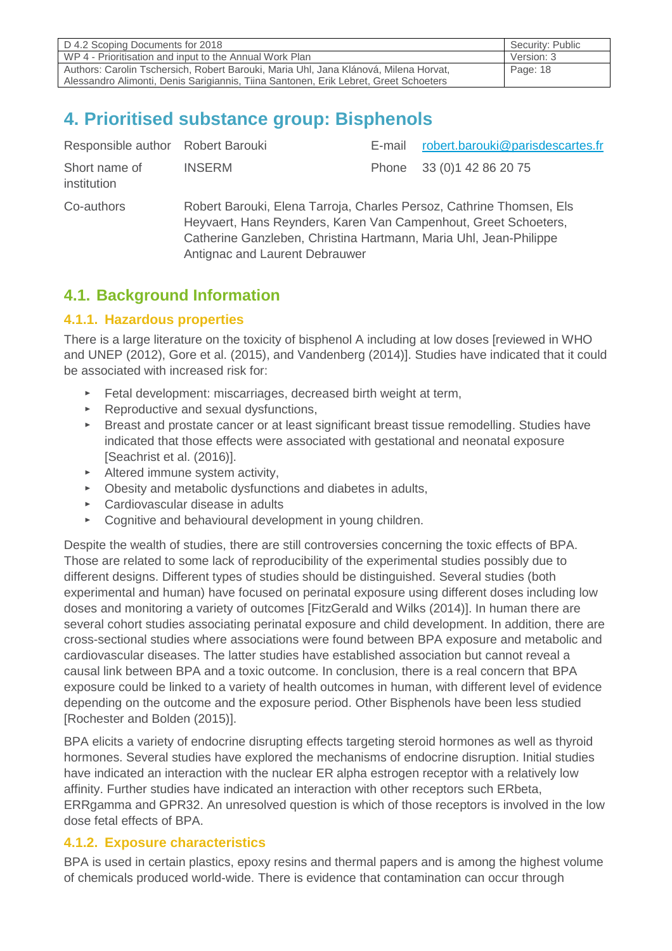| D 4.2 Scoping Documents for 2018                                                     | Security: Public |
|--------------------------------------------------------------------------------------|------------------|
| WP 4 - Prioritisation and input to the Annual Work Plan                              | Version: 3       |
| Authors: Carolin Tschersich, Robert Barouki, Maria Uhl, Jana Klánová, Milena Horvat, | Page: 18         |
| Alessandro Alimonti, Denis Sarigiannis, Tiina Santonen, Erik Lebret, Greet Schoeters |                  |

# **4. Prioritised substance group: Bisphenols**

| Responsible author Robert Barouki |                                | E-mail                                                                                                                                                                                                       | robert.barouki@parisdescartes.fr |
|-----------------------------------|--------------------------------|--------------------------------------------------------------------------------------------------------------------------------------------------------------------------------------------------------------|----------------------------------|
| Short name of<br>institution      | <b>INSERM</b>                  |                                                                                                                                                                                                              | Phone 33 (0) 1 42 86 20 75       |
| Co-authors                        | Antignac and Laurent Debrauwer | Robert Barouki, Elena Tarroja, Charles Persoz, Cathrine Thomsen, Els<br>Heyvaert, Hans Reynders, Karen Van Campenhout, Greet Schoeters,<br>Catherine Ganzleben, Christina Hartmann, Maria Uhl, Jean-Philippe |                                  |

## **4.1. Background Information**

### **4.1.1. Hazardous properties**

There is a large literature on the toxicity of bisphenol A including at low doses [reviewed in WHO and UNEP (2012), Gore et al. (2015), and Vandenberg (2014)]. Studies have indicated that it could be associated with increased risk for:

- ▸ Fetal development: miscarriages, decreased birth weight at term,
- ▸ Reproductive and sexual dysfunctions,
- ▸ Breast and prostate cancer or at least significant breast tissue remodelling. Studies have indicated that those effects were associated with gestational and neonatal exposure [Seachrist et al. (2016)].
- ▸ Altered immune system activity,
- ▸ Obesity and metabolic dysfunctions and diabetes in adults,
- ▸ Cardiovascular disease in adults
- ▸ Cognitive and behavioural development in young children.

Despite the wealth of studies, there are still controversies concerning the toxic effects of BPA. Those are related to some lack of reproducibility of the experimental studies possibly due to different designs. Different types of studies should be distinguished. Several studies (both experimental and human) have focused on perinatal exposure using different doses including low doses and monitoring a variety of outcomes [FitzGerald and Wilks (2014)]. In human there are several cohort studies associating perinatal exposure and child development. In addition, there are cross-sectional studies where associations were found between BPA exposure and metabolic and cardiovascular diseases. The latter studies have established association but cannot reveal a causal link between BPA and a toxic outcome. In conclusion, there is a real concern that BPA exposure could be linked to a variety of health outcomes in human, with different level of evidence depending on the outcome and the exposure period. Other Bisphenols have been less studied [Rochester and Bolden (2015)].

BPA elicits a variety of endocrine disrupting effects targeting steroid hormones as well as thyroid hormones. Several studies have explored the mechanisms of endocrine disruption. Initial studies have indicated an interaction with the nuclear ER alpha estrogen receptor with a relatively low affinity. Further studies have indicated an interaction with other receptors such ERbeta, ERRgamma and GPR32. An unresolved question is which of those receptors is involved in the low dose fetal effects of BPA.

### **4.1.2. Exposure characteristics**

BPA is used in certain plastics, epoxy resins and thermal papers and is among the highest volume of chemicals produced world-wide. There is evidence that contamination can occur through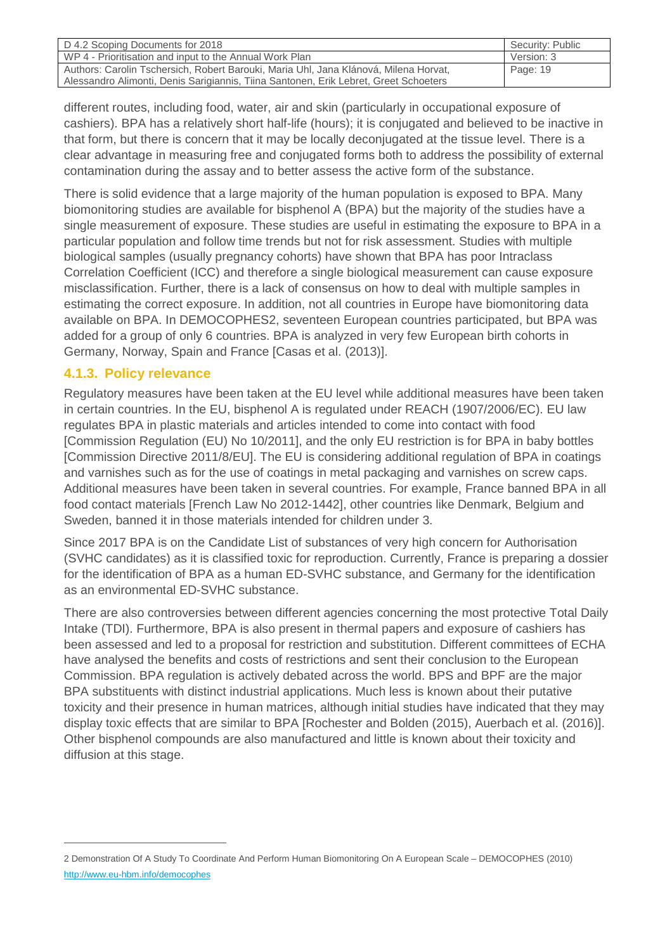| D 4.2 Scoping Documents for 2018                                                     | Security: Public |
|--------------------------------------------------------------------------------------|------------------|
| WP 4 - Prioritisation and input to the Annual Work Plan                              | Version: 3       |
| Authors: Carolin Tschersich, Robert Barouki, Maria Uhl, Jana Klánová, Milena Horvat, | Page: 19         |
| Alessandro Alimonti, Denis Sarigiannis, Tiina Santonen, Erik Lebret, Greet Schoeters |                  |

different routes, including food, water, air and skin (particularly in occupational exposure of cashiers). BPA has a relatively short half-life (hours); it is conjugated and believed to be inactive in that form, but there is concern that it may be locally deconjugated at the tissue level. There is a clear advantage in measuring free and conjugated forms both to address the possibility of external contamination during the assay and to better assess the active form of the substance.

There is solid evidence that a large majority of the human population is exposed to BPA. Many biomonitoring studies are available for bisphenol A (BPA) but the majority of the studies have a single measurement of exposure. These studies are useful in estimating the exposure to BPA in a particular population and follow time trends but not for risk assessment. Studies with multiple biological samples (usually pregnancy cohorts) have shown that BPA has poor Intraclass Correlation Coefficient (ICC) and therefore a single biological measurement can cause exposure misclassification. Further, there is a lack of consensus on how to deal with multiple samples in estimating the correct exposure. In addition, not all countries in Europe have biomonitoring data available on BPA. In DEMOCOPHES2, seventeen European countries participated, but BPA was added for a group of only 6 countries. BPA is analyzed in very few European birth cohorts in Germany, Norway, Spain and France [Casas et al. (2013)].

#### **4.1.3. Policy relevance**

 $\overline{a}$ 

Regulatory measures have been taken at the EU level while additional measures have been taken in certain countries. In the EU, bisphenol A is regulated under REACH (1907/2006/EC). EU law regulates BPA in plastic materials and articles intended to come into contact with food [Commission Regulation (EU) No 10/2011], and the only EU restriction is for BPA in baby bottles [Commission Directive 2011/8/EU]. The EU is considering additional regulation of BPA in coatings and varnishes such as for the use of coatings in metal packaging and varnishes on screw caps. Additional measures have been taken in several countries. For example, France banned BPA in all food contact materials [French Law No 2012-1442], other countries like Denmark, Belgium and Sweden, banned it in those materials intended for children under 3.

Since 2017 BPA is on the Candidate List of substances of very high concern for Authorisation (SVHC candidates) as it is classified toxic for reproduction. Currently, France is preparing a dossier for the identification of BPA as a human ED-SVHC substance, and Germany for the identification as an environmental ED-SVHC substance.

There are also controversies between different agencies concerning the most protective Total Daily Intake (TDI). Furthermore, BPA is also present in thermal papers and exposure of cashiers has been assessed and led to a proposal for restriction and substitution. Different committees of ECHA have analysed the benefits and costs of restrictions and sent their conclusion to the European Commission. BPA regulation is actively debated across the world. BPS and BPF are the major BPA substituents with distinct industrial applications. Much less is known about their putative toxicity and their presence in human matrices, although initial studies have indicated that they may display toxic effects that are similar to BPA [Rochester and Bolden (2015), Auerbach et al. (2016)]. Other bisphenol compounds are also manufactured and little is known about their toxicity and diffusion at this stage.

<sup>2</sup> Demonstration Of A Study To Coordinate And Perform Human Biomonitoring On A European Scale – DEMOCOPHES (2010) http://www.eu-hbm.info/democophes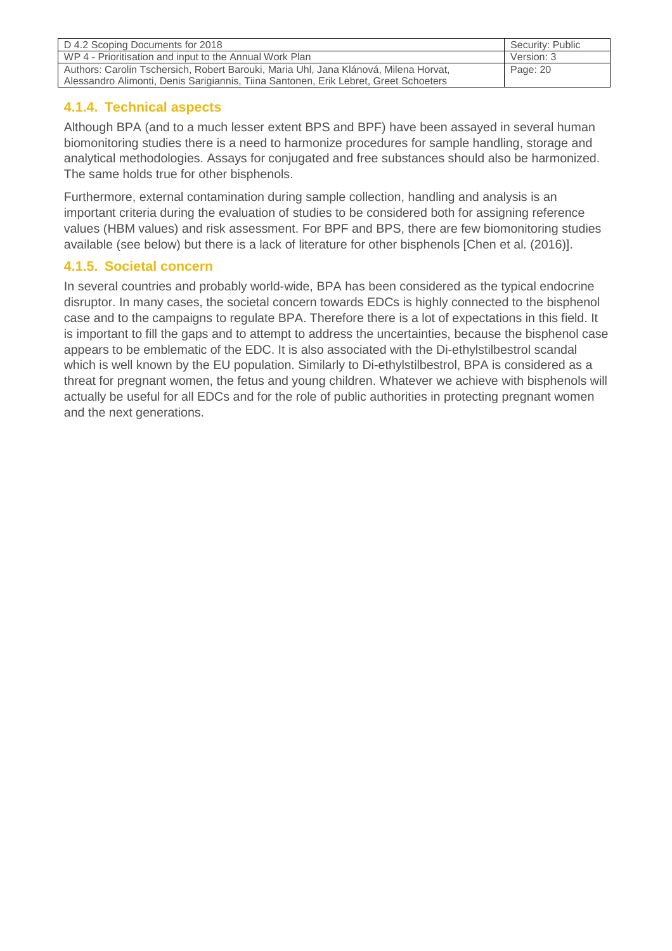| D 4.2 Scoping Documents for 2018                                                     | Security: Public |
|--------------------------------------------------------------------------------------|------------------|
| WP 4 - Prioritisation and input to the Annual Work Plan                              | Version: 3       |
| Authors: Carolin Tschersich, Robert Barouki, Maria Uhl, Jana Klánová, Milena Horvat, | Page: 20         |
| Alessandro Alimonti, Denis Sarigiannis, Tiina Santonen, Erik Lebret, Greet Schoeters |                  |

### **4.1.4. Technical aspects**

Although BPA (and to a much lesser extent BPS and BPF) have been assayed in several human biomonitoring studies there is a need to harmonize procedures for sample handling, storage and analytical methodologies. Assays for conjugated and free substances should also be harmonized. The same holds true for other bisphenols.

Furthermore, external contamination during sample collection, handling and analysis is an important criteria during the evaluation of studies to be considered both for assigning reference values (HBM values) and risk assessment. For BPF and BPS, there are few biomonitoring studies available (see below) but there is a lack of literature for other bisphenols [Chen et al. (2016)].

#### **4.1.5. Societal concern**

In several countries and probably world-wide, BPA has been considered as the typical endocrine disruptor. In many cases, the societal concern towards EDCs is highly connected to the bisphenol case and to the campaigns to regulate BPA. Therefore there is a lot of expectations in this field. It is important to fill the gaps and to attempt to address the uncertainties, because the bisphenol case appears to be emblematic of the EDC. It is also associated with the Di-ethylstilbestrol scandal which is well known by the EU population. Similarly to Di-ethylstilbestrol, BPA is considered as a threat for pregnant women, the fetus and young children. Whatever we achieve with bisphenols will actually be useful for all EDCs and for the role of public authorities in protecting pregnant women and the next generations.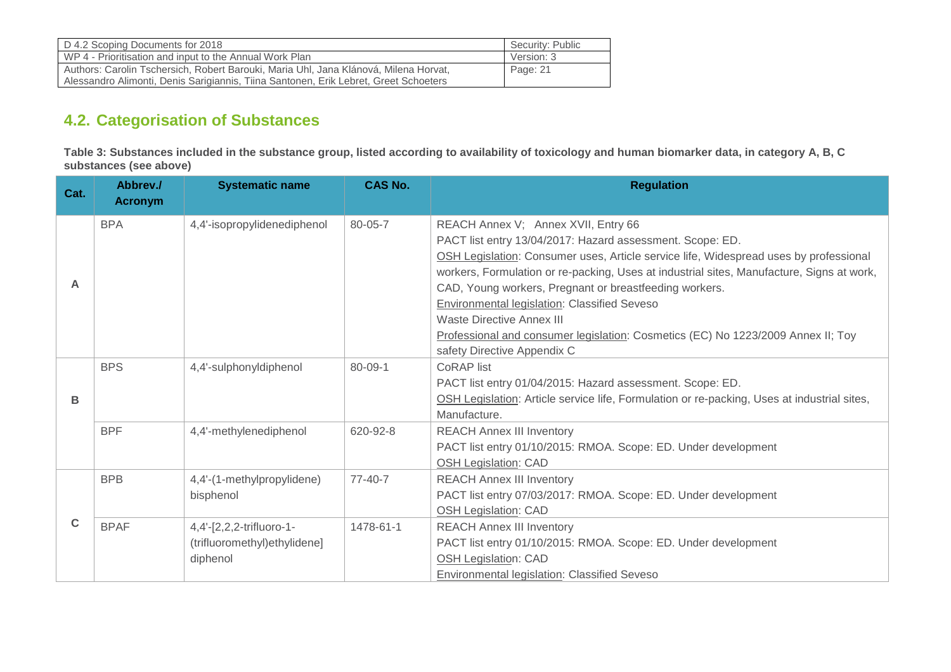| D 4.2 Scoping Documents for 2018                                                     | Security: Public |
|--------------------------------------------------------------------------------------|------------------|
| WP 4 - Prioritisation and input to the Annual Work Plan                              | Version: 3       |
| Authors: Carolin Tschersich, Robert Barouki, Maria Uhl, Jana Klánová, Milena Horvat, | Page: 21         |
| Alessandro Alimonti, Denis Sarigiannis, Tiina Santonen, Erik Lebret, Greet Schoeters |                  |

# **4.2. Categorisation of Substances**

**Table 3: Substances included in the substance group, listed according to availability of toxicology and human biomarker data, in category A, B, C substances (see above)** 

| Cat. | Abbrey./<br><b>Acronym</b> | <b>Systematic name</b>                                                | <b>CAS No.</b> | <b>Regulation</b>                                                                                                                                                                                                                                                                                                                                                                                                                                                                                                                                       |
|------|----------------------------|-----------------------------------------------------------------------|----------------|---------------------------------------------------------------------------------------------------------------------------------------------------------------------------------------------------------------------------------------------------------------------------------------------------------------------------------------------------------------------------------------------------------------------------------------------------------------------------------------------------------------------------------------------------------|
| A    | <b>BPA</b>                 | 4,4'-isopropylidenediphenol                                           | 80-05-7        | REACH Annex V; Annex XVII, Entry 66<br>PACT list entry 13/04/2017: Hazard assessment. Scope: ED.<br>OSH Legislation: Consumer uses, Article service life, Widespread uses by professional<br>workers, Formulation or re-packing, Uses at industrial sites, Manufacture, Signs at work,<br>CAD, Young workers, Pregnant or breastfeeding workers.<br><b>Environmental legislation: Classified Seveso</b><br>Waste Directive Annex III<br>Professional and consumer legislation: Cosmetics (EC) No 1223/2009 Annex II; Toy<br>safety Directive Appendix C |
| B    | <b>BPS</b>                 | 4,4'-sulphonyldiphenol                                                | $80 - 09 - 1$  | <b>CoRAP</b> list<br>PACT list entry 01/04/2015: Hazard assessment. Scope: ED.<br>OSH Legislation: Article service life, Formulation or re-packing, Uses at industrial sites,<br>Manufacture.                                                                                                                                                                                                                                                                                                                                                           |
|      | <b>BPF</b>                 | 4,4'-methylenediphenol                                                | 620-92-8       | <b>REACH Annex III Inventory</b><br>PACT list entry 01/10/2015: RMOA. Scope: ED. Under development<br><b>OSH Legislation: CAD</b>                                                                                                                                                                                                                                                                                                                                                                                                                       |
|      | <b>BPB</b>                 | 4,4'-(1-methylpropylidene)<br>bisphenol                               | $77 - 40 - 7$  | <b>REACH Annex III Inventory</b><br>PACT list entry 07/03/2017: RMOA. Scope: ED. Under development<br><b>OSH Legislation: CAD</b>                                                                                                                                                                                                                                                                                                                                                                                                                       |
| C    | <b>BPAF</b>                | 4,4'-[2,2,2-trifluoro-1-<br>(trifluoromethyl) ethylidene]<br>diphenol | 1478-61-1      | <b>REACH Annex III Inventory</b><br>PACT list entry 01/10/2015: RMOA. Scope: ED. Under development<br><b>OSH Legislation: CAD</b><br><b>Environmental legislation: Classified Seveso</b>                                                                                                                                                                                                                                                                                                                                                                |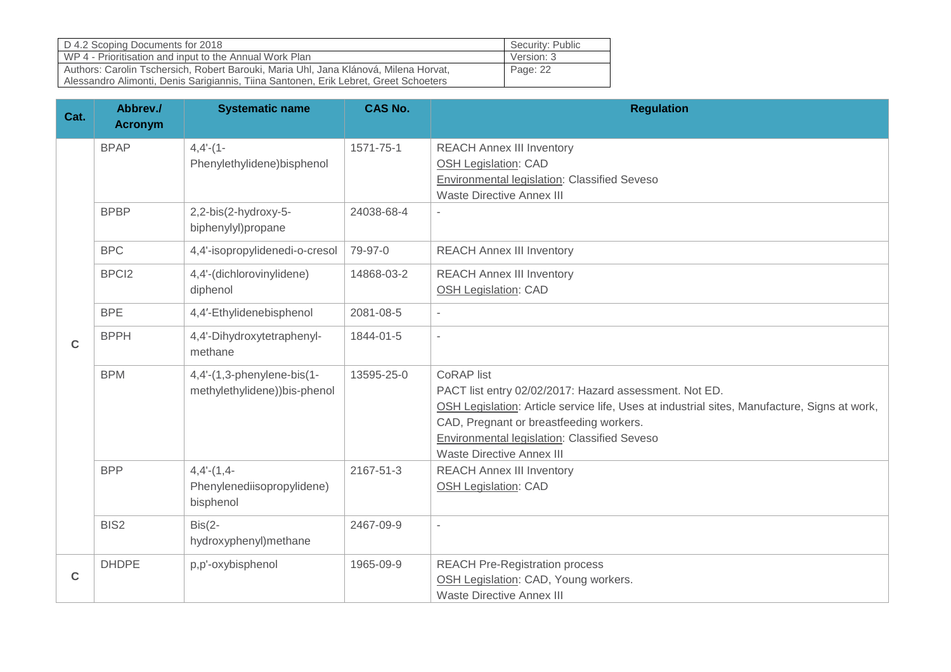| D 4.2 Scoping Documents for 2018                                                     | Security: Public |
|--------------------------------------------------------------------------------------|------------------|
| WP 4 - Prioritisation and input to the Annual Work Plan                              | Version: 3       |
| Authors: Carolin Tschersich, Robert Barouki, Maria Uhl, Jana Klánová, Milena Horvat, | Page: 22         |
| Alessandro Alimonti, Denis Sarigiannis, Tiina Santonen, Erik Lebret, Greet Schoeters |                  |

| Cat.        | Abbrev./<br><b>Acronym</b> | <b>Systematic name</b>                                     | <b>CAS No.</b> | <b>Regulation</b>                                                                                                                                                                                                                                                                                          |
|-------------|----------------------------|------------------------------------------------------------|----------------|------------------------------------------------------------------------------------------------------------------------------------------------------------------------------------------------------------------------------------------------------------------------------------------------------------|
|             | <b>BPAP</b>                | $4,4-(1-$<br>Phenylethylidene)bisphenol                    | 1571-75-1      | <b>REACH Annex III Inventory</b><br><b>OSH Legislation: CAD</b><br>Environmental legislation: Classified Seveso<br><b>Waste Directive Annex III</b>                                                                                                                                                        |
|             | <b>BPBP</b>                | 2,2-bis(2-hydroxy-5-<br>biphenylyl)propane                 | 24038-68-4     |                                                                                                                                                                                                                                                                                                            |
|             | <b>BPC</b>                 | 4,4'-isopropylidenedi-o-cresol                             | 79-97-0        | <b>REACH Annex III Inventory</b>                                                                                                                                                                                                                                                                           |
|             | BPC <sub>12</sub>          | 4,4'-(dichlorovinylidene)<br>diphenol                      | 14868-03-2     | <b>REACH Annex III Inventory</b><br><b>OSH Legislation: CAD</b>                                                                                                                                                                                                                                            |
|             | <b>BPE</b>                 | 4,4'-Ethylidenebisphenol                                   | 2081-08-5      | $\sim$                                                                                                                                                                                                                                                                                                     |
| $\mathbf C$ | <b>BPPH</b>                | 4,4'-Dihydroxytetraphenyl-<br>methane                      | 1844-01-5      | $\sim$                                                                                                                                                                                                                                                                                                     |
|             | <b>BPM</b>                 | 4,4'-(1,3-phenylene-bis(1-<br>methylethylidene))bis-phenol | 13595-25-0     | <b>CoRAP</b> list<br>PACT list entry 02/02/2017: Hazard assessment. Not ED.<br>OSH Legislation: Article service life, Uses at industrial sites, Manufacture, Signs at work,<br>CAD, Pregnant or breastfeeding workers.<br>Environmental legislation: Classified Seveso<br><b>Waste Directive Annex III</b> |
|             | <b>BPP</b>                 | $4,4-(1,4-$<br>Phenylenediisopropylidene)<br>bisphenol     | 2167-51-3      | <b>REACH Annex III Inventory</b><br><b>OSH Legislation: CAD</b>                                                                                                                                                                                                                                            |
|             | BIS <sub>2</sub>           | $Bis(2-$<br>hydroxyphenyl)methane                          | 2467-09-9      | $\sim$                                                                                                                                                                                                                                                                                                     |
| $\mathbf C$ | <b>DHDPE</b>               | p,p'-oxybisphenol                                          | 1965-09-9      | <b>REACH Pre-Registration process</b><br>OSH Legislation: CAD, Young workers.<br><b>Waste Directive Annex III</b>                                                                                                                                                                                          |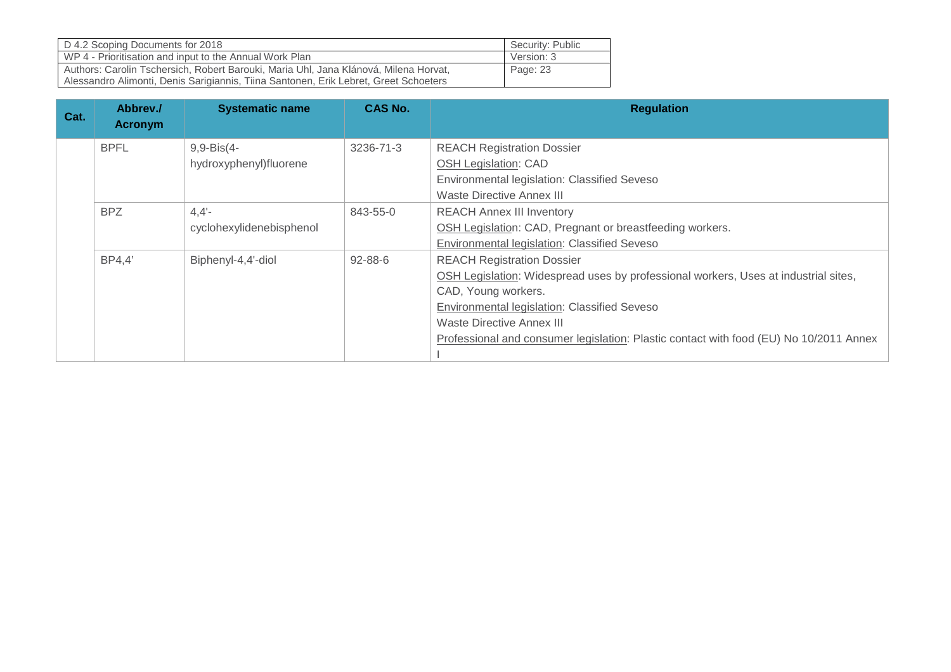| D 4.2 Scoping Documents for 2018                                                     | Security: Public |
|--------------------------------------------------------------------------------------|------------------|
| WP 4 - Prioritisation and input to the Annual Work Plan                              | Version: 3       |
| Authors: Carolin Tschersich, Robert Barouki, Maria Uhl, Jana Klánová, Milena Horvat, | Page: 23         |
| Alessandro Alimonti, Denis Sarigiannis, Tiina Santonen, Erik Lebret, Greet Schoeters |                  |

| Cat. | Abbrey./<br><b>Acronym</b> | <b>Systematic name</b>   | <b>CAS No.</b> | <b>Regulation</b>                                                                      |
|------|----------------------------|--------------------------|----------------|----------------------------------------------------------------------------------------|
|      | <b>BPFL</b>                | $9,9 - Bis(4 -$          | 3236-71-3      | <b>REACH Registration Dossier</b>                                                      |
|      |                            | hydroxyphenyl)fluorene   |                | <b>OSH Legislation: CAD</b>                                                            |
|      |                            |                          |                | Environmental legislation: Classified Seveso                                           |
|      |                            |                          |                | Waste Directive Annex III                                                              |
|      | <b>BPZ</b>                 | $4,4'$ -                 | 843-55-0       | <b>REACH Annex III Inventory</b>                                                       |
|      |                            | cyclohexylidenebisphenol |                | OSH Legislation: CAD, Pregnant or breastfeeding workers.                               |
|      |                            |                          |                | Environmental legislation: Classified Seveso                                           |
|      | BP4,4'                     | Biphenyl-4,4'-diol       | $92 - 88 - 6$  | <b>REACH Registration Dossier</b>                                                      |
|      |                            |                          |                | OSH Legislation: Widespread uses by professional workers, Uses at industrial sites,    |
|      |                            |                          |                | CAD, Young workers.                                                                    |
|      |                            |                          |                | Environmental legislation: Classified Seveso                                           |
|      |                            |                          |                | <b>Waste Directive Annex III</b>                                                       |
|      |                            |                          |                | Professional and consumer legislation: Plastic contact with food (EU) No 10/2011 Annex |
|      |                            |                          |                |                                                                                        |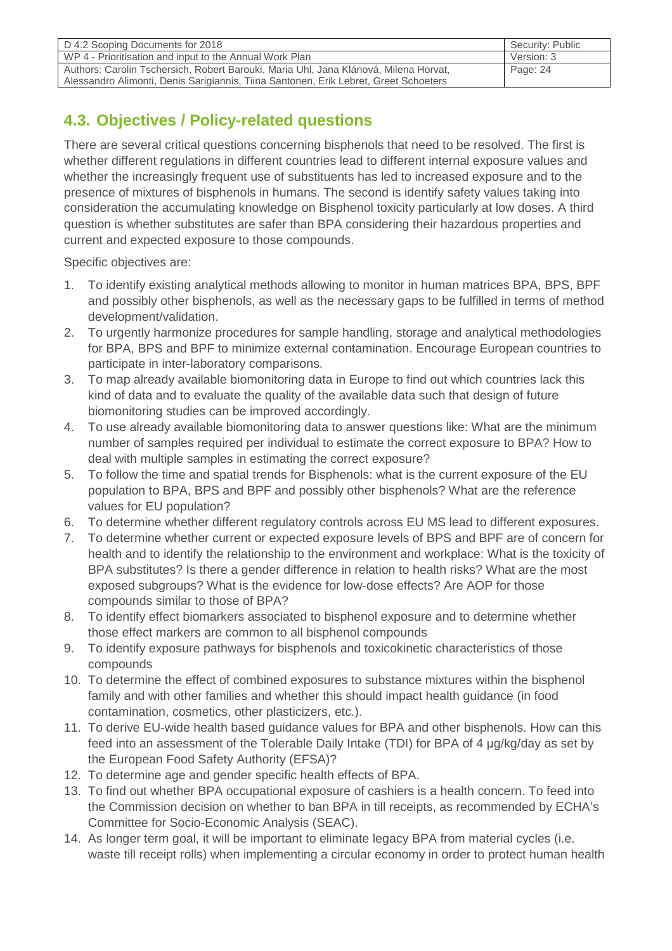| D 4.2 Scoping Documents for 2018                                                     | Security: Public |
|--------------------------------------------------------------------------------------|------------------|
| WP 4 - Prioritisation and input to the Annual Work Plan                              | Version: 3       |
| Authors: Carolin Tschersich, Robert Barouki, Maria Uhl, Jana Klánová, Milena Horvat, | Page: 24         |
| Alessandro Alimonti, Denis Sarigiannis, Tiina Santonen, Erik Lebret, Greet Schoeters |                  |

# **4.3. Objectives / Policy-related questions**

There are several critical questions concerning bisphenols that need to be resolved. The first is whether different regulations in different countries lead to different internal exposure values and whether the increasingly frequent use of substituents has led to increased exposure and to the presence of mixtures of bisphenols in humans. The second is identify safety values taking into consideration the accumulating knowledge on Bisphenol toxicity particularly at low doses. A third question is whether substitutes are safer than BPA considering their hazardous properties and current and expected exposure to those compounds.

Specific objectives are:

- 1. To identify existing analytical methods allowing to monitor in human matrices BPA, BPS, BPF and possibly other bisphenols, as well as the necessary gaps to be fulfilled in terms of method development/validation.
- 2. To urgently harmonize procedures for sample handling, storage and analytical methodologies for BPA, BPS and BPF to minimize external contamination. Encourage European countries to participate in inter-laboratory comparisons.
- 3. To map already available biomonitoring data in Europe to find out which countries lack this kind of data and to evaluate the quality of the available data such that design of future biomonitoring studies can be improved accordingly.
- 4. To use already available biomonitoring data to answer questions like: What are the minimum number of samples required per individual to estimate the correct exposure to BPA? How to deal with multiple samples in estimating the correct exposure?
- 5. To follow the time and spatial trends for Bisphenols: what is the current exposure of the EU population to BPA, BPS and BPF and possibly other bisphenols? What are the reference values for EU population?
- 6. To determine whether different regulatory controls across EU MS lead to different exposures.
- 7. To determine whether current or expected exposure levels of BPS and BPF are of concern for health and to identify the relationship to the environment and workplace: What is the toxicity of BPA substitutes? Is there a gender difference in relation to health risks? What are the most exposed subgroups? What is the evidence for low-dose effects? Are AOP for those compounds similar to those of BPA?
- 8. To identify effect biomarkers associated to bisphenol exposure and to determine whether those effect markers are common to all bisphenol compounds
- 9. To identify exposure pathways for bisphenols and toxicokinetic characteristics of those compounds
- 10. To determine the effect of combined exposures to substance mixtures within the bisphenol family and with other families and whether this should impact health guidance (in food contamination, cosmetics, other plasticizers, etc.).
- 11. To derive EU-wide health based guidance values for BPA and other bisphenols. How can this feed into an assessment of the Tolerable Daily Intake (TDI) for BPA of 4 µg/kg/day as set by the European Food Safety Authority (EFSA)?
- 12. To determine age and gender specific health effects of BPA.
- 13. To find out whether BPA occupational exposure of cashiers is a health concern. To feed into the Commission decision on whether to ban BPA in till receipts, as recommended by ECHA's Committee for Socio-Economic Analysis (SEAC).
- 14. As longer term goal, it will be important to eliminate legacy BPA from material cycles (i.e. waste till receipt rolls) when implementing a circular economy in order to protect human health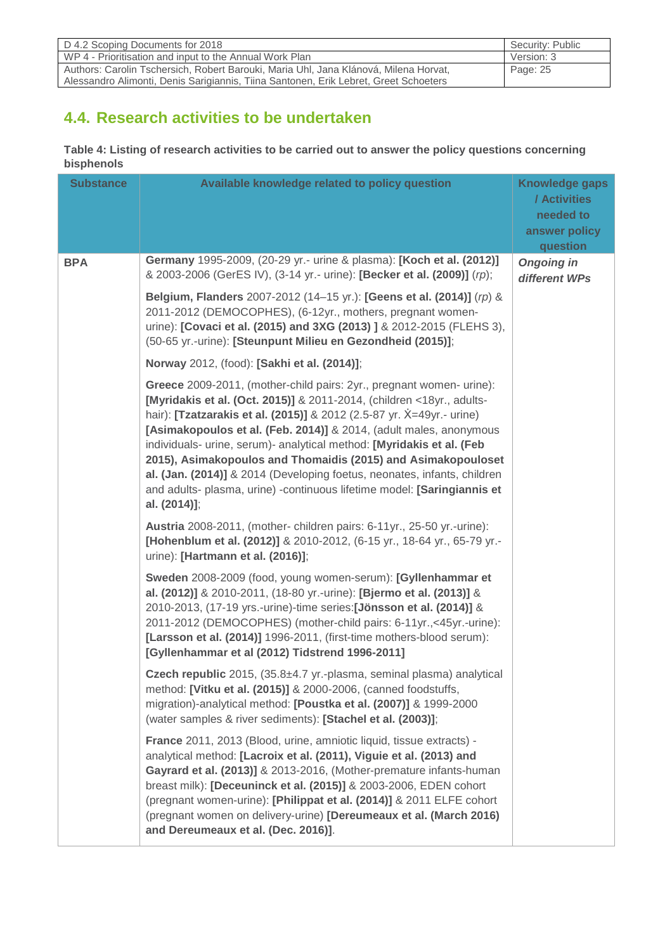| D 4.2 Scoping Documents for 2018                                                     | Security: Public |
|--------------------------------------------------------------------------------------|------------------|
| WP 4 - Prioritisation and input to the Annual Work Plan                              | Version: 3       |
| Authors: Carolin Tschersich, Robert Barouki, Maria Uhl, Jana Klánová, Milena Horvat, | Page: 25         |
| Alessandro Alimonti, Denis Sarigiannis, Tiina Santonen, Erik Lebret, Greet Schoeters |                  |

## **4.4. Research activities to be undertaken**

**Table 4: Listing of research activities to be carried out to answer the policy questions concerning bisphenols** 

| <b>Substance</b> | Available knowledge related to policy question                                                                                                                                                                                                                                                                                                                                                                                                                                                                                                                                                                                                                                                                                                                                                                    | <b>Knowledge gaps</b><br>/ Activities<br>needed to<br>answer policy<br>question |
|------------------|-------------------------------------------------------------------------------------------------------------------------------------------------------------------------------------------------------------------------------------------------------------------------------------------------------------------------------------------------------------------------------------------------------------------------------------------------------------------------------------------------------------------------------------------------------------------------------------------------------------------------------------------------------------------------------------------------------------------------------------------------------------------------------------------------------------------|---------------------------------------------------------------------------------|
| <b>BPA</b>       | Germany 1995-2009, (20-29 yr.- urine & plasma): [Koch et al. (2012)]<br>& 2003-2006 (GerES IV), (3-14 yr.- urine): [Becker et al. (2009)] (rp);<br>Belgium, Flanders 2007-2012 (14-15 yr.): [Geens et al. (2014)] (rp) &<br>2011-2012 (DEMOCOPHES), (6-12yr., mothers, pregnant women-<br>urine): [Covaci et al. (2015) and 3XG (2013) ] & 2012-2015 (FLEHS 3),<br>(50-65 yr.-urine): [Steunpunt Milieu en Gezondheid (2015)];                                                                                                                                                                                                                                                                                                                                                                                    | <b>Ongoing in</b><br>different WPs                                              |
|                  | Norway 2012, (food): [Sakhi et al. (2014)];<br>Greece 2009-2011, (mother-child pairs: 2yr., pregnant women- urine):<br>[Myridakis et al. (Oct. 2015)] & 2011-2014, (children <18yr., adults-<br>hair): [Tzatzarakis et al. (2015)] & 2012 (2.5-87 yr. X=49yr.- urine)<br>[Asimakopoulos et al. (Feb. 2014)] & 2014, (adult males, anonymous<br>individuals- urine, serum)- analytical method: [Myridakis et al. (Feb<br>2015), Asimakopoulos and Thomaidis (2015) and Asimakopouloset<br>al. (Jan. (2014)] & 2014 (Developing foetus, neonates, infants, children<br>and adults- plasma, urine) -continuous lifetime model: [Saringiannis et<br>al. (2014)];<br>Austria 2008-2011, (mother- children pairs: 6-11yr., 25-50 yr.-urine):<br>[Hohenblum et al. (2012)] & 2010-2012, (6-15 yr., 18-64 yr., 65-79 yr.- |                                                                                 |
|                  | urine): [Hartmann et al. (2016)];<br>Sweden 2008-2009 (food, young women-serum): [Gyllenhammar et<br>al. (2012)] & 2010-2011, (18-80 yr.-urine): [Bjermo et al. (2013)] &<br>2010-2013, (17-19 yrs.-urine)-time series:[Jönsson et al. (2014)] &<br>2011-2012 (DEMOCOPHES) (mother-child pairs: 6-11yr., <45yr.-urine):<br>[Larsson et al. (2014)] 1996-2011, (first-time mothers-blood serum):<br>[Gyllenhammar et al (2012) Tidstrend 1996-2011]                                                                                                                                                                                                                                                                                                                                                                |                                                                                 |
|                  | Czech republic 2015, (35.8±4.7 yr.-plasma, seminal plasma) analytical<br>method: [Vitku et al. (2015)] & 2000-2006, (canned foodstuffs,<br>migration)-analytical method: [Poustka et al. (2007)] & 1999-2000<br>(water samples & river sediments): [Stachel et al. (2003)];                                                                                                                                                                                                                                                                                                                                                                                                                                                                                                                                       |                                                                                 |
|                  | France 2011, 2013 (Blood, urine, amniotic liquid, tissue extracts) -<br>analytical method: [Lacroix et al. (2011), Viguie et al. (2013) and<br>Gayrard et al. (2013)] & 2013-2016, (Mother-premature infants-human<br>breast milk): [Deceuninck et al. (2015)] & 2003-2006, EDEN cohort<br>(pregnant women-urine): [Philippat et al. (2014)] & 2011 ELFE cohort<br>(pregnant women on delivery-urine) [Dereumeaux et al. (March 2016)<br>and Dereumeaux et al. (Dec. 2016)].                                                                                                                                                                                                                                                                                                                                      |                                                                                 |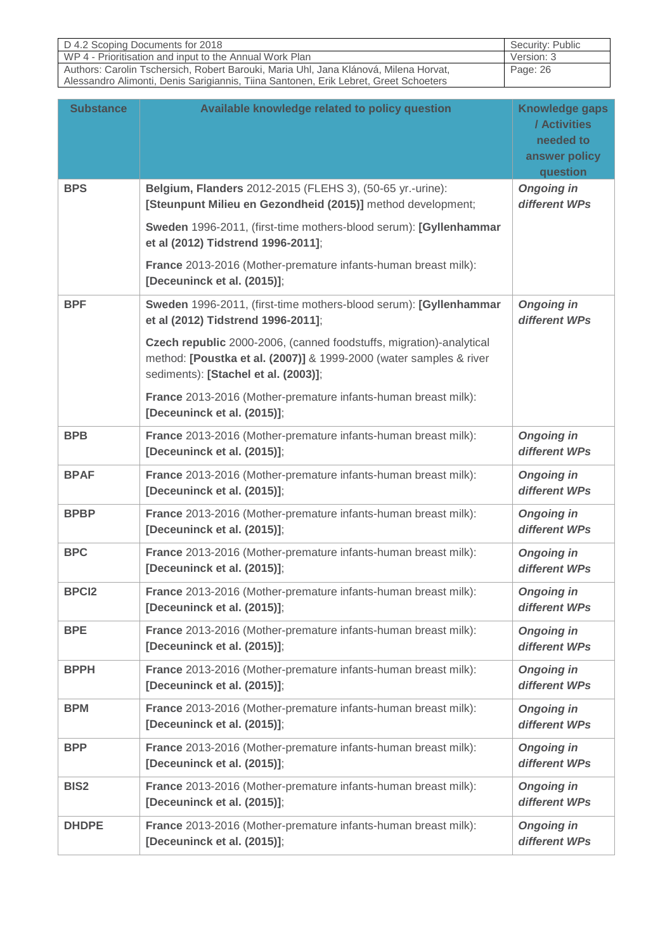| D 4.2 Scoping Documents for 2018                                                     | Security: Public |
|--------------------------------------------------------------------------------------|------------------|
| WP 4 - Prioritisation and input to the Annual Work Plan                              | Version: 3       |
| Authors: Carolin Tschersich, Robert Barouki, Maria Uhl, Jana Klánová, Milena Horvat, | Page: 26         |
| Alessandro Alimonti, Denis Sarigiannis, Tiina Santonen, Erik Lebret, Greet Schoeters |                  |

| <b>Substance</b> | Available knowledge related to policy question                                                                                                                                    | <b>Knowledge gaps</b><br>/ Activities<br>needed to<br>answer policy |
|------------------|-----------------------------------------------------------------------------------------------------------------------------------------------------------------------------------|---------------------------------------------------------------------|
|                  |                                                                                                                                                                                   | question                                                            |
| <b>BPS</b>       | Belgium, Flanders 2012-2015 (FLEHS 3), (50-65 yr.-urine):<br>[Steunpunt Milieu en Gezondheid (2015)] method development;                                                          | <b>Ongoing in</b><br>different WPs                                  |
|                  | Sweden 1996-2011, (first-time mothers-blood serum): [Gyllenhammar<br>et al (2012) Tidstrend 1996-2011];                                                                           |                                                                     |
|                  | France 2013-2016 (Mother-premature infants-human breast milk):<br>[Deceuninck et al. (2015)];                                                                                     |                                                                     |
| <b>BPF</b>       | Sweden 1996-2011, (first-time mothers-blood serum): [Gyllenhammar<br>et al (2012) Tidstrend 1996-2011];                                                                           | <b>Ongoing in</b><br>different WPs                                  |
|                  | Czech republic 2000-2006, (canned foodstuffs, migration)-analytical<br>method: [Poustka et al. (2007)] & 1999-2000 (water samples & river<br>sediments): [Stachel et al. (2003)]; |                                                                     |
|                  | France 2013-2016 (Mother-premature infants-human breast milk):<br>[Deceuninck et al. (2015)];                                                                                     |                                                                     |
| <b>BPB</b>       | France 2013-2016 (Mother-premature infants-human breast milk):<br>[Deceuninck et al. (2015)];                                                                                     | <b>Ongoing in</b><br>different WPs                                  |
| <b>BPAF</b>      | France 2013-2016 (Mother-premature infants-human breast milk):<br>[Deceuninck et al. (2015)];                                                                                     | <b>Ongoing in</b><br>different WPs                                  |
| <b>BPBP</b>      | France 2013-2016 (Mother-premature infants-human breast milk):<br>[Deceuninck et al. (2015)];                                                                                     | <b>Ongoing in</b><br>different WPs                                  |
| <b>BPC</b>       | France 2013-2016 (Mother-premature infants-human breast milk):<br>[Deceuninck et al. (2015)];                                                                                     | <b>Ongoing in</b><br>different WPs                                  |
| <b>BPCI2</b>     | France 2013-2016 (Mother-premature infants-human breast milk):<br>[Deceuninck et al. (2015)];                                                                                     | <b>Ongoing in</b><br>different WPs                                  |
| <b>BPE</b>       | France 2013-2016 (Mother-premature infants-human breast milk):<br>[Deceuninck et al. (2015)];                                                                                     | <b>Ongoing in</b><br>different WPs                                  |
| <b>BPPH</b>      | France 2013-2016 (Mother-premature infants-human breast milk):<br>[Deceuninck et al. (2015)];                                                                                     | <b>Ongoing in</b><br>different WPs                                  |
| <b>BPM</b>       | France 2013-2016 (Mother-premature infants-human breast milk):<br>[Deceuninck et al. (2015)];                                                                                     | <b>Ongoing in</b><br>different WPs                                  |
| <b>BPP</b>       | France 2013-2016 (Mother-premature infants-human breast milk):<br>[Deceuninck et al. (2015)];                                                                                     | <b>Ongoing in</b><br>different WPs                                  |
| <b>BIS2</b>      | France 2013-2016 (Mother-premature infants-human breast milk):<br>[Deceuninck et al. (2015)];                                                                                     | <b>Ongoing in</b><br>different WPs                                  |
| <b>DHDPE</b>     | France 2013-2016 (Mother-premature infants-human breast milk):<br>[Deceuninck et al. (2015)];                                                                                     | <b>Ongoing in</b><br>different WPs                                  |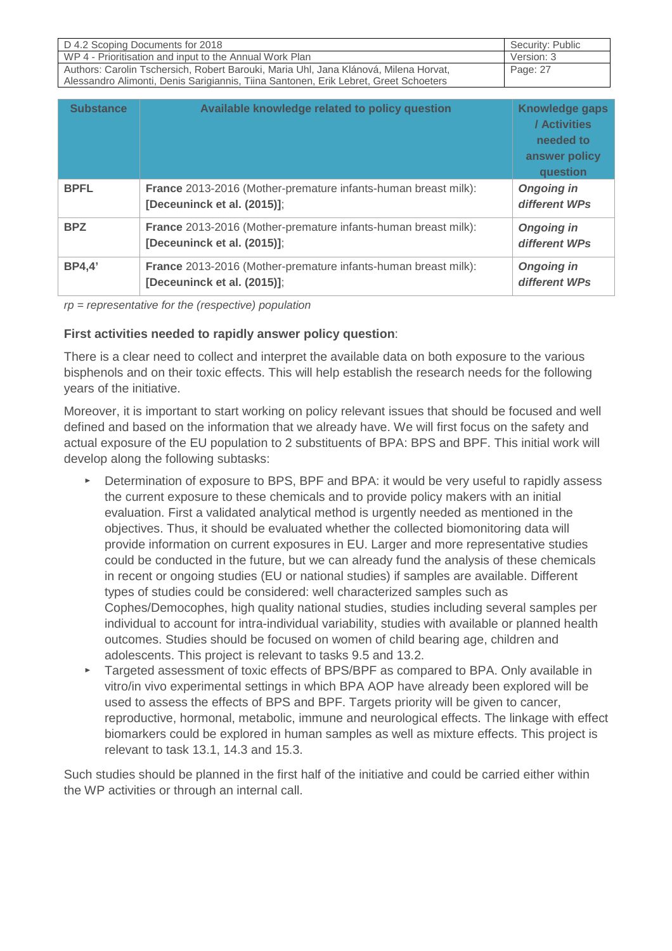| D 4.2 Scoping Documents for 2018                                                     | Security: Public |
|--------------------------------------------------------------------------------------|------------------|
| WP 4 - Prioritisation and input to the Annual Work Plan                              | Version: 3       |
| Authors: Carolin Tschersich, Robert Barouki, Maria Uhl, Jana Klánová, Milena Horvat, | Page: 27         |
| Alessandro Alimonti, Denis Sarigiannis, Tiina Santonen, Erik Lebret, Greet Schoeters |                  |

| <b>Substance</b> | Available knowledge related to policy question                                                | <b>Knowledge gaps</b><br>/ Activities<br>needed to<br>answer policy<br>question |
|------------------|-----------------------------------------------------------------------------------------------|---------------------------------------------------------------------------------|
| <b>BPFL</b>      | France 2013-2016 (Mother-premature infants-human breast milk):<br>[Deceuninck et al. (2015)]; | <b>Ongoing in</b><br>different WPs                                              |
| <b>BPZ</b>       | France 2013-2016 (Mother-premature infants-human breast milk):<br>[Deceuninck et al. (2015)]; | <b>Ongoing in</b><br>different WPs                                              |
| <b>BP4,4'</b>    | France 2013-2016 (Mother-premature infants-human breast milk):<br>[Deceuninck et al. (2015)]; | <b>Ongoing in</b><br>different WPs                                              |

 $rp = representative$  for the (respective) population

#### **First activities needed to rapidly answer policy question**:

There is a clear need to collect and interpret the available data on both exposure to the various bisphenols and on their toxic effects. This will help establish the research needs for the following years of the initiative.

Moreover, it is important to start working on policy relevant issues that should be focused and well defined and based on the information that we already have. We will first focus on the safety and actual exposure of the EU population to 2 substituents of BPA: BPS and BPF. This initial work will develop along the following subtasks:

- Determination of exposure to BPS, BPF and BPA: it would be very useful to rapidly assess the current exposure to these chemicals and to provide policy makers with an initial evaluation. First a validated analytical method is urgently needed as mentioned in the objectives. Thus, it should be evaluated whether the collected biomonitoring data will provide information on current exposures in EU. Larger and more representative studies could be conducted in the future, but we can already fund the analysis of these chemicals in recent or ongoing studies (EU or national studies) if samples are available. Different types of studies could be considered: well characterized samples such as Cophes/Democophes, high quality national studies, studies including several samples per individual to account for intra-individual variability, studies with available or planned health outcomes. Studies should be focused on women of child bearing age, children and adolescents. This project is relevant to tasks 9.5 and 13.2.
- Targeted assessment of toxic effects of BPS/BPF as compared to BPA. Only available in vitro/in vivo experimental settings in which BPA AOP have already been explored will be used to assess the effects of BPS and BPF. Targets priority will be given to cancer, reproductive, hormonal, metabolic, immune and neurological effects. The linkage with effect biomarkers could be explored in human samples as well as mixture effects. This project is relevant to task 13.1, 14.3 and 15.3.

Such studies should be planned in the first half of the initiative and could be carried either within the WP activities or through an internal call.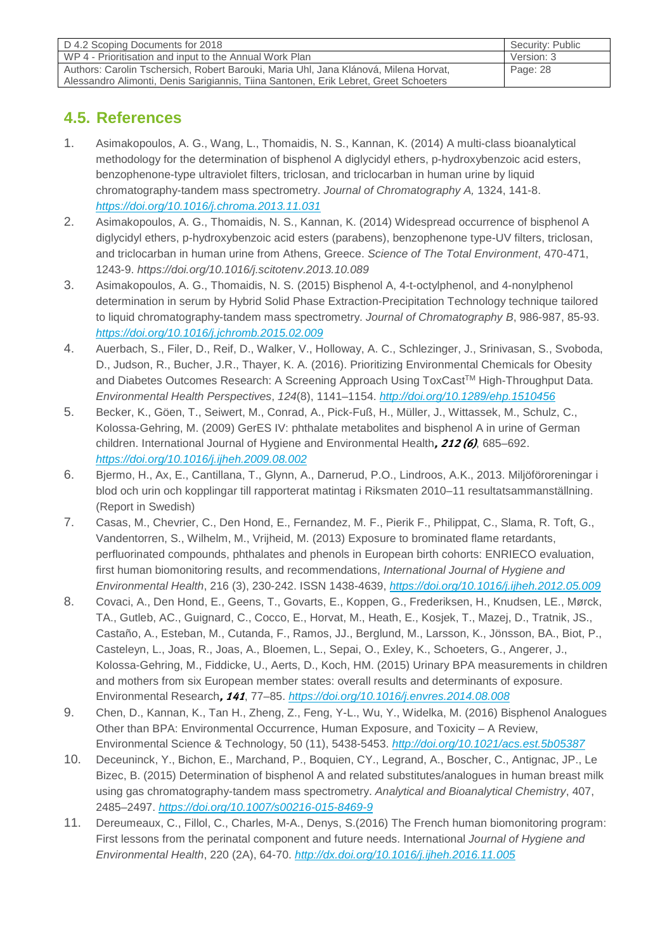| D 4.2 Scoping Documents for 2018                                                     | Security: Public |
|--------------------------------------------------------------------------------------|------------------|
| WP 4 - Prioritisation and input to the Annual Work Plan                              | Version: 3       |
| Authors: Carolin Tschersich, Robert Barouki, Maria Uhl, Jana Klánová, Milena Horvat, | Page: 28         |
| Alessandro Alimonti, Denis Sarigiannis, Tiina Santonen, Erik Lebret, Greet Schoeters |                  |

### **4.5. References**

- 1. Asimakopoulos, A. G., Wang, L., Thomaidis, N. S., Kannan, K. (2014) A multi-class bioanalytical methodology for the determination of bisphenol A diglycidyl ethers, p-hydroxybenzoic acid esters, benzophenone-type ultraviolet filters, triclosan, and triclocarban in human urine by liquid chromatography-tandem mass spectrometry. Journal of Chromatography A, 1324, 141-8. https://doi.org/10.1016/j.chroma.2013.11.031
- 2. Asimakopoulos, A. G., Thomaidis, N. S., Kannan, K. (2014) Widespread occurrence of bisphenol A diglycidyl ethers, p-hydroxybenzoic acid esters (parabens), benzophenone type-UV filters, triclosan, and triclocarban in human urine from Athens, Greece. Science of The Total Environment, 470-471, 1243-9. https://doi.org/10.1016/j.scitotenv.2013.10.089
- 3. Asimakopoulos, A. G., Thomaidis, N. S. (2015) Bisphenol A, 4-t-octylphenol, and 4-nonylphenol determination in serum by Hybrid Solid Phase Extraction-Precipitation Technology technique tailored to liquid chromatography-tandem mass spectrometry. Journal of Chromatography B, 986-987, 85-93. https://doi.org/10.1016/j.jchromb.2015.02.009
- 4. Auerbach, S., Filer, D., Reif, D., Walker, V., Holloway, A. C., Schlezinger, J., Srinivasan, S., Svoboda, D., Judson, R., Bucher, J.R., Thayer, K. A. (2016). Prioritizing Environmental Chemicals for Obesity and Diabetes Outcomes Research: A Screening Approach Using ToxCast™ High-Throughput Data. Environmental Health Perspectives, 124(8), 1141–1154. http://doi.org/10.1289/ehp.1510456
- 5. Becker, K., Göen, T., Seiwert, M., Conrad, A., Pick-Fuß, H., Müller, J., Wittassek, M., Schulz, C., Kolossa-Gehring, M. (2009) GerES IV: phthalate metabolites and bisphenol A in urine of German children. International Journal of Hygiene and Environmental Health**, 212 (6)**, 685–692. https://doi.org/10.1016/j.ijheh.2009.08.002
- 6. Bjermo, H., Ax, E., Cantillana, T., Glynn, A., Darnerud, P.O., Lindroos, A.K., 2013. Miljöföroreningar i blod och urin och kopplingar till rapporterat matintag i Riksmaten 2010–11 resultatsammanställning. (Report in Swedish)
- 7. Casas, M., Chevrier, C., Den Hond, E., Fernandez, M. F., Pierik F., Philippat, C., Slama, R. Toft, G., Vandentorren, S., Wilhelm, M., Vrijheid, M. (2013) Exposure to brominated flame retardants, perfluorinated compounds, phthalates and phenols in European birth cohorts: ENRIECO evaluation, first human biomonitoring results, and recommendations, International Journal of Hygiene and Environmental Health, 216 (3), 230-242. ISSN 1438-4639, https://doi.org/10.1016/j.ijheh.2012.05.009
- 8. Covaci, A., Den Hond, E., Geens, T., Govarts, E., Koppen, G., Frederiksen, H., Knudsen, LE., Mørck, TA., Gutleb, AC., Guignard, C., Cocco, E., Horvat, M., Heath, E., Kosjek, T., Mazej, D., Tratnik, JS., Castaño, A., Esteban, M., Cutanda, F., Ramos, JJ., Berglund, M., Larsson, K., Jönsson, BA., Biot, P., Casteleyn, L., Joas, R., Joas, A., Bloemen, L., Sepai, O., Exley, K., Schoeters, G., Angerer, J., Kolossa-Gehring, M., Fiddicke, U., Aerts, D., Koch, HM. (2015) Urinary BPA measurements in children and mothers from six European member states: overall results and determinants of exposure. Environmental Research**, 141**, 77–85. https://doi.org/10.1016/j.envres.2014.08.008
- 9. Chen, D., Kannan, K., Tan H., Zheng, Z., Feng, Y-L., Wu, Y., Widelka, M. (2016) Bisphenol Analogues Other than BPA: Environmental Occurrence, Human Exposure, and Toxicity – A Review, Environmental Science & Technology, 50 (11), 5438-5453. http://doi.org/10.1021/acs.est.5b05387
- 10. Deceuninck, Y., Bichon, E., Marchand, P., Boquien, CY., Legrand, A., Boscher, C., Antignac, JP., Le Bizec, B. (2015) Determination of bisphenol A and related substitutes/analogues in human breast milk using gas chromatography-tandem mass spectrometry. Analytical and Bioanalytical Chemistry, 407, 2485–2497. https://doi.org/10.1007/s00216-015-8469-9
- 11. Dereumeaux, C., Fillol, C., Charles, M-A., Denys, S.(2016) The French human biomonitoring program: First lessons from the perinatal component and future needs. International Journal of Hygiene and Environmental Health, 220 (2A), 64-70. http://dx.doi.org/10.1016/j.ijheh.2016.11.005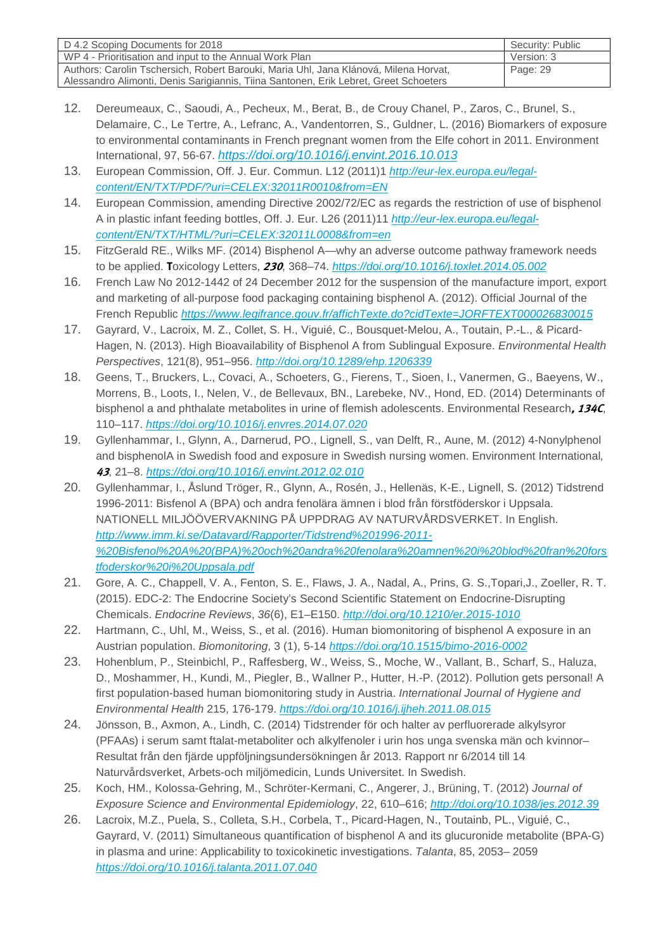| D 4.2 Scoping Documents for 2018                                                     | Security: Public |
|--------------------------------------------------------------------------------------|------------------|
| WP 4 - Prioritisation and input to the Annual Work Plan                              | Version: 3       |
| Authors: Carolin Tschersich, Robert Barouki, Maria Uhl, Jana Klánová, Milena Horvat, | Page: 29         |
| Alessandro Alimonti, Denis Sarigiannis, Tiina Santonen, Erik Lebret, Greet Schoeters |                  |

- 12. Dereumeaux, C., Saoudi, A., Pecheux, M., Berat, B., de Crouy Chanel, P., Zaros, C., Brunel, S., Delamaire, C., Le Tertre, A., Lefranc, A., Vandentorren, S., Guldner, L. (2016) Biomarkers of exposure to environmental contaminants in French pregnant women from the Elfe cohort in 2011. Environment International, 97, 56-67. https://doi.org/10.1016/j.envint.2016.10.013
- 13. European Commission, Off. J. Eur. Commun. L12 (2011)1 http://eur-lex.europa.eu/legalcontent/EN/TXT/PDF/?uri=CELEX:32011R0010&from=EN
- 14. European Commission, amending Directive 2002/72/EC as regards the restriction of use of bisphenol A in plastic infant feeding bottles, Off. J. Eur. L26 (2011)11 http://eur-lex.europa.eu/legalcontent/EN/TXT/HTML/?uri=CELEX:32011L0008&from=en
- 15. FitzGerald RE., Wilks MF. (2014) Bisphenol A—why an adverse outcome pathway framework needs to be applied. **T**oxicology Letters, **230**, 368–74. https://doi.org/10.1016/j.toxlet.2014.05.002
- 16. French Law No 2012-1442 of 24 December 2012 for the suspension of the manufacture import, export and marketing of all-purpose food packaging containing bisphenol A. (2012). Official Journal of the French Republic https://www.legifrance.gouv.fr/affichTexte.do?cidTexte=JORFTEXT000026830015
- 17. Gayrard, V., Lacroix, M. Z., Collet, S. H., Viguié, C., Bousquet-Melou, A., Toutain, P.-L., & Picard-Hagen, N. (2013). High Bioavailability of Bisphenol A from Sublingual Exposure. Environmental Health Perspectives, 121(8), 951–956. http://doi.org/10.1289/ehp.1206339
- 18. Geens, T., Bruckers, L., Covaci, A., Schoeters, G., Fierens, T., Sioen, I., Vanermen, G., Baeyens, W., Morrens, B., Loots, I., Nelen, V., de Bellevaux, BN., Larebeke, NV., Hond, ED. (2014) Determinants of bisphenol a and phthalate metabolites in urine of flemish adolescents. Environmental Research**, 134C**, 110–117. https://doi.org/10.1016/j.envres.2014.07.020
- 19. Gyllenhammar, I., Glynn, A., Darnerud, PO., Lignell, S., van Delft, R., Aune, M. (2012) 4-Nonylphenol and bisphenolA in Swedish food and exposure in Swedish nursing women. Environment International, **43**, 21–8. https://doi.org/10.1016/j.envint.2012.02.010
- 20. Gyllenhammar, I., Åslund Tröger, R., Glynn, A., Rosén, J., Hellenäs, K-E., Lignell, S. (2012) Tidstrend 1996-2011: Bisfenol A (BPA) och andra fenolära ämnen i blod från förstföderskor i Uppsala. NATIONELL MILJÖÖVERVAKNING PÅ UPPDRAG AV NATURVÅRDSVERKET. In English. http://www.imm.ki.se/Datavard/Rapporter/Tidstrend%201996-2011- %20Bisfenol%20A%20(BPA)%20och%20andra%20fenolara%20amnen%20i%20blod%20fran%20fors tfoderskor%20i%20Uppsala.pdf
- 21. Gore, A. C., Chappell, V. A., Fenton, S. E., Flaws, J. A., Nadal, A., Prins, G. S.,Topari,J., Zoeller, R. T. (2015). EDC-2: The Endocrine Society's Second Scientific Statement on Endocrine-Disrupting Chemicals. Endocrine Reviews, 36(6), E1–E150. http://doi.org/10.1210/er.2015-1010
- 22. Hartmann, C., Uhl, M., Weiss, S., et al. (2016). Human biomonitoring of bisphenol A exposure in an Austrian population. Biomonitoring, 3 (1), 5-14 https://doi.org/10.1515/bimo-2016-0002
- 23. Hohenblum, P., Steinbichl, P., Raffesberg, W., Weiss, S., Moche, W., Vallant, B., Scharf, S., Haluza, D., Moshammer, H., Kundi, M., Piegler, B., Wallner P., Hutter, H.-P. (2012). Pollution gets personal! A first population-based human biomonitoring study in Austria. International Journal of Hygiene and Environmental Health 215, 176-179. https://doi.org/10.1016/j.ijheh.2011.08.015
- 24. Jönsson, B., Axmon, A., Lindh, C. (2014) Tidstrender för och halter av perfluorerade alkylsyror (PFAAs) i serum samt ftalat-metaboliter och alkylfenoler i urin hos unga svenska män och kvinnor– Resultat från den fjärde uppföljningsundersökningen år 2013. Rapport nr 6/2014 till 14 Naturvårdsverket, Arbets-och miljömedicin, Lunds Universitet. In Swedish.
- 25. Koch, HM., Kolossa-Gehring, M., Schröter-Kermani, C., Angerer, J., Brüning, T. (2012) Journal of Exposure Science and Environmental Epidemiology, 22, 610–616; http://doi.org/10.1038/jes.2012.39
- 26. Lacroix, M.Z., Puela, S., Colleta, S.H., Corbela, T., Picard-Hagen, N., Toutainb, PL., Viguié, C., Gayrard, V. (2011) Simultaneous quantification of bisphenol A and its glucuronide metabolite (BPA-G) in plasma and urine: Applicability to toxicokinetic investigations. Talanta, 85, 2053– 2059 https://doi.org/10.1016/j.talanta.2011.07.040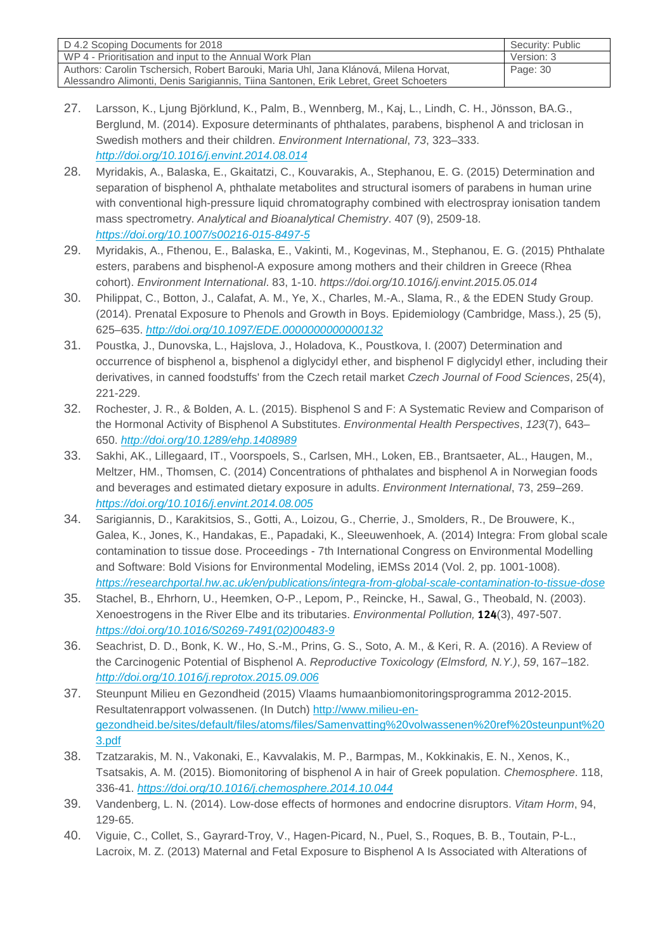| D 4.2 Scoping Documents for 2018                                                     | Security: Public |
|--------------------------------------------------------------------------------------|------------------|
| WP 4 - Prioritisation and input to the Annual Work Plan                              | Version: 3       |
| Authors: Carolin Tschersich, Robert Barouki, Maria Uhl, Jana Klánová, Milena Horvat, | Page: 30         |
| Alessandro Alimonti, Denis Sarigiannis, Tiina Santonen, Erik Lebret, Greet Schoeters |                  |

- 27. Larsson, K., Ljung Björklund, K., Palm, B., Wennberg, M., Kaj, L., Lindh, C. H., Jönsson, BA.G., Berglund, M. (2014). Exposure determinants of phthalates, parabens, bisphenol A and triclosan in Swedish mothers and their children. Environment International, 73, 323–333. http://doi.org/10.1016/j.envint.2014.08.014
- 28. Myridakis, A., Balaska, E., Gkaitatzi, C., Kouvarakis, A., Stephanou, E. G. (2015) Determination and separation of bisphenol A, phthalate metabolites and structural isomers of parabens in human urine with conventional high-pressure liquid chromatography combined with electrospray ionisation tandem mass spectrometry. Analytical and Bioanalytical Chemistry. 407 (9), 2509-18. https://doi.org/10.1007/s00216-015-8497-5
- 29. Myridakis, A., Fthenou, E., Balaska, E., Vakinti, M., Kogevinas, M., Stephanou, E. G. (2015) Phthalate esters, parabens and bisphenol-A exposure among mothers and their children in Greece (Rhea cohort). Environment International. 83, 1-10. https://doi.org/10.1016/j.envint.2015.05.014
- 30. Philippat, C., Botton, J., Calafat, A. M., Ye, X., Charles, M.-A., Slama, R., & the EDEN Study Group. (2014). Prenatal Exposure to Phenols and Growth in Boys. Epidemiology (Cambridge, Mass.), 25 (5), 625–635. http://doi.org/10.1097/EDE.0000000000000132
- 31. Poustka, J., Dunovska, L., Hajslova, J., Holadova, K., Poustkova, I. (2007) Determination and occurrence of bisphenol a, bisphenol a diglycidyl ether, and bisphenol F diglycidyl ether, including their derivatives, in canned foodstuffs' from the Czech retail market Czech Journal of Food Sciences, 25(4), 221-229.
- 32. Rochester, J. R., & Bolden, A. L. (2015). Bisphenol S and F: A Systematic Review and Comparison of the Hormonal Activity of Bisphenol A Substitutes. Environmental Health Perspectives, 123(7), 643-650. http://doi.org/10.1289/ehp.1408989
- 33. Sakhi, AK., Lillegaard, IT., Voorspoels, S., Carlsen, MH., Loken, EB., Brantsaeter, AL., Haugen, M., Meltzer, HM., Thomsen, C. (2014) Concentrations of phthalates and bisphenol A in Norwegian foods and beverages and estimated dietary exposure in adults. Environment International, 73, 259-269. https://doi.org/10.1016/j.envint.2014.08.005
- 34. Sarigiannis, D., Karakitsios, S., Gotti, A., Loizou, G., Cherrie, J., Smolders, R., De Brouwere, K., Galea, K., Jones, K., Handakas, E., Papadaki, K., Sleeuwenhoek, A. (2014) Integra: From global scale contamination to tissue dose. Proceedings - 7th International Congress on Environmental Modelling and Software: Bold Visions for Environmental Modeling, iEMSs 2014 (Vol. 2, pp. 1001-1008). https://researchportal.hw.ac.uk/en/publications/integra-from-global-scale-contamination-to-tissue-dose
- 35. Stachel, B., Ehrhorn, U., Heemken, O-P., Lepom, P., Reincke, H., Sawal, G., Theobald, N. (2003). Xenoestrogens in the River Elbe and its tributaries. Environmental Pollution, **124**(3), 497-507. https://doi.org/10.1016/S0269-7491(02)00483-9
- 36. Seachrist, D. D., Bonk, K. W., Ho, S.-M., Prins, G. S., Soto, A. M., & Keri, R. A. (2016). A Review of the Carcinogenic Potential of Bisphenol A. Reproductive Toxicology (Elmsford, N.Y.), 59, 167–182. http://doi.org/10.1016/j.reprotox.2015.09.006
- 37. Steunpunt Milieu en Gezondheid (2015) Vlaams humaanbiomonitoringsprogramma 2012-2015. Resultatenrapport volwassenen. (In Dutch) http://www.milieu-engezondheid.be/sites/default/files/atoms/files/Samenvatting%20volwassenen%20ref%20steunpunt%20 3.pdf
- 38. Tzatzarakis, M. N., Vakonaki, E., Kavvalakis, M. P., Barmpas, M., Kokkinakis, E. N., Xenos, K., Tsatsakis, A. M. (2015). Biomonitoring of bisphenol A in hair of Greek population. Chemosphere. 118, 336-41. https://doi.org/10.1016/j.chemosphere.2014.10.044
- 39. Vandenberg, L. N. (2014). Low-dose effects of hormones and endocrine disruptors. Vitam Horm, 94, 129-65.
- 40. Viguie, C., Collet, S., Gayrard-Troy, V., Hagen-Picard, N., Puel, S., Roques, B. B., Toutain, P-L., Lacroix, M. Z. (2013) Maternal and Fetal Exposure to Bisphenol A Is Associated with Alterations of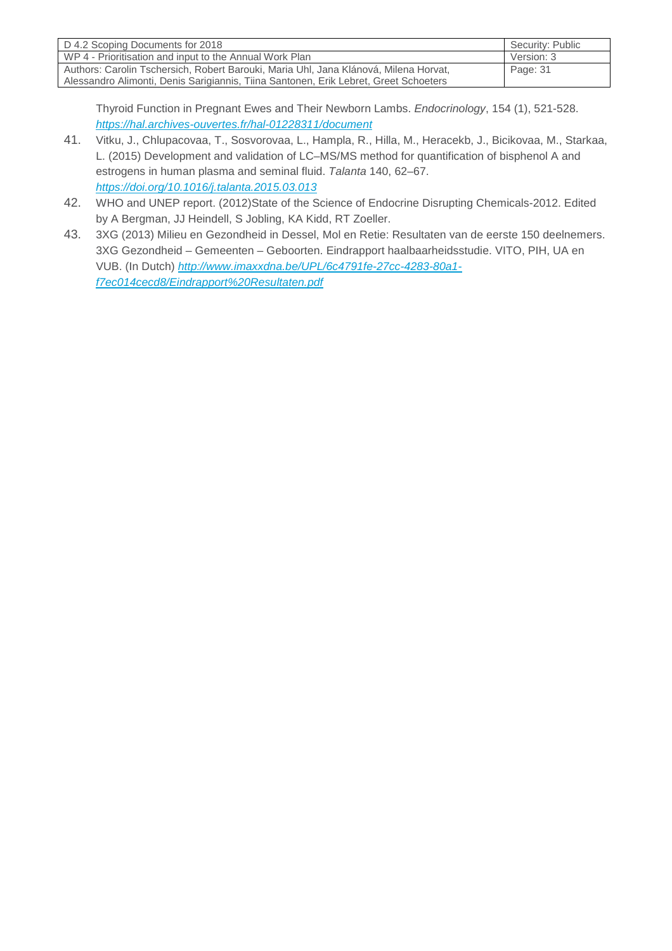| D 4.2 Scoping Documents for 2018                                                     | Security: Public |
|--------------------------------------------------------------------------------------|------------------|
| WP 4 - Prioritisation and input to the Annual Work Plan                              | Version: 3       |
| Authors: Carolin Tschersich, Robert Barouki, Maria Uhl, Jana Klánová, Milena Horvat, | Page: 31         |
| Alessandro Alimonti, Denis Sarigiannis, Tiina Santonen, Erik Lebret, Greet Schoeters |                  |

Thyroid Function in Pregnant Ewes and Their Newborn Lambs. Endocrinology, 154 (1), 521-528. https://hal.archives-ouvertes.fr/hal-01228311/document

- 41. Vitku, J., Chlupacovaa, T., Sosvorovaa, L., Hampla, R., Hilla, M., Heracekb, J., Bicikovaa, M., Starkaa, L. (2015) Development and validation of LC–MS/MS method for quantification of bisphenol A and estrogens in human plasma and seminal fluid. Talanta 140, 62–67. https://doi.org/10.1016/j.talanta.2015.03.013
- 42. WHO and UNEP report. (2012)State of the Science of Endocrine Disrupting Chemicals-2012. Edited by A Bergman, JJ Heindell, S Jobling, KA Kidd, RT Zoeller.
- 43. 3XG (2013) Milieu en Gezondheid in Dessel, Mol en Retie: Resultaten van de eerste 150 deelnemers. 3XG Gezondheid – Gemeenten – Geboorten. Eindrapport haalbaarheidsstudie. VITO, PIH, UA en VUB. (In Dutch) http://www.imaxxdna.be/UPL/6c4791fe-27cc-4283-80a1 f7ec014cecd8/Eindrapport%20Resultaten.pdf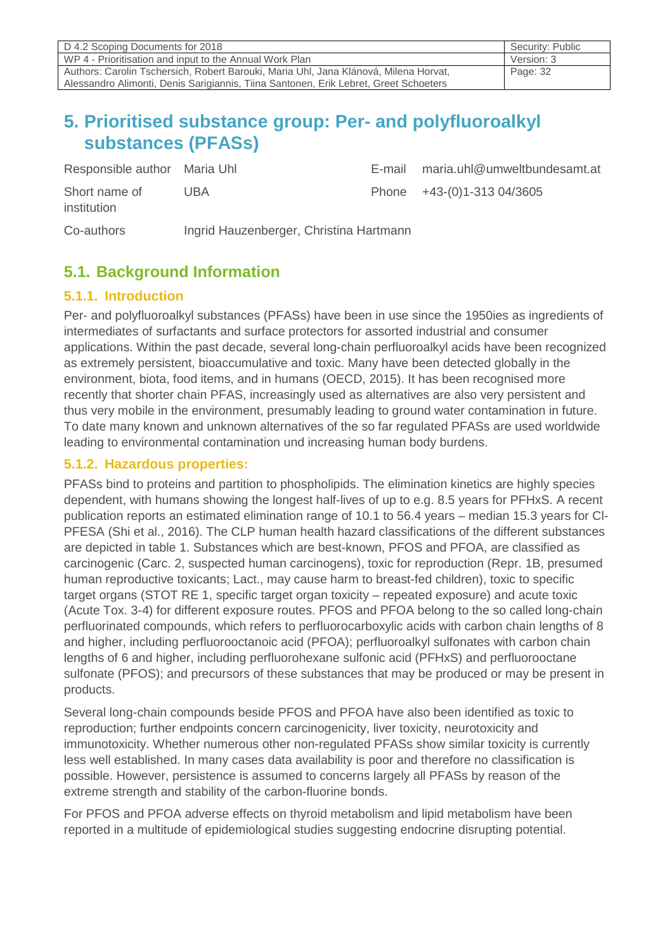| D 4.2 Scoping Documents for 2018                                                     | Security: Public |
|--------------------------------------------------------------------------------------|------------------|
| WP 4 - Prioritisation and input to the Annual Work Plan                              | Version: 3       |
| Authors: Carolin Tschersich, Robert Barouki, Maria Uhl, Jana Klánová, Milena Horvat, | Page: 32         |
| Alessandro Alimonti, Denis Sarigiannis, Tiina Santonen, Erik Lebret, Greet Schoeters |                  |

# **5. Prioritised substance group: Per- and polyfluoroalkyl substances (PFASs)**

| Responsible author Maria Uhl |                                         | E-mail | maria.uhl@umweltbundesamt.at |
|------------------------------|-----------------------------------------|--------|------------------------------|
| Short name of<br>institution | UBA                                     |        | Phone $+43-(0)1-31304/3605$  |
| Co-authors                   | Ingrid Hauzenberger, Christina Hartmann |        |                              |

### **5.1. Background Information**

### **5.1.1. Introduction**

Per- and polyfluoroalkyl substances (PFASs) have been in use since the 1950ies as ingredients of intermediates of surfactants and surface protectors for assorted industrial and consumer applications. Within the past decade, several long-chain perfluoroalkyl acids have been recognized as extremely persistent, bioaccumulative and toxic. Many have been detected globally in the environment, biota, food items, and in humans (OECD, 2015). It has been recognised more recently that shorter chain PFAS, increasingly used as alternatives are also very persistent and thus very mobile in the environment, presumably leading to ground water contamination in future. To date many known and unknown alternatives of the so far regulated PFASs are used worldwide leading to environmental contamination und increasing human body burdens.

### **5.1.2. Hazardous properties:**

PFASs bind to proteins and partition to phospholipids. The elimination kinetics are highly species dependent, with humans showing the longest half-lives of up to e.g. 8.5 years for PFHxS. A recent publication reports an estimated elimination range of 10.1 to 56.4 years – median 15.3 years for Cl-PFESA (Shi et al., 2016). The CLP human health hazard classifications of the different substances are depicted in table 1. Substances which are best-known, PFOS and PFOA, are classified as carcinogenic (Carc. 2, suspected human carcinogens), toxic for reproduction (Repr. 1B, presumed human reproductive toxicants; Lact., may cause harm to breast-fed children), toxic to specific target organs (STOT RE 1, specific target organ toxicity – repeated exposure) and acute toxic (Acute Tox. 3-4) for different exposure routes. PFOS and PFOA belong to the so called long-chain perfluorinated compounds, which refers to perfluorocarboxylic acids with carbon chain lengths of 8 and higher, including perfluorooctanoic acid (PFOA); perfluoroalkyl sulfonates with carbon chain lengths of 6 and higher, including perfluorohexane sulfonic acid (PFHxS) and perfluorooctane sulfonate (PFOS); and precursors of these substances that may be produced or may be present in products.

Several long-chain compounds beside PFOS and PFOA have also been identified as toxic to reproduction; further endpoints concern carcinogenicity, liver toxicity, neurotoxicity and immunotoxicity. Whether numerous other non-regulated PFASs show similar toxicity is currently less well established. In many cases data availability is poor and therefore no classification is possible. However, persistence is assumed to concerns largely all PFASs by reason of the extreme strength and stability of the carbon-fluorine bonds.

For PFOS and PFOA adverse effects on thyroid metabolism and lipid metabolism have been reported in a multitude of epidemiological studies suggesting endocrine disrupting potential.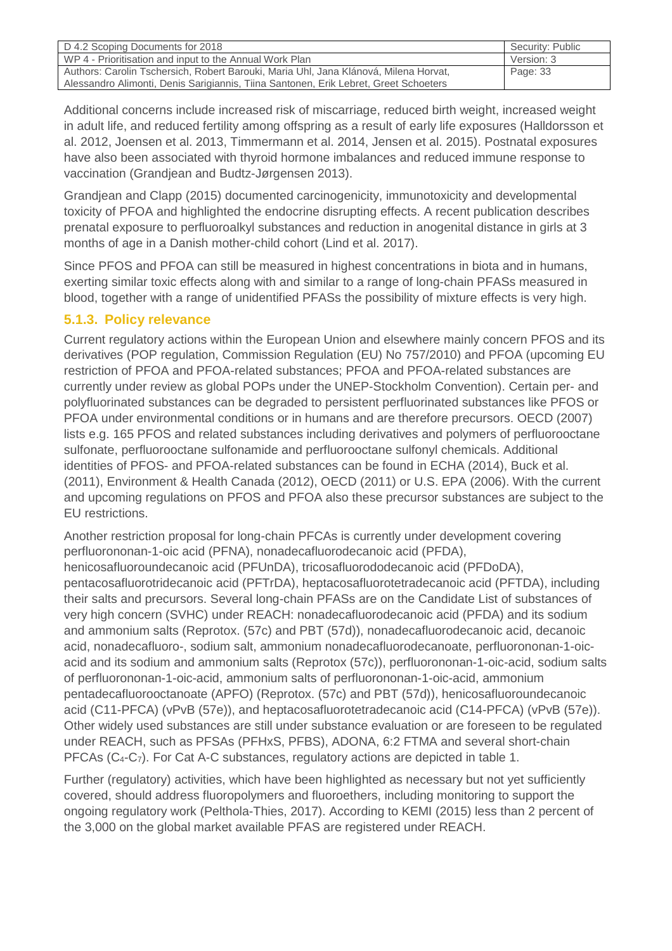| D 4.2 Scoping Documents for 2018                                                     | Security: Public |
|--------------------------------------------------------------------------------------|------------------|
| WP 4 - Prioritisation and input to the Annual Work Plan                              | Version: 3       |
| Authors: Carolin Tschersich, Robert Barouki, Maria Uhl, Jana Klánová, Milena Horvat, | Page: 33         |
| Alessandro Alimonti, Denis Sarigiannis, Tiina Santonen, Erik Lebret, Greet Schoeters |                  |

Additional concerns include increased risk of miscarriage, reduced birth weight, increased weight in adult life, and reduced fertility among offspring as a result of early life exposures (Halldorsson et al. 2012, Joensen et al. 2013, Timmermann et al. 2014, Jensen et al. 2015). Postnatal exposures have also been associated with thyroid hormone imbalances and reduced immune response to vaccination (Grandjean and Budtz-Jørgensen 2013).

Grandjean and Clapp (2015) documented carcinogenicity, immunotoxicity and developmental toxicity of PFOA and highlighted the endocrine disrupting effects. A recent publication describes prenatal exposure to perfluoroalkyl substances and reduction in anogenital distance in girls at 3 months of age in a Danish mother-child cohort (Lind et al. 2017).

Since PFOS and PFOA can still be measured in highest concentrations in biota and in humans, exerting similar toxic effects along with and similar to a range of long-chain PFASs measured in blood, together with a range of unidentified PFASs the possibility of mixture effects is very high.

#### **5.1.3. Policy relevance**

Current regulatory actions within the European Union and elsewhere mainly concern PFOS and its derivatives (POP regulation, Commission Regulation (EU) No 757/2010) and PFOA (upcoming EU restriction of PFOA and PFOA-related substances; PFOA and PFOA-related substances are currently under review as global POPs under the UNEP-Stockholm Convention). Certain per- and polyfluorinated substances can be degraded to persistent perfluorinated substances like PFOS or PFOA under environmental conditions or in humans and are therefore precursors. OECD (2007) lists e.g. 165 PFOS and related substances including derivatives and polymers of perfluorooctane sulfonate, perfluorooctane sulfonamide and perfluorooctane sulfonyl chemicals. Additional identities of PFOS- and PFOA-related substances can be found in ECHA (2014), Buck et al. (2011), Environment & Health Canada (2012), OECD (2011) or U.S. EPA (2006). With the current and upcoming regulations on PFOS and PFOA also these precursor substances are subject to the EU restrictions.

Another restriction proposal for long-chain PFCAs is currently under development covering perfluorononan-1-oic acid (PFNA), nonadecafluorodecanoic acid (PFDA), henicosafluoroundecanoic acid (PFUnDA), tricosafluorododecanoic acid (PFDoDA), pentacosafluorotridecanoic acid (PFTrDA), heptacosafluorotetradecanoic acid (PFTDA), including their salts and precursors. Several long-chain PFASs are on the Candidate List of substances of very high concern (SVHC) under REACH: nonadecafluorodecanoic acid (PFDA) and its sodium and ammonium salts (Reprotox. (57c) and PBT (57d)), nonadecafluorodecanoic acid, decanoic acid, nonadecafluoro-, sodium salt, ammonium nonadecafluorodecanoate, perfluorononan-1-oicacid and its sodium and ammonium salts (Reprotox (57c)), perfluorononan-1-oic-acid, sodium salts of perfluorononan-1-oic-acid, ammonium salts of perfluorononan-1-oic-acid, ammonium pentadecafluorooctanoate (APFO) (Reprotox. (57c) and PBT (57d)), henicosafluoroundecanoic acid (C11-PFCA) (vPvB (57e)), and heptacosafluorotetradecanoic acid (C14-PFCA) (vPvB (57e)). Other widely used substances are still under substance evaluation or are foreseen to be regulated under REACH, such as PFSAs (PFHxS, PFBS), ADONA, 6:2 FTMA and several short-chain PFCAs (C4-C7). For Cat A-C substances, regulatory actions are depicted in table 1.

Further (regulatory) activities, which have been highlighted as necessary but not yet sufficiently covered, should address fluoropolymers and fluoroethers, including monitoring to support the ongoing regulatory work (Pelthola-Thies, 2017). According to KEMI (2015) less than 2 percent of the 3,000 on the global market available PFAS are registered under REACH.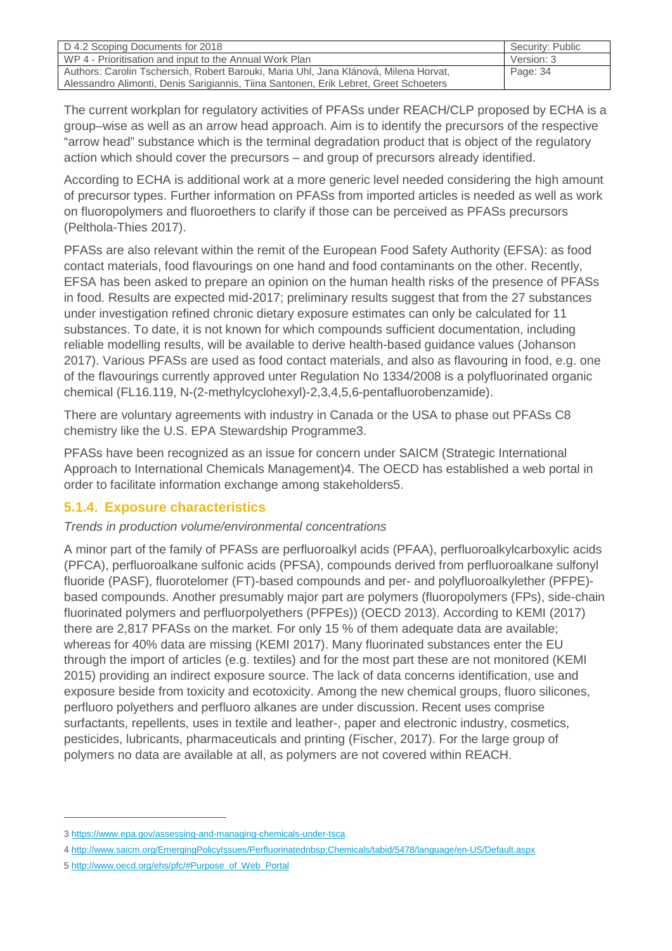| D 4.2 Scoping Documents for 2018                                                     | Security: Public |
|--------------------------------------------------------------------------------------|------------------|
| WP 4 - Prioritisation and input to the Annual Work Plan                              | Version: 3       |
| Authors: Carolin Tschersich, Robert Barouki, Maria Uhl, Jana Klánová, Milena Horvat, | Page: 34         |
| Alessandro Alimonti, Denis Sarigiannis, Tiina Santonen, Erik Lebret, Greet Schoeters |                  |

The current workplan for regulatory activities of PFASs under REACH/CLP proposed by ECHA is a group–wise as well as an arrow head approach. Aim is to identify the precursors of the respective "arrow head" substance which is the terminal degradation product that is object of the regulatory action which should cover the precursors – and group of precursors already identified.

According to ECHA is additional work at a more generic level needed considering the high amount of precursor types. Further information on PFASs from imported articles is needed as well as work on fluoropolymers and fluoroethers to clarify if those can be perceived as PFASs precursors (Pelthola-Thies 2017).

PFASs are also relevant within the remit of the European Food Safety Authority (EFSA): as food contact materials, food flavourings on one hand and food contaminants on the other. Recently, EFSA has been asked to prepare an opinion on the human health risks of the presence of PFASs in food. Results are expected mid-2017; preliminary results suggest that from the 27 substances under investigation refined chronic dietary exposure estimates can only be calculated for 11 substances. To date, it is not known for which compounds sufficient documentation, including reliable modelling results, will be available to derive health-based guidance values (Johanson 2017). Various PFASs are used as food contact materials, and also as flavouring in food, e.g. one of the flavourings currently approved unter Regulation No 1334/2008 is a polyfluorinated organic chemical (FL16.119, N-(2-methylcyclohexyl)-2,3,4,5,6-pentafluorobenzamide).

There are voluntary agreements with industry in Canada or the USA to phase out PFASs C8 chemistry like the U.S. EPA Stewardship Programme3.

PFASs have been recognized as an issue for concern under SAICM (Strategic International Approach to International Chemicals Management)4. The OECD has established a web portal in order to facilitate information exchange among stakeholders5.

#### **5.1.4. Exposure characteristics**

#### Trends in production volume/environmental concentrations

A minor part of the family of PFASs are perfluoroalkyl acids (PFAA), perfluoroalkylcarboxylic acids (PFCA), perfluoroalkane sulfonic acids (PFSA), compounds derived from perfluoroalkane sulfonyl fluoride (PASF), fluorotelomer (FT)-based compounds and per- and polyfluoroalkylether (PFPE) based compounds. Another presumably major part are polymers (fluoropolymers (FPs), side-chain fluorinated polymers and perfluorpolyethers (PFPEs)) (OECD 2013). According to KEMI (2017) there are 2,817 PFASs on the market. For only 15 % of them adequate data are available; whereas for 40% data are missing (KEMI 2017). Many fluorinated substances enter the EU through the import of articles (e.g. textiles) and for the most part these are not monitored (KEMI 2015) providing an indirect exposure source. The lack of data concerns identification, use and exposure beside from toxicity and ecotoxicity. Among the new chemical groups, fluoro silicones, perfluoro polyethers and perfluoro alkanes are under discussion. Recent uses comprise surfactants, repellents, uses in textile and leather-, paper and electronic industry, cosmetics, pesticides, lubricants, pharmaceuticals and printing (Fischer, 2017). For the large group of polymers no data are available at all, as polymers are not covered within REACH.

 $\overline{a}$ 

<sup>3</sup> https://www.epa.gov/assessing-and-managing-chemicals-under-tsca

<sup>4</sup> http://www.saicm.org/EmergingPolicyIssues/Perfluorinatednbsp;Chemicals/tabid/5478/language/en-US/Default.aspx

<sup>5</sup> http://www.oecd.org/ehs/pfc/#Purpose\_of\_Web\_Portal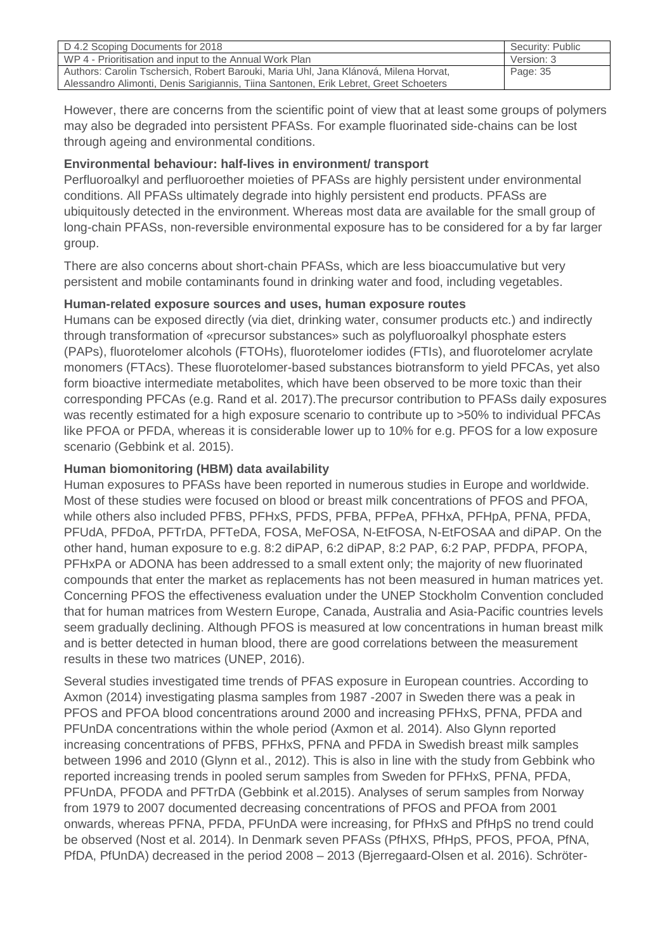| D 4.2 Scoping Documents for 2018                                                     | Security: Public |
|--------------------------------------------------------------------------------------|------------------|
| WP 4 - Prioritisation and input to the Annual Work Plan                              | Version: 3       |
| Authors: Carolin Tschersich, Robert Barouki, Maria Uhl, Jana Klánová, Milena Horvat, | Page: 35         |
| Alessandro Alimonti, Denis Sarigiannis, Tiina Santonen, Erik Lebret, Greet Schoeters |                  |

However, there are concerns from the scientific point of view that at least some groups of polymers may also be degraded into persistent PFASs. For example fluorinated side-chains can be lost through ageing and environmental conditions.

#### **Environmental behaviour: half-lives in environment/ transport**

Perfluoroalkyl and perfluoroether moieties of PFASs are highly persistent under environmental conditions. All PFASs ultimately degrade into highly persistent end products. PFASs are ubiquitously detected in the environment. Whereas most data are available for the small group of long-chain PFASs, non-reversible environmental exposure has to be considered for a by far larger group.

There are also concerns about short-chain PFASs, which are less bioaccumulative but very persistent and mobile contaminants found in drinking water and food, including vegetables.

#### **Human-related exposure sources and uses, human exposure routes**

Humans can be exposed directly (via diet, drinking water, consumer products etc.) and indirectly through transformation of «precursor substances» such as polyfluoroalkyl phosphate esters (PAPs), fluorotelomer alcohols (FTOHs), fluorotelomer iodides (FTIs), and fluorotelomer acrylate monomers (FTAcs). These fluorotelomer-based substances biotransform to yield PFCAs, yet also form bioactive intermediate metabolites, which have been observed to be more toxic than their corresponding PFCAs (e.g. Rand et al. 2017).The precursor contribution to PFASs daily exposures was recently estimated for a high exposure scenario to contribute up to >50% to individual PFCAs like PFOA or PFDA, whereas it is considerable lower up to 10% for e.g. PFOS for a low exposure scenario (Gebbink et al. 2015).

#### **Human biomonitoring (HBM) data availability**

Human exposures to PFASs have been reported in numerous studies in Europe and worldwide. Most of these studies were focused on blood or breast milk concentrations of PFOS and PFOA, while others also included PFBS, PFHxS, PFDS, PFBA, PFPeA, PFHxA, PFHpA, PFNA, PFDA, PFUdA, PFDoA, PFTrDA, PFTeDA, FOSA, MeFOSA, N-EtFOSA, N-EtFOSAA and diPAP. On the other hand, human exposure to e.g. 8:2 diPAP, 6:2 diPAP, 8:2 PAP, 6:2 PAP, PFDPA, PFOPA, PFHxPA or ADONA has been addressed to a small extent only; the majority of new fluorinated compounds that enter the market as replacements has not been measured in human matrices yet. Concerning PFOS the effectiveness evaluation under the UNEP Stockholm Convention concluded that for human matrices from Western Europe, Canada, Australia and Asia-Pacific countries levels seem gradually declining. Although PFOS is measured at low concentrations in human breast milk and is better detected in human blood, there are good correlations between the measurement results in these two matrices (UNEP, 2016).

Several studies investigated time trends of PFAS exposure in European countries. According to Axmon (2014) investigating plasma samples from 1987 -2007 in Sweden there was a peak in PFOS and PFOA blood concentrations around 2000 and increasing PFHxS, PFNA, PFDA and PFUnDA concentrations within the whole period (Axmon et al. 2014). Also Glynn reported increasing concentrations of PFBS, PFHxS, PFNA and PFDA in Swedish breast milk samples between 1996 and 2010 (Glynn et al., 2012). This is also in line with the study from Gebbink who reported increasing trends in pooled serum samples from Sweden for PFHxS, PFNA, PFDA, PFUnDA, PFODA and PFTrDA (Gebbink et al.2015). Analyses of serum samples from Norway from 1979 to 2007 documented decreasing concentrations of PFOS and PFOA from 2001 onwards, whereas PFNA, PFDA, PFUnDA were increasing, for PfHxS and PfHpS no trend could be observed (Nost et al. 2014). In Denmark seven PFASs (PfHXS, PfHpS, PFOS, PFOA, PfNA, PfDA, PfUnDA) decreased in the period 2008 – 2013 (Bjerregaard-Olsen et al. 2016). Schröter-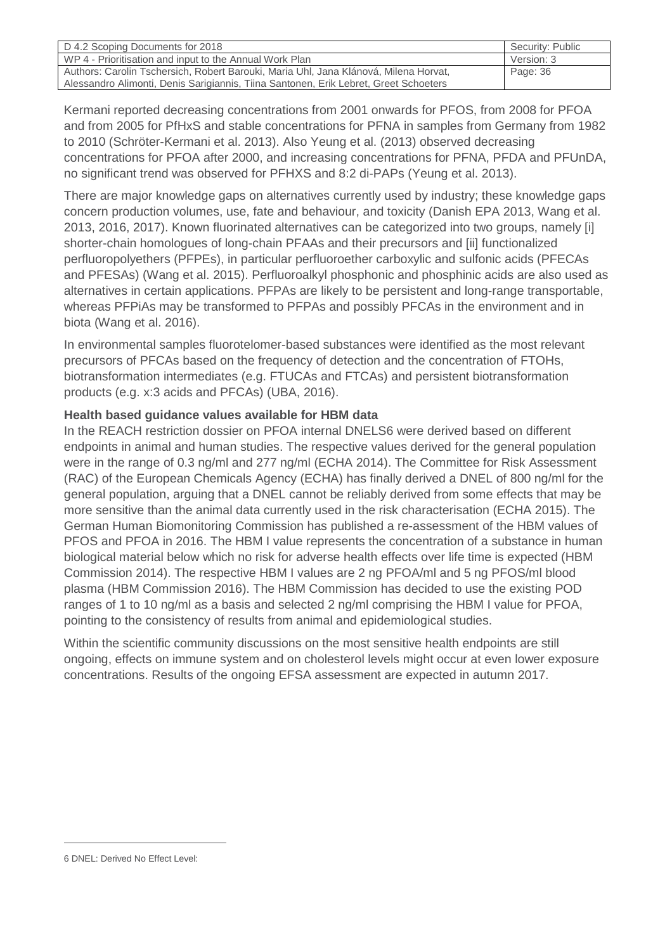| D 4.2 Scoping Documents for 2018                                                     | Security: Public |
|--------------------------------------------------------------------------------------|------------------|
| WP 4 - Prioritisation and input to the Annual Work Plan                              | Version: 3       |
| Authors: Carolin Tschersich, Robert Barouki, Maria Uhl, Jana Klánová, Milena Horvat, | Page: 36         |
| Alessandro Alimonti, Denis Sarigiannis, Tiina Santonen, Erik Lebret, Greet Schoeters |                  |

Kermani reported decreasing concentrations from 2001 onwards for PFOS, from 2008 for PFOA and from 2005 for PfHxS and stable concentrations for PFNA in samples from Germany from 1982 to 2010 (Schröter-Kermani et al. 2013). Also Yeung et al. (2013) observed decreasing concentrations for PFOA after 2000, and increasing concentrations for PFNA, PFDA and PFUnDA, no significant trend was observed for PFHXS and 8:2 di-PAPs (Yeung et al. 2013).

There are major knowledge gaps on alternatives currently used by industry; these knowledge gaps concern production volumes, use, fate and behaviour, and toxicity (Danish EPA 2013, Wang et al. 2013, 2016, 2017). Known fluorinated alternatives can be categorized into two groups, namely [i] shorter-chain homologues of long-chain PFAAs and their precursors and [ii] functionalized perfluoropolyethers (PFPEs), in particular perfluoroether carboxylic and sulfonic acids (PFECAs and PFESAs) (Wang et al. 2015). Perfluoroalkyl phosphonic and phosphinic acids are also used as alternatives in certain applications. PFPAs are likely to be persistent and long-range transportable, whereas PFPiAs may be transformed to PFPAs and possibly PFCAs in the environment and in biota (Wang et al. 2016).

In environmental samples fluorotelomer-based substances were identified as the most relevant precursors of PFCAs based on the frequency of detection and the concentration of FTOHs, biotransformation intermediates (e.g. FTUCAs and FTCAs) and persistent biotransformation products (e.g. x:3 acids and PFCAs) (UBA, 2016).

#### **Health based guidance values available for HBM data**

In the REACH restriction dossier on PFOA internal DNELS6 were derived based on different endpoints in animal and human studies. The respective values derived for the general population were in the range of 0.3 ng/ml and 277 ng/ml (ECHA 2014). The Committee for Risk Assessment (RAC) of the European Chemicals Agency (ECHA) has finally derived a DNEL of 800 ng/ml for the general population, arguing that a DNEL cannot be reliably derived from some effects that may be more sensitive than the animal data currently used in the risk characterisation (ECHA 2015). The German Human Biomonitoring Commission has published a re-assessment of the HBM values of PFOS and PFOA in 2016. The HBM I value represents the concentration of a substance in human biological material below which no risk for adverse health effects over life time is expected (HBM Commission 2014). The respective HBM I values are 2 ng PFOA/ml and 5 ng PFOS/ml blood plasma (HBM Commission 2016). The HBM Commission has decided to use the existing POD ranges of 1 to 10 ng/ml as a basis and selected 2 ng/ml comprising the HBM I value for PFOA, pointing to the consistency of results from animal and epidemiological studies.

Within the scientific community discussions on the most sensitive health endpoints are still ongoing, effects on immune system and on cholesterol levels might occur at even lower exposure concentrations. Results of the ongoing EFSA assessment are expected in autumn 2017.

 $\overline{a}$ 

<sup>6</sup> DNEL: Derived No Effect Level: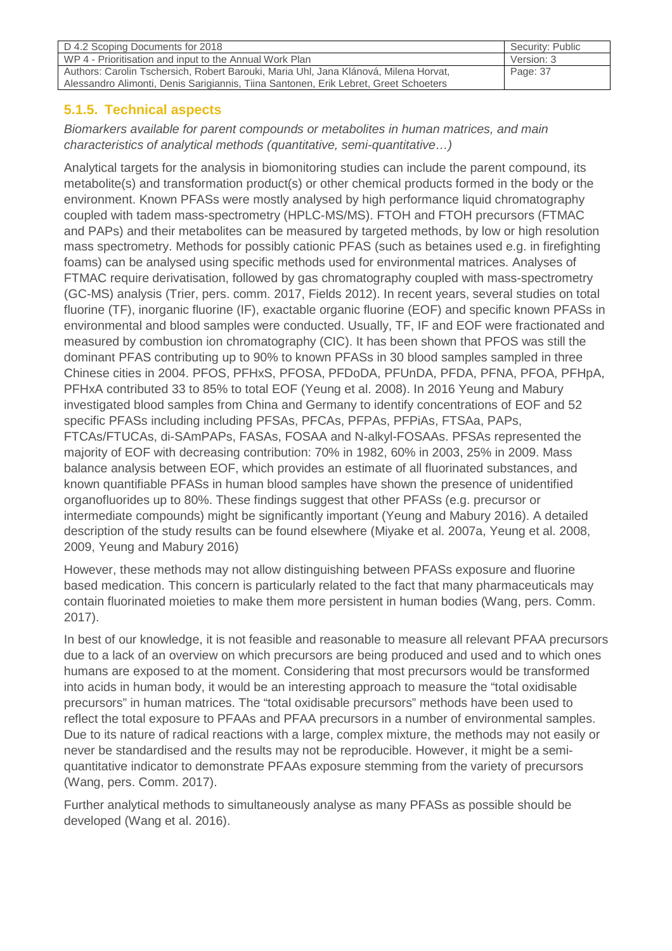| D 4.2 Scoping Documents for 2018                                                     | Security: Public |
|--------------------------------------------------------------------------------------|------------------|
| WP 4 - Prioritisation and input to the Annual Work Plan                              | Version: 3       |
| Authors: Carolin Tschersich, Robert Barouki, Maria Uhl, Jana Klánová, Milena Horvat, | Page: 37         |
| Alessandro Alimonti, Denis Sarigiannis, Tiina Santonen, Erik Lebret, Greet Schoeters |                  |

### **5.1.5. Technical aspects**

Biomarkers available for parent compounds or metabolites in human matrices, and main characteristics of analytical methods (quantitative, semi-quantitative…)

Analytical targets for the analysis in biomonitoring studies can include the parent compound, its metabolite(s) and transformation product(s) or other chemical products formed in the body or the environment. Known PFASs were mostly analysed by high performance liquid chromatography coupled with tadem mass-spectrometry (HPLC-MS/MS). FTOH and FTOH precursors (FTMAC and PAPs) and their metabolites can be measured by targeted methods, by low or high resolution mass spectrometry. Methods for possibly cationic PFAS (such as betaines used e.g. in firefighting foams) can be analysed using specific methods used for environmental matrices. Analyses of FTMAC require derivatisation, followed by gas chromatography coupled with mass-spectrometry (GC-MS) analysis (Trier, pers. comm. 2017, Fields 2012). In recent years, several studies on total fluorine (TF), inorganic fluorine (IF), exactable organic fluorine (EOF) and specific known PFASs in environmental and blood samples were conducted. Usually, TF, IF and EOF were fractionated and measured by combustion ion chromatography (CIC). It has been shown that PFOS was still the dominant PFAS contributing up to 90% to known PFASs in 30 blood samples sampled in three Chinese cities in 2004. PFOS, PFHxS, PFOSA, PFDoDA, PFUnDA, PFDA, PFNA, PFOA, PFHpA, PFHxA contributed 33 to 85% to total EOF (Yeung et al. 2008). In 2016 Yeung and Mabury investigated blood samples from China and Germany to identify concentrations of EOF and 52 specific PFASs including including PFSAs, PFCAs, PFPAs, PFPiAs, FTSAa, PAPs, FTCAs/FTUCAs, di-SAmPAPs, FASAs, FOSAA and N-alkyl-FOSAAs. PFSAs represented the majority of EOF with decreasing contribution: 70% in 1982, 60% in 2003, 25% in 2009. Mass balance analysis between EOF, which provides an estimate of all fluorinated substances, and known quantifiable PFASs in human blood samples have shown the presence of unidentified organofluorides up to 80%. These findings suggest that other PFASs (e.g. precursor or intermediate compounds) might be significantly important (Yeung and Mabury 2016). A detailed description of the study results can be found elsewhere (Miyake et al. 2007a, Yeung et al. 2008, 2009, Yeung and Mabury 2016)

However, these methods may not allow distinguishing between PFASs exposure and fluorine based medication. This concern is particularly related to the fact that many pharmaceuticals may contain fluorinated moieties to make them more persistent in human bodies (Wang, pers. Comm. 2017).

In best of our knowledge, it is not feasible and reasonable to measure all relevant PFAA precursors due to a lack of an overview on which precursors are being produced and used and to which ones humans are exposed to at the moment. Considering that most precursors would be transformed into acids in human body, it would be an interesting approach to measure the "total oxidisable precursors" in human matrices. The "total oxidisable precursors" methods have been used to reflect the total exposure to PFAAs and PFAA precursors in a number of environmental samples. Due to its nature of radical reactions with a large, complex mixture, the methods may not easily or never be standardised and the results may not be reproducible. However, it might be a semiquantitative indicator to demonstrate PFAAs exposure stemming from the variety of precursors (Wang, pers. Comm. 2017).

Further analytical methods to simultaneously analyse as many PFASs as possible should be developed (Wang et al. 2016).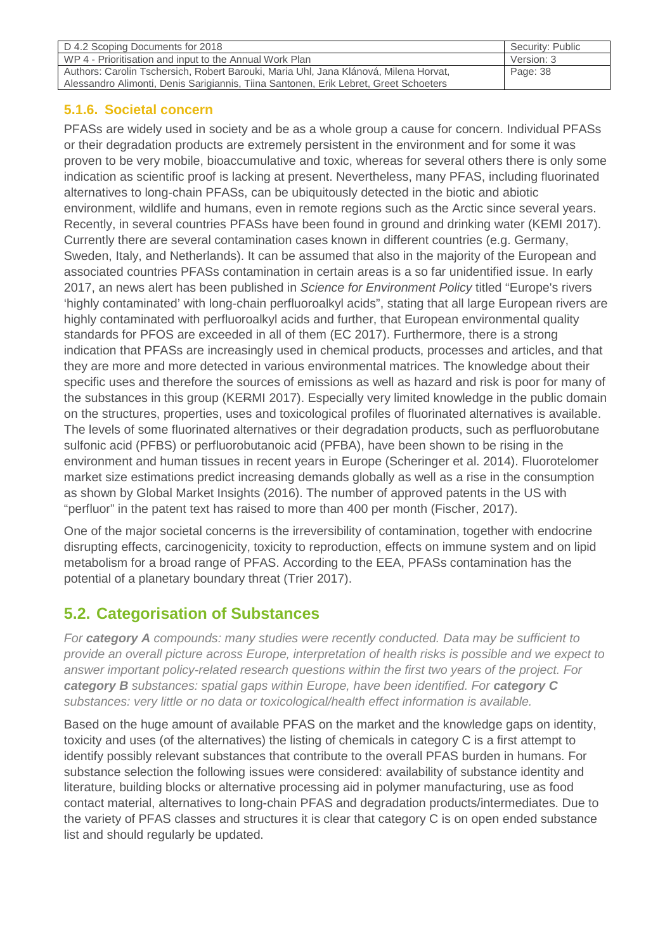| D 4.2 Scoping Documents for 2018                                                     | Security: Public |
|--------------------------------------------------------------------------------------|------------------|
| WP 4 - Prioritisation and input to the Annual Work Plan                              | Version: 3       |
| Authors: Carolin Tschersich, Robert Barouki, Maria Uhl, Jana Klánová, Milena Horvat, | Page: 38         |
| Alessandro Alimonti, Denis Sarigiannis, Tiina Santonen, Erik Lebret, Greet Schoeters |                  |

### **5.1.6. Societal concern**

PFASs are widely used in society and be as a whole group a cause for concern. Individual PFASs or their degradation products are extremely persistent in the environment and for some it was proven to be very mobile, bioaccumulative and toxic, whereas for several others there is only some indication as scientific proof is lacking at present. Nevertheless, many PFAS, including fluorinated alternatives to long-chain PFASs, can be ubiquitously detected in the biotic and abiotic environment, wildlife and humans, even in remote regions such as the Arctic since several years. Recently, in several countries PFASs have been found in ground and drinking water (KEMI 2017). Currently there are several contamination cases known in different countries (e.g. Germany, Sweden, Italy, and Netherlands). It can be assumed that also in the majority of the European and associated countries PFASs contamination in certain areas is a so far unidentified issue. In early 2017, an news alert has been published in Science for Environment Policy titled "Europe's rivers 'highly contaminated' with long-chain perfluoroalkyl acids", stating that all large European rivers are highly contaminated with perfluoroalkyl acids and further, that European environmental quality standards for PFOS are exceeded in all of them (EC 2017). Furthermore, there is a strong indication that PFASs are increasingly used in chemical products, processes and articles, and that they are more and more detected in various environmental matrices. The knowledge about their specific uses and therefore the sources of emissions as well as hazard and risk is poor for many of the substances in this group (KERMI 2017). Especially very limited knowledge in the public domain on the structures, properties, uses and toxicological profiles of fluorinated alternatives is available. The levels of some fluorinated alternatives or their degradation products, such as perfluorobutane sulfonic acid (PFBS) or perfluorobutanoic acid (PFBA), have been shown to be rising in the environment and human tissues in recent years in Europe (Scheringer et al. 2014). Fluorotelomer market size estimations predict increasing demands globally as well as a rise in the consumption as shown by Global Market Insights (2016). The number of approved patents in the US with "perfluor" in the patent text has raised to more than 400 per month (Fischer, 2017).

One of the major societal concerns is the irreversibility of contamination, together with endocrine disrupting effects, carcinogenicity, toxicity to reproduction, effects on immune system and on lipid metabolism for a broad range of PFAS. According to the EEA, PFASs contamination has the potential of a planetary boundary threat (Trier 2017).

## **5.2. Categorisation of Substances**

For **category A** compounds: many studies were recently conducted. Data may be sufficient to provide an overall picture across Europe, interpretation of health risks is possible and we expect to answer important policy-related research questions within the first two years of the project. For **category B** substances: spatial gaps within Europe, have been identified. For **category C** substances: very little or no data or toxicological/health effect information is available.

Based on the huge amount of available PFAS on the market and the knowledge gaps on identity, toxicity and uses (of the alternatives) the listing of chemicals in category C is a first attempt to identify possibly relevant substances that contribute to the overall PFAS burden in humans. For substance selection the following issues were considered: availability of substance identity and literature, building blocks or alternative processing aid in polymer manufacturing, use as food contact material, alternatives to long-chain PFAS and degradation products/intermediates. Due to the variety of PFAS classes and structures it is clear that category C is on open ended substance list and should regularly be updated.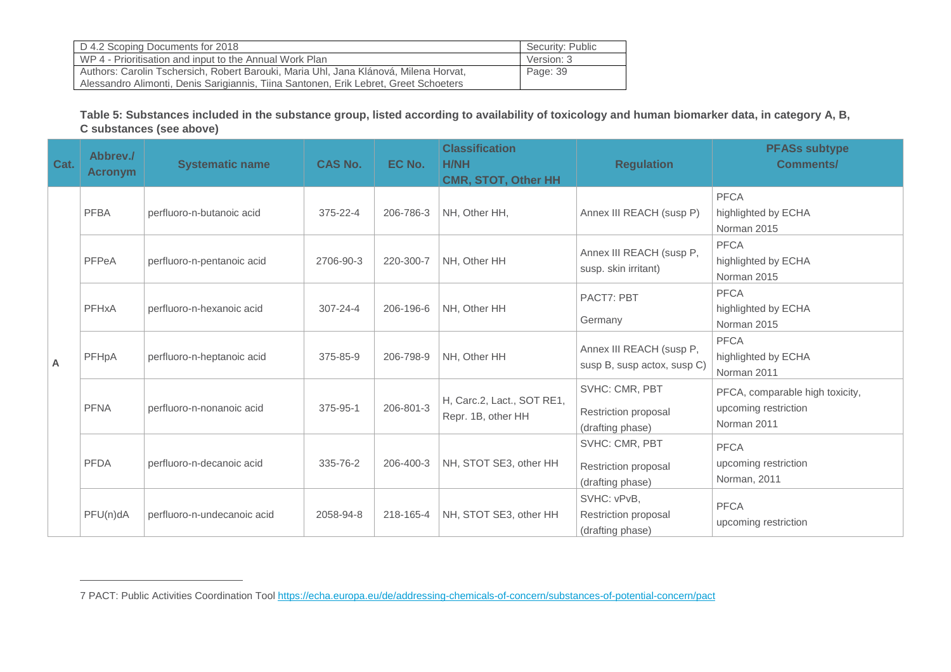| D 4.2 Scoping Documents for 2018                                                     | Security: Public |
|--------------------------------------------------------------------------------------|------------------|
| WP 4 - Prioritisation and input to the Annual Work Plan                              | Version: 3       |
| Authors: Carolin Tschersich, Robert Barouki, Maria Uhl, Jana Klánová, Milena Horvat, | Page: 39         |
| Alessandro Alimonti, Denis Sarigiannis, Tiina Santonen, Erik Lebret, Greet Schoeters |                  |

**Table 5: Substances included in the substance group, listed according to availability of toxicology and human biomarker data, in category A, B, C substances (see above)** 

| Cat.           | Abbrev./<br><b>Acronym</b> | <b>Systematic name</b>      | <b>CAS No.</b> | EC No.    | <b>Classification</b><br><b>H/NH</b><br><b>CMR, STOT, Other HH</b> | <b>Regulation</b>                                          | <b>PFASs subtype</b><br><b>Comments/</b>                               |
|----------------|----------------------------|-----------------------------|----------------|-----------|--------------------------------------------------------------------|------------------------------------------------------------|------------------------------------------------------------------------|
|                | <b>PFBA</b>                | perfluoro-n-butanoic acid   | 375-22-4       | 206-786-3 | NH, Other HH,                                                      | Annex III REACH (susp P)                                   | <b>PFCA</b><br>highlighted by ECHA<br>Norman 2015                      |
|                | PFPeA                      | perfluoro-n-pentanoic acid  | 2706-90-3      | 220-300-7 | NH, Other HH                                                       | Annex III REACH (susp P,<br>susp. skin irritant)           | <b>PFCA</b><br>highlighted by ECHA<br>Norman 2015                      |
|                | <b>PFHxA</b>               | perfluoro-n-hexanoic acid   | $307 - 24 - 4$ | 206-196-6 | NH, Other HH                                                       | PACT7: PBT<br>Germany                                      | <b>PFCA</b><br>highlighted by ECHA<br>Norman 2015                      |
| $\overline{A}$ | PFHpA                      | perfluoro-n-heptanoic acid  | 375-85-9       | 206-798-9 | NH, Other HH                                                       | Annex III REACH (susp P,<br>susp B, susp actox, susp C)    | <b>PFCA</b><br>highlighted by ECHA<br>Norman 2011                      |
|                | <b>PFNA</b>                | perfluoro-n-nonanoic acid   | 375-95-1       | 206-801-3 | H, Carc.2, Lact., SOT RE1,<br>Repr. 1B, other HH                   | SVHC: CMR, PBT<br>Restriction proposal<br>(drafting phase) | PFCA, comparable high toxicity,<br>upcoming restriction<br>Norman 2011 |
|                | <b>PFDA</b>                | perfluoro-n-decanoic acid   | 335-76-2       | 206-400-3 | NH, STOT SE3, other HH                                             | SVHC: CMR, PBT<br>Restriction proposal<br>(drafting phase) | <b>PFCA</b><br>upcoming restriction<br>Norman, 2011                    |
|                | PFU(n)dA                   | perfluoro-n-undecanoic acid | 2058-94-8      | 218-165-4 | NH, STOT SE3, other HH                                             | SVHC: vPvB,<br>Restriction proposal<br>(drafting phase)    | <b>PFCA</b><br>upcoming restriction                                    |

<sup>7</sup> PACT: Public Activities Coordination Tool https://echa.europa.eu/de/addressing-chemicals-of-concern/substances-of-potential-concern/pact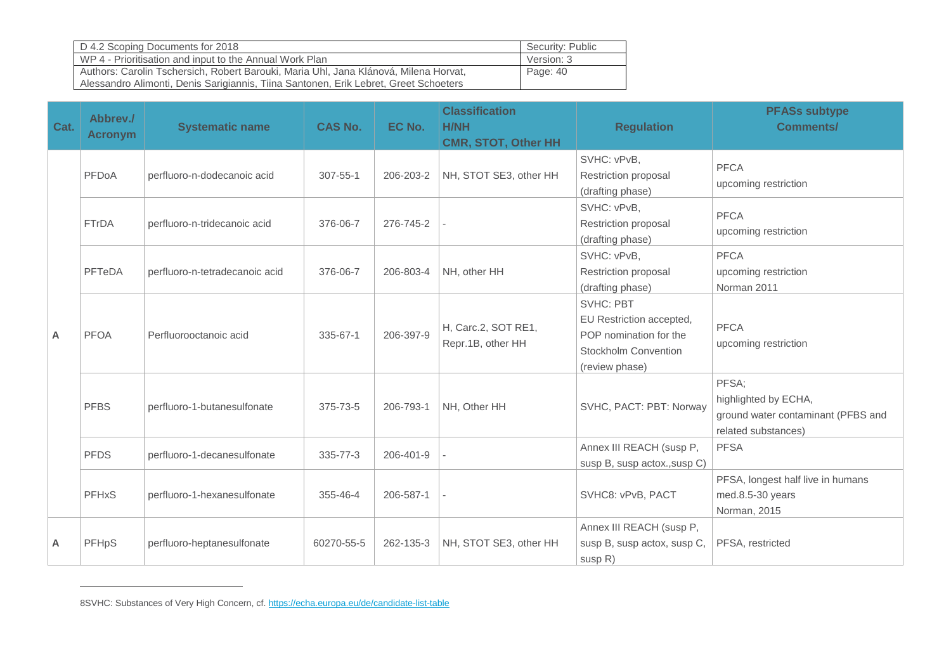| D 4.2 Scoping Documents for 2018                                                     | Security: Public |
|--------------------------------------------------------------------------------------|------------------|
| WP 4 - Prioritisation and input to the Annual Work Plan                              | Version: 3       |
| Authors: Carolin Tschersich, Robert Barouki, Maria Uhl, Jana Klánová, Milena Horvat, | Page: 40         |
| Alessandro Alimonti, Denis Sarigiannis, Tiina Santonen, Erik Lebret, Greet Schoeters |                  |

| Cat. | Abbrev./<br><b>Acronym</b> | <b>Systematic name</b>         | <b>CAS No.</b> | EC No.    | <b>Classification</b><br><b>H/NH</b><br><b>CMR, STOT, Other HH</b> | <b>Regulation</b>                                                                                                | <b>PFASs subtype</b><br><b>Comments/</b>                                                   |
|------|----------------------------|--------------------------------|----------------|-----------|--------------------------------------------------------------------|------------------------------------------------------------------------------------------------------------------|--------------------------------------------------------------------------------------------|
|      | PFDoA                      | perfluoro-n-dodecanoic acid    | 307-55-1       | 206-203-2 | NH, STOT SE3, other HH                                             | SVHC: vPvB,<br>Restriction proposal<br>(drafting phase)                                                          | <b>PFCA</b><br>upcoming restriction                                                        |
|      | <b>FTrDA</b>               | perfluoro-n-tridecanoic acid   | 376-06-7       | 276-745-2 |                                                                    | SVHC: vPvB,<br>Restriction proposal<br>(drafting phase)                                                          | <b>PFCA</b><br>upcoming restriction                                                        |
|      | PFTeDA                     | perfluoro-n-tetradecanoic acid | 376-06-7       | 206-803-4 | NH, other HH                                                       | SVHC: vPvB,<br>Restriction proposal<br>(drafting phase)                                                          | <b>PFCA</b><br>upcoming restriction<br>Norman 2011                                         |
| A    | <b>PFOA</b>                | Perfluorooctanoic acid         | 335-67-1       | 206-397-9 | H, Carc.2, SOT RE1,<br>Repr.1B, other HH                           | <b>SVHC: PBT</b><br>EU Restriction accepted,<br>POP nomination for the<br>Stockholm Convention<br>(review phase) | <b>PFCA</b><br>upcoming restriction                                                        |
|      | <b>PFBS</b>                | perfluoro-1-butanesulfonate    | 375-73-5       | 206-793-1 | NH, Other HH                                                       | SVHC, PACT: PBT: Norway                                                                                          | PFSA;<br>highlighted by ECHA,<br>ground water contaminant (PFBS and<br>related substances) |
|      | <b>PFDS</b>                | perfluoro-1-decanesulfonate    | 335-77-3       | 206-401-9 |                                                                    | Annex III REACH (susp P,<br>susp B, susp actox., susp C)                                                         | <b>PFSA</b>                                                                                |
|      | <b>PFHxS</b>               | perfluoro-1-hexanesulfonate    | 355-46-4       | 206-587-1 |                                                                    | SVHC8: vPvB, PACT                                                                                                | PFSA, longest half live in humans<br>med.8.5-30 years<br>Norman, 2015                      |
| A    | <b>PFHpS</b>               | perfluoro-heptanesulfonate     | 60270-55-5     | 262-135-3 | NH, STOT SE3, other HH                                             | Annex III REACH (susp P,<br>susp B, susp actox, susp C,<br>susp R)                                               | PFSA, restricted                                                                           |

<sup>8</sup>SVHC: Substances of Very High Concern, cf. https://echa.europa.eu/de/candidate-list-table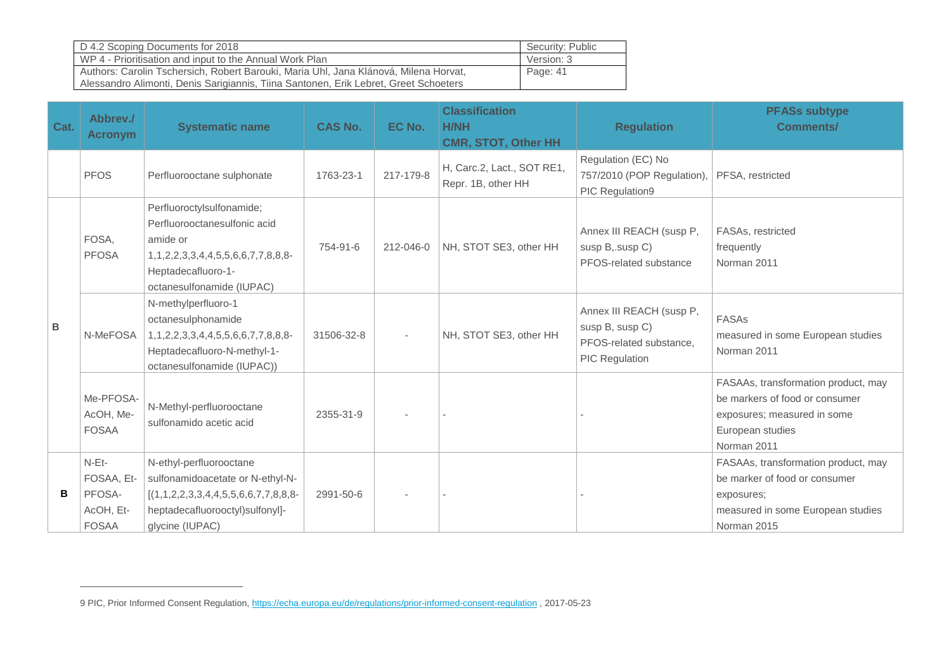| D 4.2 Scoping Documents for 2018                                                     | Security: Public |
|--------------------------------------------------------------------------------------|------------------|
| WP 4 - Prioritisation and input to the Annual Work Plan                              | Version: 3       |
| Authors: Carolin Tschersich, Robert Barouki, Maria Uhl, Jana Klánová, Milena Horvat, | Page: 41         |
| Alessandro Alimonti, Denis Sarigiannis, Tiina Santonen, Erik Lebret, Greet Schoeters |                  |

| Cat. | Abbrev./<br><b>Acronym</b>                                    | <b>Systematic name</b>                                                                                                                                                         | <b>CAS No.</b> | EC No.    | <b>Classification</b><br><b>H/NH</b><br><b>CMR, STOT, Other HH</b> | <b>Regulation</b>                                                                               | <b>PFASs subtype</b><br><b>Comments/</b>                                                                                                |
|------|---------------------------------------------------------------|--------------------------------------------------------------------------------------------------------------------------------------------------------------------------------|----------------|-----------|--------------------------------------------------------------------|-------------------------------------------------------------------------------------------------|-----------------------------------------------------------------------------------------------------------------------------------------|
|      | <b>PFOS</b>                                                   | Perfluorooctane sulphonate                                                                                                                                                     | 1763-23-1      | 217-179-8 | H, Carc.2, Lact., SOT RE1,<br>Repr. 1B, other HH                   | Regulation (EC) No<br>757/2010 (POP Regulation),<br>PIC Regulation9                             | PFSA, restricted                                                                                                                        |
|      | FOSA,<br><b>PFOSA</b>                                         | Perfluoroctylsulfonamide;<br>Perfluorooctanesulfonic acid<br>amide or<br>1, 1, 2, 2, 3, 3, 4, 4, 5, 5, 6, 6, 7, 7, 8, 8, 8-<br>Heptadecafluoro-1-<br>octanesulfonamide (IUPAC) | 754-91-6       | 212-046-0 | NH, STOT SE3, other HH                                             | Annex III REACH (susp P,<br>susp B, susp C)<br>PFOS-related substance                           | FASAs, restricted<br>frequently<br>Norman 2011                                                                                          |
| B    | N-MeFOSA                                                      | N-methylperfluoro-1<br>octanesulphonamide<br>1, 1, 2, 2, 3, 3, 4, 4, 5, 5, 6, 6, 7, 7, 8, 8, 8-<br>Heptadecafluoro-N-methyl-1-<br>octanesulfonamide (IUPAC))                   | 31506-32-8     |           | NH, STOT SE3, other HH                                             | Annex III REACH (susp P,<br>susp B, susp C)<br>PFOS-related substance.<br><b>PIC Regulation</b> | <b>FASAs</b><br>measured in some European studies<br>Norman 2011                                                                        |
|      | Me-PFOSA-<br>AcOH, Me-<br><b>FOSAA</b>                        | N-Methyl-perfluorooctane<br>sulfonamido acetic acid                                                                                                                            | 2355-31-9      |           |                                                                    |                                                                                                 | FASAAs, transformation product, may<br>be markers of food or consumer<br>exposures; measured in some<br>European studies<br>Norman 2011 |
| в    | $N$ -Et-<br>FOSAA, Et-<br>PFOSA-<br>AcOH, Et-<br><b>FOSAA</b> | N-ethyl-perfluorooctane<br>sulfonamidoacetate or N-ethyl-N-<br>$[(1,1,2,2,3,3,4,4,5,5,6,6,7,7,8,8,8-$<br>heptadecafluorooctyl)sulfonyl]-<br>glycine (IUPAC)                    | 2991-50-6      |           |                                                                    |                                                                                                 | FASAAs, transformation product, may<br>be marker of food or consumer<br>exposures;<br>measured in some European studies<br>Norman 2015  |

<sup>9</sup> PIC, Prior Informed Consent Regulation, https://echa.europa.eu/de/regulations/prior-informed-consent-regulation, 2017-05-23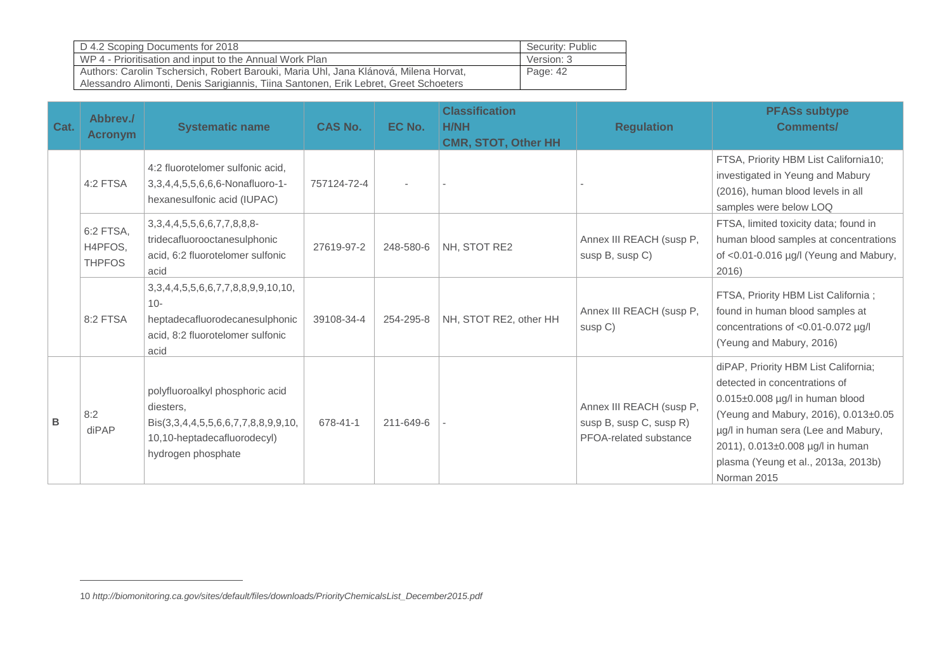| D 4.2 Scoping Documents for 2018                                                     | Security: Public |
|--------------------------------------------------------------------------------------|------------------|
| WP 4 - Prioritisation and input to the Annual Work Plan                              | Version: 3       |
| Authors: Carolin Tschersich, Robert Barouki, Maria Uhl, Jana Klánová, Milena Horvat, | Page: 42         |
| Alessandro Alimonti, Denis Sarigiannis, Tiina Santonen, Erik Lebret, Greet Schoeters |                  |

| Cat. | Abbrev./<br><b>Acronym</b>            | <b>Systematic name</b>                                                                                                                    | <b>CAS No.</b> | EC No.    | <b>Classification</b><br><b>H/NH</b><br><b>CMR, STOT, Other HH</b> | <b>Regulation</b>                                                             | <b>PFASs subtype</b><br>Comments/                                                                                                                                                                                                                                                     |
|------|---------------------------------------|-------------------------------------------------------------------------------------------------------------------------------------------|----------------|-----------|--------------------------------------------------------------------|-------------------------------------------------------------------------------|---------------------------------------------------------------------------------------------------------------------------------------------------------------------------------------------------------------------------------------------------------------------------------------|
|      | 4:2 FTSA                              | 4:2 fluorotelomer sulfonic acid.<br>3, 3, 4, 4, 5, 5, 6, 6, 6-Nonafluoro-1-<br>hexanesulfonic acid (IUPAC)                                | 757124-72-4    |           |                                                                    |                                                                               | FTSA, Priority HBM List California10;<br>investigated in Yeung and Mabury<br>(2016), human blood levels in all<br>samples were below LOQ                                                                                                                                              |
|      | 6:2 FTSA,<br>H4PFOS.<br><b>THPFOS</b> | 3, 3, 4, 4, 5, 5, 6, 6, 7, 7, 8, 8, 8-<br>tridecafluorooctanesulphonic<br>acid, 6:2 fluorotelomer sulfonic<br>acid                        | 27619-97-2     | 248-580-6 | NH, STOT RE2                                                       | Annex III REACH (susp P,<br>susp B, susp C)                                   | FTSA, limited toxicity data; found in<br>human blood samples at concentrations<br>of <0.01-0.016 µg/l (Yeung and Mabury,<br>2016)                                                                                                                                                     |
|      | 8:2 FTSA                              | 3, 3, 4, 4, 5, 5, 6, 6, 7, 7, 8, 8, 9, 9, 10, 10,<br>$10 -$<br>heptadecafluorodecanesulphonic<br>acid, 8:2 fluorotelomer sulfonic<br>acid | 39108-34-4     | 254-295-8 | NH, STOT RE2, other HH                                             | Annex III REACH (susp P,<br>susp C)                                           | FTSA, Priority HBM List California;<br>found in human blood samples at<br>concentrations of <0.01-0.072 µg/l<br>(Yeung and Mabury, 2016)                                                                                                                                              |
| B    | 8:2<br>diPAP                          | polyfluoroalkyl phosphoric acid<br>diesters.<br>Bis(3,3,4,4,5,5,6,6,7,7,8,8,9,9,10,<br>10,10-heptadecafluorodecyl)<br>hydrogen phosphate  | 678-41-1       | 211-649-6 |                                                                    | Annex III REACH (susp P,<br>susp B, susp C, susp R)<br>PFOA-related substance | diPAP, Priority HBM List California;<br>detected in concentrations of<br>$0.015\pm0.008$ µg/l in human blood<br>(Yeung and Mabury, 2016), 0.013±0.05<br>µg/l in human sera (Lee and Mabury,<br>2011), 0.013±0.008 µg/l in human<br>plasma (Yeung et al., 2013a, 2013b)<br>Norman 2015 |

<sup>10</sup> http://biomonitoring.ca.gov/sites/default/files/downloads/PriorityChemicalsList\_December2015.pdf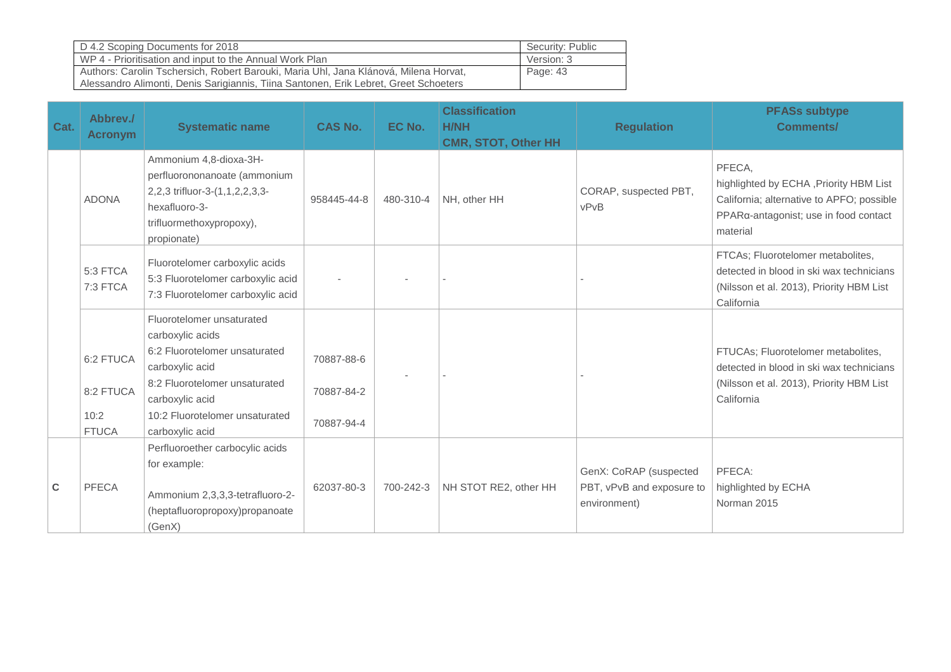| D 4.2 Scoping Documents for 2018                                                                                                                                             | Security: Public |
|------------------------------------------------------------------------------------------------------------------------------------------------------------------------------|------------------|
| WP 4 - Prioritisation and input to the Annual Work Plan                                                                                                                      | Version: 3       |
| Authors: Carolin Tschersich, Robert Barouki, Maria Uhl, Jana Klánová, Milena Horvat,<br>Alessandro Alimonti, Denis Sarigiannis, Tiina Santonen, Erik Lebret, Greet Schoeters | Page: 43         |
|                                                                                                                                                                              |                  |

| Cat. | Abbrev./<br><b>Acronym</b>                     | <b>Systematic name</b>                                                                                                                                                                                     | <b>CAS No.</b>                         | EC No.    | <b>Classification</b><br><b>H/NH</b><br><b>CMR, STOT, Other HH</b> | <b>Regulation</b>                                                   | <b>PFASs subtype</b><br><b>Comments/</b>                                                                                                           |
|------|------------------------------------------------|------------------------------------------------------------------------------------------------------------------------------------------------------------------------------------------------------------|----------------------------------------|-----------|--------------------------------------------------------------------|---------------------------------------------------------------------|----------------------------------------------------------------------------------------------------------------------------------------------------|
|      | <b>ADONA</b>                                   | Ammonium 4,8-dioxa-3H-<br>perfluorononanoate (ammonium<br>2,2,3 trifluor-3-(1,1,2,2,3,3-<br>hexafluoro-3-<br>trifluormethoxypropoxy),<br>propionate)                                                       | 958445-44-8                            | 480-310-4 | NH, other HH                                                       | CORAP, suspected PBT,<br>vPvB                                       | PFECA,<br>highlighted by ECHA, Priority HBM List<br>California; alternative to APFO; possible<br>PPARa-antagonist; use in food contact<br>material |
|      | 5:3 FTCA<br>7:3 FTCA                           | Fluorotelomer carboxylic acids<br>5:3 Fluorotelomer carboxylic acid<br>7:3 Fluorotelomer carboxylic acid                                                                                                   |                                        |           |                                                                    |                                                                     | FTCAs; Fluorotelomer metabolites,<br>detected in blood in ski wax technicians<br>(Nilsson et al. 2013), Priority HBM List<br>California            |
|      | 6:2 FTUCA<br>8:2 FTUCA<br>10:2<br><b>FTUCA</b> | Fluorotelomer unsaturated<br>carboxylic acids<br>6:2 Fluorotelomer unsaturated<br>carboxylic acid<br>8:2 Fluorotelomer unsaturated<br>carboxylic acid<br>10:2 Fluorotelomer unsaturated<br>carboxylic acid | 70887-88-6<br>70887-84-2<br>70887-94-4 |           |                                                                    |                                                                     | FTUCAs; Fluorotelomer metabolites,<br>detected in blood in ski wax technicians<br>(Nilsson et al. 2013), Priority HBM List<br>California           |
| C    | <b>PFECA</b>                                   | Perfluoroether carbocylic acids<br>for example:<br>Ammonium 2,3,3,3-tetrafluoro-2-<br>(heptafluoropropoxy)propanoate<br>(GenX)                                                                             | 62037-80-3                             | 700-242-3 | NH STOT RE2, other HH                                              | GenX: CoRAP (suspected<br>PBT, vPvB and exposure to<br>environment) | PFECA:<br>highlighted by ECHA<br>Norman 2015                                                                                                       |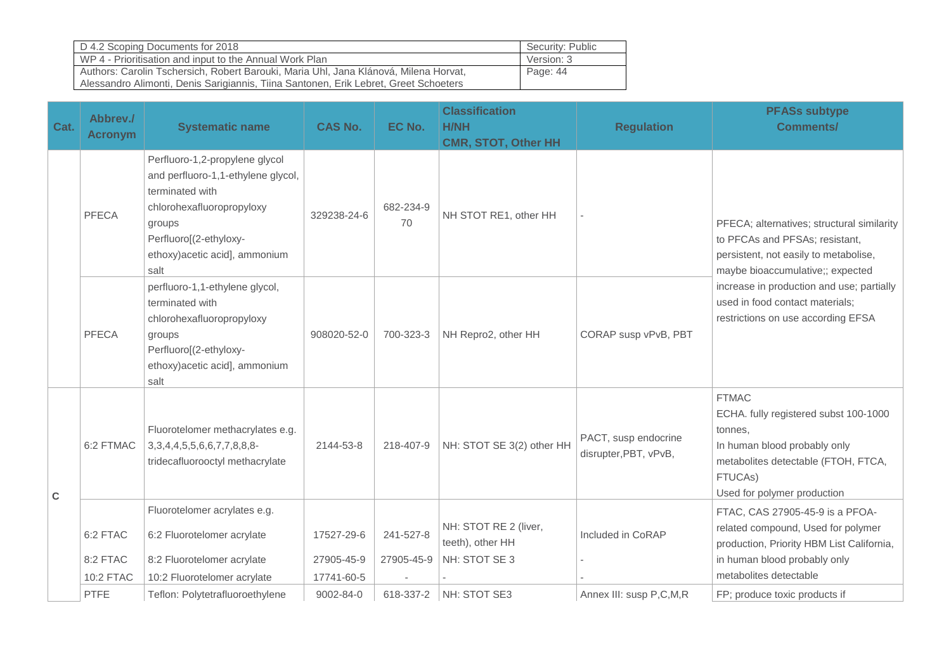| D 4.2 Scoping Documents for 2018                                                                                                                                             | Security: Public |
|------------------------------------------------------------------------------------------------------------------------------------------------------------------------------|------------------|
| WP 4 - Prioritisation and input to the Annual Work Plan                                                                                                                      | Version: 3       |
| Authors: Carolin Tschersich, Robert Barouki, Maria Uhl, Jana Klánová, Milena Horvat,<br>Alessandro Alimonti, Denis Sarigiannis, Tiina Santonen, Erik Lebret, Greet Schoeters | Page: 44         |

| Cat.        | Abbrev./<br><b>Acronym</b> | <b>Systematic name</b>                                                                                                                                                                             | <b>CAS No.</b>           | EC No.                  | <b>Classification</b><br><b>H/NH</b><br><b>CMR, STOT, Other HH</b> | <b>Regulation</b>                             | <b>PFASs subtype</b><br><b>Comments/</b>                                                                                                                                          |
|-------------|----------------------------|----------------------------------------------------------------------------------------------------------------------------------------------------------------------------------------------------|--------------------------|-------------------------|--------------------------------------------------------------------|-----------------------------------------------|-----------------------------------------------------------------------------------------------------------------------------------------------------------------------------------|
|             | <b>PFECA</b>               | Perfluoro-1,2-propylene glycol<br>and perfluoro-1,1-ethylene glycol,<br>terminated with<br>chlorohexafluoropropyloxy<br>groups<br>Perfluoro[(2-ethyloxy-<br>ethoxy) acetic acid], ammonium<br>salt | 329238-24-6              | 682-234-9<br>70         | NH STOT RE1, other HH                                              |                                               | PFECA; alternatives; structural similarity<br>to PFCAs and PFSAs; resistant,<br>persistent, not easily to metabolise,<br>maybe bioaccumulative;; expected                         |
|             | PFECA                      | perfluoro-1,1-ethylene glycol,<br>terminated with<br>chlorohexafluoropropyloxy<br>groups<br>Perfluoro[(2-ethyloxy-<br>ethoxy) acetic acid], ammonium<br>salt                                       | 908020-52-0              | 700-323-3               | NH Repro2, other HH                                                | CORAP susp vPvB, PBT                          | increase in production and use; partially<br>used in food contact materials;<br>restrictions on use according EFSA                                                                |
| $\mathbf C$ | 6:2 FTMAC                  | Fluorotelomer methacrylates e.g.<br>3, 3, 4, 4, 5, 5, 6, 6, 7, 7, 8, 8, 8-<br>tridecafluorooctyl methacrylate                                                                                      | 2144-53-8                | 218-407-9               | NH: STOT SE 3(2) other HH                                          | PACT, susp endocrine<br>disrupter, PBT, vPvB, | <b>FTMAC</b><br>ECHA. fully registered subst 100-1000<br>tonnes,<br>In human blood probably only<br>metabolites detectable (FTOH, FTCA,<br>FTUCAs)<br>Used for polymer production |
|             | 6:2 FTAC<br>8:2 FTAC       | Fluorotelomer acrylates e.g.<br>6:2 Fluorotelomer acrylate<br>8:2 Fluorotelomer acrylate                                                                                                           | 17527-29-6<br>27905-45-9 | 241-527-8<br>27905-45-9 | NH: STOT RE 2 (liver,<br>teeth), other HH<br>NH: STOT SE 3         | Included in CoRAP                             | FTAC, CAS 27905-45-9 is a PFOA-<br>related compound, Used for polymer<br>production, Priority HBM List California,<br>in human blood probably only                                |
|             | 10:2 FTAC<br><b>PTFE</b>   | 10:2 Fluorotelomer acrylate<br>Teflon: Polytetrafluoroethylene                                                                                                                                     | 17741-60-5<br>9002-84-0  | 618-337-2               | NH: STOT SE3                                                       | Annex III: susp P,C,M,R                       | metabolites detectable<br>FP; produce toxic products if                                                                                                                           |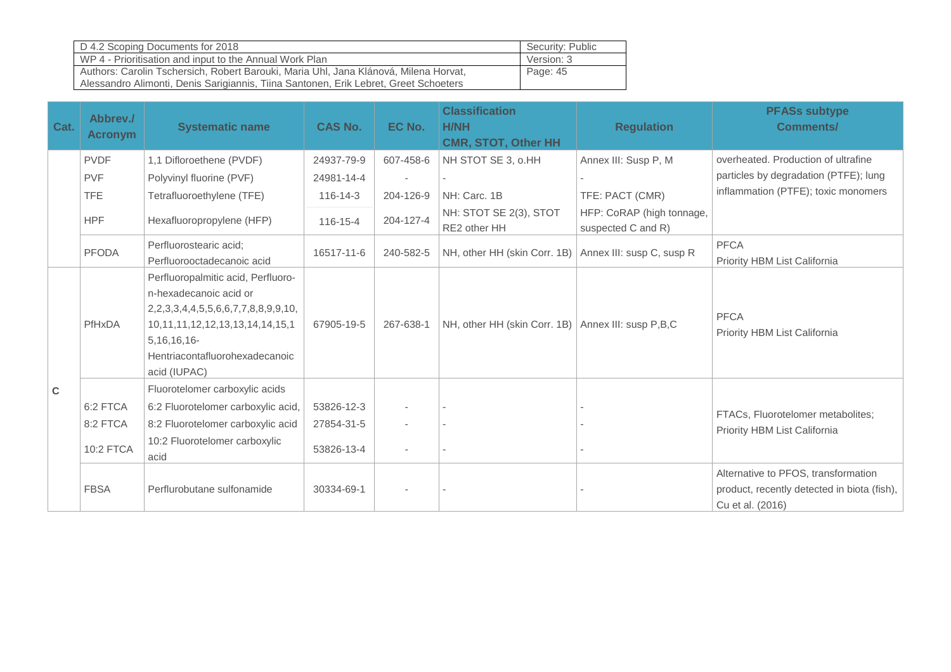| D 4.2 Scoping Documents for 2018                                                                                                                                             | Security: Public |
|------------------------------------------------------------------------------------------------------------------------------------------------------------------------------|------------------|
| WP 4 - Prioritisation and input to the Annual Work Plan                                                                                                                      | Version: 3       |
| Authors: Carolin Tschersich, Robert Barouki, Maria Uhl, Jana Klánová, Milena Horvat,<br>Alessandro Alimonti, Denis Sarigiannis, Tiina Santonen, Erik Lebret, Greet Schoeters | Page: 45         |

| Cat.         | Abbrev./<br><b>Acronym</b>        | <b>Systematic name</b>                                                                                                                                                                                                               | <b>CAS No.</b>                         | EC No.    | <b>Classification</b><br><b>H/NH</b><br><b>CMR, STOT, Other HH</b> | <b>Regulation</b>                               | <b>PFASs subtype</b><br><b>Comments/</b>                                                               |
|--------------|-----------------------------------|--------------------------------------------------------------------------------------------------------------------------------------------------------------------------------------------------------------------------------------|----------------------------------------|-----------|--------------------------------------------------------------------|-------------------------------------------------|--------------------------------------------------------------------------------------------------------|
|              | <b>PVDF</b>                       | 1,1 Difloroethene (PVDF)                                                                                                                                                                                                             | 24937-79-9                             | 607-458-6 | NH STOT SE 3, o.HH                                                 | Annex III: Susp P, M                            | overheated. Production of ultrafine                                                                    |
|              | <b>PVF</b>                        | Polyvinyl fluorine (PVF)                                                                                                                                                                                                             | 24981-14-4                             |           |                                                                    |                                                 | particles by degradation (PTFE); lung                                                                  |
|              | <b>TFE</b>                        | Tetrafluoroethylene (TFE)                                                                                                                                                                                                            | $116 - 14 - 3$                         | 204-126-9 | NH: Carc. 1B                                                       | TFE: PACT (CMR)                                 | inflammation (PTFE); toxic monomers                                                                    |
|              | <b>HPF</b>                        | Hexafluoropropylene (HFP)                                                                                                                                                                                                            | $116 - 15 - 4$                         | 204-127-4 | NH: STOT SE 2(3), STOT<br>RE2 other HH                             | HFP: CoRAP (high tonnage,<br>suspected C and R) |                                                                                                        |
|              | <b>PFODA</b>                      | Perfluorostearic acid;<br>Perfluorooctadecanoic acid                                                                                                                                                                                 | 16517-11-6                             | 240-582-5 | NH, other HH (skin Corr. 1B)                                       | Annex III: susp C, susp R                       | <b>PFCA</b><br>Priority HBM List California                                                            |
|              | PfHxDA                            | Perfluoropalmitic acid, Perfluoro-<br>n-hexadecanoic acid or<br>2, 2, 3, 3, 4, 4, 5, 5, 6, 6, 7, 7, 8, 8, 9, 9, 10,<br>10, 11, 11, 12, 12, 13, 13, 14, 14, 15, 1<br>$5,16,16,16$ -<br>Hentriacontafluorohexadecanoic<br>acid (IUPAC) | 67905-19-5                             | 267-638-1 | NH, other HH (skin Corr. 1B) Annex III: susp P,B,C                 |                                                 | <b>PFCA</b><br>Priority HBM List California                                                            |
| $\mathbf{C}$ | 6:2 FTCA<br>8:2 FTCA<br>10:2 FTCA | Fluorotelomer carboxylic acids<br>6:2 Fluorotelomer carboxylic acid,<br>8:2 Fluorotelomer carboxylic acid<br>10:2 Fluorotelomer carboxylic<br>acid                                                                                   | 53826-12-3<br>27854-31-5<br>53826-13-4 |           |                                                                    |                                                 | FTACs, Fluorotelomer metabolites;<br>Priority HBM List California                                      |
|              | <b>FBSA</b>                       | Perflurobutane sulfonamide                                                                                                                                                                                                           | 30334-69-1                             |           |                                                                    |                                                 | Alternative to PFOS, transformation<br>product, recently detected in biota (fish),<br>Cu et al. (2016) |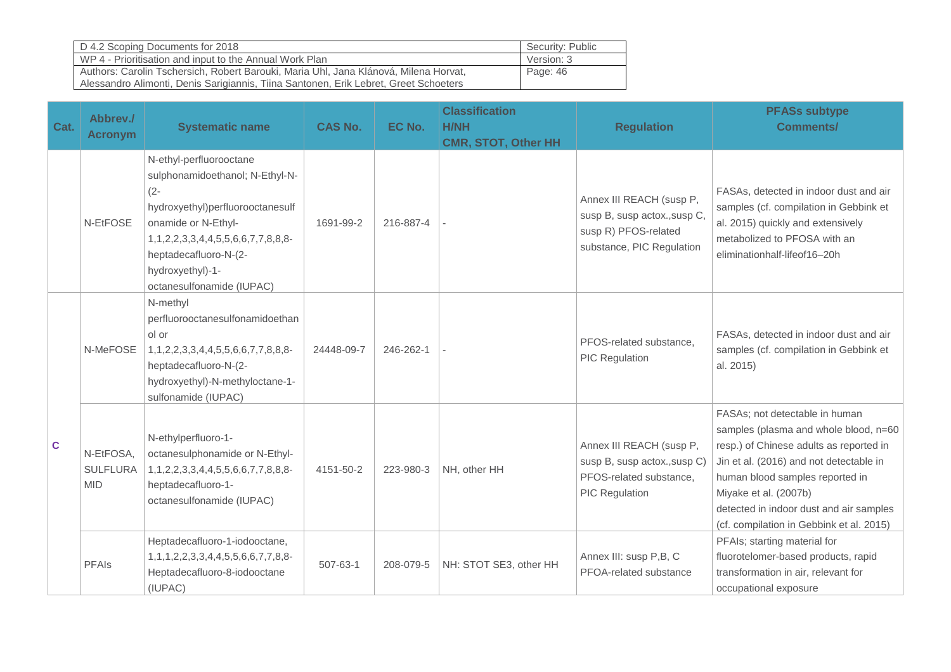| D 4.2 Scoping Documents for 2018                                                                                                                                             | Security: Public |
|------------------------------------------------------------------------------------------------------------------------------------------------------------------------------|------------------|
| WP 4 - Prioritisation and input to the Annual Work Plan                                                                                                                      | Version: 3       |
| Authors: Carolin Tschersich, Robert Barouki, Maria Uhl, Jana Klánová, Milena Horvat,<br>Alessandro Alimonti, Denis Sarigiannis, Tiina Santonen, Erik Lebret, Greet Schoeters | Page: 46         |

| Cat.        | Abbrey./<br><b>Acronym</b>                 | <b>Systematic name</b>                                                                                                                                                                                                                                          | <b>CAS No.</b> | EC No.    | <b>Classification</b><br><b>H/NH</b><br><b>CMR, STOT, Other HH</b> | <b>Regulation</b>                                                                                             | <b>PFASs subtype</b><br><b>Comments/</b>                                                                                                                                                                                                                                                                         |
|-------------|--------------------------------------------|-----------------------------------------------------------------------------------------------------------------------------------------------------------------------------------------------------------------------------------------------------------------|----------------|-----------|--------------------------------------------------------------------|---------------------------------------------------------------------------------------------------------------|------------------------------------------------------------------------------------------------------------------------------------------------------------------------------------------------------------------------------------------------------------------------------------------------------------------|
|             | N-EtFOSE                                   | N-ethyl-perfluorooctane<br>sulphonamidoethanol; N-Ethyl-N-<br>$(2 -$<br>hydroxyethyl)perfluorooctanesulf<br>onamide or N-Ethyl-<br>1, 1, 2, 2, 3, 3, 4, 4, 5, 5, 6, 6, 7, 7, 8, 8, 8-<br>heptadecafluoro-N-(2-<br>hydroxyethyl)-1-<br>octanesulfonamide (IUPAC) | 1691-99-2      | 216-887-4 |                                                                    | Annex III REACH (susp P,<br>susp B, susp actox., susp C,<br>susp R) PFOS-related<br>substance, PIC Regulation | FASAs, detected in indoor dust and air<br>samples (cf. compilation in Gebbink et<br>al. 2015) quickly and extensively<br>metabolized to PFOSA with an<br>eliminationhalf-lifeof16-20h                                                                                                                            |
| $\mathbf c$ | N-MeFOSE                                   | N-methyl<br>perfluorooctanesulfonamidoethan<br>ol or<br>1, 1, 2, 2, 3, 3, 4, 4, 5, 5, 6, 6, 7, 7, 8, 8, 8-<br>heptadecafluoro-N-(2-<br>hydroxyethyl)-N-methyloctane-1-<br>sulfonamide (IUPAC)                                                                   | 24448-09-7     | 246-262-1 |                                                                    | PFOS-related substance,<br><b>PIC Regulation</b>                                                              | FASAs, detected in indoor dust and air<br>samples (cf. compilation in Gebbink et<br>al. 2015)                                                                                                                                                                                                                    |
|             | N-EtFOSA,<br><b>SULFLURA</b><br><b>MID</b> | N-ethylperfluoro-1-<br>octanesulphonamide or N-Ethyl-<br>1, 1, 2, 2, 3, 3, 4, 4, 5, 5, 6, 6, 7, 7, 8, 8, 8-<br>heptadecafluoro-1-<br>octanesulfonamide (IUPAC)                                                                                                  | 4151-50-2      | 223-980-3 | NH, other HH                                                       | Annex III REACH (susp P,<br>susp B, susp actox., susp C)<br>PFOS-related substance,<br>PIC Regulation         | FASAs; not detectable in human<br>samples (plasma and whole blood, n=60<br>resp.) of Chinese adults as reported in<br>Jin et al. (2016) and not detectable in<br>human blood samples reported in<br>Miyake et al. (2007b)<br>detected in indoor dust and air samples<br>(cf. compilation in Gebbink et al. 2015) |
|             | <b>PFAIs</b>                               | Heptadecafluoro-1-iodooctane,<br>1, 1, 1, 2, 2, 3, 3, 4, 4, 5, 5, 6, 6, 7, 7, 8, 8-<br>Heptadecafluoro-8-iodooctane<br>(IUPAC)                                                                                                                                  | 507-63-1       | 208-079-5 | NH: STOT SE3, other HH                                             | Annex III: susp P,B, C<br>PFOA-related substance                                                              | PFAIs; starting material for<br>fluorotelomer-based products, rapid<br>transformation in air, relevant for<br>occupational exposure                                                                                                                                                                              |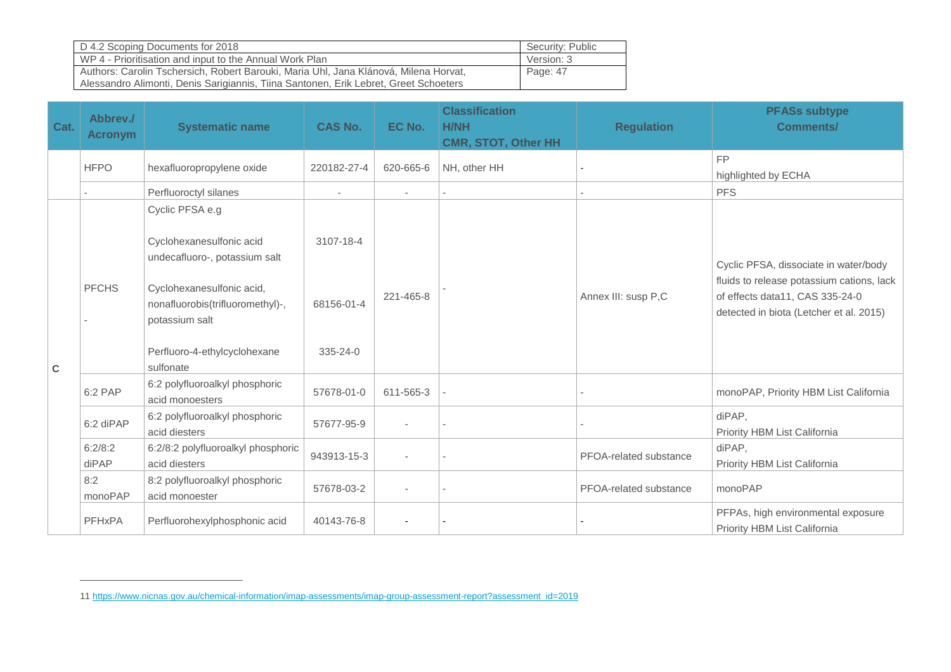| D 4.2 Scoping Documents for 2018                                                     | Security: Public |
|--------------------------------------------------------------------------------------|------------------|
| WP 4 - Prioritisation and input to the Annual Work Plan                              | Version: 3       |
| Authors: Carolin Tschersich, Robert Barouki, Maria Uhl, Jana Klánová, Milena Horvat, | Page: 47         |
| Alessandro Alimonti, Denis Sarigiannis, Tiina Santonen, Erik Lebret, Greet Schoeters |                  |

| Cat.        | Abbrev./<br><b>Acronym</b> | <b>Systematic name</b>                                                                                                       | <b>CAS No.</b>         | EC No.    | <b>Classification</b><br><b>H/NH</b><br><b>CMR, STOT, Other HH</b> | <b>Regulation</b>      | <b>PFASs subtype</b><br><b>Comments/</b>                                           |
|-------------|----------------------------|------------------------------------------------------------------------------------------------------------------------------|------------------------|-----------|--------------------------------------------------------------------|------------------------|------------------------------------------------------------------------------------|
|             | <b>HFPO</b>                | hexafluoropropylene oxide                                                                                                    | 220182-27-4            | 620-665-6 | NH, other HH                                                       |                        | <b>FP</b><br>highlighted by ECHA                                                   |
|             |                            | Perfluoroctyl silanes                                                                                                        |                        |           |                                                                    |                        | <b>PFS</b>                                                                         |
| $\mathbf C$ |                            | Cyclic PFSA e.g<br>Cyclohexanesulfonic acid<br>undecafluoro-, potassium salt                                                 | 3107-18-4              |           |                                                                    |                        | Cyclic PFSA, dissociate in water/body<br>fluids to release potassium cations, lack |
|             | <b>PFCHS</b>               | Cyclohexanesulfonic acid,<br>nonafluorobis(trifluoromethyl)-,<br>potassium salt<br>Perfluoro-4-ethylcyclohexane<br>sulfonate | 68156-01-4<br>335-24-0 | 221-465-8 |                                                                    | Annex III: susp P,C    | of effects data11, CAS 335-24-0<br>detected in biota (Letcher et al. 2015)         |
|             | 6:2 PAP                    | 6:2 polyfluoroalkyl phosphoric<br>acid monoesters                                                                            | 57678-01-0             | 611-565-3 |                                                                    |                        | monoPAP, Priority HBM List California                                              |
|             | 6:2 diPAP                  | 6:2 polyfluoroalkyl phosphoric<br>acid diesters                                                                              | 57677-95-9             |           |                                                                    |                        | diPAP,<br>Priority HBM List California                                             |
|             | 6:2/8:2<br>diPAP           | 6:2/8:2 polyfluoroalkyl phosphoric<br>acid diesters                                                                          | 943913-15-3            |           |                                                                    | PFOA-related substance | diPAP,<br>Priority HBM List California                                             |
|             | 8:2<br>monoPAP             | 8:2 polyfluoroalkyl phosphoric<br>acid monoester                                                                             | 57678-03-2             |           |                                                                    | PFOA-related substance | monoPAP                                                                            |
|             | PFHxPA                     | Perfluorohexylphosphonic acid                                                                                                | 40143-76-8             |           |                                                                    |                        | PFPAs, high environmental exposure<br>Priority HBM List California                 |

 $\overline{\phantom{0}}$ 

<sup>11</sup> https://www.nicnas.gov.au/chemical-information/imap-assessments/imap-group-assessment-report?assessment\_id=2019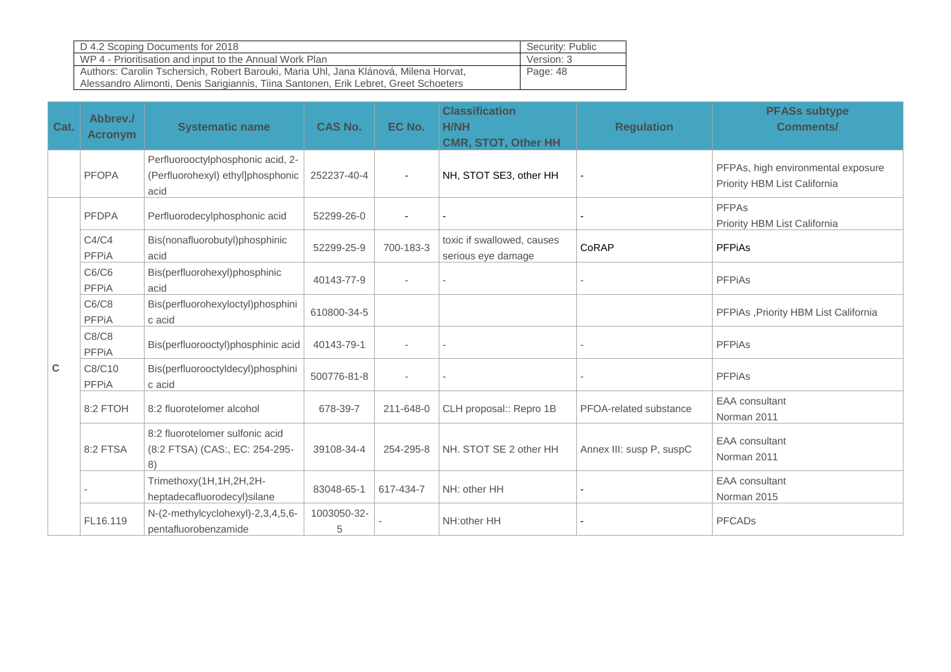| D 4.2 Scoping Documents for 2018                                                                                                                                             | Security: Public |
|------------------------------------------------------------------------------------------------------------------------------------------------------------------------------|------------------|
| WP 4 - Prioritisation and input to the Annual Work Plan                                                                                                                      | Version: 3       |
| Authors: Carolin Tschersich, Robert Barouki, Maria Uhl, Jana Klánová, Milena Horvat,<br>Alessandro Alimonti, Denis Sarigiannis, Tiina Santonen, Erik Lebret, Greet Schoeters | Page: 48         |

| Cat.        | Abbrey./<br><b>Acronym</b> | <b>Systematic name</b>                                                         | <b>CAS No.</b>   | EC No.    | <b>Classification</b><br><b>H/NH</b><br><b>CMR, STOT, Other HH</b> | <b>Regulation</b>        | <b>PFASs subtype</b><br><b>Comments/</b>                           |
|-------------|----------------------------|--------------------------------------------------------------------------------|------------------|-----------|--------------------------------------------------------------------|--------------------------|--------------------------------------------------------------------|
|             | <b>PFOPA</b>               | Perfluorooctylphosphonic acid, 2-<br>(Perfluorohexyl) ethyl]phosphonic<br>acid | 252237-40-4      |           | NH, STOT SE3, other HH                                             |                          | PFPAs, high environmental exposure<br>Priority HBM List California |
|             | <b>PFDPA</b>               | Perfluorodecylphosphonic acid                                                  | 52299-26-0       |           |                                                                    |                          | PFPAs<br>Priority HBM List California                              |
|             | C4/C4<br><b>PFPiA</b>      | Bis(nonafluorobutyl)phosphinic<br>acid                                         | 52299-25-9       | 700-183-3 | toxic if swallowed, causes<br>serious eye damage                   | CoRAP                    | <b>PFPiAs</b>                                                      |
|             | C6/C6<br><b>PFPiA</b>      | Bis(perfluorohexyl)phosphinic<br>acid                                          | 40143-77-9       |           |                                                                    |                          | <b>PFPiAs</b>                                                      |
|             | C6/C8<br><b>PFPiA</b>      | Bis(perfluorohexyloctyl)phosphini<br>c acid                                    | 610800-34-5      |           |                                                                    |                          | PFPiAs , Priority HBM List California                              |
|             | C8/C8<br><b>PFPiA</b>      | Bis(perfluorooctyl)phosphinic acid                                             | 40143-79-1       |           |                                                                    |                          | <b>PFPiAs</b>                                                      |
| $\mathbf C$ | C8/C10<br>PFPiA            | Bis(perfluorooctyldecyl)phosphini<br>c acid                                    | 500776-81-8      | ä,        |                                                                    |                          | <b>PFPiAs</b>                                                      |
|             | 8:2 FTOH                   | 8:2 fluorotelomer alcohol                                                      | 678-39-7         | 211-648-0 | CLH proposal:: Repro 1B                                            | PFOA-related substance   | <b>EAA</b> consultant<br>Norman 2011                               |
|             | 8:2 FTSA                   | 8:2 fluorotelomer sulfonic acid<br>(8:2 FTSA) (CAS:, EC: 254-295-<br>8)        | 39108-34-4       | 254-295-8 | NH. STOT SE 2 other HH                                             | Annex III: susp P, suspC | <b>EAA</b> consultant<br>Norman 2011                               |
|             |                            | Trimethoxy(1H,1H,2H,2H-<br>heptadecafluorodecyl) silane                        | 83048-65-1       | 617-434-7 | NH: other HH                                                       |                          | <b>EAA</b> consultant<br>Norman 2015                               |
|             | FL16.119                   | N-(2-methylcyclohexyl)-2,3,4,5,6-<br>pentafluorobenzamide                      | 1003050-32-<br>5 |           | NH:other HH                                                        |                          | <b>PFCADs</b>                                                      |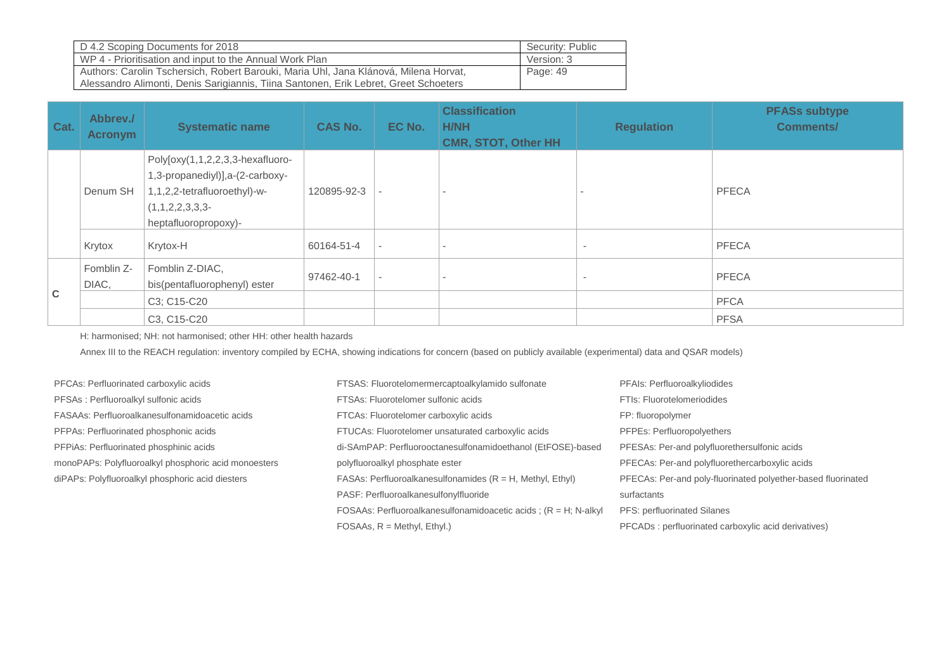| D 4.2 Scoping Documents for 2018                                                     | Security: Public |
|--------------------------------------------------------------------------------------|------------------|
| WP 4 - Prioritisation and input to the Annual Work Plan                              | Version: 3       |
| Authors: Carolin Tschersich, Robert Barouki, Maria Uhl, Jana Klánová, Milena Horvat, | Page: 49         |
| Alessandro Alimonti, Denis Sarigiannis, Tiina Santonen, Erik Lebret, Greet Schoeters |                  |

| Cat.        | Abbrev./<br><b>Acronym</b> | <b>Systematic name</b>                                                                                                                         | <b>CAS No.</b> | EC No. | <b>Classification</b><br>H/NH<br><b>CMR, STOT, Other HH</b> | <b>Regulation</b>        | <b>PFASs subtype</b><br><b>Comments/</b> |
|-------------|----------------------------|------------------------------------------------------------------------------------------------------------------------------------------------|----------------|--------|-------------------------------------------------------------|--------------------------|------------------------------------------|
|             | Denum SH                   | Poly[oxy(1,1,2,2,3,3-hexafluoro-<br>1,3-propanediyl)],a-(2-carboxy-<br>1,1,2,2-tetrafluoroethyl)-w-<br>(1,1,2,2,3,3,3)<br>heptafluoropropoxy)- | 120895-92-3    |        |                                                             | $\overline{\phantom{a}}$ | <b>PFECA</b>                             |
|             | Krytox                     | Krytox-H                                                                                                                                       | 60164-51-4     |        |                                                             | $\overline{\phantom{a}}$ | <b>PFECA</b>                             |
| $\mathbf C$ | Fomblin Z-<br>DIAC,        | Fomblin Z-DIAC,<br>bis(pentafluorophenyl) ester                                                                                                | 97462-40-1     |        |                                                             | $\overline{\phantom{a}}$ | <b>PFECA</b>                             |
|             |                            | C3; C15-C20                                                                                                                                    |                |        |                                                             |                          | <b>PFCA</b>                              |
|             |                            | C3, C15-C20                                                                                                                                    |                |        |                                                             |                          | <b>PFSA</b>                              |

H: harmonised; NH: not harmonised; other HH: other health hazards

Annex III to the REACH regulation: inventory compiled by ECHA, showing indications for concern (based on publicly available (experimental) data and QSAR models)

| PFCAs: Perfluorinated carboxylic acids               | FTSAS: Fluorotelomermercaptoalkylamido sulfonate                           | PFAIs: Perfluoroalkyliodides                                 |
|------------------------------------------------------|----------------------------------------------------------------------------|--------------------------------------------------------------|
| PFSAs : Perfluoroalkyl sulfonic acids                | FTSAs: Fluorotelomer sulfonic acids                                        | FTIs: Fluorotelomeriodides                                   |
| FASAAs: Perfluoroalkanesulfonamidoacetic acids       | FTCAs: Fluorotelomer carboxylic acids                                      | FP: fluoropolymer                                            |
| PFPAs: Perfluorinated phosphonic acids               | FTUCAs: Fluorotelomer unsaturated carboxylic acids                         | PFPEs: Perfluoropolyethers                                   |
| PFPiAs: Perfluorinated phosphinic acids              | di-SAmPAP: Perfluorooctanesulfonamidoethanol (EtFOSE)-based                | PFESAs: Per-and polyfluorethersulfonic acids                 |
| monoPAPs: Polyfluoroalkyl phosphoric acid monoesters | polyfluoroalkyl phosphate ester                                            | PFECAs: Per-and polyfluorethercarboxylic acids               |
| diPAPs: Polyfluoroalkyl phosphoric acid diesters     | FASAs: Perfluoroalkanesulfonamides $(R = H, Methyl, Ethyl)$                | PFECAs: Per-and poly-fluorinated polyether-based fluorinated |
|                                                      | PASF: Perfluoroalkanesulfonylfluoride                                      | surfactants                                                  |
|                                                      | FOSAAs: Perfluoroalkanesulfonamidoacetic acids ; $(R = H; N\text{-alkyl})$ | PFS: perfluorinated Silanes                                  |
|                                                      | FOSAAs, $R =$ Methyl, Ethyl.)                                              | PFCADs: perfluorinated carboxylic acid derivatives)          |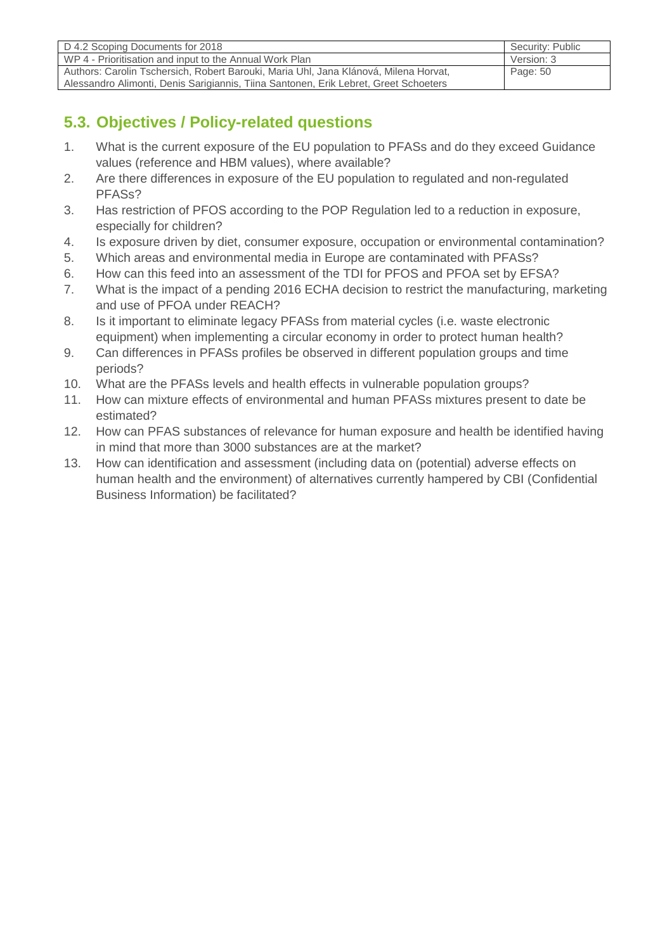| D 4.2 Scoping Documents for 2018                                                     | Security: Public |
|--------------------------------------------------------------------------------------|------------------|
| WP 4 - Prioritisation and input to the Annual Work Plan                              | Version: 3       |
| Authors: Carolin Tschersich, Robert Barouki, Maria Uhl, Jana Klánová, Milena Horvat, | Page: 50         |
| Alessandro Alimonti, Denis Sarigiannis, Tiina Santonen, Erik Lebret, Greet Schoeters |                  |

# **5.3. Objectives / Policy-related questions**

- 1. What is the current exposure of the EU population to PFASs and do they exceed Guidance values (reference and HBM values), where available?
- 2. Are there differences in exposure of the EU population to regulated and non-regulated PFASs?
- 3. Has restriction of PFOS according to the POP Regulation led to a reduction in exposure, especially for children?
- 4. Is exposure driven by diet, consumer exposure, occupation or environmental contamination?
- 5. Which areas and environmental media in Europe are contaminated with PFASs?
- 6. How can this feed into an assessment of the TDI for PFOS and PFOA set by EFSA?
- 7. What is the impact of a pending 2016 ECHA decision to restrict the manufacturing, marketing and use of PFOA under REACH?
- 8. Is it important to eliminate legacy PFASs from material cycles (i.e. waste electronic equipment) when implementing a circular economy in order to protect human health?
- 9. Can differences in PFASs profiles be observed in different population groups and time periods?
- 10. What are the PFASs levels and health effects in vulnerable population groups?
- 11. How can mixture effects of environmental and human PFASs mixtures present to date be estimated?
- 12. How can PFAS substances of relevance for human exposure and health be identified having in mind that more than 3000 substances are at the market?
- 13. How can identification and assessment (including data on (potential) adverse effects on human health and the environment) of alternatives currently hampered by CBI (Confidential Business Information) be facilitated?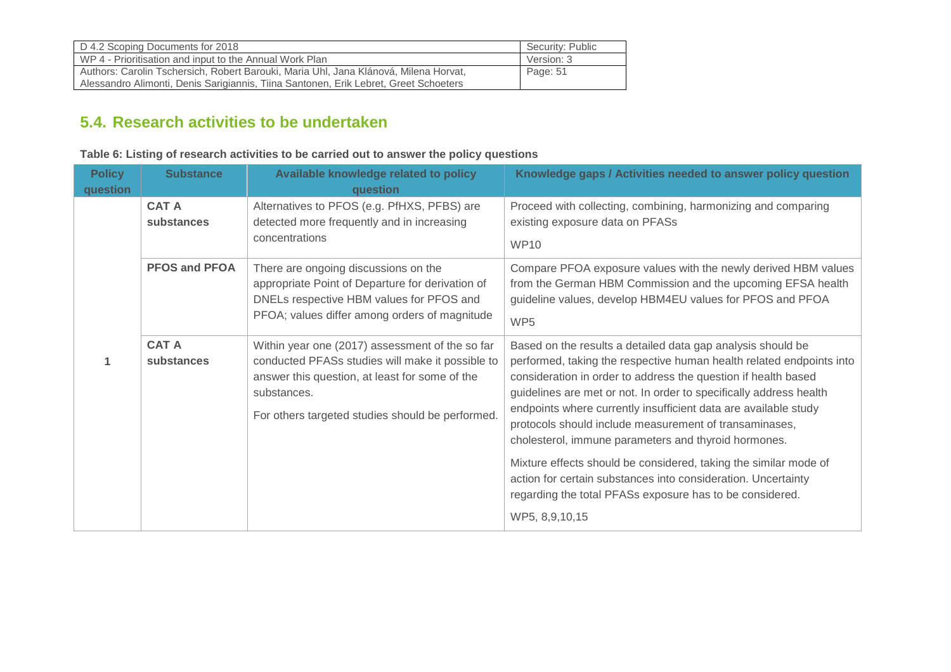| D 4.2 Scoping Documents for 2018                                                                                                                                             | Security: Public |
|------------------------------------------------------------------------------------------------------------------------------------------------------------------------------|------------------|
| WP 4 - Prioritisation and input to the Annual Work Plan                                                                                                                      | Version: 3       |
| Authors: Carolin Tschersich, Robert Barouki, Maria Uhl, Jana Klánová, Milena Horvat,<br>Alessandro Alimonti, Denis Sarigiannis, Tiina Santonen, Erik Lebret, Greet Schoeters | Page: 51         |

# **5.4. Research activities to be undertaken**

#### **Table 6: Listing of research activities to be carried out to answer the policy questions**

| <b>Policy</b><br>question | <b>Substance</b>           | Available knowledge related to policy<br>question                                                                                                                                                                        | Knowledge gaps / Activities needed to answer policy question                                                                                                                                                                                                                                                                                                                                                                                                     |
|---------------------------|----------------------------|--------------------------------------------------------------------------------------------------------------------------------------------------------------------------------------------------------------------------|------------------------------------------------------------------------------------------------------------------------------------------------------------------------------------------------------------------------------------------------------------------------------------------------------------------------------------------------------------------------------------------------------------------------------------------------------------------|
|                           | <b>CAT A</b><br>substances | Alternatives to PFOS (e.g. PfHXS, PFBS) are<br>detected more frequently and in increasing<br>concentrations                                                                                                              | Proceed with collecting, combining, harmonizing and comparing<br>existing exposure data on PFASs<br><b>WP10</b>                                                                                                                                                                                                                                                                                                                                                  |
|                           | <b>PFOS and PFOA</b>       | There are ongoing discussions on the<br>appropriate Point of Departure for derivation of<br>DNELs respective HBM values for PFOS and<br>PFOA; values differ among orders of magnitude                                    | Compare PFOA exposure values with the newly derived HBM values<br>from the German HBM Commission and the upcoming EFSA health<br>guideline values, develop HBM4EU values for PFOS and PFOA<br>WP <sub>5</sub>                                                                                                                                                                                                                                                    |
|                           | <b>CAT A</b><br>substances | Within year one (2017) assessment of the so far<br>conducted PFASs studies will make it possible to<br>answer this question, at least for some of the<br>substances.<br>For others targeted studies should be performed. | Based on the results a detailed data gap analysis should be<br>performed, taking the respective human health related endpoints into<br>consideration in order to address the question if health based<br>guidelines are met or not. In order to specifically address health<br>endpoints where currently insufficient data are available study<br>protocols should include measurement of transaminases,<br>cholesterol, immune parameters and thyroid hormones. |
|                           |                            |                                                                                                                                                                                                                          | Mixture effects should be considered, taking the similar mode of<br>action for certain substances into consideration. Uncertainty<br>regarding the total PFASs exposure has to be considered.                                                                                                                                                                                                                                                                    |
|                           |                            |                                                                                                                                                                                                                          | WP5, 8,9,10,15                                                                                                                                                                                                                                                                                                                                                                                                                                                   |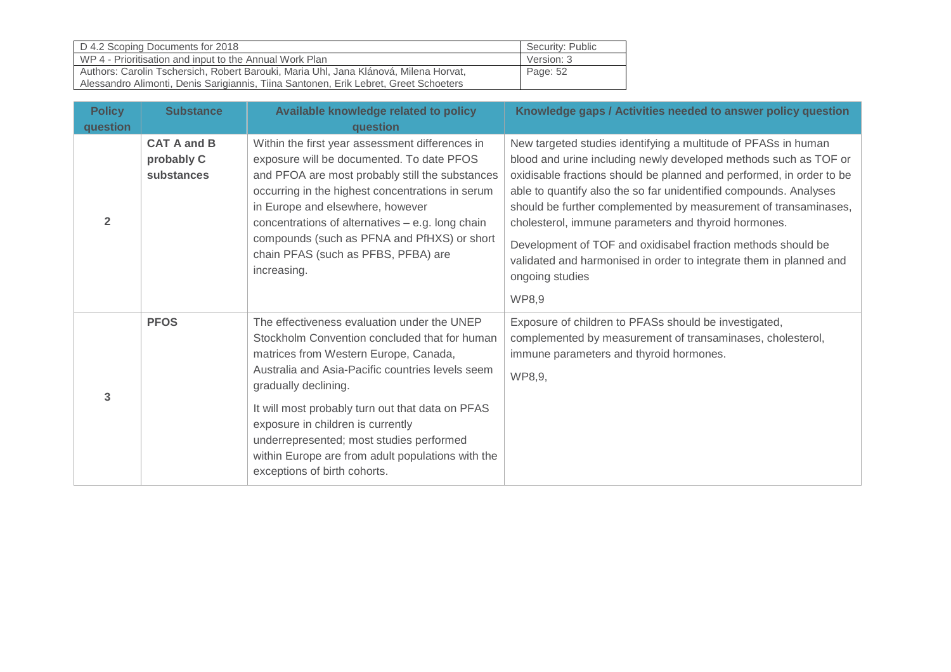| D 4.2 Scoping Documents for 2018                                                     | Security: Public |
|--------------------------------------------------------------------------------------|------------------|
| WP 4 - Prioritisation and input to the Annual Work Plan                              | Version: 3       |
| Authors: Carolin Tschersich, Robert Barouki, Maria Uhl, Jana Klánová, Milena Horvat, | Page: 52         |
| Alessandro Alimonti, Denis Sarigiannis, Tiina Santonen, Erik Lebret, Greet Schoeters |                  |

| <b>Policy</b><br>question | <b>Substance</b>                               | Available knowledge related to policy<br>question                                                                                                                                                                                                                                                                                                                                                                                           | Knowledge gaps / Activities needed to answer policy question                                                                                                                                                                                                                                                                                                                                                                                                                                                                                                                        |
|---------------------------|------------------------------------------------|---------------------------------------------------------------------------------------------------------------------------------------------------------------------------------------------------------------------------------------------------------------------------------------------------------------------------------------------------------------------------------------------------------------------------------------------|-------------------------------------------------------------------------------------------------------------------------------------------------------------------------------------------------------------------------------------------------------------------------------------------------------------------------------------------------------------------------------------------------------------------------------------------------------------------------------------------------------------------------------------------------------------------------------------|
| $\overline{2}$            | <b>CAT A and B</b><br>probably C<br>substances | Within the first year assessment differences in<br>exposure will be documented. To date PFOS<br>and PFOA are most probably still the substances<br>occurring in the highest concentrations in serum<br>in Europe and elsewhere, however<br>concentrations of alternatives $-$ e.g. long chain<br>compounds (such as PFNA and PfHXS) or short<br>chain PFAS (such as PFBS, PFBA) are<br>increasing.                                          | New targeted studies identifying a multitude of PFASs in human<br>blood and urine including newly developed methods such as TOF or<br>oxidisable fractions should be planned and performed, in order to be<br>able to quantify also the so far unidentified compounds. Analyses<br>should be further complemented by measurement of transaminases,<br>cholesterol, immune parameters and thyroid hormones.<br>Development of TOF and oxidisabel fraction methods should be<br>validated and harmonised in order to integrate them in planned and<br>ongoing studies<br><b>WP8,9</b> |
| 3                         | <b>PFOS</b>                                    | The effectiveness evaluation under the UNEP<br>Stockholm Convention concluded that for human<br>matrices from Western Europe, Canada,<br>Australia and Asia-Pacific countries levels seem<br>gradually declining.<br>It will most probably turn out that data on PFAS<br>exposure in children is currently<br>underrepresented; most studies performed<br>within Europe are from adult populations with the<br>exceptions of birth cohorts. | Exposure of children to PFASs should be investigated,<br>complemented by measurement of transaminases, cholesterol,<br>immune parameters and thyroid hormones.<br>WP8,9,                                                                                                                                                                                                                                                                                                                                                                                                            |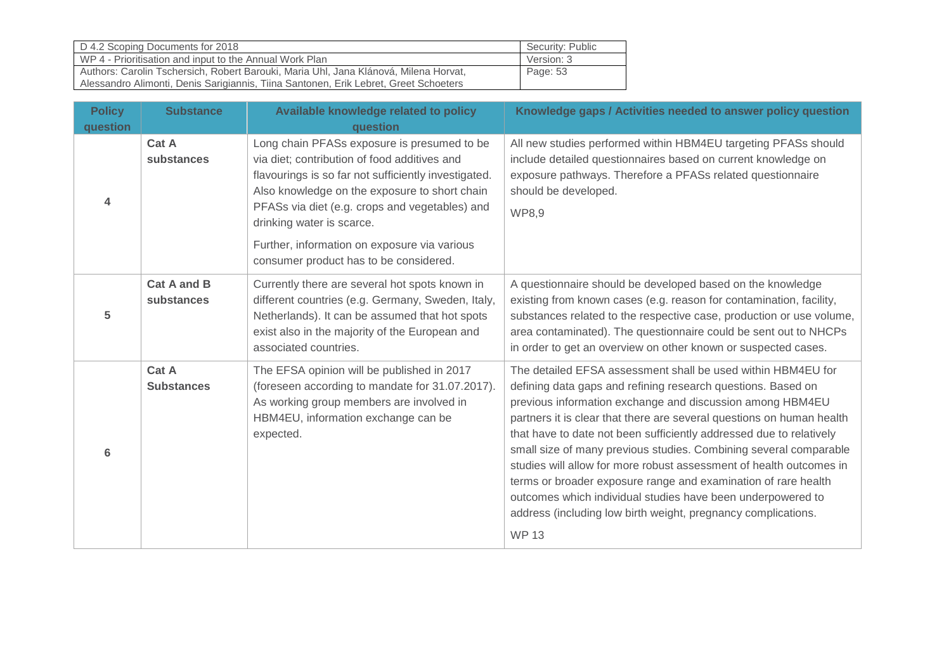| D 4.2 Scoping Documents for 2018                                                     | Security: Public |
|--------------------------------------------------------------------------------------|------------------|
| WP 4 - Prioritisation and input to the Annual Work Plan                              | Version: 3       |
| Authors: Carolin Tschersich, Robert Barouki, Maria Uhl, Jana Klánová, Milena Horvat, | Page: 53         |
| Alessandro Alimonti, Denis Sarigiannis, Tiina Santonen, Erik Lebret, Greet Schoeters |                  |

| <b>Policy</b><br>question | <b>Substance</b>                 | Available knowledge related to policy<br>question                                                                                                                                                                                                                                                                                                                             | Knowledge gaps / Activities needed to answer policy question                                                                                                                                                                                                                                                                                                                                                                                                                                                                                                                                                                                                                                            |
|---------------------------|----------------------------------|-------------------------------------------------------------------------------------------------------------------------------------------------------------------------------------------------------------------------------------------------------------------------------------------------------------------------------------------------------------------------------|---------------------------------------------------------------------------------------------------------------------------------------------------------------------------------------------------------------------------------------------------------------------------------------------------------------------------------------------------------------------------------------------------------------------------------------------------------------------------------------------------------------------------------------------------------------------------------------------------------------------------------------------------------------------------------------------------------|
| $\overline{\mathbf{4}}$   | Cat A<br>substances              | Long chain PFASs exposure is presumed to be<br>via diet; contribution of food additives and<br>flavourings is so far not sufficiently investigated.<br>Also knowledge on the exposure to short chain<br>PFASs via diet (e.g. crops and vegetables) and<br>drinking water is scarce.<br>Further, information on exposure via various<br>consumer product has to be considered. | All new studies performed within HBM4EU targeting PFASs should<br>include detailed questionnaires based on current knowledge on<br>exposure pathways. Therefore a PFASs related questionnaire<br>should be developed.<br><b>WP8,9</b>                                                                                                                                                                                                                                                                                                                                                                                                                                                                   |
| 5                         | <b>Cat A and B</b><br>substances | Currently there are several hot spots known in<br>different countries (e.g. Germany, Sweden, Italy,<br>Netherlands). It can be assumed that hot spots<br>exist also in the majority of the European and<br>associated countries.                                                                                                                                              | A questionnaire should be developed based on the knowledge<br>existing from known cases (e.g. reason for contamination, facility,<br>substances related to the respective case, production or use volume,<br>area contaminated). The questionnaire could be sent out to NHCPs<br>in order to get an overview on other known or suspected cases.                                                                                                                                                                                                                                                                                                                                                         |
| 6                         | Cat A<br><b>Substances</b>       | The EFSA opinion will be published in 2017<br>(foreseen according to mandate for 31.07.2017).<br>As working group members are involved in<br>HBM4EU, information exchange can be<br>expected.                                                                                                                                                                                 | The detailed EFSA assessment shall be used within HBM4EU for<br>defining data gaps and refining research questions. Based on<br>previous information exchange and discussion among HBM4EU<br>partners it is clear that there are several questions on human health<br>that have to date not been sufficiently addressed due to relatively<br>small size of many previous studies. Combining several comparable<br>studies will allow for more robust assessment of health outcomes in<br>terms or broader exposure range and examination of rare health<br>outcomes which individual studies have been underpowered to<br>address (including low birth weight, pregnancy complications.<br><b>WP 13</b> |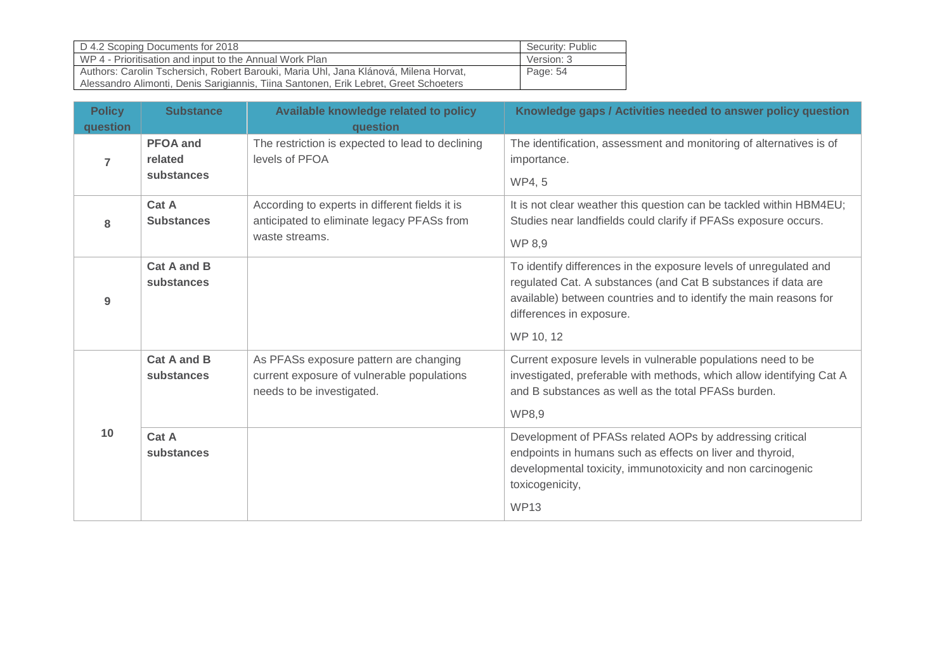| D 4.2 Scoping Documents for 2018                                                     | Security: Public |
|--------------------------------------------------------------------------------------|------------------|
| WP 4 - Prioritisation and input to the Annual Work Plan                              | Version: 3       |
| Authors: Carolin Tschersich, Robert Barouki, Maria Uhl, Jana Klánová, Milena Horvat, | Page: 54         |
| Alessandro Alimonti, Denis Sarigiannis, Tiina Santonen, Erik Lebret, Greet Schoeters |                  |

| <b>Policy</b><br>question | <b>Substance</b>                         | Available knowledge related to policy<br>question                                                                 | Knowledge gaps / Activities needed to answer policy question                                                                                                                                                                                     |
|---------------------------|------------------------------------------|-------------------------------------------------------------------------------------------------------------------|--------------------------------------------------------------------------------------------------------------------------------------------------------------------------------------------------------------------------------------------------|
| $\overline{7}$            | <b>PFOA</b> and<br>related<br>substances | The restriction is expected to lead to declining<br>levels of PFOA                                                | The identification, assessment and monitoring of alternatives is of<br>importance.<br>WP4, 5                                                                                                                                                     |
| 8                         | Cat A<br><b>Substances</b>               | According to experts in different fields it is<br>anticipated to eliminate legacy PFASs from<br>waste streams.    | It is not clear weather this question can be tackled within HBM4EU;<br>Studies near landfields could clarify if PFASs exposure occurs.<br>WP 8,9                                                                                                 |
| 9                         | <b>Cat A and B</b><br>substances         |                                                                                                                   | To identify differences in the exposure levels of unregulated and<br>regulated Cat. A substances (and Cat B substances if data are<br>available) between countries and to identify the main reasons for<br>differences in exposure.<br>WP 10, 12 |
|                           | Cat A and B<br>substances                | As PFASs exposure pattern are changing<br>current exposure of vulnerable populations<br>needs to be investigated. | Current exposure levels in vulnerable populations need to be<br>investigated, preferable with methods, which allow identifying Cat A<br>and B substances as well as the total PFASs burden.<br><b>WP8.9</b>                                      |
| 10                        | Cat A<br>substances                      |                                                                                                                   | Development of PFASs related AOPs by addressing critical<br>endpoints in humans such as effects on liver and thyroid,<br>developmental toxicity, immunotoxicity and non carcinogenic<br>toxicogenicity,<br><b>WP13</b>                           |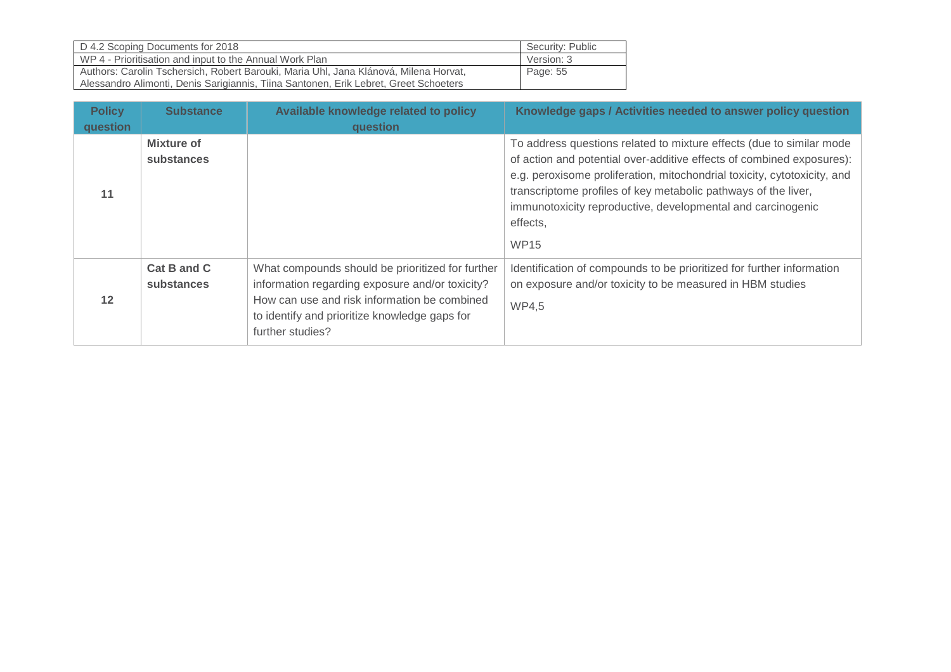| D 4.2 Scoping Documents for 2018                                                     | Security: Public |
|--------------------------------------------------------------------------------------|------------------|
| WP 4 - Prioritisation and input to the Annual Work Plan                              | Version: 3       |
| Authors: Carolin Tschersich, Robert Barouki, Maria Uhl, Jana Klánová, Milena Horvat, | Page: 55         |
| Alessandro Alimonti, Denis Sarigiannis, Tiina Santonen, Erik Lebret, Greet Schoeters |                  |

| <b>Policy</b><br>question | <b>Substance</b>          | Available knowledge related to policy<br>question                                                                                                                                                                        | Knowledge gaps / Activities needed to answer policy question                                                                                                                                                                                                                                                                                                                          |
|---------------------------|---------------------------|--------------------------------------------------------------------------------------------------------------------------------------------------------------------------------------------------------------------------|---------------------------------------------------------------------------------------------------------------------------------------------------------------------------------------------------------------------------------------------------------------------------------------------------------------------------------------------------------------------------------------|
| 11                        | Mixture of<br>substances  |                                                                                                                                                                                                                          | To address questions related to mixture effects (due to similar mode<br>of action and potential over-additive effects of combined exposures):<br>e.g. peroxisome proliferation, mitochondrial toxicity, cytotoxicity, and<br>transcriptome profiles of key metabolic pathways of the liver,<br>immunotoxicity reproductive, developmental and carcinogenic<br>effects,<br><b>WP15</b> |
| 12                        | Cat B and C<br>substances | What compounds should be prioritized for further<br>information regarding exposure and/or toxicity?<br>How can use and risk information be combined<br>to identify and prioritize knowledge gaps for<br>further studies? | Identification of compounds to be prioritized for further information<br>on exposure and/or toxicity to be measured in HBM studies<br><b>WP4.5</b>                                                                                                                                                                                                                                    |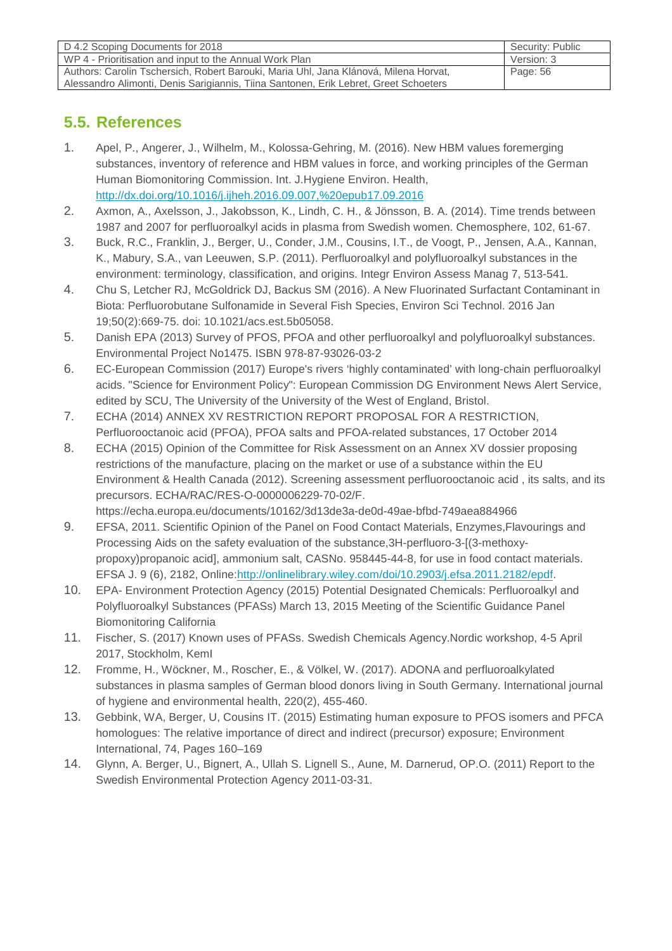| D 4.2 Scoping Documents for 2018                                                     | Security: Public |
|--------------------------------------------------------------------------------------|------------------|
| WP 4 - Prioritisation and input to the Annual Work Plan                              | Version: 3       |
| Authors: Carolin Tschersich, Robert Barouki, Maria Uhl, Jana Klánová, Milena Horvat, | Page: 56         |
| Alessandro Alimonti, Denis Sarigiannis, Tiina Santonen, Erik Lebret, Greet Schoeters |                  |

## **5.5. References**

- 1. Apel, P., Angerer, J., Wilhelm, M., Kolossa-Gehring, M. (2016). New HBM values foremerging substances, inventory of reference and HBM values in force, and working principles of the German Human Biomonitoring Commission. Int. J.Hygiene Environ. Health, http://dx.doi.org/10.1016/j.ijheh.2016.09.007,%20epub17.09.2016
- 2. Axmon, A., Axelsson, J., Jakobsson, K., Lindh, C. H., & Jönsson, B. A. (2014). Time trends between 1987 and 2007 for perfluoroalkyl acids in plasma from Swedish women. Chemosphere, 102, 61-67.
- 3. Buck, R.C., Franklin, J., Berger, U., Conder, J.M., Cousins, I.T., de Voogt, P., Jensen, A.A., Kannan, K., Mabury, S.A., van Leeuwen, S.P. (2011). Perfluoroalkyl and polyfluoroalkyl substances in the environment: terminology, classification, and origins. Integr Environ Assess Manag 7, 513-541.
- 4. Chu S, Letcher RJ, McGoldrick DJ, Backus SM (2016). A New Fluorinated Surfactant Contaminant in Biota: Perfluorobutane Sulfonamide in Several Fish Species, Environ Sci Technol. 2016 Jan 19;50(2):669-75. doi: 10.1021/acs.est.5b05058.
- 5. Danish EPA (2013) Survey of PFOS, PFOA and other perfluoroalkyl and polyfluoroalkyl substances. Environmental Project No1475. ISBN 978-87-93026-03-2
- 6. EC-European Commission (2017) Europe's rivers 'highly contaminated' with long-chain perfluoroalkyl acids. "Science for Environment Policy": European Commission DG Environment News Alert Service, edited by SCU, The University of the University of the West of England, Bristol.
- 7. ECHA (2014) ANNEX XV RESTRICTION REPORT PROPOSAL FOR A RESTRICTION, Perfluorooctanoic acid (PFOA), PFOA salts and PFOA-related substances, 17 October 2014
- 8. ECHA (2015) Opinion of the Committee for Risk Assessment on an Annex XV dossier proposing restrictions of the manufacture, placing on the market or use of a substance within the EU Environment & Health Canada (2012). Screening assessment perfluorooctanoic acid , its salts, and its precursors. ECHA/RAC/RES-O-0000006229-70-02/F.

https://echa.europa.eu/documents/10162/3d13de3a-de0d-49ae-bfbd-749aea884966

- 9. EFSA, 2011. Scientific Opinion of the Panel on Food Contact Materials, Enzymes,Flavourings and Processing Aids on the safety evaluation of the substance,3H-perfluoro-3-[(3-methoxypropoxy)propanoic acid], ammonium salt, CASNo. 958445-44-8, for use in food contact materials. EFSA J. 9 (6), 2182, Online:http://onlinelibrary.wiley.com/doi/10.2903/j.efsa.2011.2182/epdf.
- 10. EPA- Environment Protection Agency (2015) Potential Designated Chemicals: Perfluoroalkyl and Polyfluoroalkyl Substances (PFASs) March 13, 2015 Meeting of the Scientific Guidance Panel Biomonitoring California
- 11. Fischer, S. (2017) Known uses of PFASs. Swedish Chemicals Agency.Nordic workshop, 4-5 April 2017, Stockholm, KemI
- 12. Fromme, H., Wöckner, M., Roscher, E., & Völkel, W. (2017). ADONA and perfluoroalkylated substances in plasma samples of German blood donors living in South Germany. International journal of hygiene and environmental health, 220(2), 455-460.
- 13. Gebbink, WA, Berger, U, Cousins IT. (2015) Estimating human exposure to PFOS isomers and PFCA homologues: The relative importance of direct and indirect (precursor) exposure; Environment International, 74, Pages 160–169
- 14. Glynn, A. Berger, U., Bignert, A., Ullah S. Lignell S., Aune, M. Darnerud, OP.O. (2011) Report to the Swedish Environmental Protection Agency 2011-03-31.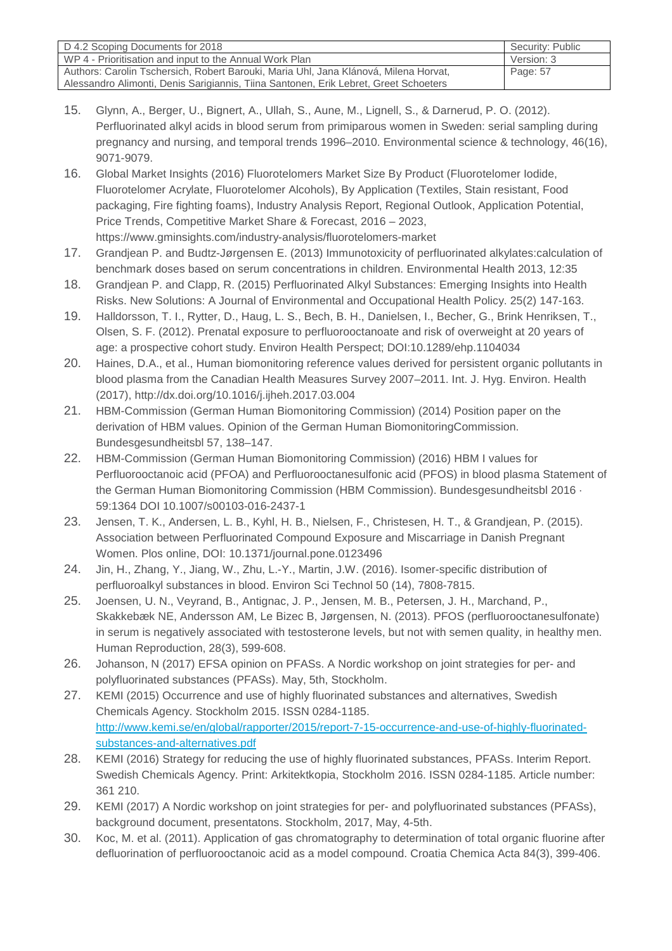| D 4.2 Scoping Documents for 2018                                                     | Security: Public |
|--------------------------------------------------------------------------------------|------------------|
| WP 4 - Prioritisation and input to the Annual Work Plan                              | Version: 3       |
| Authors: Carolin Tschersich, Robert Barouki, Maria Uhl, Jana Klánová, Milena Horvat, | Page: 57         |
| Alessandro Alimonti, Denis Sarigiannis, Tiina Santonen, Erik Lebret, Greet Schoeters |                  |

- 15. Glynn, A., Berger, U., Bignert, A., Ullah, S., Aune, M., Lignell, S., & Darnerud, P. O. (2012). Perfluorinated alkyl acids in blood serum from primiparous women in Sweden: serial sampling during pregnancy and nursing, and temporal trends 1996–2010. Environmental science & technology, 46(16), 9071-9079.
- 16. Global Market Insights (2016) Fluorotelomers Market Size By Product (Fluorotelomer Iodide, Fluorotelomer Acrylate, Fluorotelomer Alcohols), By Application (Textiles, Stain resistant, Food packaging, Fire fighting foams), Industry Analysis Report, Regional Outlook, Application Potential, Price Trends, Competitive Market Share & Forecast, 2016 – 2023, https://www.gminsights.com/industry-analysis/fluorotelomers-market
- 17. Grandjean P. and Budtz-Jørgensen E. (2013) Immunotoxicity of perfluorinated alkylates:calculation of benchmark doses based on serum concentrations in children. Environmental Health 2013, 12:35
- 18. Grandjean P. and Clapp, R. (2015) Perfluorinated Alkyl Substances: Emerging Insights into Health Risks. New Solutions: A Journal of Environmental and Occupational Health Policy. 25(2) 147-163.
- 19. Halldorsson, T. I., Rytter, D., Haug, L. S., Bech, B. H., Danielsen, I., Becher, G., Brink Henriksen, T., Olsen, S. F. (2012). Prenatal exposure to perfluorooctanoate and risk of overweight at 20 years of age: a prospective cohort study. Environ Health Perspect; DOI:10.1289/ehp.1104034
- 20. Haines, D.A., et al., Human biomonitoring reference values derived for persistent organic pollutants in blood plasma from the Canadian Health Measures Survey 2007–2011. Int. J. Hyg. Environ. Health (2017), http://dx.doi.org/10.1016/j.ijheh.2017.03.004
- 21. HBM-Commission (German Human Biomonitoring Commission) (2014) Position paper on the derivation of HBM values. Opinion of the German Human BiomonitoringCommission. Bundesgesundheitsbl 57, 138–147.
- 22. HBM-Commission (German Human Biomonitoring Commission) (2016) HBM I values for Perfluorooctanoic acid (PFOA) and Perfluorooctanesulfonic acid (PFOS) in blood plasma Statement of the German Human Biomonitoring Commission (HBM Commission). Bundesgesundheitsbl 2016 · 59:1364 DOI 10.1007/s00103-016-2437-1
- 23. Jensen, T. K., Andersen, L. B., Kyhl, H. B., Nielsen, F., Christesen, H. T., & Grandjean, P. (2015). Association between Perfluorinated Compound Exposure and Miscarriage in Danish Pregnant Women. Plos online, DOI: 10.1371/journal.pone.0123496
- 24. Jin, H., Zhang, Y., Jiang, W., Zhu, L.-Y., Martin, J.W. (2016). Isomer-specific distribution of perfluoroalkyl substances in blood. Environ Sci Technol 50 (14), 7808-7815.
- 25. Joensen, U. N., Veyrand, B., Antignac, J. P., Jensen, M. B., Petersen, J. H., Marchand, P., Skakkebæk NE, Andersson AM, Le Bizec B, Jørgensen, N. (2013). PFOS (perfluorooctanesulfonate) in serum is negatively associated with testosterone levels, but not with semen quality, in healthy men. Human Reproduction, 28(3), 599-608.
- 26. Johanson, N (2017) EFSA opinion on PFASs. A Nordic workshop on joint strategies for per- and polyfluorinated substances (PFASs). May, 5th, Stockholm.
- 27. KEMI (2015) Occurrence and use of highly fluorinated substances and alternatives, Swedish Chemicals Agency. Stockholm 2015. ISSN 0284-1185. http://www.kemi.se/en/global/rapporter/2015/report-7-15-occurrence-and-use-of-highly-fluorinatedsubstances-and-alternatives.pdf
- 28. KEMI (2016) Strategy for reducing the use of highly fluorinated substances, PFASs. Interim Report. Swedish Chemicals Agency. Print: Arkitektkopia, Stockholm 2016. ISSN 0284-1185. Article number: 361 210.
- 29. KEMI (2017) A Nordic workshop on joint strategies for per- and polyfluorinated substances (PFASs), background document, presentatons. Stockholm, 2017, May, 4-5th.
- 30. Koc, M. et al. (2011). Application of gas chromatography to determination of total organic fluorine after defluorination of perfluorooctanoic acid as a model compound. Croatia Chemica Acta 84(3), 399-406.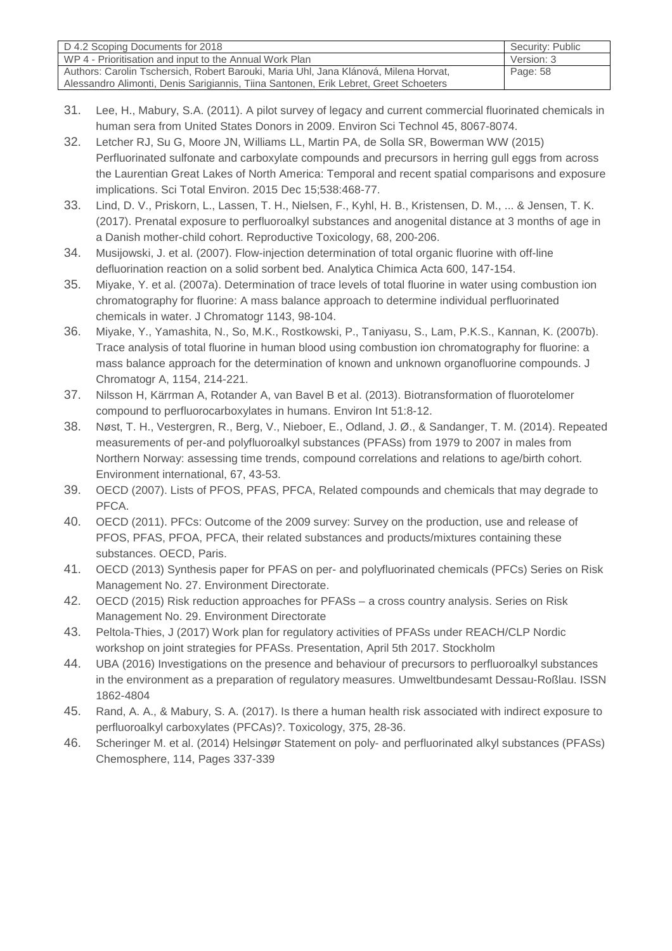| D 4.2 Scoping Documents for 2018                                                     | Security: Public |
|--------------------------------------------------------------------------------------|------------------|
| WP 4 - Prioritisation and input to the Annual Work Plan                              | Version: 3       |
| Authors: Carolin Tschersich, Robert Barouki, Maria Uhl, Jana Klánová, Milena Horvat, | Page: 58         |
| Alessandro Alimonti, Denis Sarigiannis, Tiina Santonen, Erik Lebret, Greet Schoeters |                  |

- 31. Lee, H., Mabury, S.A. (2011). A pilot survey of legacy and current commercial fluorinated chemicals in human sera from United States Donors in 2009. Environ Sci Technol 45, 8067-8074.
- 32. Letcher RJ, Su G, Moore JN, Williams LL, Martin PA, de Solla SR, Bowerman WW (2015) Perfluorinated sulfonate and carboxylate compounds and precursors in herring gull eggs from across the Laurentian Great Lakes of North America: Temporal and recent spatial comparisons and exposure implications. Sci Total Environ. 2015 Dec 15;538:468-77.
- 33. Lind, D. V., Priskorn, L., Lassen, T. H., Nielsen, F., Kyhl, H. B., Kristensen, D. M., ... & Jensen, T. K. (2017). Prenatal exposure to perfluoroalkyl substances and anogenital distance at 3 months of age in a Danish mother-child cohort. Reproductive Toxicology, 68, 200-206.
- 34. Musijowski, J. et al. (2007). Flow-injection determination of total organic fluorine with off-line defluorination reaction on a solid sorbent bed. Analytica Chimica Acta 600, 147-154.
- 35. Miyake, Y. et al. (2007a). Determination of trace levels of total fluorine in water using combustion ion chromatography for fluorine: A mass balance approach to determine individual perfluorinated chemicals in water. J Chromatogr 1143, 98-104.
- 36. Miyake, Y., Yamashita, N., So, M.K., Rostkowski, P., Taniyasu, S., Lam, P.K.S., Kannan, K. (2007b). Trace analysis of total fluorine in human blood using combustion ion chromatography for fluorine: a mass balance approach for the determination of known and unknown organofluorine compounds. J Chromatogr A, 1154, 214-221.
- 37. Nilsson H, Kärrman A, Rotander A, van Bavel B et al. (2013). Biotransformation of fluorotelomer compound to perfluorocarboxylates in humans. Environ Int 51:8-12.
- 38. Nøst, T. H., Vestergren, R., Berg, V., Nieboer, E., Odland, J. Ø., & Sandanger, T. M. (2014). Repeated measurements of per-and polyfluoroalkyl substances (PFASs) from 1979 to 2007 in males from Northern Norway: assessing time trends, compound correlations and relations to age/birth cohort. Environment international, 67, 43-53.
- 39. OECD (2007). Lists of PFOS, PFAS, PFCA, Related compounds and chemicals that may degrade to PFCA.
- 40. OECD (2011). PFCs: Outcome of the 2009 survey: Survey on the production, use and release of PFOS, PFAS, PFOA, PFCA, their related substances and products/mixtures containing these substances. OECD, Paris.
- 41. OECD (2013) Synthesis paper for PFAS on per- and polyfluorinated chemicals (PFCs) Series on Risk Management No. 27. Environment Directorate.
- 42. OECD (2015) Risk reduction approaches for PFASs a cross country analysis. Series on Risk Management No. 29. Environment Directorate
- 43. Peltola-Thies, J (2017) Work plan for regulatory activities of PFASs under REACH/CLP Nordic workshop on joint strategies for PFASs. Presentation, April 5th 2017. Stockholm
- 44. UBA (2016) Investigations on the presence and behaviour of precursors to perfluoroalkyl substances in the environment as a preparation of regulatory measures. Umweltbundesamt Dessau-Roßlau. ISSN 1862-4804
- 45. Rand, A. A., & Mabury, S. A. (2017). Is there a human health risk associated with indirect exposure to perfluoroalkyl carboxylates (PFCAs)?. Toxicology, 375, 28-36.
- 46. Scheringer M. et al. (2014) Helsingør Statement on poly- and perfluorinated alkyl substances (PFASs) Chemosphere, 114, Pages 337-339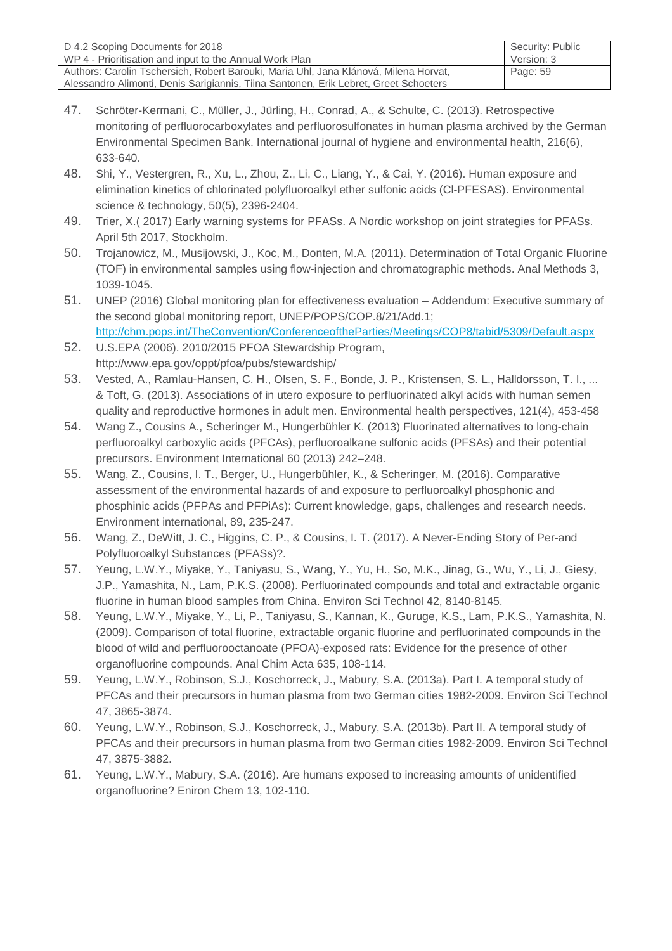| D 4.2 Scoping Documents for 2018                                                     | Security: Public |
|--------------------------------------------------------------------------------------|------------------|
| WP 4 - Prioritisation and input to the Annual Work Plan                              | Version: 3       |
| Authors: Carolin Tschersich, Robert Barouki, Maria Uhl, Jana Klánová, Milena Horvat, | Page: 59         |
| Alessandro Alimonti, Denis Sarigiannis, Tiina Santonen, Erik Lebret, Greet Schoeters |                  |

- 47. Schröter-Kermani, C., Müller, J., Jürling, H., Conrad, A., & Schulte, C. (2013). Retrospective monitoring of perfluorocarboxylates and perfluorosulfonates in human plasma archived by the German Environmental Specimen Bank. International journal of hygiene and environmental health, 216(6), 633-640.
- 48. Shi, Y., Vestergren, R., Xu, L., Zhou, Z., Li, C., Liang, Y., & Cai, Y. (2016). Human exposure and elimination kinetics of chlorinated polyfluoroalkyl ether sulfonic acids (Cl-PFESAS). Environmental science & technology, 50(5), 2396-2404.
- 49. Trier, X.( 2017) Early warning systems for PFASs. A Nordic workshop on joint strategies for PFASs. April 5th 2017, Stockholm.
- 50. Trojanowicz, M., Musijowski, J., Koc, M., Donten, M.A. (2011). Determination of Total Organic Fluorine (TOF) in environmental samples using flow-injection and chromatographic methods. Anal Methods 3, 1039-1045.
- 51. UNEP (2016) Global monitoring plan for effectiveness evaluation Addendum: Executive summary of the second global monitoring report, UNEP/POPS/COP.8/21/Add.1; http://chm.pops.int/TheConvention/ConferenceoftheParties/Meetings/COP8/tabid/5309/Default.aspx
- 52. U.S.EPA (2006). 2010/2015 PFOA Stewardship Program, http://www.epa.gov/oppt/pfoa/pubs/stewardship/
- 53. Vested, A., Ramlau-Hansen, C. H., Olsen, S. F., Bonde, J. P., Kristensen, S. L., Halldorsson, T. I., ... & Toft, G. (2013). Associations of in utero exposure to perfluorinated alkyl acids with human semen quality and reproductive hormones in adult men. Environmental health perspectives, 121(4), 453-458
- 54. Wang Z., Cousins A., Scheringer M., Hungerbühler K. (2013) Fluorinated alternatives to long-chain perfluoroalkyl carboxylic acids (PFCAs), perfluoroalkane sulfonic acids (PFSAs) and their potential precursors. Environment International 60 (2013) 242–248.
- 55. Wang, Z., Cousins, I. T., Berger, U., Hungerbühler, K., & Scheringer, M. (2016). Comparative assessment of the environmental hazards of and exposure to perfluoroalkyl phosphonic and phosphinic acids (PFPAs and PFPiAs): Current knowledge, gaps, challenges and research needs. Environment international, 89, 235-247.
- 56. Wang, Z., DeWitt, J. C., Higgins, C. P., & Cousins, I. T. (2017). A Never-Ending Story of Per-and Polyfluoroalkyl Substances (PFASs)?.
- 57. Yeung, L.W.Y., Miyake, Y., Taniyasu, S., Wang, Y., Yu, H., So, M.K., Jinag, G., Wu, Y., Li, J., Giesy, J.P., Yamashita, N., Lam, P.K.S. (2008). Perfluorinated compounds and total and extractable organic fluorine in human blood samples from China. Environ Sci Technol 42, 8140-8145.
- 58. Yeung, L.W.Y., Miyake, Y., Li, P., Taniyasu, S., Kannan, K., Guruge, K.S., Lam, P.K.S., Yamashita, N. (2009). Comparison of total fluorine, extractable organic fluorine and perfluorinated compounds in the blood of wild and perfluorooctanoate (PFOA)-exposed rats: Evidence for the presence of other organofluorine compounds. Anal Chim Acta 635, 108-114.
- 59. Yeung, L.W.Y., Robinson, S.J., Koschorreck, J., Mabury, S.A. (2013a). Part I. A temporal study of PFCAs and their precursors in human plasma from two German cities 1982-2009. Environ Sci Technol 47, 3865-3874.
- 60. Yeung, L.W.Y., Robinson, S.J., Koschorreck, J., Mabury, S.A. (2013b). Part II. A temporal study of PFCAs and their precursors in human plasma from two German cities 1982-2009. Environ Sci Technol 47, 3875-3882.
- 61. Yeung, L.W.Y., Mabury, S.A. (2016). Are humans exposed to increasing amounts of unidentified organofluorine? Eniron Chem 13, 102-110.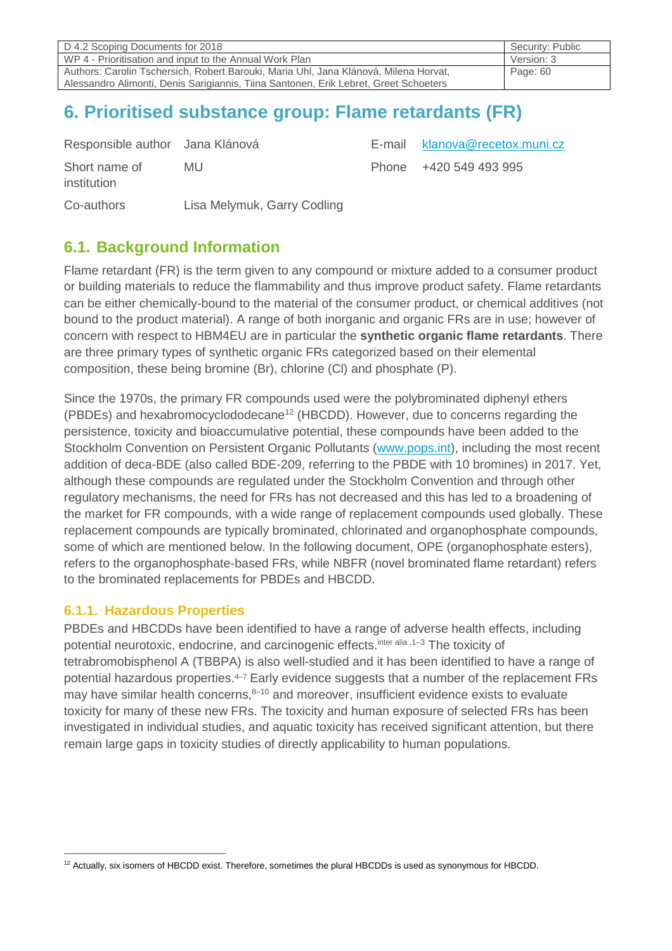| D 4.2 Scoping Documents for 2018                                                                                                                                             | Security: Public |
|------------------------------------------------------------------------------------------------------------------------------------------------------------------------------|------------------|
| WP 4 - Prioritisation and input to the Annual Work Plan                                                                                                                      | Version: 3       |
| Authors: Carolin Tschersich, Robert Barouki, Maria Uhl, Jana Klánová, Milena Horvat,<br>Alessandro Alimonti, Denis Sarigiannis, Tiina Santonen, Erik Lebret, Greet Schoeters | Page: 60         |

# **6. Prioritised substance group: Flame retardants (FR)**

| Responsible author Jana Klánová |                             | E-mail klanova@recetox.muni.cz |
|---------------------------------|-----------------------------|--------------------------------|
| Short name of<br>institution    | MU                          | Phone +420 549 493 995         |
| Co-authors                      | Lisa Melymuk, Garry Codling |                                |

## **6.1. Background Information**

Flame retardant (FR) is the term given to any compound or mixture added to a consumer product or building materials to reduce the flammability and thus improve product safety. Flame retardants can be either chemically-bound to the material of the consumer product, or chemical additives (not bound to the product material). A range of both inorganic and organic FRs are in use; however of concern with respect to HBM4EU are in particular the **synthetic organic flame retardants**. There are three primary types of synthetic organic FRs categorized based on their elemental composition, these being bromine (Br), chlorine (Cl) and phosphate (P).

Since the 1970s, the primary FR compounds used were the polybrominated diphenyl ethers (PBDEs) and hexabromocyclododecane<sup>12</sup> (HBCDD). However, due to concerns regarding the persistence, toxicity and bioaccumulative potential, these compounds have been added to the Stockholm Convention on Persistent Organic Pollutants (www.pops.int), including the most recent addition of deca-BDE (also called BDE-209, referring to the PBDE with 10 bromines) in 2017. Yet, although these compounds are regulated under the Stockholm Convention and through other regulatory mechanisms, the need for FRs has not decreased and this has led to a broadening of the market for FR compounds, with a wide range of replacement compounds used globally. These replacement compounds are typically brominated, chlorinated and organophosphate compounds, some of which are mentioned below. In the following document, OPE (organophosphate esters), refers to the organophosphate-based FRs, while NBFR (novel brominated flame retardant) refers to the brominated replacements for PBDEs and HBCDD.

#### **6.1.1. Hazardous Properties**

PBDEs and HBCDDs have been identified to have a range of adverse health effects, including potential neurotoxic, endocrine, and carcinogenic effects. inter alia , 1-3 The toxicity of tetrabromobisphenol A (TBBPA) is also well-studied and it has been identified to have a range of potential hazardous properties.<sup>4-7</sup> Early evidence suggests that a number of the replacement FRs may have similar health concerns, $8-10$  and moreover, insufficient evidence exists to evaluate toxicity for many of these new FRs. The toxicity and human exposure of selected FRs has been investigated in individual studies, and aquatic toxicity has received significant attention, but there remain large gaps in toxicity studies of directly applicability to human populations.

 $\overline{a}$  $12$  Actually, six isomers of HBCDD exist. Therefore, sometimes the plural HBCDDs is used as synonymous for HBCDD.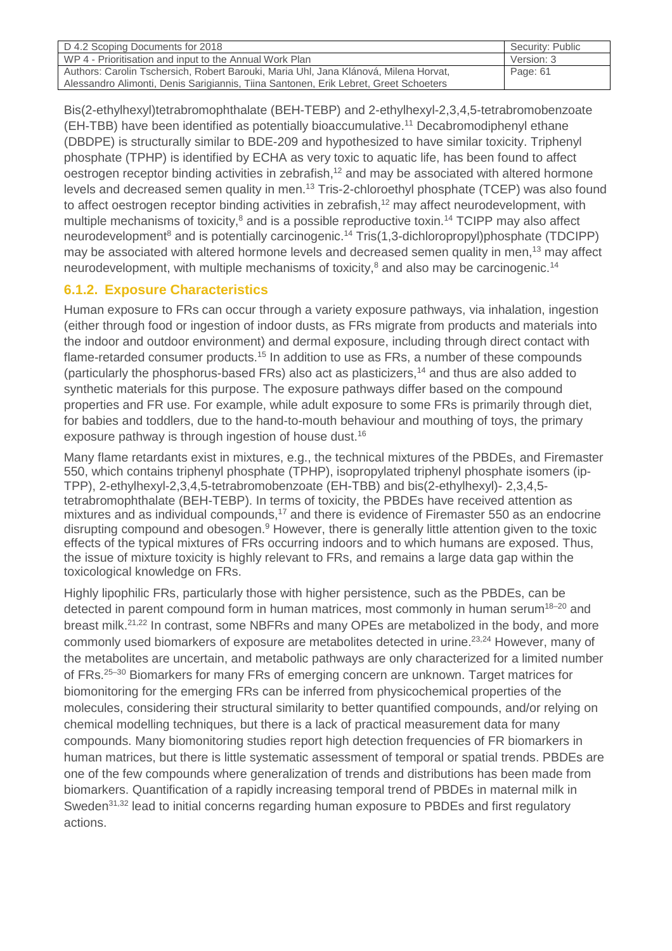| D 4.2 Scoping Documents for 2018                                                     | Security: Public |
|--------------------------------------------------------------------------------------|------------------|
| WP 4 - Prioritisation and input to the Annual Work Plan                              | Version: 3       |
| Authors: Carolin Tschersich, Robert Barouki, Maria Uhl, Jana Klánová, Milena Horvat, | Page: 61         |
| Alessandro Alimonti, Denis Sarigiannis, Tiina Santonen, Erik Lebret, Greet Schoeters |                  |

Bis(2-ethylhexyl)tetrabromophthalate (BEH-TEBP) and 2-ethylhexyl-2,3,4,5-tetrabromobenzoate (EH-TBB) have been identified as potentially bioaccumulative.<sup>11</sup> Decabromodiphenyl ethane (DBDPE) is structurally similar to BDE-209 and hypothesized to have similar toxicity. Triphenyl phosphate (TPHP) is identified by ECHA as very toxic to aquatic life, has been found to affect oestrogen receptor binding activities in zebrafish,<sup>12</sup> and may be associated with altered hormone levels and decreased semen quality in men.<sup>13</sup> Tris-2-chloroethyl phosphate (TCEP) was also found to affect oestrogen receptor binding activities in zebrafish,<sup>12</sup> may affect neurodevelopment, with multiple mechanisms of toxicity, $^8$  and is a possible reproductive toxin.<sup>14</sup> TCIPP may also affect neurodevelopment<sup>8</sup> and is potentially carcinogenic.<sup>14</sup> Tris(1,3-dichloropropyl)phosphate (TDCIPP) may be associated with altered hormone levels and decreased semen quality in men,<sup>13</sup> may affect neurodevelopment, with multiple mechanisms of toxicity,<sup>8</sup> and also may be carcinogenic.<sup>14</sup>

### **6.1.2. Exposure Characteristics**

Human exposure to FRs can occur through a variety exposure pathways, via inhalation, ingestion (either through food or ingestion of indoor dusts, as FRs migrate from products and materials into the indoor and outdoor environment) and dermal exposure, including through direct contact with flame-retarded consumer products.<sup>15</sup> In addition to use as FRs, a number of these compounds (particularly the phosphorus-based FRs) also act as plasticizers,<sup>14</sup> and thus are also added to synthetic materials for this purpose. The exposure pathways differ based on the compound properties and FR use. For example, while adult exposure to some FRs is primarily through diet, for babies and toddlers, due to the hand-to-mouth behaviour and mouthing of toys, the primary exposure pathway is through ingestion of house dust.<sup>16</sup>

Many flame retardants exist in mixtures, e.g., the technical mixtures of the PBDEs, and Firemaster 550, which contains triphenyl phosphate (TPHP), isopropylated triphenyl phosphate isomers (ip-TPP), 2-ethylhexyl-2,3,4,5-tetrabromobenzoate (EH-TBB) and bis(2-ethylhexyl)- 2,3,4,5 tetrabromophthalate (BEH-TEBP). In terms of toxicity, the PBDEs have received attention as mixtures and as individual compounds,<sup>17</sup> and there is evidence of Firemaster 550 as an endocrine disrupting compound and obesogen.<sup>9</sup> However, there is generally little attention given to the toxic effects of the typical mixtures of FRs occurring indoors and to which humans are exposed. Thus, the issue of mixture toxicity is highly relevant to FRs, and remains a large data gap within the toxicological knowledge on FRs.

Highly lipophilic FRs, particularly those with higher persistence, such as the PBDEs, can be detected in parent compound form in human matrices, most commonly in human serum<sup>18-20</sup> and breast milk.<sup>21,22</sup> In contrast, some NBFRs and many OPEs are metabolized in the body, and more commonly used biomarkers of exposure are metabolites detected in urine.<sup>23,24</sup> However, many of the metabolites are uncertain, and metabolic pathways are only characterized for a limited number of FRs.<sup>25–30</sup> Biomarkers for many FRs of emerging concern are unknown. Target matrices for biomonitoring for the emerging FRs can be inferred from physicochemical properties of the molecules, considering their structural similarity to better quantified compounds, and/or relying on chemical modelling techniques, but there is a lack of practical measurement data for many compounds. Many biomonitoring studies report high detection frequencies of FR biomarkers in human matrices, but there is little systematic assessment of temporal or spatial trends. PBDEs are one of the few compounds where generalization of trends and distributions has been made from biomarkers. Quantification of a rapidly increasing temporal trend of PBDEs in maternal milk in Sweden<sup>31,32</sup> lead to initial concerns regarding human exposure to PBDEs and first regulatory actions.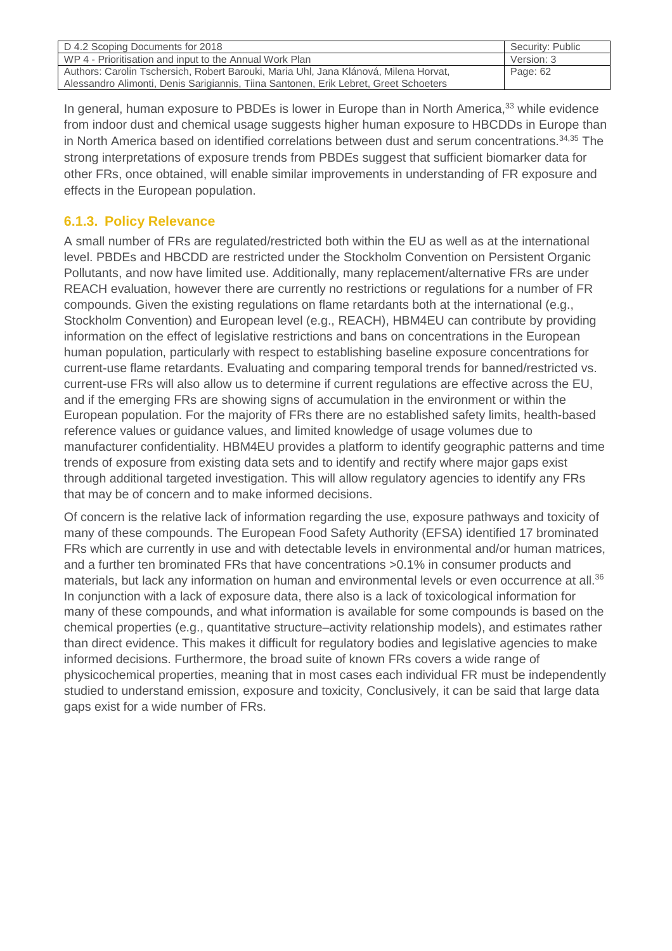| D 4.2 Scoping Documents for 2018                                                     | Security: Public |
|--------------------------------------------------------------------------------------|------------------|
| WP 4 - Prioritisation and input to the Annual Work Plan                              | Version: 3       |
| Authors: Carolin Tschersich, Robert Barouki, Maria Uhl, Jana Klánová, Milena Horvat, | Page: 62         |
| Alessandro Alimonti, Denis Sarigiannis, Tiina Santonen, Erik Lebret, Greet Schoeters |                  |

In general, human exposure to PBDEs is lower in Europe than in North America.<sup>33</sup> while evidence from indoor dust and chemical usage suggests higher human exposure to HBCDDs in Europe than in North America based on identified correlations between dust and serum concentrations.<sup>34,35</sup> The strong interpretations of exposure trends from PBDEs suggest that sufficient biomarker data for other FRs, once obtained, will enable similar improvements in understanding of FR exposure and effects in the European population.

#### **6.1.3. Policy Relevance**

A small number of FRs are regulated/restricted both within the EU as well as at the international level. PBDEs and HBCDD are restricted under the Stockholm Convention on Persistent Organic Pollutants, and now have limited use. Additionally, many replacement/alternative FRs are under REACH evaluation, however there are currently no restrictions or regulations for a number of FR compounds. Given the existing regulations on flame retardants both at the international (e.g., Stockholm Convention) and European level (e.g., REACH), HBM4EU can contribute by providing information on the effect of legislative restrictions and bans on concentrations in the European human population, particularly with respect to establishing baseline exposure concentrations for current-use flame retardants. Evaluating and comparing temporal trends for banned/restricted vs. current-use FRs will also allow us to determine if current regulations are effective across the EU, and if the emerging FRs are showing signs of accumulation in the environment or within the European population. For the majority of FRs there are no established safety limits, health-based reference values or guidance values, and limited knowledge of usage volumes due to manufacturer confidentiality. HBM4EU provides a platform to identify geographic patterns and time trends of exposure from existing data sets and to identify and rectify where major gaps exist through additional targeted investigation. This will allow regulatory agencies to identify any FRs that may be of concern and to make informed decisions.

Of concern is the relative lack of information regarding the use, exposure pathways and toxicity of many of these compounds. The European Food Safety Authority (EFSA) identified 17 brominated FRs which are currently in use and with detectable levels in environmental and/or human matrices, and a further ten brominated FRs that have concentrations >0.1% in consumer products and materials, but lack any information on human and environmental levels or even occurrence at all.<sup>36</sup> In conjunction with a lack of exposure data, there also is a lack of toxicological information for many of these compounds, and what information is available for some compounds is based on the chemical properties (e.g., quantitative structure–activity relationship models), and estimates rather than direct evidence. This makes it difficult for regulatory bodies and legislative agencies to make informed decisions. Furthermore, the broad suite of known FRs covers a wide range of physicochemical properties, meaning that in most cases each individual FR must be independently studied to understand emission, exposure and toxicity, Conclusively, it can be said that large data gaps exist for a wide number of FRs.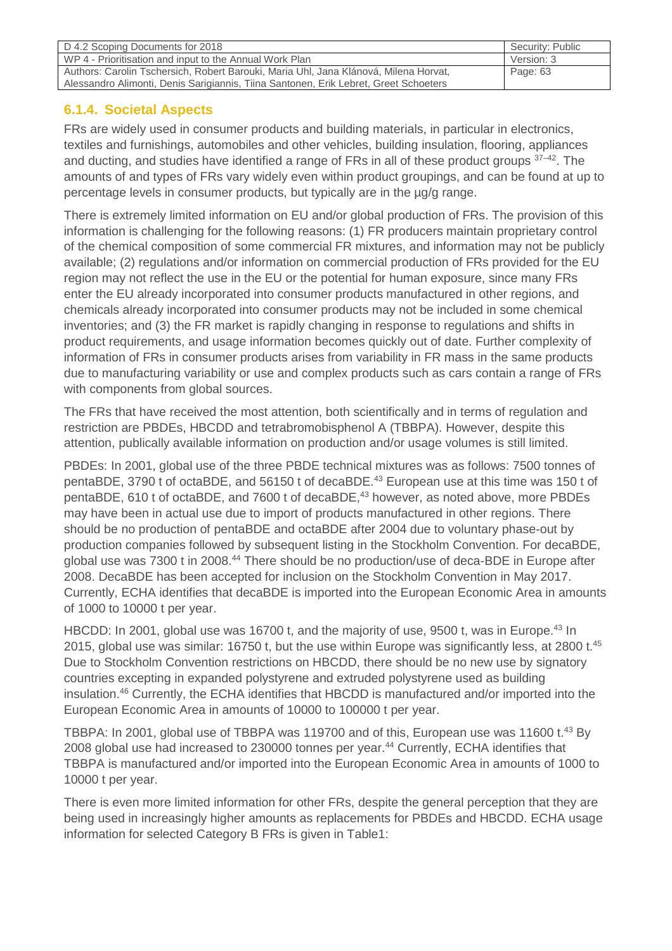| D 4.2 Scoping Documents for 2018                                                     | Security: Public |
|--------------------------------------------------------------------------------------|------------------|
| WP 4 - Prioritisation and input to the Annual Work Plan                              | Version: 3       |
| Authors: Carolin Tschersich, Robert Barouki, Maria Uhl, Jana Klánová, Milena Horvat, | Page: 63         |
| Alessandro Alimonti, Denis Sarigiannis, Tiina Santonen, Erik Lebret, Greet Schoeters |                  |

### **6.1.4. Societal Aspects**

FRs are widely used in consumer products and building materials, in particular in electronics, textiles and furnishings, automobiles and other vehicles, building insulation, flooring, appliances and ducting, and studies have identified a range of FRs in all of these product groups  $37-42$ . The amounts of and types of FRs vary widely even within product groupings, and can be found at up to percentage levels in consumer products, but typically are in the ug/g range.

There is extremely limited information on EU and/or global production of FRs. The provision of this information is challenging for the following reasons: (1) FR producers maintain proprietary control of the chemical composition of some commercial FR mixtures, and information may not be publicly available; (2) regulations and/or information on commercial production of FRs provided for the EU region may not reflect the use in the EU or the potential for human exposure, since many FRs enter the EU already incorporated into consumer products manufactured in other regions, and chemicals already incorporated into consumer products may not be included in some chemical inventories; and (3) the FR market is rapidly changing in response to regulations and shifts in product requirements, and usage information becomes quickly out of date. Further complexity of information of FRs in consumer products arises from variability in FR mass in the same products due to manufacturing variability or use and complex products such as cars contain a range of FRs with components from global sources.

The FRs that have received the most attention, both scientifically and in terms of regulation and restriction are PBDEs, HBCDD and tetrabromobisphenol A (TBBPA). However, despite this attention, publically available information on production and/or usage volumes is still limited.

PBDEs: In 2001, global use of the three PBDE technical mixtures was as follows: 7500 tonnes of pentaBDE, 3790 t of octaBDE, and 56150 t of decaBDE.<sup>43</sup> European use at this time was 150 t of pentaBDE, 610 t of octaBDE, and 7600 t of decaBDE,<sup>43</sup> however, as noted above, more PBDEs may have been in actual use due to import of products manufactured in other regions. There should be no production of pentaBDE and octaBDE after 2004 due to voluntary phase-out by production companies followed by subsequent listing in the Stockholm Convention. For decaBDE, global use was 7300 t in 2008.<sup>44</sup> There should be no production/use of deca-BDE in Europe after 2008. DecaBDE has been accepted for inclusion on the Stockholm Convention in May 2017. Currently, ECHA identifies that decaBDE is imported into the European Economic Area in amounts of 1000 to 10000 t per year.

HBCDD: In 2001, global use was 16700 t, and the majority of use, 9500 t, was in Europe.<sup>43</sup> In 2015, global use was similar: 16750 t, but the use within Europe was significantly less, at 2800 t.<sup>45</sup> Due to Stockholm Convention restrictions on HBCDD, there should be no new use by signatory countries excepting in expanded polystyrene and extruded polystyrene used as building insulation.<sup>46</sup> Currently, the ECHA identifies that HBCDD is manufactured and/or imported into the European Economic Area in amounts of 10000 to 100000 t per year.

TBBPA: In 2001, global use of TBBPA was 119700 and of this, European use was 11600 t.<sup>43</sup> By 2008 global use had increased to 230000 tonnes per year.<sup>44</sup> Currently, ECHA identifies that TBBPA is manufactured and/or imported into the European Economic Area in amounts of 1000 to 10000 t per year.

There is even more limited information for other FRs, despite the general perception that they are being used in increasingly higher amounts as replacements for PBDEs and HBCDD. ECHA usage information for selected Category B FRs is given in Table1: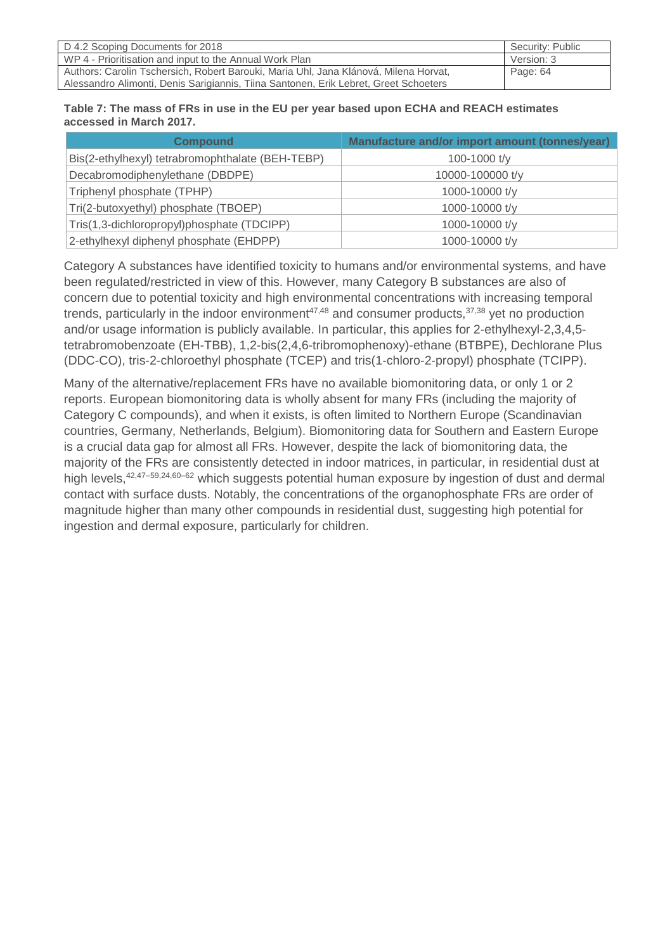| D 4.2 Scoping Documents for 2018                                                     | Security: Public |
|--------------------------------------------------------------------------------------|------------------|
| WP 4 - Prioritisation and input to the Annual Work Plan                              | Version: 3       |
| Authors: Carolin Tschersich, Robert Barouki, Maria Uhl, Jana Klánová, Milena Horvat, | Page: 64         |
| Alessandro Alimonti, Denis Sarigiannis, Tiina Santonen, Erik Lebret, Greet Schoeters |                  |

#### **Table 7: The mass of FRs in use in the EU per year based upon ECHA and REACH estimates accessed in March 2017.**

| <b>Compound</b>                                  | Manufacture and/or import amount (tonnes/year) |
|--------------------------------------------------|------------------------------------------------|
| Bis(2-ethylhexyl) tetrabromophthalate (BEH-TEBP) | 100-1000 t/y                                   |
| Decabromodiphenylethane (DBDPE)                  | 10000-100000 t/y                               |
| Triphenyl phosphate (TPHP)                       | 1000-10000 t/y                                 |
| Tri(2-butoxyethyl) phosphate (TBOEP)             | 1000-10000 t/y                                 |
| Tris(1,3-dichloropropyl)phosphate (TDCIPP)       | 1000-10000 t/y                                 |
| 2-ethylhexyl diphenyl phosphate (EHDPP)          | 1000-10000 t/y                                 |

Category A substances have identified toxicity to humans and/or environmental systems, and have been regulated/restricted in view of this. However, many Category B substances are also of concern due to potential toxicity and high environmental concentrations with increasing temporal trends, particularly in the indoor environment<sup>47,48</sup> and consumer products,  $37,38$  yet no production and/or usage information is publicly available. In particular, this applies for 2-ethylhexyl-2,3,4,5 tetrabromobenzoate (EH-TBB), 1,2-bis(2,4,6-tribromophenoxy)-ethane (BTBPE), Dechlorane Plus (DDC-CO), tris-2-chloroethyl phosphate (TCEP) and tris(1-chloro-2-propyl) phosphate (TCIPP).

Many of the alternative/replacement FRs have no available biomonitoring data, or only 1 or 2 reports. European biomonitoring data is wholly absent for many FRs (including the majority of Category C compounds), and when it exists, is often limited to Northern Europe (Scandinavian countries, Germany, Netherlands, Belgium). Biomonitoring data for Southern and Eastern Europe is a crucial data gap for almost all FRs. However, despite the lack of biomonitoring data, the majority of the FRs are consistently detected in indoor matrices, in particular, in residential dust at high levels,<sup>42,47–59,24,60–62</sup> which suggests potential human exposure by ingestion of dust and dermal contact with surface dusts. Notably, the concentrations of the organophosphate FRs are order of magnitude higher than many other compounds in residential dust, suggesting high potential for ingestion and dermal exposure, particularly for children.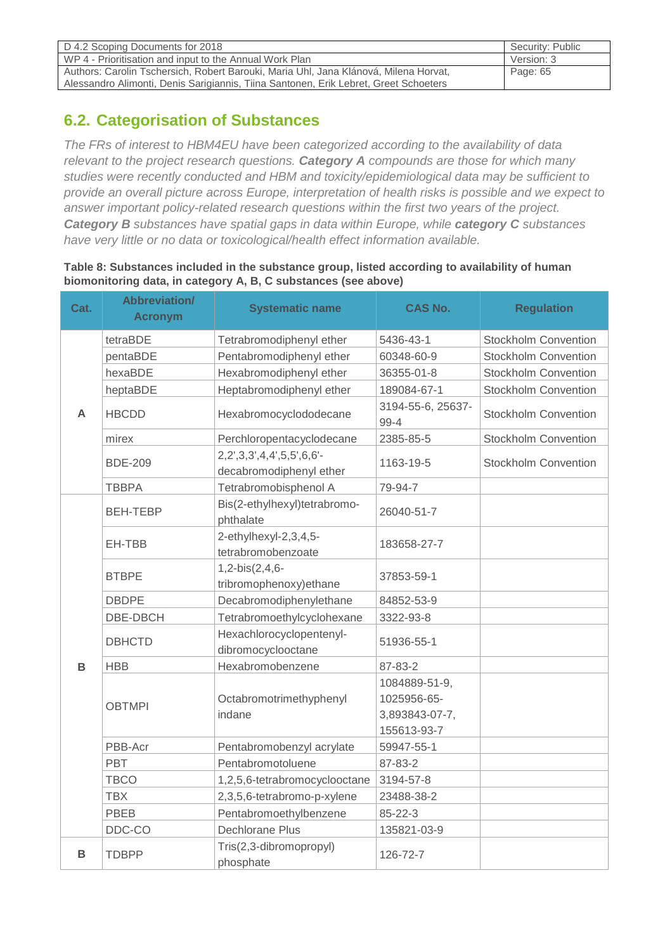| D 4.2 Scoping Documents for 2018                                                     | Security: Public |
|--------------------------------------------------------------------------------------|------------------|
| WP 4 - Prioritisation and input to the Annual Work Plan                              | Version: 3       |
| Authors: Carolin Tschersich, Robert Barouki, Maria Uhl, Jana Klánová, Milena Horvat, | Page: 65         |
| Alessandro Alimonti, Denis Sarigiannis, Tiina Santonen, Erik Lebret, Greet Schoeters |                  |

## **6.2. Categorisation of Substances**

The FRs of interest to HBM4EU have been categorized according to the availability of data relevant to the project research questions. **Category A** compounds are those for which many studies were recently conducted and HBM and toxicity/epidemiological data may be sufficient to provide an overall picture across Europe, interpretation of health risks is possible and we expect to answer important policy-related research questions within the first two years of the project. **Category B** substances have spatial gaps in data within Europe, while **category C** substances have very little or no data or toxicological/health effect information available.

#### **Table 8: Substances included in the substance group, listed according to availability of human biomonitoring data, in category A, B, C substances (see above)**

| Cat. | <b>Abbreviation/</b><br><b>Acronym</b> | <b>Systematic name</b>                                       | <b>CAS No.</b>                | <b>Regulation</b>           |
|------|----------------------------------------|--------------------------------------------------------------|-------------------------------|-----------------------------|
|      | tetraBDE                               | Tetrabromodiphenyl ether                                     | 5436-43-1                     | <b>Stockholm Convention</b> |
|      | pentaBDE                               | Pentabromodiphenyl ether                                     | 60348-60-9                    | <b>Stockholm Convention</b> |
|      | hexaBDE                                | Hexabromodiphenyl ether                                      | 36355-01-8                    | <b>Stockholm Convention</b> |
|      | heptaBDE                               | Heptabromodiphenyl ether                                     | 189084-67-1                   | <b>Stockholm Convention</b> |
| A    | <b>HBCDD</b>                           | Hexabromocyclododecane                                       | 3194-55-6, 25637-<br>99-4     | <b>Stockholm Convention</b> |
|      | mirex                                  | Perchloropentacyclodecane                                    | 2385-85-5                     | <b>Stockholm Convention</b> |
|      | <b>BDE-209</b>                         | $2,2',3,3',4,4',5,5',6,6'-$<br>decabromodiphenyl ether       | 1163-19-5                     | <b>Stockholm Convention</b> |
|      | <b>TBBPA</b>                           | Tetrabromobisphenol A                                        | 79-94-7                       |                             |
|      | <b>BEH-TEBP</b>                        | Bis(2-ethylhexyl)tetrabromo-<br>phthalate                    | 26040-51-7                    |                             |
|      | EH-TBB                                 | 2-ethylhexyl-2,3,4,5-<br>tetrabromobenzoate                  | 183658-27-7                   |                             |
|      | <b>BTBPE</b>                           | $1,2-bis(2,4,6-$<br>tribromophenoxy) ethane                  | 37853-59-1                    |                             |
|      | <b>DBDPE</b>                           | Decabromodiphenylethane                                      | 84852-53-9                    |                             |
|      | DBE-DBCH                               | Tetrabromoethylcyclohexane                                   | 3322-93-8                     |                             |
|      | <b>DBHCTD</b>                          | Hexachlorocyclopentenyl-<br>dibromocyclooctane               | 51936-55-1                    |                             |
| B    | <b>HBB</b>                             | Hexabromobenzene                                             | 87-83-2                       |                             |
|      | <b>OBTMPI</b>                          |                                                              | 1084889-51-9,                 |                             |
|      |                                        | Octabromotrimethyphenyl                                      | 1025956-65-<br>3,893843-07-7, |                             |
|      |                                        | indane                                                       |                               |                             |
|      |                                        |                                                              | 155613-93-7                   |                             |
|      | PBB-Acr<br><b>PBT</b>                  | Pentabromobenzyl acrylate                                    | 59947-55-1                    |                             |
|      | <b>TBCO</b>                            | Pentabromotoluene                                            | 87-83-2                       |                             |
|      | <b>TBX</b>                             | 1,2,5,6-tetrabromocyclooctane<br>2,3,5,6-tetrabromo-p-xylene | 3194-57-8<br>23488-38-2       |                             |
|      | <b>PBEB</b>                            | Pentabromoethylbenzene                                       | 85-22-3                       |                             |
|      | DDC-CO                                 | <b>Dechlorane Plus</b>                                       | 135821-03-9                   |                             |
|      |                                        | Tris(2,3-dibromopropyl)                                      |                               |                             |
| B    | <b>TDBPP</b>                           | phosphate                                                    | 126-72-7                      |                             |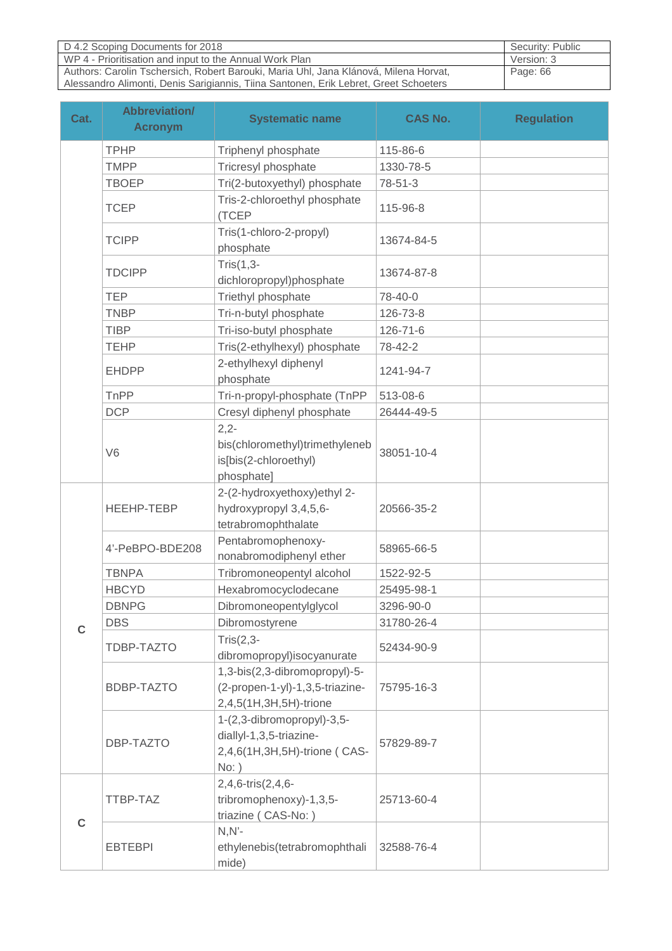| D 4.2 Scoping Documents for 2018                                                     | Security: Public |
|--------------------------------------------------------------------------------------|------------------|
| WP 4 - Prioritisation and input to the Annual Work Plan                              | Version: 3       |
| Authors: Carolin Tschersich, Robert Barouki, Maria Uhl, Jana Klánová, Milena Horvat, | Page: 66         |
| Alessandro Alimonti, Denis Sarigiannis, Tiina Santonen, Erik Lebret, Greet Schoeters |                  |

| Cat.        | Abbreviation/<br><b>Acronym</b> | <b>Systematic name</b>                                                                           | <b>CAS No.</b> | <b>Regulation</b> |
|-------------|---------------------------------|--------------------------------------------------------------------------------------------------|----------------|-------------------|
|             | <b>TPHP</b>                     | Triphenyl phosphate                                                                              | 115-86-6       |                   |
|             | <b>TMPP</b>                     | Tricresyl phosphate                                                                              | 1330-78-5      |                   |
|             | <b>TBOEP</b>                    | Tri(2-butoxyethyl) phosphate                                                                     | 78-51-3        |                   |
|             | <b>TCEP</b>                     | Tris-2-chloroethyl phosphate<br>(TCEP                                                            | 115-96-8       |                   |
|             | <b>TCIPP</b>                    | Tris(1-chloro-2-propyl)<br>phosphate                                                             | 13674-84-5     |                   |
|             | <b>TDCIPP</b>                   | $Tris(1,3-$<br>dichloropropyl)phosphate                                                          | 13674-87-8     |                   |
|             | <b>TEP</b>                      | Triethyl phosphate                                                                               | 78-40-0        |                   |
|             | <b>TNBP</b>                     | Tri-n-butyl phosphate                                                                            | 126-73-8       |                   |
|             | <b>TIBP</b>                     | Tri-iso-butyl phosphate                                                                          | 126-71-6       |                   |
|             | <b>TEHP</b>                     | Tris(2-ethylhexyl) phosphate                                                                     | 78-42-2        |                   |
|             | <b>EHDPP</b>                    | 2-ethylhexyl diphenyl<br>phosphate                                                               | 1241-94-7      |                   |
|             | TnPP                            | Tri-n-propyl-phosphate (TnPP                                                                     | 513-08-6       |                   |
|             | <b>DCP</b>                      | Cresyl diphenyl phosphate                                                                        | 26444-49-5     |                   |
|             | V <sub>6</sub>                  | $2,2-$<br>bis(chloromethyl)trimethyleneb<br>is[bis(2-chloroethyl)<br>phosphate]                  | 38051-10-4     |                   |
|             | <b>HEEHP-TEBP</b>               | 2-(2-hydroxyethoxy) ethyl 2-<br>hydroxypropyl 3,4,5,6-<br>tetrabromophthalate                    | 20566-35-2     |                   |
|             | 4'-PeBPO-BDE208                 | Pentabromophenoxy-<br>nonabromodiphenyl ether                                                    | 58965-66-5     |                   |
|             | <b>TBNPA</b>                    | Tribromoneopentyl alcohol                                                                        | 1522-92-5      |                   |
|             | <b>HBCYD</b>                    | Hexabromocyclodecane                                                                             | 25495-98-1     |                   |
|             | <b>DBNPG</b>                    | Dibromoneopentylglycol                                                                           | 3296-90-0      |                   |
| C           | <b>DBS</b>                      | Dibromostyrene                                                                                   | 31780-26-4     |                   |
|             | TDBP-TAZTO                      | $Tris(2,3-$<br>dibromopropyl)isocyanurate                                                        | 52434-90-9     |                   |
|             | BDBP-TAZTO                      | 1,3-bis(2,3-dibromopropyl)-5-<br>(2-propen-1-yl)-1,3,5-triazine-<br>2,4,5(1H,3H,5H)-trione       | 75795-16-3     |                   |
|             | DBP-TAZTO                       | 1-(2,3-dibromopropyl)-3,5-<br>diallyl-1,3,5-triazine-<br>2,4,6(1H,3H,5H)-trione (CAS-<br>$No:$ ) | 57829-89-7     |                   |
| $\mathbf C$ | TTBP-TAZ                        | 2,4,6-tris(2,4,6-<br>tribromophenoxy)-1,3,5-<br>triazine (CAS-No:)                               | 25713-60-4     |                   |
|             | <b>EBTEBPI</b>                  | $N, N'$ -<br>ethylenebis(tetrabromophthali<br>mide)                                              | 32588-76-4     |                   |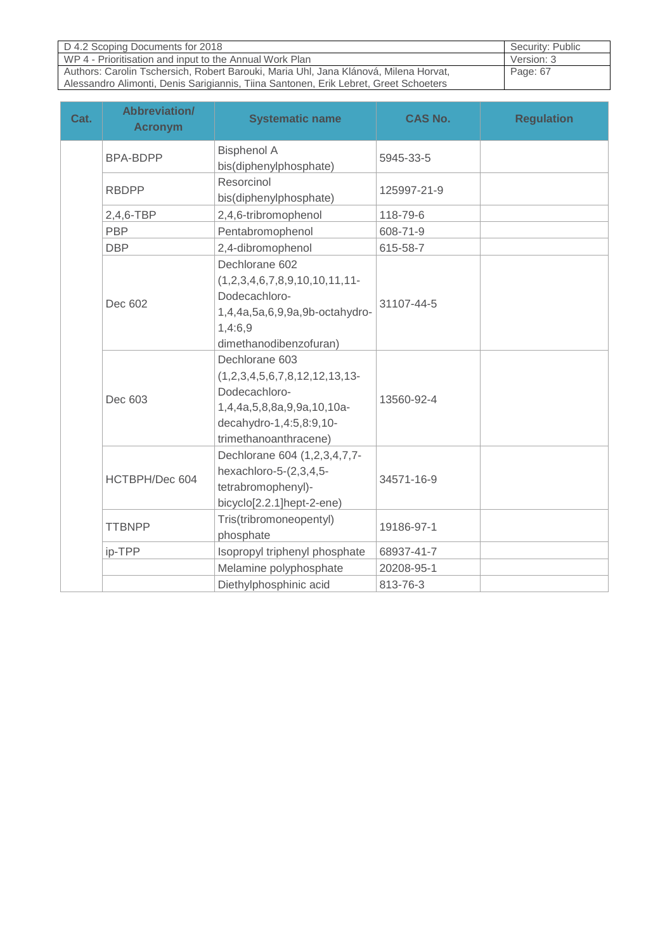| D 4.2 Scoping Documents for 2018                                                     | Security: Public |
|--------------------------------------------------------------------------------------|------------------|
| WP 4 - Prioritisation and input to the Annual Work Plan                              | Version: 3       |
| Authors: Carolin Tschersich, Robert Barouki, Maria Uhl, Jana Klánová, Milena Horvat, | Page: 67         |
| Alessandro Alimonti, Denis Sarigiannis, Tiina Santonen, Erik Lebret, Greet Schoeters |                  |

| Cat.                                                                            | Abbreviation/<br><b>Acronym</b> | <b>Systematic name</b>                                                                                                                               | <b>CAS No.</b> | <b>Regulation</b> |
|---------------------------------------------------------------------------------|---------------------------------|------------------------------------------------------------------------------------------------------------------------------------------------------|----------------|-------------------|
|                                                                                 | BPA-BDPP                        | <b>Bisphenol A</b><br>bis(diphenylphosphate)                                                                                                         | 5945-33-5      |                   |
|                                                                                 | <b>RBDPP</b>                    | Resorcinol<br>bis(diphenylphosphate)                                                                                                                 | 125997-21-9    |                   |
|                                                                                 | 2,4,6-TBP                       | 2,4,6-tribromophenol                                                                                                                                 | 118-79-6       |                   |
|                                                                                 | <b>PBP</b>                      | Pentabromophenol                                                                                                                                     | 608-71-9       |                   |
|                                                                                 | <b>DBP</b>                      | 2,4-dibromophenol                                                                                                                                    | 615-58-7       |                   |
| Dechlorane 602<br>Dodecachloro-<br>Dec 602<br>1,4:6,9<br>dimethanodibenzofuran) |                                 | $(1,2,3,4,6,7,8,9,10,10,11,11-$<br>1,4,4a,5a,6,9,9a,9b-octahydro-                                                                                    | 31107-44-5     |                   |
|                                                                                 | Dec 603                         | Dechlorane 603<br>$(1,2,3,4,5,6,7,8,12,12,13,13-$<br>Dodecachloro-<br>1,4,4a,5,8,8a,9,9a,10,10a-<br>decahydro-1,4:5,8:9,10-<br>trimethanoanthracene) | 13560-92-4     |                   |
|                                                                                 | HCTBPH/Dec 604                  | Dechlorane 604 (1,2,3,4,7,7-<br>hexachloro-5-(2,3,4,5-<br>tetrabromophenyl)-<br>bicyclo[2.2.1]hept-2-ene)                                            | 34571-16-9     |                   |
|                                                                                 | <b>TTBNPP</b>                   | Tris(tribromoneopentyl)<br>phosphate                                                                                                                 | 19186-97-1     |                   |
|                                                                                 | ip-TPP                          | Isopropyl triphenyl phosphate                                                                                                                        | 68937-41-7     |                   |
|                                                                                 |                                 | Melamine polyphosphate                                                                                                                               | 20208-95-1     |                   |
|                                                                                 |                                 | Diethylphosphinic acid                                                                                                                               | 813-76-3       |                   |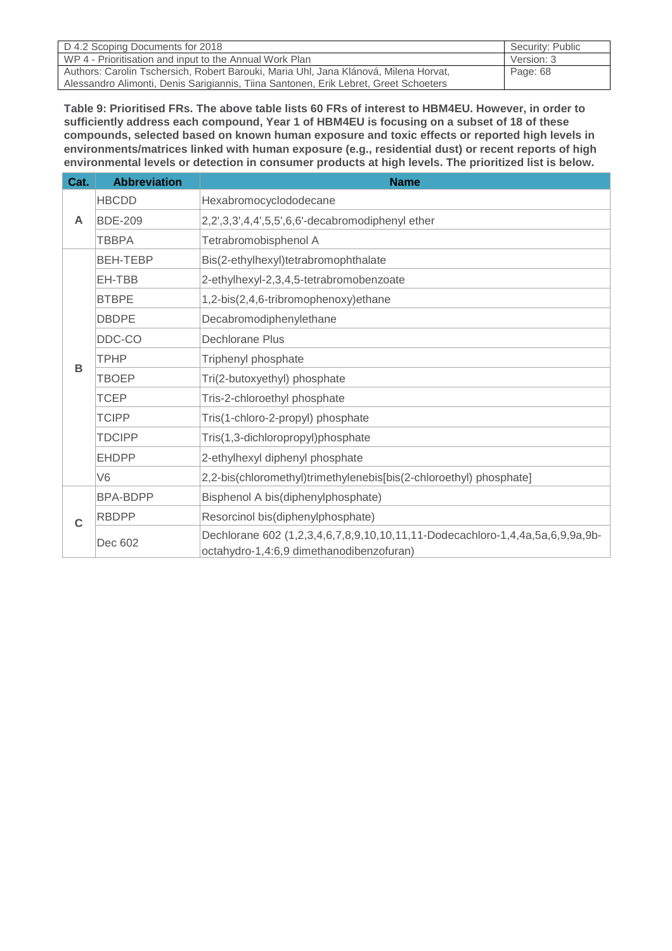| D 4.2 Scoping Documents for 2018                                                     | Security: Public |  |
|--------------------------------------------------------------------------------------|------------------|--|
| WP 4 - Prioritisation and input to the Annual Work Plan                              | Version: 3       |  |
| Authors: Carolin Tschersich, Robert Barouki, Maria Uhl, Jana Klánová, Milena Horvat, | Page: 68         |  |
| Alessandro Alimonti, Denis Sarigiannis, Tiina Santonen, Erik Lebret, Greet Schoeters |                  |  |

**Table 9: Prioritised FRs. The above table lists 60 FRs of interest to HBM4EU. However, in order to sufficiently address each compound, Year 1 of HBM4EU is focusing on a subset of 18 of these compounds, selected based on known human exposure and toxic effects or reported high levels in environments/matrices linked with human exposure (e.g., residential dust) or recent reports of high environmental levels or detection in consumer products at high levels. The prioritized list is below.** 

| Cat.        | <b>Abbreviation</b> | <b>Name</b>                                                                                                               |  |  |
|-------------|---------------------|---------------------------------------------------------------------------------------------------------------------------|--|--|
|             | <b>HBCDD</b>        | Hexabromocyclododecane                                                                                                    |  |  |
| A           | <b>BDE-209</b>      | 2,2',3,3',4,4',5,5',6,6'-decabromodiphenyl ether                                                                          |  |  |
|             | <b>TBBPA</b>        | Tetrabromobisphenol A                                                                                                     |  |  |
|             | <b>BEH-TEBP</b>     | Bis(2-ethylhexyl)tetrabromophthalate                                                                                      |  |  |
|             | EH-TBB              | 2-ethylhexyl-2,3,4,5-tetrabromobenzoate                                                                                   |  |  |
|             | <b>BTBPE</b>        | 1,2-bis(2,4,6-tribromophenoxy)ethane                                                                                      |  |  |
|             | <b>DBDPE</b>        | Decabromodiphenylethane                                                                                                   |  |  |
|             | DDC-CO              | <b>Dechlorane Plus</b>                                                                                                    |  |  |
|             | <b>TPHP</b>         | Triphenyl phosphate                                                                                                       |  |  |
| B           | <b>TBOEP</b>        | Tri(2-butoxyethyl) phosphate                                                                                              |  |  |
|             | <b>TCEP</b>         | Tris-2-chloroethyl phosphate                                                                                              |  |  |
|             | <b>TCIPP</b>        | Tris(1-chloro-2-propyl) phosphate                                                                                         |  |  |
|             | <b>TDCIPP</b>       | Tris(1,3-dichloropropyl)phosphate                                                                                         |  |  |
|             | <b>EHDPP</b>        | 2-ethylhexyl diphenyl phosphate                                                                                           |  |  |
|             | V <sub>6</sub>      | 2,2-bis(chloromethyl)trimethylenebis[bis(2-chloroethyl) phosphate]                                                        |  |  |
| $\mathbf C$ | <b>BPA-BDPP</b>     | Bisphenol A bis(diphenylphosphate)                                                                                        |  |  |
|             | <b>RBDPP</b>        | Resorcinol bis(diphenylphosphate)                                                                                         |  |  |
|             | Dec 602             | Dechlorane 602 (1,2,3,4,6,7,8,9,10,10,11,11-Dodecachloro-1,4,4a,5a,6,9,9a,9b-<br>octahydro-1,4:6,9 dimethanodibenzofuran) |  |  |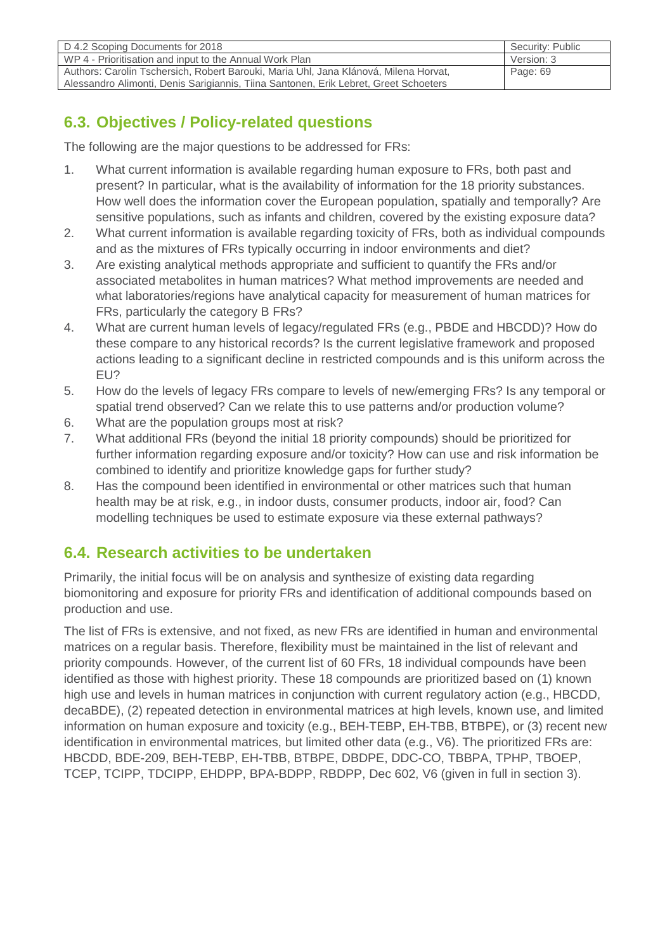| D 4.2 Scoping Documents for 2018                                                     | Security: Public |
|--------------------------------------------------------------------------------------|------------------|
| WP 4 - Prioritisation and input to the Annual Work Plan                              | Version: 3       |
| Authors: Carolin Tschersich, Robert Barouki, Maria Uhl, Jana Klánová, Milena Horvat, | Page: 69         |
| Alessandro Alimonti, Denis Sarigiannis, Tiina Santonen, Erik Lebret, Greet Schoeters |                  |

# **6.3. Objectives / Policy-related questions**

The following are the major questions to be addressed for FRs:

- 1. What current information is available regarding human exposure to FRs, both past and present? In particular, what is the availability of information for the 18 priority substances. How well does the information cover the European population, spatially and temporally? Are sensitive populations, such as infants and children, covered by the existing exposure data?
- 2. What current information is available regarding toxicity of FRs, both as individual compounds and as the mixtures of FRs typically occurring in indoor environments and diet?
- 3. Are existing analytical methods appropriate and sufficient to quantify the FRs and/or associated metabolites in human matrices? What method improvements are needed and what laboratories/regions have analytical capacity for measurement of human matrices for FRs, particularly the category B FRs?
- 4. What are current human levels of legacy/regulated FRs (e.g., PBDE and HBCDD)? How do these compare to any historical records? Is the current legislative framework and proposed actions leading to a significant decline in restricted compounds and is this uniform across the EU?
- 5. How do the levels of legacy FRs compare to levels of new/emerging FRs? Is any temporal or spatial trend observed? Can we relate this to use patterns and/or production volume?
- 6. What are the population groups most at risk?
- 7. What additional FRs (beyond the initial 18 priority compounds) should be prioritized for further information regarding exposure and/or toxicity? How can use and risk information be combined to identify and prioritize knowledge gaps for further study?
- 8. Has the compound been identified in environmental or other matrices such that human health may be at risk, e.g., in indoor dusts, consumer products, indoor air, food? Can modelling techniques be used to estimate exposure via these external pathways?

## **6.4. Research activities to be undertaken**

Primarily, the initial focus will be on analysis and synthesize of existing data regarding biomonitoring and exposure for priority FRs and identification of additional compounds based on production and use.

The list of FRs is extensive, and not fixed, as new FRs are identified in human and environmental matrices on a regular basis. Therefore, flexibility must be maintained in the list of relevant and priority compounds. However, of the current list of 60 FRs, 18 individual compounds have been identified as those with highest priority. These 18 compounds are prioritized based on (1) known high use and levels in human matrices in conjunction with current regulatory action (e.g., HBCDD, decaBDE), (2) repeated detection in environmental matrices at high levels, known use, and limited information on human exposure and toxicity (e.g., BEH-TEBP, EH-TBB, BTBPE), or (3) recent new identification in environmental matrices, but limited other data (e.g., V6). The prioritized FRs are: HBCDD, BDE-209, BEH-TEBP, EH-TBB, BTBPE, DBDPE, DDC-CO, TBBPA, TPHP, TBOEP, TCEP, TCIPP, TDCIPP, EHDPP, BPA-BDPP, RBDPP, Dec 602, V6 (given in full in section 3).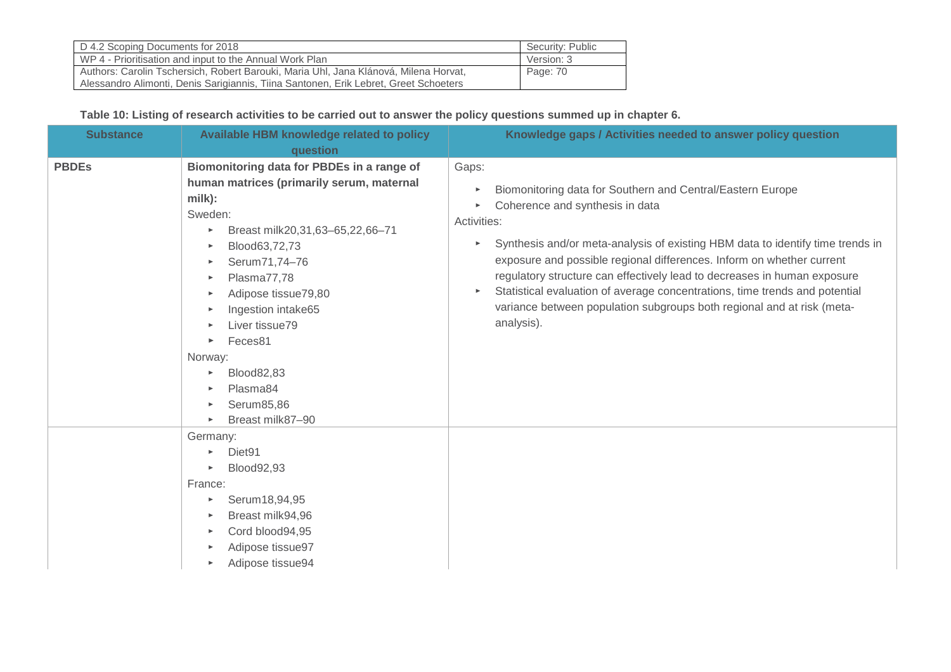| D 4.2 Scoping Documents for 2018                                                     | Security: Public |
|--------------------------------------------------------------------------------------|------------------|
| WP 4 - Prioritisation and input to the Annual Work Plan                              | Version: 3       |
| Authors: Carolin Tschersich, Robert Barouki, Maria Uhl, Jana Klánová, Milena Horvat, | Page: 70         |
| Alessandro Alimonti, Denis Sarigiannis, Tiina Santonen, Erik Lebret, Greet Schoeters |                  |

#### **Table 10: Listing of research activities to be carried out to answer the policy questions summed up in chapter 6.**

| <b>Substance</b> | Available HBM knowledge related to policy<br>question                                                                                                                                                                                                                                                                                                                                                                              | Knowledge gaps / Activities needed to answer policy question                                                                                                                                                                                                                                                                                                                                                                                                                                                                                                                          |
|------------------|------------------------------------------------------------------------------------------------------------------------------------------------------------------------------------------------------------------------------------------------------------------------------------------------------------------------------------------------------------------------------------------------------------------------------------|---------------------------------------------------------------------------------------------------------------------------------------------------------------------------------------------------------------------------------------------------------------------------------------------------------------------------------------------------------------------------------------------------------------------------------------------------------------------------------------------------------------------------------------------------------------------------------------|
| <b>PBDEs</b>     | Biomonitoring data for PBDEs in a range of<br>human matrices (primarily serum, maternal<br>milk):<br>Sweden:<br>Breast milk20,31,63-65,22,66-71<br>Þ.<br>Blood63,72,73<br>$\blacktriangleright$<br>Serum71,74-76<br>▶<br>Plasma77,78<br>▶<br>Adipose tissue79,80<br>▶<br>Ingestion intake65<br>▶<br>Liver tissue79<br>▶<br>Feces81<br>▶<br>Norway:<br>Blood82,83<br>▶<br>Plasma84<br>▸<br>Serum85,86<br>▶<br>Breast milk87-90<br>× | Gaps:<br>Biomonitoring data for Southern and Central/Eastern Europe<br>Coherence and synthesis in data<br>Activities:<br>Synthesis and/or meta-analysis of existing HBM data to identify time trends in<br>$\blacktriangleright$<br>exposure and possible regional differences. Inform on whether current<br>regulatory structure can effectively lead to decreases in human exposure<br>Statistical evaluation of average concentrations, time trends and potential<br>$\blacktriangleright$<br>variance between population subgroups both regional and at risk (meta-<br>analysis). |
|                  | Germany:<br>Diet <sub>91</sub><br>▶<br>Blood92,93<br>France:<br>Serum18,94,95<br>►<br>Breast milk94,96<br>▶<br>Cord blood94,95<br>▶<br>Adipose tissue97<br>▶<br>Adipose tissue94<br>Þ                                                                                                                                                                                                                                              |                                                                                                                                                                                                                                                                                                                                                                                                                                                                                                                                                                                       |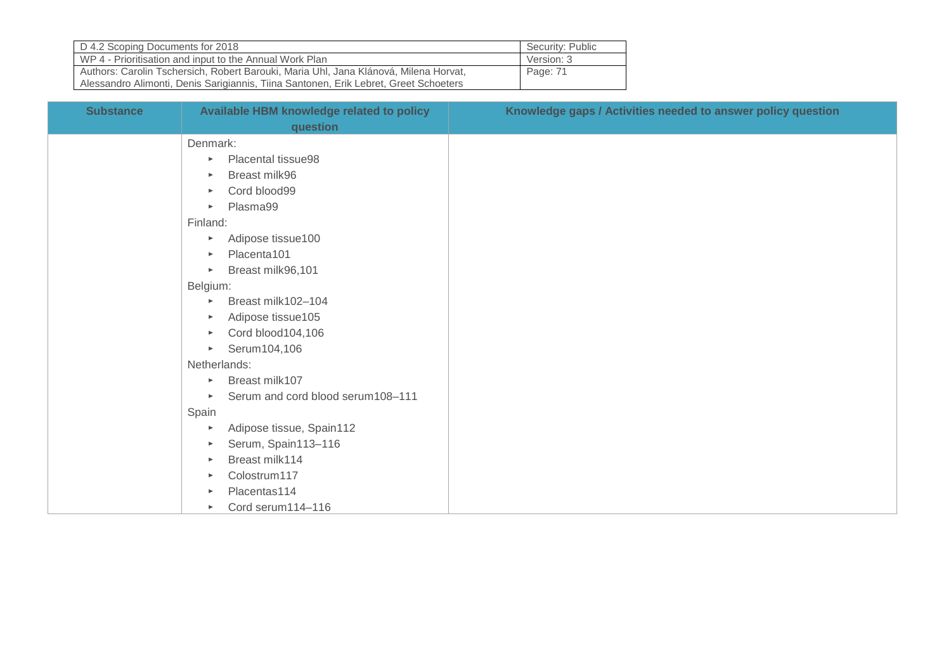| D 4.2 Scoping Documents for 2018                                                     | Security: Public |
|--------------------------------------------------------------------------------------|------------------|
| WP 4 - Prioritisation and input to the Annual Work Plan                              | Version: 3       |
| Authors: Carolin Tschersich, Robert Barouki, Maria Uhl, Jana Klánová, Milena Horvat, | Page: 71         |
| Alessandro Alimonti, Denis Sarigiannis, Tiina Santonen, Erik Lebret, Greet Schoeters |                  |

| <b>Substance</b> | Available HBM knowledge related to policy<br>question      | Knowledge gaps / Activities needed to answer policy question |
|------------------|------------------------------------------------------------|--------------------------------------------------------------|
|                  | Denmark:                                                   |                                                              |
|                  | Placental tissue98<br>$\blacktriangleright$                |                                                              |
|                  | Breast milk96<br>×                                         |                                                              |
|                  |                                                            |                                                              |
|                  | Cord blood99<br>$\blacktriangleright$                      |                                                              |
|                  | Plasma99<br>$\blacktriangleright$                          |                                                              |
|                  | Finland:                                                   |                                                              |
|                  | Adipose tissue100<br>$\blacktriangleright$                 |                                                              |
|                  | Placenta101<br>$\blacktriangleright$                       |                                                              |
|                  | Breast milk96,101<br>$\blacktriangleright$                 |                                                              |
|                  | Belgium:                                                   |                                                              |
|                  | Breast milk102-104<br>$\blacktriangleright$                |                                                              |
|                  | Adipose tissue105<br>$\blacktriangleright$                 |                                                              |
|                  | Cord blood104,106<br>$\blacktriangleright$                 |                                                              |
|                  | Serum104,106<br>$\blacktriangleright$ .                    |                                                              |
|                  | Netherlands:                                               |                                                              |
|                  | Breast milk107<br>$\blacktriangleright$                    |                                                              |
|                  | Serum and cord blood serum108-111<br>$\blacktriangleright$ |                                                              |
|                  | Spain                                                      |                                                              |
|                  | Adipose tissue, Spain112<br>$\blacktriangleright$          |                                                              |
|                  | Serum, Spain113-116<br>$\blacktriangleright$               |                                                              |
|                  | Breast milk114<br>$\blacktriangleright$                    |                                                              |
|                  | Colostrum117<br>$\blacktriangleright$                      |                                                              |
|                  | Placentas114<br>$\blacktriangleright$                      |                                                              |
|                  | Cord serum114-116<br>►                                     |                                                              |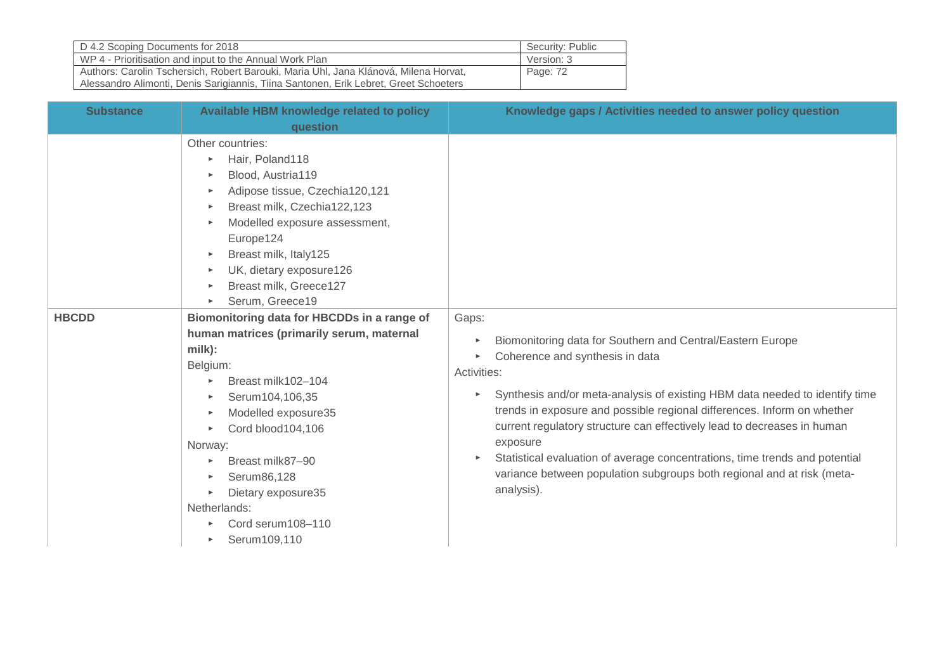| D4.2 Scoping Documents for 2018                                                      | Security: Public |
|--------------------------------------------------------------------------------------|------------------|
| WP 4 - Prioritisation and input to the Annual Work Plan                              | Version: 3       |
| Authors: Carolin Tschersich, Robert Barouki, Maria Uhl, Jana Klánová, Milena Horvat, | Page: 72         |
| Alessandro Alimonti, Denis Sarigiannis, Tiina Santonen, Erik Lebret, Greet Schoeters |                  |

| <b>Substance</b> | <b>Available HBM knowledge related to policy</b><br>question                                                                                                                                                                                                                                                                       | Knowledge gaps / Activities needed to answer policy question                                                                                                                                                                                                                                                                                                                                                                                                                                                                                                           |
|------------------|------------------------------------------------------------------------------------------------------------------------------------------------------------------------------------------------------------------------------------------------------------------------------------------------------------------------------------|------------------------------------------------------------------------------------------------------------------------------------------------------------------------------------------------------------------------------------------------------------------------------------------------------------------------------------------------------------------------------------------------------------------------------------------------------------------------------------------------------------------------------------------------------------------------|
|                  | Other countries:<br>Hair, Poland118<br>$\blacktriangleright$<br>Blood, Austria119<br>Adipose tissue, Czechia120,121<br>Breast milk, Czechia122,123<br>Modelled exposure assessment,<br>Europe124<br>Breast milk, Italy125<br>UK, dietary exposure126<br>Breast milk, Greece127<br>▶<br>Serum, Greece19                             |                                                                                                                                                                                                                                                                                                                                                                                                                                                                                                                                                                        |
| <b>HBCDD</b>     | Biomonitoring data for HBCDDs in a range of<br>human matrices (primarily serum, maternal<br>milk):<br>Belgium:<br>Breast milk102-104<br>Serum104,106,35<br>Modelled exposure35<br>Cord blood104,106<br>►.<br>Norway:<br>Breast milk87-90<br>Serum86,128<br>Dietary exposure35<br>Netherlands:<br>Cord serum108-110<br>Serum109,110 | Gaps:<br>Biomonitoring data for Southern and Central/Eastern Europe<br>Coherence and synthesis in data<br>Activities:<br>Synthesis and/or meta-analysis of existing HBM data needed to identify time<br>$\blacktriangleright$<br>trends in exposure and possible regional differences. Inform on whether<br>current regulatory structure can effectively lead to decreases in human<br>exposure<br>Statistical evaluation of average concentrations, time trends and potential<br>variance between population subgroups both regional and at risk (meta-<br>analysis). |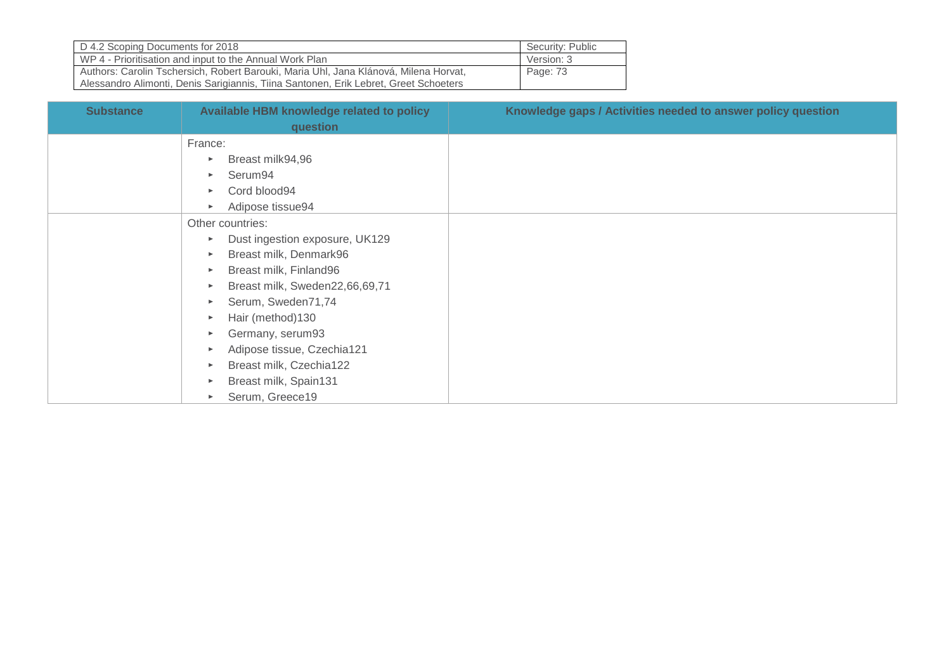| D 4.2 Scoping Documents for 2018                                                     | Security: Public |
|--------------------------------------------------------------------------------------|------------------|
| WP 4 - Prioritisation and input to the Annual Work Plan                              | Version: 3       |
| Authors: Carolin Tschersich, Robert Barouki, Maria Uhl, Jana Klánová, Milena Horvat, | Page: 73         |
| Alessandro Alimonti, Denis Sarigiannis, Tiina Santonen, Erik Lebret, Greet Schoeters |                  |

| <b>Substance</b> | Available HBM knowledge related to policy<br>question | Knowledge gaps / Activities needed to answer policy question |
|------------------|-------------------------------------------------------|--------------------------------------------------------------|
|                  | France:                                               |                                                              |
|                  | Breast milk94,96                                      |                                                              |
|                  | Serum94                                               |                                                              |
|                  | Cord blood94                                          |                                                              |
|                  | Adipose tissue94<br>$\blacktriangleright$             |                                                              |
|                  | Other countries:                                      |                                                              |
|                  | Dust ingestion exposure, UK129                        |                                                              |
|                  | Breast milk, Denmark96                                |                                                              |
|                  | Breast milk, Finland96                                |                                                              |
|                  | Breast milk, Sweden22,66,69,71                        |                                                              |
|                  | Serum, Sweden71,74                                    |                                                              |
|                  | Hair (method)130                                      |                                                              |
|                  | Germany, serum93                                      |                                                              |
|                  | Adipose tissue, Czechia121                            |                                                              |
|                  | Breast milk, Czechia122                               |                                                              |
|                  | Breast milk, Spain131                                 |                                                              |
|                  | Serum, Greece19                                       |                                                              |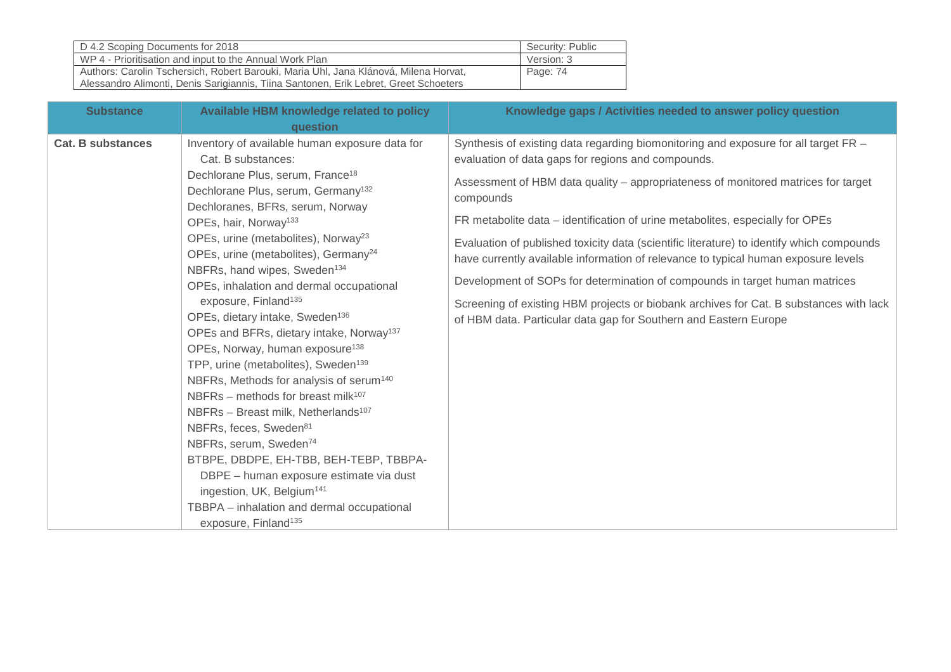| D 4.2 Scoping Documents for 2018                                                                                                                                             | Security: Public |
|------------------------------------------------------------------------------------------------------------------------------------------------------------------------------|------------------|
| WP 4 - Prioritisation and input to the Annual Work Plan                                                                                                                      | Version: 3       |
| Authors: Carolin Tschersich, Robert Barouki, Maria Uhl, Jana Klánová, Milena Horvat,<br>Alessandro Alimonti, Denis Sarigiannis, Tiina Santonen, Erik Lebret, Greet Schoeters | Page: 74         |

| <b>Substance</b>         | Available HBM knowledge related to policy                                                           | Knowledge gaps / Activities needed to answer policy question                              |
|--------------------------|-----------------------------------------------------------------------------------------------------|-------------------------------------------------------------------------------------------|
|                          | question                                                                                            |                                                                                           |
| <b>Cat. B substances</b> | Inventory of available human exposure data for                                                      | Synthesis of existing data regarding biomonitoring and exposure for all target FR -       |
|                          | Cat. B substances:                                                                                  | evaluation of data gaps for regions and compounds.                                        |
|                          | Dechlorane Plus, serum, France <sup>18</sup>                                                        | Assessment of HBM data quality - appropriateness of monitored matrices for target         |
|                          | Dechlorane Plus, serum, Germany <sup>132</sup>                                                      | compounds                                                                                 |
|                          | Dechloranes, BFRs, serum, Norway                                                                    |                                                                                           |
|                          | OPEs, hair, Norway <sup>133</sup>                                                                   | FR metabolite data - identification of urine metabolites, especially for OPEs             |
|                          | OPEs, urine (metabolites), Norway <sup>23</sup>                                                     | Evaluation of published toxicity data (scientific literature) to identify which compounds |
|                          | OPEs, urine (metabolites), Germany <sup>24</sup>                                                    | have currently available information of relevance to typical human exposure levels        |
|                          | NBFRs, hand wipes, Sweden <sup>134</sup>                                                            | Development of SOPs for determination of compounds in target human matrices               |
|                          | OPEs, inhalation and dermal occupational                                                            |                                                                                           |
|                          | exposure, Finland <sup>135</sup>                                                                    | Screening of existing HBM projects or biobank archives for Cat. B substances with lack    |
|                          | OPEs, dietary intake, Sweden <sup>136</sup>                                                         | of HBM data. Particular data gap for Southern and Eastern Europe                          |
|                          | OPEs and BFRs, dietary intake, Norway <sup>137</sup><br>OPEs, Norway, human exposure <sup>138</sup> |                                                                                           |
|                          | TPP, urine (metabolites), Sweden <sup>139</sup>                                                     |                                                                                           |
|                          | NBFRs, Methods for analysis of serum <sup>140</sup>                                                 |                                                                                           |
|                          | NBFRs - methods for breast milk <sup>107</sup>                                                      |                                                                                           |
|                          | NBFRs - Breast milk, Netherlands <sup>107</sup>                                                     |                                                                                           |
|                          | NBFRs, feces, Sweden <sup>81</sup>                                                                  |                                                                                           |
|                          | NBFRs, serum, Sweden <sup>74</sup>                                                                  |                                                                                           |
|                          | BTBPE, DBDPE, EH-TBB, BEH-TEBP, TBBPA-                                                              |                                                                                           |
|                          | DBPE - human exposure estimate via dust                                                             |                                                                                           |
|                          | ingestion, UK, Belgium <sup>141</sup>                                                               |                                                                                           |
|                          | TBBPA - inhalation and dermal occupational                                                          |                                                                                           |
|                          | exposure, Finland <sup>135</sup>                                                                    |                                                                                           |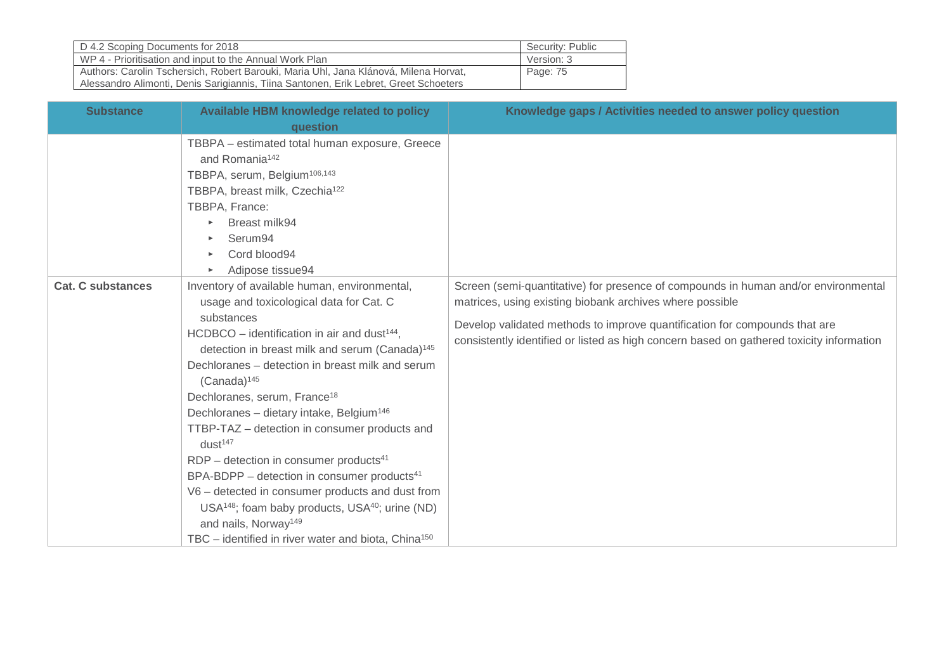| D 4.2 Scoping Documents for 2018                                                     | Security: Public |
|--------------------------------------------------------------------------------------|------------------|
| WP 4 - Prioritisation and input to the Annual Work Plan                              | Version: 3       |
| Authors: Carolin Tschersich, Robert Barouki, Maria Uhl, Jana Klánová, Milena Horvat, | Page: 75         |
| Alessandro Alimonti, Denis Sarigiannis, Tiina Santonen, Erik Lebret, Greet Schoeters |                  |

| <b>Substance</b>         | <b>Available HBM knowledge related to policy</b>                        | Knowledge gaps / Activities needed to answer policy question                             |
|--------------------------|-------------------------------------------------------------------------|------------------------------------------------------------------------------------------|
|                          | question                                                                |                                                                                          |
|                          | TBBPA - estimated total human exposure, Greece                          |                                                                                          |
|                          | and Romania <sup>142</sup>                                              |                                                                                          |
|                          | TBBPA, serum, Belgium <sup>106,143</sup>                                |                                                                                          |
|                          | TBBPA, breast milk, Czechia <sup>122</sup>                              |                                                                                          |
|                          | TBBPA, France:                                                          |                                                                                          |
|                          | Breast milk94                                                           |                                                                                          |
|                          | Serum94                                                                 |                                                                                          |
|                          | Cord blood94                                                            |                                                                                          |
|                          | Adipose tissue94                                                        |                                                                                          |
| <b>Cat. C substances</b> | Inventory of available human, environmental,                            | Screen (semi-quantitative) for presence of compounds in human and/or environmental       |
|                          | usage and toxicological data for Cat. C                                 | matrices, using existing biobank archives where possible                                 |
|                          | substances                                                              | Develop validated methods to improve quantification for compounds that are               |
|                          | $HCDBCO - identification in air and dust144,$                           | consistently identified or listed as high concern based on gathered toxicity information |
|                          | detection in breast milk and serum (Canada) <sup>145</sup>              |                                                                                          |
|                          | Dechloranes – detection in breast milk and serum                        |                                                                                          |
|                          | $(Canada)^{145}$                                                        |                                                                                          |
|                          | Dechloranes, serum, France <sup>18</sup>                                |                                                                                          |
|                          | Dechloranes - dietary intake, Belgium <sup>146</sup>                    |                                                                                          |
|                          | TTBP-TAZ - detection in consumer products and                           |                                                                                          |
|                          | dust <sup>147</sup>                                                     |                                                                                          |
|                          | RDP - detection in consumer products <sup>41</sup>                      |                                                                                          |
|                          | BPA-BDPP - detection in consumer products <sup>41</sup>                 |                                                                                          |
|                          | V6 - detected in consumer products and dust from                        |                                                                                          |
|                          | USA <sup>148</sup> ; foam baby products, USA <sup>40</sup> ; urine (ND) |                                                                                          |
|                          | and nails, Norway <sup>149</sup>                                        |                                                                                          |
|                          | TBC - identified in river water and biota, China <sup>150</sup>         |                                                                                          |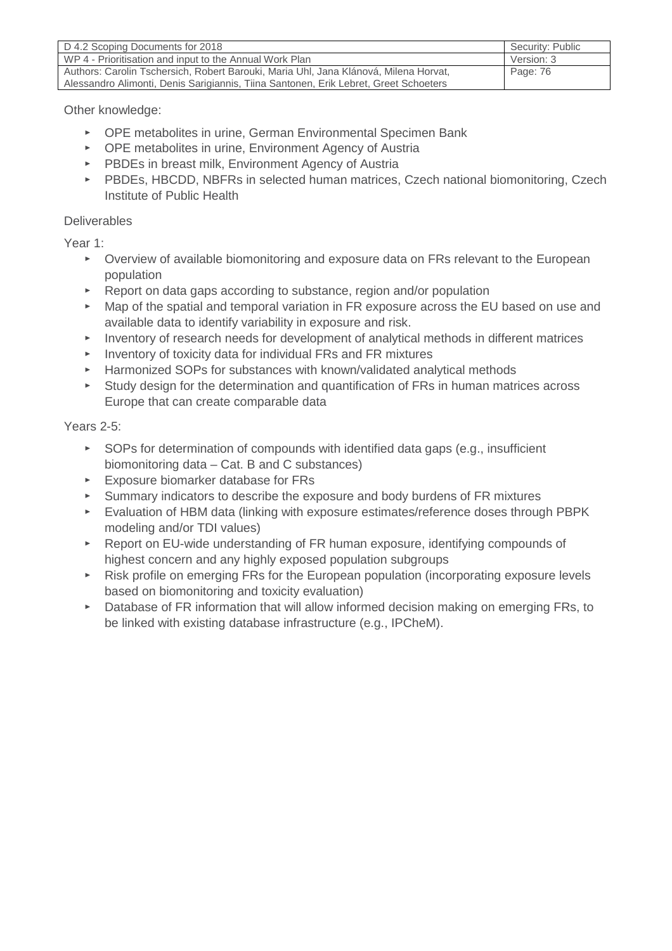| D 4.2 Scoping Documents for 2018                                                     | Security: Public |
|--------------------------------------------------------------------------------------|------------------|
| WP 4 - Prioritisation and input to the Annual Work Plan                              | Version: 3       |
| Authors: Carolin Tschersich, Robert Barouki, Maria Uhl, Jana Klánová, Milena Horvat, | Page: 76         |
| Alessandro Alimonti, Denis Sarigiannis, Tiina Santonen, Erik Lebret, Greet Schoeters |                  |

Other knowledge:

- ▸ OPE metabolites in urine, German Environmental Specimen Bank
- ▸ OPE metabolites in urine, Environment Agency of Austria
- ▸ PBDEs in breast milk, Environment Agency of Austria
- ▸ PBDEs, HBCDD, NBFRs in selected human matrices, Czech national biomonitoring, Czech Institute of Public Health

## Deliverables

Year 1:

- ▸ Overview of available biomonitoring and exposure data on FRs relevant to the European population
- ▸ Report on data gaps according to substance, region and/or population
- ▸ Map of the spatial and temporal variation in FR exposure across the EU based on use and available data to identify variability in exposure and risk.
- ▸ Inventory of research needs for development of analytical methods in different matrices
- ▸ Inventory of toxicity data for individual FRs and FR mixtures
- ▸ Harmonized SOPs for substances with known/validated analytical methods
- ▸ Study design for the determination and quantification of FRs in human matrices across Europe that can create comparable data

Years 2-5:

- ▸ SOPs for determination of compounds with identified data gaps (e.g., insufficient biomonitoring data – Cat. B and C substances)
- ▸ Exposure biomarker database for FRs
- ▸ Summary indicators to describe the exposure and body burdens of FR mixtures
- ▸ Evaluation of HBM data (linking with exposure estimates/reference doses through PBPK modeling and/or TDI values)
- ▸ Report on EU-wide understanding of FR human exposure, identifying compounds of highest concern and any highly exposed population subgroups
- ▸ Risk profile on emerging FRs for the European population (incorporating exposure levels based on biomonitoring and toxicity evaluation)
- ▸ Database of FR information that will allow informed decision making on emerging FRs, to be linked with existing database infrastructure (e.g., IPCheM).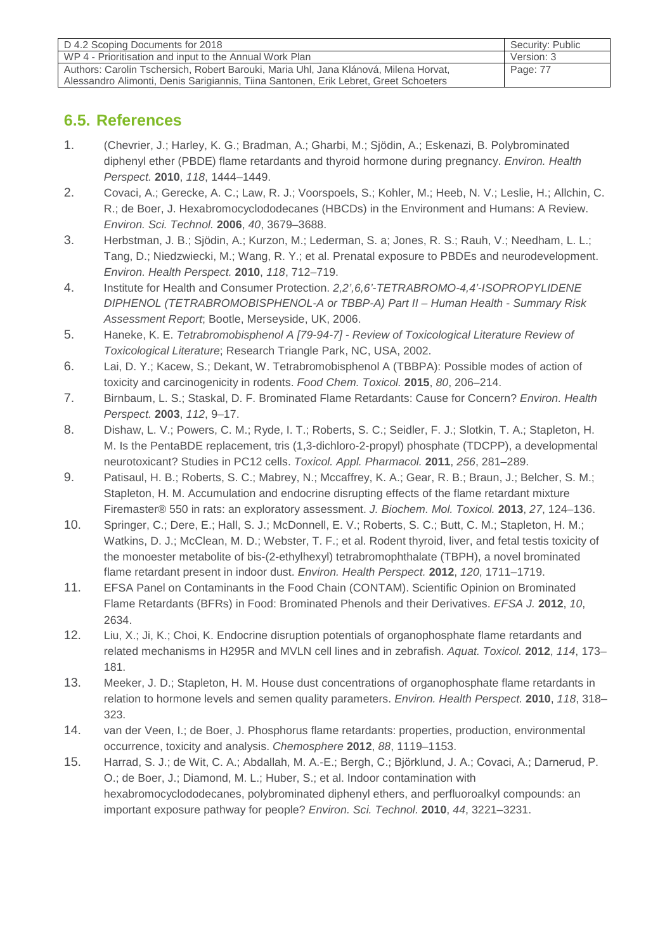| D 4.2 Scoping Documents for 2018                                                     | Security: Public |
|--------------------------------------------------------------------------------------|------------------|
| WP 4 - Prioritisation and input to the Annual Work Plan                              | Version: 3       |
| Authors: Carolin Tschersich, Robert Barouki, Maria Uhl, Jana Klánová, Milena Horvat, | Page: 77         |
| Alessandro Alimonti, Denis Sarigiannis, Tiina Santonen, Erik Lebret, Greet Schoeters |                  |

# **6.5. References**

- 1. (Chevrier, J.; Harley, K. G.; Bradman, A.; Gharbi, M.; Sjödin, A.; Eskenazi, B. Polybrominated diphenyl ether (PBDE) flame retardants and thyroid hormone during pregnancy. Environ. Health Perspect. **2010**, 118, 1444–1449.
- 2. Covaci, A.; Gerecke, A. C.; Law, R. J.; Voorspoels, S.; Kohler, M.; Heeb, N. V.; Leslie, H.; Allchin, C. R.; de Boer, J. Hexabromocyclododecanes (HBCDs) in the Environment and Humans: A Review. Environ. Sci. Technol. **2006**, 40, 3679–3688.
- 3. Herbstman, J. B.; Sjödin, A.; Kurzon, M.; Lederman, S. a; Jones, R. S.; Rauh, V.; Needham, L. L.; Tang, D.; Niedzwiecki, M.; Wang, R. Y.; et al. Prenatal exposure to PBDEs and neurodevelopment. Environ. Health Perspect. **2010**, 118, 712–719.
- 4. Institute for Health and Consumer Protection. 2,2',6,6'-TETRABROMO-4,4'-ISOPROPYLIDENE DIPHENOL (TETRABROMOBISPHENOL-A or TBBP-A) Part II – Human Health - Summary Risk Assessment Report; Bootle, Merseyside, UK, 2006.
- 5. Haneke, K. E. Tetrabromobisphenol A [79-94-7] Review of Toxicological Literature Review of Toxicological Literature; Research Triangle Park, NC, USA, 2002.
- 6. Lai, D. Y.; Kacew, S.; Dekant, W. Tetrabromobisphenol A (TBBPA): Possible modes of action of toxicity and carcinogenicity in rodents. Food Chem. Toxicol. **2015**, 80, 206–214.
- 7. Birnbaum, L. S.; Staskal, D. F. Brominated Flame Retardants: Cause for Concern? Environ. Health Perspect. **2003**, 112, 9–17.
- 8. Dishaw, L. V.; Powers, C. M.; Ryde, I. T.; Roberts, S. C.; Seidler, F. J.; Slotkin, T. A.; Stapleton, H. M. Is the PentaBDE replacement, tris (1,3-dichloro-2-propyl) phosphate (TDCPP), a developmental neurotoxicant? Studies in PC12 cells. Toxicol. Appl. Pharmacol. **2011**, 256, 281–289.
- 9. Patisaul, H. B.; Roberts, S. C.; Mabrey, N.; Mccaffrey, K. A.; Gear, R. B.; Braun, J.; Belcher, S. M.; Stapleton, H. M. Accumulation and endocrine disrupting effects of the flame retardant mixture Firemaster® 550 in rats: an exploratory assessment. J. Biochem. Mol. Toxicol. **2013**, 27, 124–136.
- 10. Springer, C.; Dere, E.; Hall, S. J.; McDonnell, E. V.; Roberts, S. C.; Butt, C. M.; Stapleton, H. M.; Watkins, D. J.; McClean, M. D.; Webster, T. F.; et al. Rodent thyroid, liver, and fetal testis toxicity of the monoester metabolite of bis-(2-ethylhexyl) tetrabromophthalate (TBPH), a novel brominated flame retardant present in indoor dust. Environ. Health Perspect. **2012**, 120, 1711–1719.
- 11. EFSA Panel on Contaminants in the Food Chain (CONTAM). Scientific Opinion on Brominated Flame Retardants (BFRs) in Food: Brominated Phenols and their Derivatives. EFSA J. **2012**, 10, 2634.
- 12. Liu, X.; Ji, K.; Choi, K. Endocrine disruption potentials of organophosphate flame retardants and related mechanisms in H295R and MVLN cell lines and in zebrafish. Aquat. Toxicol. **2012**, 114, 173– 181.
- 13. Meeker, J. D.; Stapleton, H. M. House dust concentrations of organophosphate flame retardants in relation to hormone levels and semen quality parameters. Environ. Health Perspect. **2010**, 118, 318– 323.
- 14. van der Veen, I.; de Boer, J. Phosphorus flame retardants: properties, production, environmental occurrence, toxicity and analysis. Chemosphere **2012**, 88, 1119–1153.
- 15. Harrad, S. J.; de Wit, C. A.; Abdallah, M. A.-E.; Bergh, C.; Björklund, J. A.; Covaci, A.; Darnerud, P. O.; de Boer, J.; Diamond, M. L.; Huber, S.; et al. Indoor contamination with hexabromocyclododecanes, polybrominated diphenyl ethers, and perfluoroalkyl compounds: an important exposure pathway for people? Environ. Sci. Technol. **2010**, 44, 3221–3231.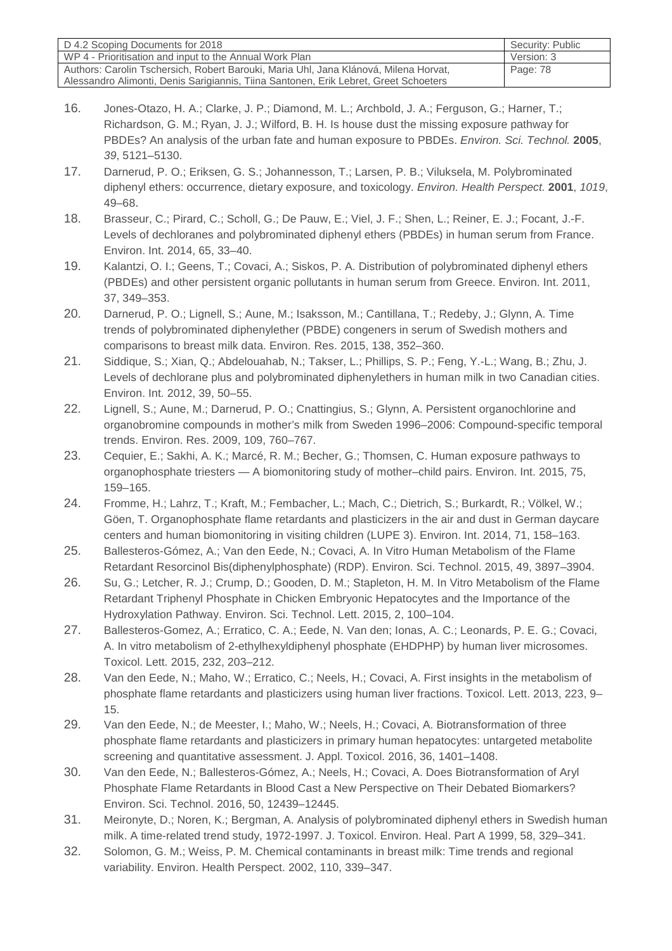| D 4.2 Scoping Documents for 2018                                                     | Security: Public |
|--------------------------------------------------------------------------------------|------------------|
| WP 4 - Prioritisation and input to the Annual Work Plan                              | Version: 3       |
| Authors: Carolin Tschersich, Robert Barouki, Maria Uhl, Jana Klánová, Milena Horvat, | Page: 78         |
| Alessandro Alimonti, Denis Sarigiannis, Tiina Santonen, Erik Lebret, Greet Schoeters |                  |

- 16. Jones-Otazo, H. A.; Clarke, J. P.; Diamond, M. L.; Archbold, J. A.; Ferguson, G.; Harner, T.; Richardson, G. M.; Ryan, J. J.; Wilford, B. H. Is house dust the missing exposure pathway for PBDEs? An analysis of the urban fate and human exposure to PBDEs. Environ. Sci. Technol. **2005**, 39, 5121–5130.
- 17. Darnerud, P. O.; Eriksen, G. S.; Johannesson, T.; Larsen, P. B.; Viluksela, M. Polybrominated diphenyl ethers: occurrence, dietary exposure, and toxicology. Environ. Health Perspect. **2001**, 1019, 49–68.
- 18. Brasseur, C.; Pirard, C.; Scholl, G.; De Pauw, E.; Viel, J. F.; Shen, L.; Reiner, E. J.; Focant, J.-F. Levels of dechloranes and polybrominated diphenyl ethers (PBDEs) in human serum from France. Environ. Int. 2014, 65, 33–40.
- 19. Kalantzi, O. I.; Geens, T.; Covaci, A.; Siskos, P. A. Distribution of polybrominated diphenyl ethers (PBDEs) and other persistent organic pollutants in human serum from Greece. Environ. Int. 2011, 37, 349–353.
- 20. Darnerud, P. O.; Lignell, S.; Aune, M.; Isaksson, M.; Cantillana, T.; Redeby, J.; Glynn, A. Time trends of polybrominated diphenylether (PBDE) congeners in serum of Swedish mothers and comparisons to breast milk data. Environ. Res. 2015, 138, 352–360.
- 21. Siddique, S.; Xian, Q.; Abdelouahab, N.; Takser, L.; Phillips, S. P.; Feng, Y.-L.; Wang, B.; Zhu, J. Levels of dechlorane plus and polybrominated diphenylethers in human milk in two Canadian cities. Environ. Int. 2012, 39, 50–55.
- 22. Lignell, S.; Aune, M.; Darnerud, P. O.; Cnattingius, S.; Glynn, A. Persistent organochlorine and organobromine compounds in mother's milk from Sweden 1996–2006: Compound-specific temporal trends. Environ. Res. 2009, 109, 760–767.
- 23. Cequier, E.; Sakhi, A. K.; Marcé, R. M.; Becher, G.; Thomsen, C. Human exposure pathways to organophosphate triesters — A biomonitoring study of mother–child pairs. Environ. Int. 2015, 75, 159–165.
- 24. Fromme, H.; Lahrz, T.; Kraft, M.; Fembacher, L.; Mach, C.; Dietrich, S.; Burkardt, R.; Völkel, W.; Göen, T. Organophosphate flame retardants and plasticizers in the air and dust in German daycare centers and human biomonitoring in visiting children (LUPE 3). Environ. Int. 2014, 71, 158–163.
- 25. Ballesteros-Gómez, A.; Van den Eede, N.; Covaci, A. In Vitro Human Metabolism of the Flame Retardant Resorcinol Bis(diphenylphosphate) (RDP). Environ. Sci. Technol. 2015, 49, 3897–3904.
- 26. Su, G.; Letcher, R. J.; Crump, D.; Gooden, D. M.; Stapleton, H. M. In Vitro Metabolism of the Flame Retardant Triphenyl Phosphate in Chicken Embryonic Hepatocytes and the Importance of the Hydroxylation Pathway. Environ. Sci. Technol. Lett. 2015, 2, 100–104.
- 27. Ballesteros-Gomez, A.; Erratico, C. A.; Eede, N. Van den; Ionas, A. C.; Leonards, P. E. G.; Covaci, A. In vitro metabolism of 2-ethylhexyldiphenyl phosphate (EHDPHP) by human liver microsomes. Toxicol. Lett. 2015, 232, 203–212.
- 28. Van den Eede, N.; Maho, W.; Erratico, C.; Neels, H.; Covaci, A. First insights in the metabolism of phosphate flame retardants and plasticizers using human liver fractions. Toxicol. Lett. 2013, 223, 9– 15.
- 29. Van den Eede, N.; de Meester, I.; Maho, W.; Neels, H.; Covaci, A. Biotransformation of three phosphate flame retardants and plasticizers in primary human hepatocytes: untargeted metabolite screening and quantitative assessment. J. Appl. Toxicol. 2016, 36, 1401–1408.
- 30. Van den Eede, N.; Ballesteros-Gómez, A.; Neels, H.; Covaci, A. Does Biotransformation of Aryl Phosphate Flame Retardants in Blood Cast a New Perspective on Their Debated Biomarkers? Environ. Sci. Technol. 2016, 50, 12439–12445.
- 31. Meironyte, D.; Noren, K.; Bergman, A. Analysis of polybrominated diphenyl ethers in Swedish human milk. A time-related trend study, 1972-1997. J. Toxicol. Environ. Heal. Part A 1999, 58, 329–341.
- 32. Solomon, G. M.; Weiss, P. M. Chemical contaminants in breast milk: Time trends and regional variability. Environ. Health Perspect. 2002, 110, 339–347.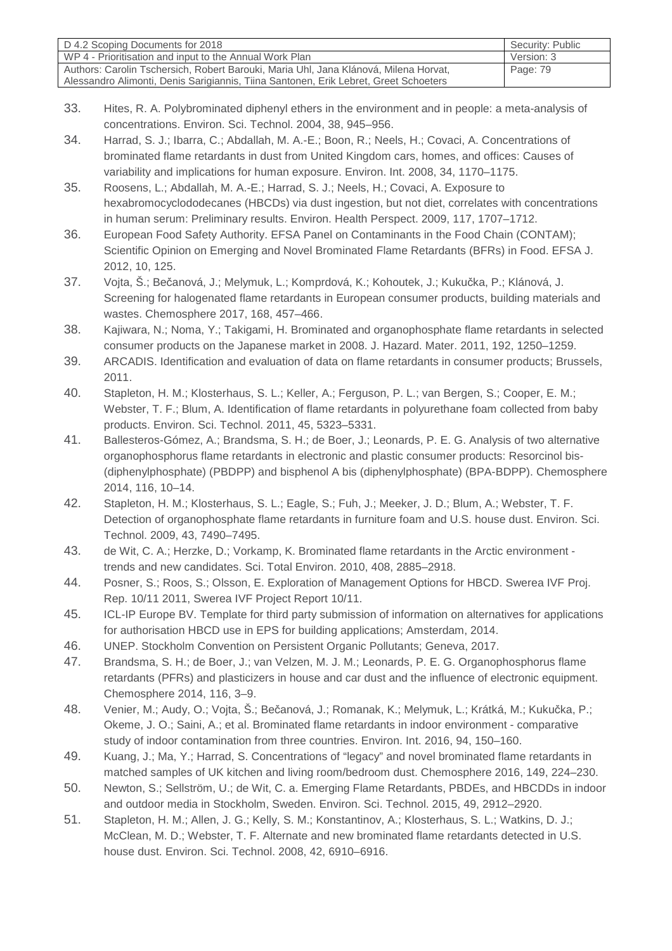| D 4.2 Scoping Documents for 2018                                                     | Security: Public |
|--------------------------------------------------------------------------------------|------------------|
| WP 4 - Prioritisation and input to the Annual Work Plan                              | Version: 3       |
| Authors: Carolin Tschersich, Robert Barouki, Maria Uhl, Jana Klánová, Milena Horvat, | Page: 79         |
| Alessandro Alimonti, Denis Sarigiannis, Tiina Santonen, Erik Lebret, Greet Schoeters |                  |

- 33. Hites, R. A. Polybrominated diphenyl ethers in the environment and in people: a meta-analysis of concentrations. Environ. Sci. Technol. 2004, 38, 945–956.
- 34. Harrad, S. J.; Ibarra, C.; Abdallah, M. A.-E.; Boon, R.; Neels, H.; Covaci, A. Concentrations of brominated flame retardants in dust from United Kingdom cars, homes, and offices: Causes of variability and implications for human exposure. Environ. Int. 2008, 34, 1170–1175.
- 35. Roosens, L.; Abdallah, M. A.-E.; Harrad, S. J.; Neels, H.; Covaci, A. Exposure to hexabromocyclododecanes (HBCDs) via dust ingestion, but not diet, correlates with concentrations in human serum: Preliminary results. Environ. Health Perspect. 2009, 117, 1707–1712.
- 36. European Food Safety Authority. EFSA Panel on Contaminants in the Food Chain (CONTAM); Scientific Opinion on Emerging and Novel Brominated Flame Retardants (BFRs) in Food. EFSA J. 2012, 10, 125.
- 37. Vojta, Š.; Bečanová, J.; Melymuk, L.; Komprdová, K.; Kohoutek, J.; Kukučka, P.; Klánová, J. Screening for halogenated flame retardants in European consumer products, building materials and wastes. Chemosphere 2017, 168, 457–466.
- 38. Kajiwara, N.; Noma, Y.; Takigami, H. Brominated and organophosphate flame retardants in selected consumer products on the Japanese market in 2008. J. Hazard. Mater. 2011, 192, 1250–1259.
- 39. ARCADIS. Identification and evaluation of data on flame retardants in consumer products; Brussels, 2011.
- 40. Stapleton, H. M.; Klosterhaus, S. L.; Keller, A.; Ferguson, P. L.; van Bergen, S.; Cooper, E. M.; Webster, T. F.; Blum, A. Identification of flame retardants in polyurethane foam collected from baby products. Environ. Sci. Technol. 2011, 45, 5323–5331.
- 41. Ballesteros-Gómez, A.; Brandsma, S. H.; de Boer, J.; Leonards, P. E. G. Analysis of two alternative organophosphorus flame retardants in electronic and plastic consumer products: Resorcinol bis- (diphenylphosphate) (PBDPP) and bisphenol A bis (diphenylphosphate) (BPA-BDPP). Chemosphere 2014, 116, 10–14.
- 42. Stapleton, H. M.; Klosterhaus, S. L.; Eagle, S.; Fuh, J.; Meeker, J. D.; Blum, A.; Webster, T. F. Detection of organophosphate flame retardants in furniture foam and U.S. house dust. Environ. Sci. Technol. 2009, 43, 7490–7495.
- 43. de Wit, C. A.; Herzke, D.; Vorkamp, K. Brominated flame retardants in the Arctic environment trends and new candidates. Sci. Total Environ. 2010, 408, 2885–2918.
- 44. Posner, S.; Roos, S.; Olsson, E. Exploration of Management Options for HBCD. Swerea IVF Proj. Rep. 10/11 2011, Swerea IVF Project Report 10/11.
- 45. ICL-IP Europe BV. Template for third party submission of information on alternatives for applications for authorisation HBCD use in EPS for building applications; Amsterdam, 2014.
- 46. UNEP. Stockholm Convention on Persistent Organic Pollutants; Geneva, 2017.
- 47. Brandsma, S. H.; de Boer, J.; van Velzen, M. J. M.; Leonards, P. E. G. Organophosphorus flame retardants (PFRs) and plasticizers in house and car dust and the influence of electronic equipment. Chemosphere 2014, 116, 3–9.
- 48. Venier, M.; Audy, O.; Vojta, Š.; Bečanová, J.; Romanak, K.; Melymuk, L.; Krátká, M.; Kukučka, P.; Okeme, J. O.; Saini, A.; et al. Brominated flame retardants in indoor environment - comparative study of indoor contamination from three countries. Environ. Int. 2016, 94, 150–160.
- 49. Kuang, J.; Ma, Y.; Harrad, S. Concentrations of "legacy" and novel brominated flame retardants in matched samples of UK kitchen and living room/bedroom dust. Chemosphere 2016, 149, 224–230.
- 50. Newton, S.; Sellström, U.; de Wit, C. a. Emerging Flame Retardants, PBDEs, and HBCDDs in indoor and outdoor media in Stockholm, Sweden. Environ. Sci. Technol. 2015, 49, 2912–2920.
- 51. Stapleton, H. M.; Allen, J. G.; Kelly, S. M.; Konstantinov, A.; Klosterhaus, S. L.; Watkins, D. J.; McClean, M. D.; Webster, T. F. Alternate and new brominated flame retardants detected in U.S. house dust. Environ. Sci. Technol. 2008, 42, 6910–6916.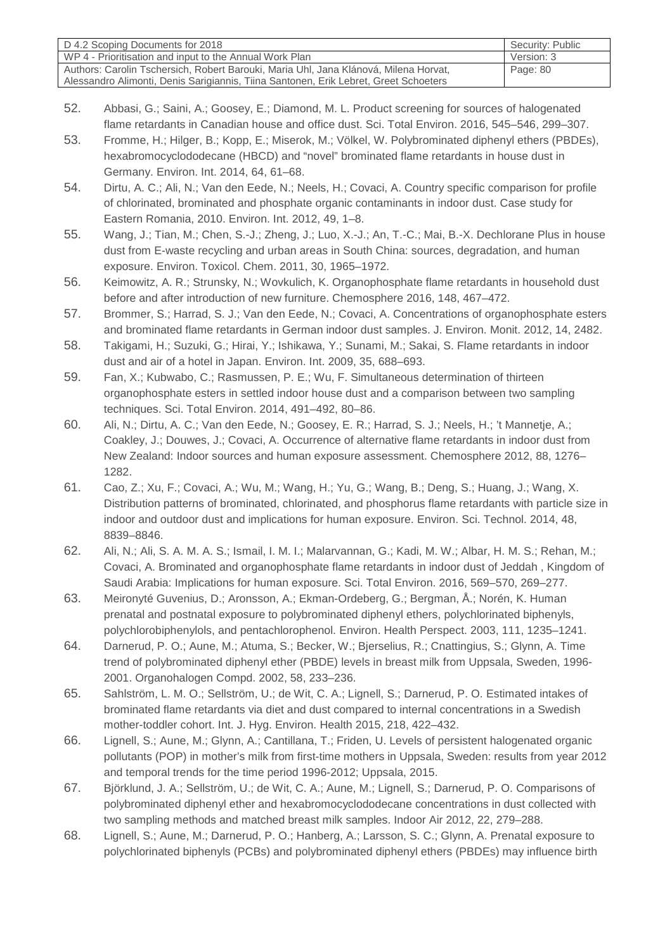| D 4.2 Scoping Documents for 2018                                                     | Security: Public |
|--------------------------------------------------------------------------------------|------------------|
| WP 4 - Prioritisation and input to the Annual Work Plan                              | Version: 3       |
| Authors: Carolin Tschersich, Robert Barouki, Maria Uhl, Jana Klánová, Milena Horvat, | Page: 80         |
| Alessandro Alimonti, Denis Sarigiannis, Tiina Santonen, Erik Lebret, Greet Schoeters |                  |

- 52. Abbasi, G.; Saini, A.; Goosey, E.; Diamond, M. L. Product screening for sources of halogenated flame retardants in Canadian house and office dust. Sci. Total Environ. 2016, 545–546, 299–307.
- 53. Fromme, H.; Hilger, B.; Kopp, E.; Miserok, M.; Völkel, W. Polybrominated diphenyl ethers (PBDEs), hexabromocyclododecane (HBCD) and "novel" brominated flame retardants in house dust in Germany. Environ. Int. 2014, 64, 61–68.
- 54. Dirtu, A. C.; Ali, N.; Van den Eede, N.; Neels, H.; Covaci, A. Country specific comparison for profile of chlorinated, brominated and phosphate organic contaminants in indoor dust. Case study for Eastern Romania, 2010. Environ. Int. 2012, 49, 1–8.
- 55. Wang, J.; Tian, M.; Chen, S.-J.; Zheng, J.; Luo, X.-J.; An, T.-C.; Mai, B.-X. Dechlorane Plus in house dust from E-waste recycling and urban areas in South China: sources, degradation, and human exposure. Environ. Toxicol. Chem. 2011, 30, 1965–1972.
- 56. Keimowitz, A. R.; Strunsky, N.; Wovkulich, K. Organophosphate flame retardants in household dust before and after introduction of new furniture. Chemosphere 2016, 148, 467–472.
- 57. Brommer, S.; Harrad, S. J.; Van den Eede, N.; Covaci, A. Concentrations of organophosphate esters and brominated flame retardants in German indoor dust samples. J. Environ. Monit. 2012, 14, 2482.
- 58. Takigami, H.; Suzuki, G.; Hirai, Y.; Ishikawa, Y.; Sunami, M.; Sakai, S. Flame retardants in indoor dust and air of a hotel in Japan. Environ. Int. 2009, 35, 688–693.
- 59. Fan, X.; Kubwabo, C.; Rasmussen, P. E.; Wu, F. Simultaneous determination of thirteen organophosphate esters in settled indoor house dust and a comparison between two sampling techniques. Sci. Total Environ. 2014, 491–492, 80–86.
- 60. Ali, N.; Dirtu, A. C.; Van den Eede, N.; Goosey, E. R.; Harrad, S. J.; Neels, H.; 't Mannetje, A.; Coakley, J.; Douwes, J.; Covaci, A. Occurrence of alternative flame retardants in indoor dust from New Zealand: Indoor sources and human exposure assessment. Chemosphere 2012, 88, 1276– 1282.
- 61. Cao, Z.; Xu, F.; Covaci, A.; Wu, M.; Wang, H.; Yu, G.; Wang, B.; Deng, S.; Huang, J.; Wang, X. Distribution patterns of brominated, chlorinated, and phosphorus flame retardants with particle size in indoor and outdoor dust and implications for human exposure. Environ. Sci. Technol. 2014, 48, 8839–8846.
- 62. Ali, N.; Ali, S. A. M. A. S.; Ismail, I. M. I.; Malarvannan, G.; Kadi, M. W.; Albar, H. M. S.; Rehan, M.; Covaci, A. Brominated and organophosphate flame retardants in indoor dust of Jeddah , Kingdom of Saudi Arabia: Implications for human exposure. Sci. Total Environ. 2016, 569–570, 269–277.
- 63. Meironyté Guvenius, D.; Aronsson, A.; Ekman-Ordeberg, G.; Bergman, Å.; Norén, K. Human prenatal and postnatal exposure to polybrominated diphenyl ethers, polychlorinated biphenyls, polychlorobiphenylols, and pentachlorophenol. Environ. Health Perspect. 2003, 111, 1235–1241.
- 64. Darnerud, P. O.; Aune, M.; Atuma, S.; Becker, W.; Bjerselius, R.; Cnattingius, S.; Glynn, A. Time trend of polybrominated diphenyl ether (PBDE) levels in breast milk from Uppsala, Sweden, 1996- 2001. Organohalogen Compd. 2002, 58, 233–236.
- 65. Sahlström, L. M. O.; Sellström, U.; de Wit, C. A.; Lignell, S.; Darnerud, P. O. Estimated intakes of brominated flame retardants via diet and dust compared to internal concentrations in a Swedish mother-toddler cohort. Int. J. Hyg. Environ. Health 2015, 218, 422–432.
- 66. Lignell, S.; Aune, M.; Glynn, A.; Cantillana, T.; Friden, U. Levels of persistent halogenated organic pollutants (POP) in mother's milk from first-time mothers in Uppsala, Sweden: results from year 2012 and temporal trends for the time period 1996-2012; Uppsala, 2015.
- 67. Björklund, J. A.; Sellström, U.; de Wit, C. A.; Aune, M.; Lignell, S.; Darnerud, P. O. Comparisons of polybrominated diphenyl ether and hexabromocyclododecane concentrations in dust collected with two sampling methods and matched breast milk samples. Indoor Air 2012, 22, 279–288.
- 68. Lignell, S.; Aune, M.; Darnerud, P. O.; Hanberg, A.; Larsson, S. C.; Glynn, A. Prenatal exposure to polychlorinated biphenyls (PCBs) and polybrominated diphenyl ethers (PBDEs) may influence birth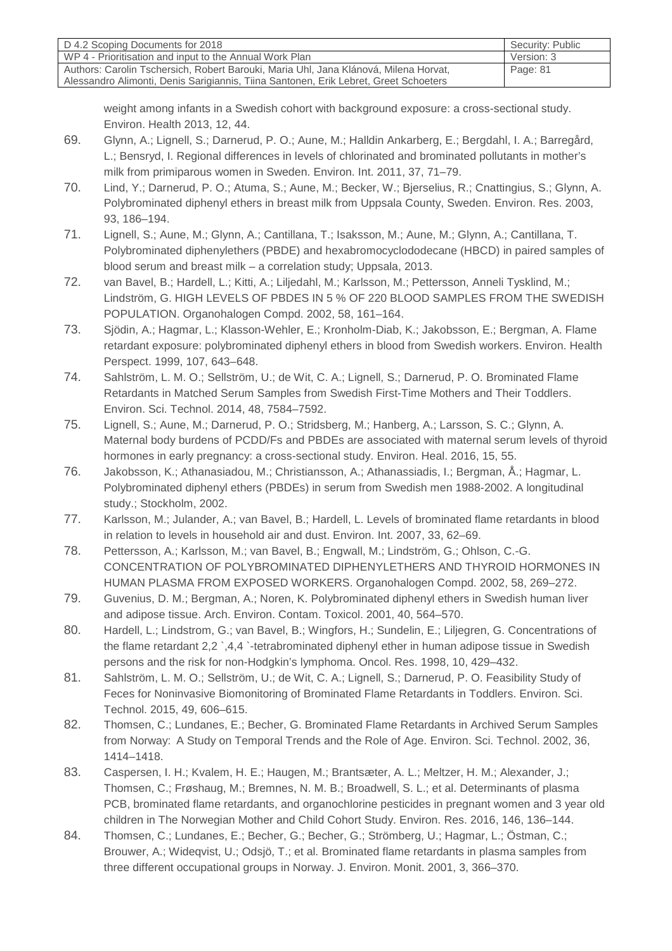| D 4.2 Scoping Documents for 2018                                                     | Security: Public |
|--------------------------------------------------------------------------------------|------------------|
| WP 4 - Prioritisation and input to the Annual Work Plan                              | Version: 3       |
| Authors: Carolin Tschersich, Robert Barouki, Maria Uhl, Jana Klánová, Milena Horvat, | Page: 81         |
| Alessandro Alimonti, Denis Sarigiannis, Tiina Santonen, Erik Lebret, Greet Schoeters |                  |

weight among infants in a Swedish cohort with background exposure: a cross-sectional study. Environ. Health 2013, 12, 44.

- 69. Glynn, A.; Lignell, S.; Darnerud, P. O.; Aune, M.; Halldin Ankarberg, E.; Bergdahl, I. A.; Barregård, L.; Bensryd, I. Regional differences in levels of chlorinated and brominated pollutants in mother's milk from primiparous women in Sweden. Environ. Int. 2011, 37, 71–79.
- 70. Lind, Y.; Darnerud, P. O.; Atuma, S.; Aune, M.; Becker, W.; Bjerselius, R.; Cnattingius, S.; Glynn, A. Polybrominated diphenyl ethers in breast milk from Uppsala County, Sweden. Environ. Res. 2003, 93, 186–194.
- 71. Lignell, S.; Aune, M.; Glynn, A.; Cantillana, T.; Isaksson, M.; Aune, M.; Glynn, A.; Cantillana, T. Polybrominated diphenylethers (PBDE) and hexabromocyclododecane (HBCD) in paired samples of blood serum and breast milk – a correlation study; Uppsala, 2013.
- 72. van Bavel, B.; Hardell, L.; Kitti, A.; Liljedahl, M.; Karlsson, M.; Pettersson, Anneli Tysklind, M.; Lindström, G. HIGH LEVELS OF PBDES IN 5 % OF 220 BLOOD SAMPLES FROM THE SWEDISH POPULATION. Organohalogen Compd. 2002, 58, 161–164.
- 73. Sjödin, A.; Hagmar, L.; Klasson-Wehler, E.; Kronholm-Diab, K.; Jakobsson, E.; Bergman, A. Flame retardant exposure: polybrominated diphenyl ethers in blood from Swedish workers. Environ. Health Perspect. 1999, 107, 643–648.
- 74. Sahlström, L. M. O.; Sellström, U.; de Wit, C. A.; Lignell, S.; Darnerud, P. O. Brominated Flame Retardants in Matched Serum Samples from Swedish First-Time Mothers and Their Toddlers. Environ. Sci. Technol. 2014, 48, 7584–7592.
- 75. Lignell, S.; Aune, M.; Darnerud, P. O.; Stridsberg, M.; Hanberg, A.; Larsson, S. C.; Glynn, A. Maternal body burdens of PCDD/Fs and PBDEs are associated with maternal serum levels of thyroid hormones in early pregnancy: a cross-sectional study. Environ. Heal. 2016, 15, 55.
- 76. Jakobsson, K.; Athanasiadou, M.; Christiansson, A.; Athanassiadis, I.; Bergman, Å.; Hagmar, L. Polybrominated diphenyl ethers (PBDEs) in serum from Swedish men 1988-2002. A longitudinal study.; Stockholm, 2002.
- 77. Karlsson, M.; Julander, A.; van Bavel, B.; Hardell, L. Levels of brominated flame retardants in blood in relation to levels in household air and dust. Environ. Int. 2007, 33, 62–69.
- 78. Pettersson, A.; Karlsson, M.; van Bavel, B.; Engwall, M.; Lindström, G.; Ohlson, C.-G. CONCENTRATION OF POLYBROMINATED DIPHENYLETHERS AND THYROID HORMONES IN HUMAN PLASMA FROM EXPOSED WORKERS. Organohalogen Compd. 2002, 58, 269–272.
- 79. Guvenius, D. M.; Bergman, A.; Noren, K. Polybrominated diphenyl ethers in Swedish human liver and adipose tissue. Arch. Environ. Contam. Toxicol. 2001, 40, 564–570.
- 80. Hardell, L.; Lindstrom, G.; van Bavel, B.; Wingfors, H.; Sundelin, E.; Liljegren, G. Concentrations of the flame retardant 2,2 `,4,4 `-tetrabrominated diphenyl ether in human adipose tissue in Swedish persons and the risk for non-Hodgkin's lymphoma. Oncol. Res. 1998, 10, 429–432.
- 81. Sahlström, L. M. O.; Sellström, U.; de Wit, C. A.; Lignell, S.; Darnerud, P. O. Feasibility Study of Feces for Noninvasive Biomonitoring of Brominated Flame Retardants in Toddlers. Environ. Sci. Technol. 2015, 49, 606–615.
- 82. Thomsen, C.; Lundanes, E.; Becher, G. Brominated Flame Retardants in Archived Serum Samples from Norway: A Study on Temporal Trends and the Role of Age. Environ. Sci. Technol. 2002, 36, 1414–1418.
- 83. Caspersen, I. H.; Kvalem, H. E.; Haugen, M.; Brantsæter, A. L.; Meltzer, H. M.; Alexander, J.; Thomsen, C.; Frøshaug, M.; Bremnes, N. M. B.; Broadwell, S. L.; et al. Determinants of plasma PCB, brominated flame retardants, and organochlorine pesticides in pregnant women and 3 year old children in The Norwegian Mother and Child Cohort Study. Environ. Res. 2016, 146, 136–144.
- 84. Thomsen, C.; Lundanes, E.; Becher, G.; Becher, G.; Strömberg, U.; Hagmar, L.; Östman, C.; Brouwer, A.; Wideqvist, U.; Odsjö, T.; et al. Brominated flame retardants in plasma samples from three different occupational groups in Norway. J. Environ. Monit. 2001, 3, 366–370.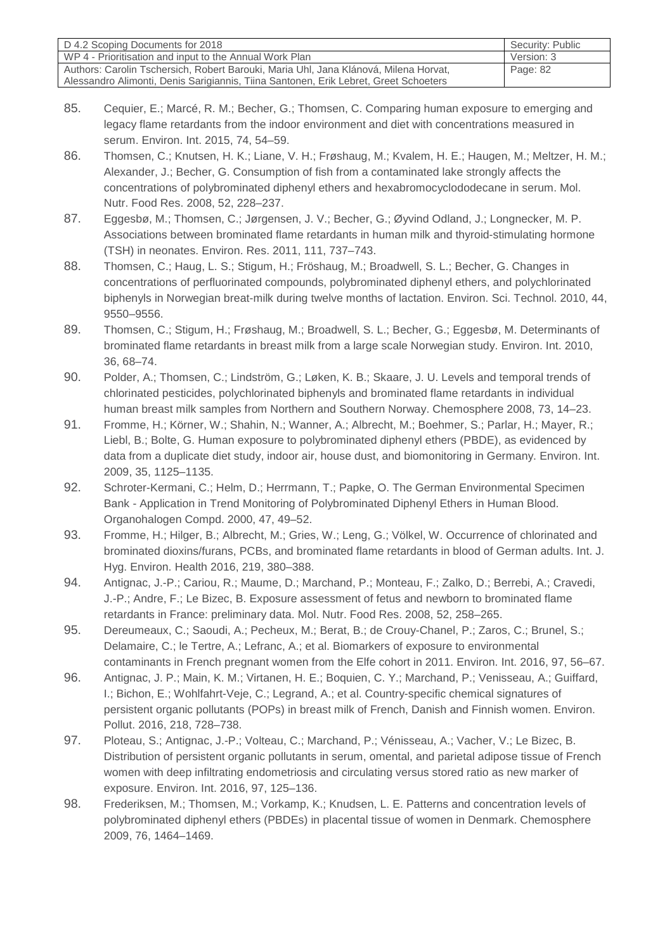| D 4.2 Scoping Documents for 2018                                                     | Security: Public |
|--------------------------------------------------------------------------------------|------------------|
| WP 4 - Prioritisation and input to the Annual Work Plan                              | Version: 3       |
| Authors: Carolin Tschersich, Robert Barouki, Maria Uhl, Jana Klánová, Milena Horvat, | Page: 82         |
| Alessandro Alimonti, Denis Sarigiannis, Tiina Santonen, Erik Lebret, Greet Schoeters |                  |

- 85. Cequier, E.; Marcé, R. M.; Becher, G.; Thomsen, C. Comparing human exposure to emerging and legacy flame retardants from the indoor environment and diet with concentrations measured in serum. Environ. Int. 2015, 74, 54–59.
- 86. Thomsen, C.; Knutsen, H. K.; Liane, V. H.; Frøshaug, M.; Kvalem, H. E.; Haugen, M.; Meltzer, H. M.; Alexander, J.; Becher, G. Consumption of fish from a contaminated lake strongly affects the concentrations of polybrominated diphenyl ethers and hexabromocyclododecane in serum. Mol. Nutr. Food Res. 2008, 52, 228–237.
- 87. Eggesbø, M.; Thomsen, C.; Jørgensen, J. V.; Becher, G.; Øyvind Odland, J.; Longnecker, M. P. Associations between brominated flame retardants in human milk and thyroid-stimulating hormone (TSH) in neonates. Environ. Res. 2011, 111, 737–743.
- 88. Thomsen, C.; Haug, L. S.; Stigum, H.; Fröshaug, M.; Broadwell, S. L.; Becher, G. Changes in concentrations of perfluorinated compounds, polybrominated diphenyl ethers, and polychlorinated biphenyls in Norwegian breat-milk during twelve months of lactation. Environ. Sci. Technol. 2010, 44, 9550–9556.
- 89. Thomsen, C.; Stigum, H.; Frøshaug, M.; Broadwell, S. L.; Becher, G.; Eggesbø, M. Determinants of brominated flame retardants in breast milk from a large scale Norwegian study. Environ. Int. 2010, 36, 68–74.
- 90. Polder, A.; Thomsen, C.; Lindström, G.; Løken, K. B.; Skaare, J. U. Levels and temporal trends of chlorinated pesticides, polychlorinated biphenyls and brominated flame retardants in individual human breast milk samples from Northern and Southern Norway. Chemosphere 2008, 73, 14–23.
- 91. Fromme, H.; Körner, W.; Shahin, N.; Wanner, A.; Albrecht, M.; Boehmer, S.; Parlar, H.; Mayer, R.; Liebl, B.; Bolte, G. Human exposure to polybrominated diphenyl ethers (PBDE), as evidenced by data from a duplicate diet study, indoor air, house dust, and biomonitoring in Germany. Environ. Int. 2009, 35, 1125–1135.
- 92. Schroter-Kermani, C.; Helm, D.; Herrmann, T.; Papke, O. The German Environmental Specimen Bank - Application in Trend Monitoring of Polybrominated Diphenyl Ethers in Human Blood. Organohalogen Compd. 2000, 47, 49–52.
- 93. Fromme, H.; Hilger, B.; Albrecht, M.; Gries, W.; Leng, G.; Völkel, W. Occurrence of chlorinated and brominated dioxins/furans, PCBs, and brominated flame retardants in blood of German adults. Int. J. Hyg. Environ. Health 2016, 219, 380–388.
- 94. Antignac, J.-P.; Cariou, R.; Maume, D.; Marchand, P.; Monteau, F.; Zalko, D.; Berrebi, A.; Cravedi, J.-P.; Andre, F.; Le Bizec, B. Exposure assessment of fetus and newborn to brominated flame retardants in France: preliminary data. Mol. Nutr. Food Res. 2008, 52, 258–265.
- 95. Dereumeaux, C.; Saoudi, A.; Pecheux, M.; Berat, B.; de Crouy-Chanel, P.; Zaros, C.; Brunel, S.; Delamaire, C.; le Tertre, A.; Lefranc, A.; et al. Biomarkers of exposure to environmental contaminants in French pregnant women from the Elfe cohort in 2011. Environ. Int. 2016, 97, 56–67.
- 96. Antignac, J. P.; Main, K. M.; Virtanen, H. E.; Boquien, C. Y.; Marchand, P.; Venisseau, A.; Guiffard, I.; Bichon, E.; Wohlfahrt-Veje, C.; Legrand, A.; et al. Country-specific chemical signatures of persistent organic pollutants (POPs) in breast milk of French, Danish and Finnish women. Environ. Pollut. 2016, 218, 728–738.
- 97. Ploteau, S.; Antignac, J.-P.; Volteau, C.; Marchand, P.; Vénisseau, A.; Vacher, V.; Le Bizec, B. Distribution of persistent organic pollutants in serum, omental, and parietal adipose tissue of French women with deep infiltrating endometriosis and circulating versus stored ratio as new marker of exposure. Environ. Int. 2016, 97, 125–136.
- 98. Frederiksen, M.; Thomsen, M.; Vorkamp, K.; Knudsen, L. E. Patterns and concentration levels of polybrominated diphenyl ethers (PBDEs) in placental tissue of women in Denmark. Chemosphere 2009, 76, 1464–1469.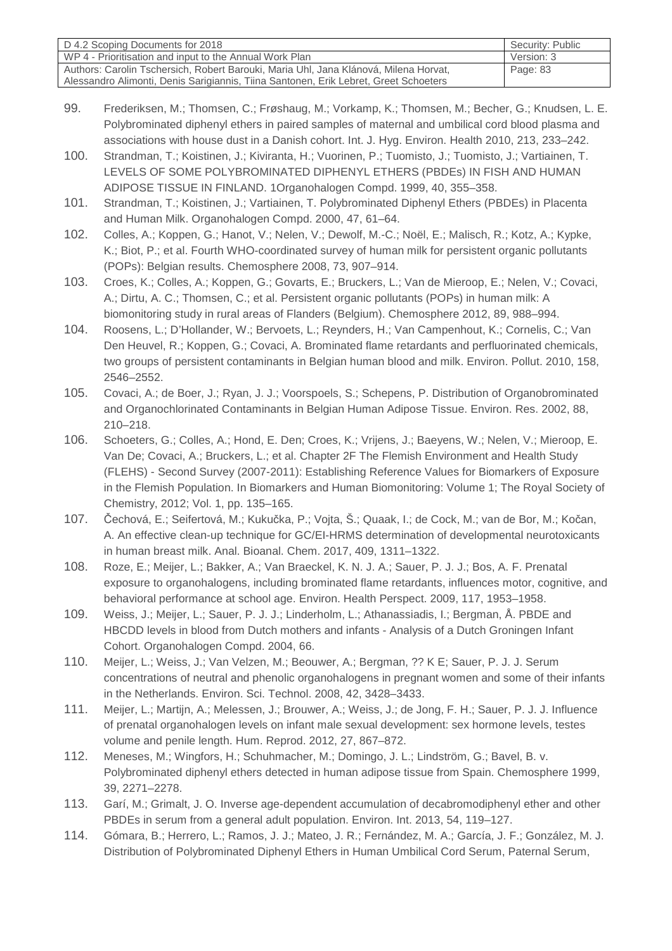| D 4.2 Scoping Documents for 2018                                                     | Security: Public |
|--------------------------------------------------------------------------------------|------------------|
| WP 4 - Prioritisation and input to the Annual Work Plan                              | Version: 3       |
| Authors: Carolin Tschersich, Robert Barouki, Maria Uhl, Jana Klánová, Milena Horvat, | Page: 83         |
| Alessandro Alimonti, Denis Sarigiannis, Tiina Santonen, Erik Lebret, Greet Schoeters |                  |

- 99. Frederiksen, M.; Thomsen, C.; Frøshaug, M.; Vorkamp, K.; Thomsen, M.; Becher, G.; Knudsen, L. E. Polybrominated diphenyl ethers in paired samples of maternal and umbilical cord blood plasma and associations with house dust in a Danish cohort. Int. J. Hyg. Environ. Health 2010, 213, 233–242.
- 100. Strandman, T.; Koistinen, J.; Kiviranta, H.; Vuorinen, P.; Tuomisto, J.; Tuomisto, J.; Vartiainen, T. LEVELS OF SOME POLYBROMINATED DIPHENYL ETHERS (PBDEs) IN FISH AND HUMAN ADIPOSE TISSUE IN FINLAND. 1Organohalogen Compd. 1999, 40, 355–358.
- 101. Strandman, T.; Koistinen, J.; Vartiainen, T. Polybrominated Diphenyl Ethers (PBDEs) in Placenta and Human Milk. Organohalogen Compd. 2000, 47, 61–64.
- 102. Colles, A.; Koppen, G.; Hanot, V.; Nelen, V.; Dewolf, M.-C.; Noël, E.; Malisch, R.; Kotz, A.; Kypke, K.; Biot, P.; et al. Fourth WHO-coordinated survey of human milk for persistent organic pollutants (POPs): Belgian results. Chemosphere 2008, 73, 907–914.
- 103. Croes, K.; Colles, A.; Koppen, G.; Govarts, E.; Bruckers, L.; Van de Mieroop, E.; Nelen, V.; Covaci, A.; Dirtu, A. C.; Thomsen, C.; et al. Persistent organic pollutants (POPs) in human milk: A biomonitoring study in rural areas of Flanders (Belgium). Chemosphere 2012, 89, 988–994.
- 104. Roosens, L.; D'Hollander, W.; Bervoets, L.; Reynders, H.; Van Campenhout, K.; Cornelis, C.; Van Den Heuvel, R.; Koppen, G.; Covaci, A. Brominated flame retardants and perfluorinated chemicals, two groups of persistent contaminants in Belgian human blood and milk. Environ. Pollut. 2010, 158, 2546–2552.
- 105. Covaci, A.; de Boer, J.; Ryan, J. J.; Voorspoels, S.; Schepens, P. Distribution of Organobrominated and Organochlorinated Contaminants in Belgian Human Adipose Tissue. Environ. Res. 2002, 88, 210–218.
- 106. Schoeters, G.; Colles, A.; Hond, E. Den; Croes, K.; Vrijens, J.; Baeyens, W.; Nelen, V.; Mieroop, E. Van De; Covaci, A.; Bruckers, L.; et al. Chapter 2F The Flemish Environment and Health Study (FLEHS) - Second Survey (2007-2011): Establishing Reference Values for Biomarkers of Exposure in the Flemish Population. In Biomarkers and Human Biomonitoring: Volume 1; The Royal Society of Chemistry, 2012; Vol. 1, pp. 135–165.
- 107. Čechová, E.; Seifertová, M.; Kukučka, P.; Vojta, Š.; Quaak, I.; de Cock, M.; van de Bor, M.; Kočan, A. An effective clean-up technique for GC/EI-HRMS determination of developmental neurotoxicants in human breast milk. Anal. Bioanal. Chem. 2017, 409, 1311–1322.
- 108. Roze, E.; Meijer, L.; Bakker, A.; Van Braeckel, K. N. J. A.; Sauer, P. J. J.; Bos, A. F. Prenatal exposure to organohalogens, including brominated flame retardants, influences motor, cognitive, and behavioral performance at school age. Environ. Health Perspect. 2009, 117, 1953–1958.
- 109. Weiss, J.; Meijer, L.; Sauer, P. J. J.; Linderholm, L.; Athanassiadis, I.; Bergman, Å. PBDE and HBCDD levels in blood from Dutch mothers and infants - Analysis of a Dutch Groningen Infant Cohort. Organohalogen Compd. 2004, 66.
- 110. Meijer, L.; Weiss, J.; Van Velzen, M.; Beouwer, A.; Bergman, ?? K E; Sauer, P. J. J. Serum concentrations of neutral and phenolic organohalogens in pregnant women and some of their infants in the Netherlands. Environ. Sci. Technol. 2008, 42, 3428–3433.
- 111. Meijer, L.; Martijn, A.; Melessen, J.; Brouwer, A.; Weiss, J.; de Jong, F. H.; Sauer, P. J. J. Influence of prenatal organohalogen levels on infant male sexual development: sex hormone levels, testes volume and penile length. Hum. Reprod. 2012, 27, 867–872.
- 112. Meneses, M.; Wingfors, H.; Schuhmacher, M.; Domingo, J. L.; Lindström, G.; Bavel, B. v. Polybrominated diphenyl ethers detected in human adipose tissue from Spain. Chemosphere 1999, 39, 2271–2278.
- 113. Garí, M.; Grimalt, J. O. Inverse age-dependent accumulation of decabromodiphenyl ether and other PBDEs in serum from a general adult population. Environ. Int. 2013, 54, 119–127.
- 114. Gómara, B.; Herrero, L.; Ramos, J. J.; Mateo, J. R.; Fernández, M. A.; García, J. F.; González, M. J. Distribution of Polybrominated Diphenyl Ethers in Human Umbilical Cord Serum, Paternal Serum,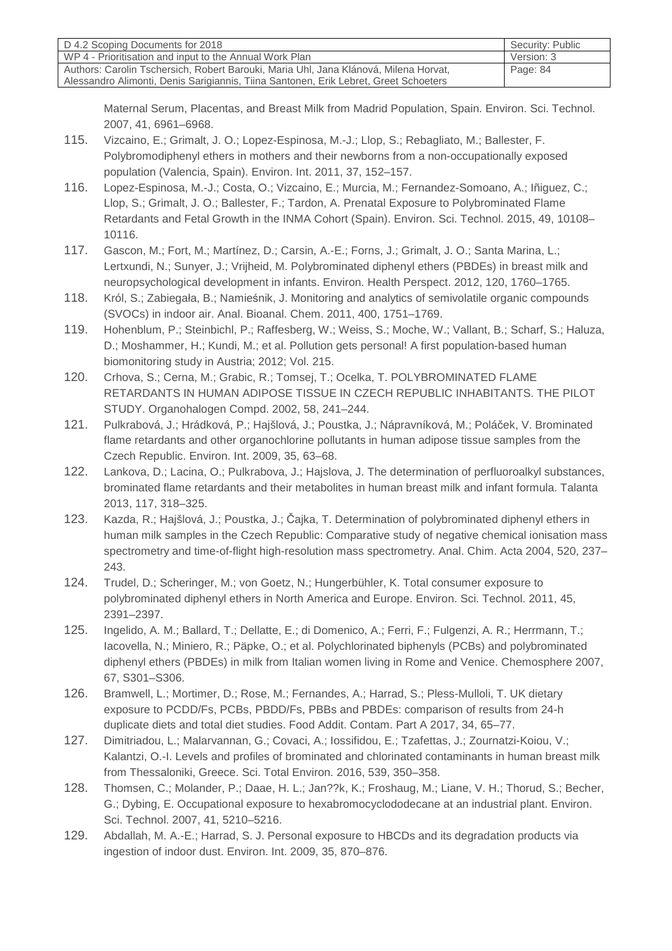| D 4.2 Scoping Documents for 2018                                                     | Security: Public |
|--------------------------------------------------------------------------------------|------------------|
| WP 4 - Prioritisation and input to the Annual Work Plan                              | Version: 3       |
| Authors: Carolin Tschersich, Robert Barouki, Maria Uhl, Jana Klánová, Milena Horvat, | Page: 84         |
| Alessandro Alimonti, Denis Sarigiannis, Tiina Santonen, Erik Lebret, Greet Schoeters |                  |

Maternal Serum, Placentas, and Breast Milk from Madrid Population, Spain. Environ. Sci. Technol. 2007, 41, 6961–6968.

- 115. Vizcaino, E.; Grimalt, J. O.; Lopez-Espinosa, M.-J.; Llop, S.; Rebagliato, M.; Ballester, F. Polybromodiphenyl ethers in mothers and their newborns from a non-occupationally exposed population (Valencia, Spain). Environ. Int. 2011, 37, 152–157.
- 116. Lopez-Espinosa, M.-J.; Costa, O.; Vizcaino, E.; Murcia, M.; Fernandez-Somoano, A.; Iñiguez, C.; Llop, S.; Grimalt, J. O.; Ballester, F.; Tardon, A. Prenatal Exposure to Polybrominated Flame Retardants and Fetal Growth in the INMA Cohort (Spain). Environ. Sci. Technol. 2015, 49, 10108– 10116.
- 117. Gascon, M.; Fort, M.; Martínez, D.; Carsin, A.-E.; Forns, J.; Grimalt, J. O.; Santa Marina, L.; Lertxundi, N.; Sunyer, J.; Vrijheid, M. Polybrominated diphenyl ethers (PBDEs) in breast milk and neuropsychological development in infants. Environ. Health Perspect. 2012, 120, 1760–1765.
- 118. Król, S.; Zabiegała, B.; Namieśnik, J. Monitoring and analytics of semivolatile organic compounds (SVOCs) in indoor air. Anal. Bioanal. Chem. 2011, 400, 1751–1769.
- 119. Hohenblum, P.; Steinbichl, P.; Raffesberg, W.; Weiss, S.; Moche, W.; Vallant, B.; Scharf, S.; Haluza, D.; Moshammer, H.; Kundi, M.; et al. Pollution gets personal! A first population-based human biomonitoring study in Austria; 2012; Vol. 215.
- 120. Crhova, S.; Cerna, M.; Grabic, R.; Tomsej, T.; Ocelka, T. POLYBROMINATED FLAME RETARDANTS IN HUMAN ADIPOSE TISSUE IN CZECH REPUBLIC INHABITANTS. THE PILOT STUDY. Organohalogen Compd. 2002, 58, 241–244.
- 121. Pulkrabová, J.; Hrádková, P.; Hajšlová, J.; Poustka, J.; Nápravníková, M.; Poláček, V. Brominated flame retardants and other organochlorine pollutants in human adipose tissue samples from the Czech Republic. Environ. Int. 2009, 35, 63–68.
- 122. Lankova, D.; Lacina, O.; Pulkrabova, J.; Hajslova, J. The determination of perfluoroalkyl substances, brominated flame retardants and their metabolites in human breast milk and infant formula. Talanta 2013, 117, 318–325.
- 123. Kazda, R.; Hajšlová, J.; Poustka, J.; Čajka, T. Determination of polybrominated diphenyl ethers in human milk samples in the Czech Republic: Comparative study of negative chemical ionisation mass spectrometry and time-of-flight high-resolution mass spectrometry. Anal. Chim. Acta 2004, 520, 237– 243.
- 124. Trudel, D.; Scheringer, M.; von Goetz, N.; Hungerbühler, K. Total consumer exposure to polybrominated diphenyl ethers in North America and Europe. Environ. Sci. Technol. 2011, 45, 2391–2397.
- 125. Ingelido, A. M.; Ballard, T.; Dellatte, E.; di Domenico, A.; Ferri, F.; Fulgenzi, A. R.; Herrmann, T.; Iacovella, N.; Miniero, R.; Päpke, O.; et al. Polychlorinated biphenyls (PCBs) and polybrominated diphenyl ethers (PBDEs) in milk from Italian women living in Rome and Venice. Chemosphere 2007, 67, S301–S306.
- 126. Bramwell, L.; Mortimer, D.; Rose, M.; Fernandes, A.; Harrad, S.; Pless-Mulloli, T. UK dietary exposure to PCDD/Fs, PCBs, PBDD/Fs, PBBs and PBDEs: comparison of results from 24-h duplicate diets and total diet studies. Food Addit. Contam. Part A 2017, 34, 65–77.
- 127. Dimitriadou, L.; Malarvannan, G.; Covaci, A.; Iossifidou, E.; Tzafettas, J.; Zournatzi-Koiou, V.; Kalantzi, O.-I. Levels and profiles of brominated and chlorinated contaminants in human breast milk from Thessaloniki, Greece. Sci. Total Environ. 2016, 539, 350–358.
- 128. Thomsen, C.; Molander, P.; Daae, H. L.; Jan??k, K.; Froshaug, M.; Liane, V. H.; Thorud, S.; Becher, G.; Dybing, E. Occupational exposure to hexabromocyclododecane at an industrial plant. Environ. Sci. Technol. 2007, 41, 5210–5216.
- 129. Abdallah, M. A.-E.; Harrad, S. J. Personal exposure to HBCDs and its degradation products via ingestion of indoor dust. Environ. Int. 2009, 35, 870–876.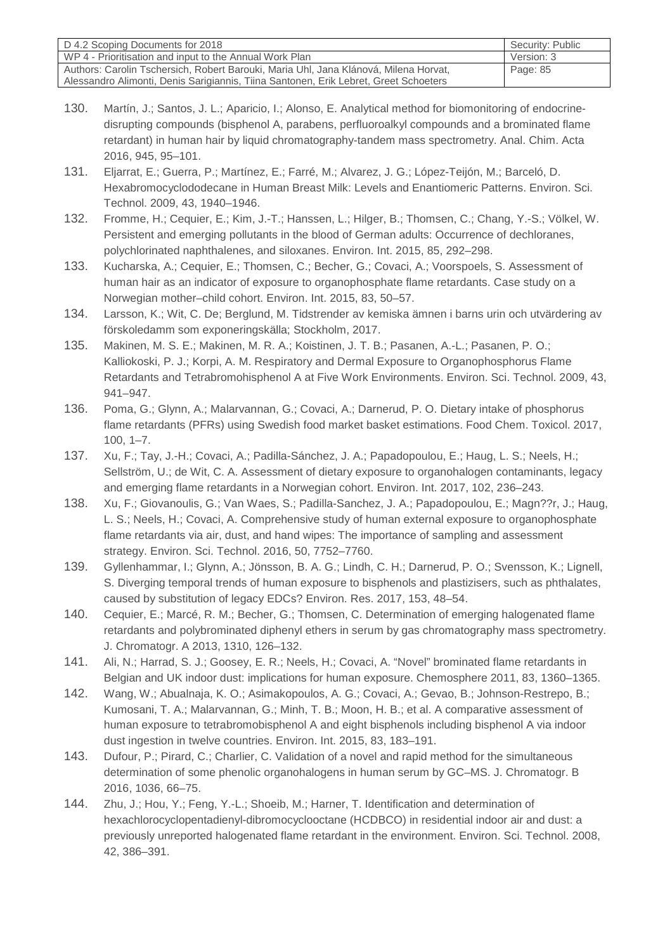| D 4.2 Scoping Documents for 2018                                                     | Security: Public |
|--------------------------------------------------------------------------------------|------------------|
| WP 4 - Prioritisation and input to the Annual Work Plan                              | Version: 3       |
| Authors: Carolin Tschersich, Robert Barouki, Maria Uhl, Jana Klánová, Milena Horvat, | Page: 85         |
| Alessandro Alimonti, Denis Sarigiannis, Tiina Santonen, Erik Lebret, Greet Schoeters |                  |

- 130. Martín, J.; Santos, J. L.; Aparicio, I.; Alonso, E. Analytical method for biomonitoring of endocrinedisrupting compounds (bisphenol A, parabens, perfluoroalkyl compounds and a brominated flame retardant) in human hair by liquid chromatography-tandem mass spectrometry. Anal. Chim. Acta 2016, 945, 95–101.
- 131. Eljarrat, E.; Guerra, P.; Martínez, E.; Farré, M.; Alvarez, J. G.; López-Teijón, M.; Barceló, D. Hexabromocyclododecane in Human Breast Milk: Levels and Enantiomeric Patterns. Environ. Sci. Technol. 2009, 43, 1940–1946.
- 132. Fromme, H.; Cequier, E.; Kim, J.-T.; Hanssen, L.; Hilger, B.; Thomsen, C.; Chang, Y.-S.; Völkel, W. Persistent and emerging pollutants in the blood of German adults: Occurrence of dechloranes, polychlorinated naphthalenes, and siloxanes. Environ. Int. 2015, 85, 292–298.
- 133. Kucharska, A.; Cequier, E.; Thomsen, C.; Becher, G.; Covaci, A.; Voorspoels, S. Assessment of human hair as an indicator of exposure to organophosphate flame retardants. Case study on a Norwegian mother–child cohort. Environ. Int. 2015, 83, 50–57.
- 134. Larsson, K.; Wit, C. De; Berglund, M. Tidstrender av kemiska ämnen i barns urin och utvärdering av förskoledamm som exponeringskälla; Stockholm, 2017.
- 135. Makinen, M. S. E.; Makinen, M. R. A.; Koistinen, J. T. B.; Pasanen, A.-L.; Pasanen, P. O.; Kalliokoski, P. J.; Korpi, A. M. Respiratory and Dermal Exposure to Organophosphorus Flame Retardants and Tetrabromohisphenol A at Five Work Environments. Environ. Sci. Technol. 2009, 43, 941–947.
- 136. Poma, G.; Glynn, A.; Malarvannan, G.; Covaci, A.; Darnerud, P. O. Dietary intake of phosphorus flame retardants (PFRs) using Swedish food market basket estimations. Food Chem. Toxicol. 2017, 100, 1–7.
- 137. Xu, F.; Tay, J.-H.; Covaci, A.; Padilla-Sánchez, J. A.; Papadopoulou, E.; Haug, L. S.; Neels, H.; Sellström, U.; de Wit, C. A. Assessment of dietary exposure to organohalogen contaminants, legacy and emerging flame retardants in a Norwegian cohort. Environ. Int. 2017, 102, 236–243.
- 138. Xu, F.; Giovanoulis, G.; Van Waes, S.; Padilla-Sanchez, J. A.; Papadopoulou, E.; Magn??r, J.; Haug, L. S.; Neels, H.; Covaci, A. Comprehensive study of human external exposure to organophosphate flame retardants via air, dust, and hand wipes: The importance of sampling and assessment strategy. Environ. Sci. Technol. 2016, 50, 7752–7760.
- 139. Gyllenhammar, I.; Glynn, A.; Jönsson, B. A. G.; Lindh, C. H.; Darnerud, P. O.; Svensson, K.; Lignell, S. Diverging temporal trends of human exposure to bisphenols and plastizisers, such as phthalates, caused by substitution of legacy EDCs? Environ. Res. 2017, 153, 48–54.
- 140. Cequier, E.; Marcé, R. M.; Becher, G.; Thomsen, C. Determination of emerging halogenated flame retardants and polybrominated diphenyl ethers in serum by gas chromatography mass spectrometry. J. Chromatogr. A 2013, 1310, 126–132.
- 141. Ali, N.; Harrad, S. J.; Goosey, E. R.; Neels, H.; Covaci, A. "Novel" brominated flame retardants in Belgian and UK indoor dust: implications for human exposure. Chemosphere 2011, 83, 1360–1365.
- 142. Wang, W.; Abualnaja, K. O.; Asimakopoulos, A. G.; Covaci, A.; Gevao, B.; Johnson-Restrepo, B.; Kumosani, T. A.; Malarvannan, G.; Minh, T. B.; Moon, H. B.; et al. A comparative assessment of human exposure to tetrabromobisphenol A and eight bisphenols including bisphenol A via indoor dust ingestion in twelve countries. Environ. Int. 2015, 83, 183–191.
- 143. Dufour, P.; Pirard, C.; Charlier, C. Validation of a novel and rapid method for the simultaneous determination of some phenolic organohalogens in human serum by GC–MS. J. Chromatogr. B 2016, 1036, 66–75.
- 144. Zhu, J.; Hou, Y.; Feng, Y.-L.; Shoeib, M.; Harner, T. Identification and determination of hexachlorocyclopentadienyl-dibromocyclooctane (HCDBCO) in residential indoor air and dust: a previously unreported halogenated flame retardant in the environment. Environ. Sci. Technol. 2008, 42, 386–391.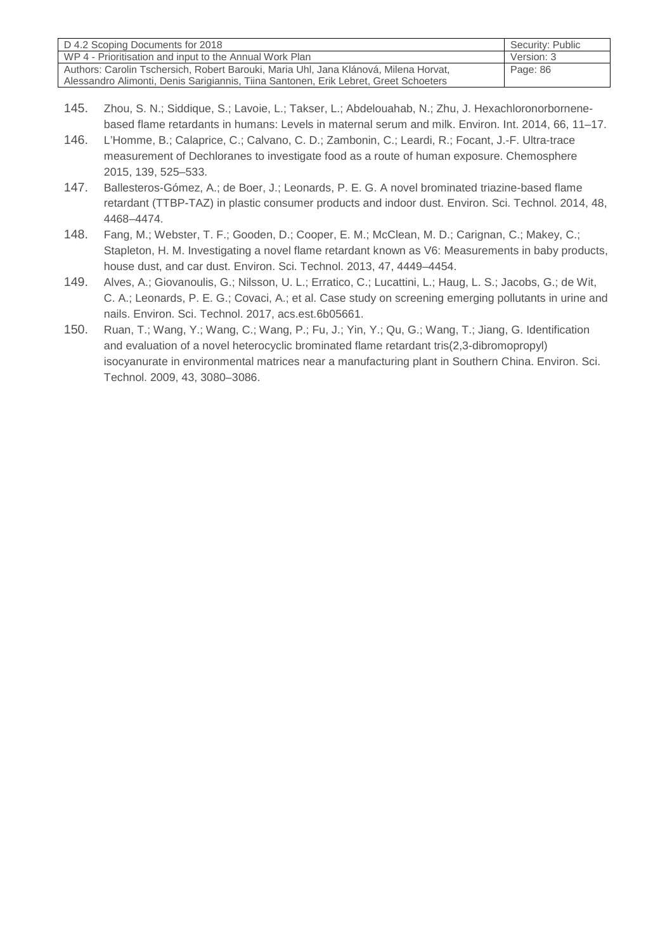| D 4.2 Scoping Documents for 2018                                                     | Security: Public |
|--------------------------------------------------------------------------------------|------------------|
| WP 4 - Prioritisation and input to the Annual Work Plan                              | Version: 3       |
| Authors: Carolin Tschersich, Robert Barouki, Maria Uhl, Jana Klánová, Milena Horvat, | Page: 86         |
| Alessandro Alimonti, Denis Sarigiannis, Tiina Santonen, Erik Lebret, Greet Schoeters |                  |

- 145. Zhou, S. N.; Siddique, S.; Lavoie, L.; Takser, L.; Abdelouahab, N.; Zhu, J. Hexachloronorbornenebased flame retardants in humans: Levels in maternal serum and milk. Environ. Int. 2014, 66, 11–17.
- 146. L'Homme, B.; Calaprice, C.; Calvano, C. D.; Zambonin, C.; Leardi, R.; Focant, J.-F. Ultra-trace measurement of Dechloranes to investigate food as a route of human exposure. Chemosphere 2015, 139, 525–533.
- 147. Ballesteros-Gómez, A.; de Boer, J.; Leonards, P. E. G. A novel brominated triazine-based flame retardant (TTBP-TAZ) in plastic consumer products and indoor dust. Environ. Sci. Technol. 2014, 48, 4468–4474.
- 148. Fang, M.; Webster, T. F.; Gooden, D.; Cooper, E. M.; McClean, M. D.; Carignan, C.; Makey, C.; Stapleton, H. M. Investigating a novel flame retardant known as V6: Measurements in baby products, house dust, and car dust. Environ. Sci. Technol. 2013, 47, 4449–4454.
- 149. Alves, A.; Giovanoulis, G.; Nilsson, U. L.; Erratico, C.; Lucattini, L.; Haug, L. S.; Jacobs, G.; de Wit, C. A.; Leonards, P. E. G.; Covaci, A.; et al. Case study on screening emerging pollutants in urine and nails. Environ. Sci. Technol. 2017, acs.est.6b05661.
- 150. Ruan, T.; Wang, Y.; Wang, C.; Wang, P.; Fu, J.; Yin, Y.; Qu, G.; Wang, T.; Jiang, G. Identification and evaluation of a novel heterocyclic brominated flame retardant tris(2,3-dibromopropyl) isocyanurate in environmental matrices near a manufacturing plant in Southern China. Environ. Sci. Technol. 2009, 43, 3080–3086.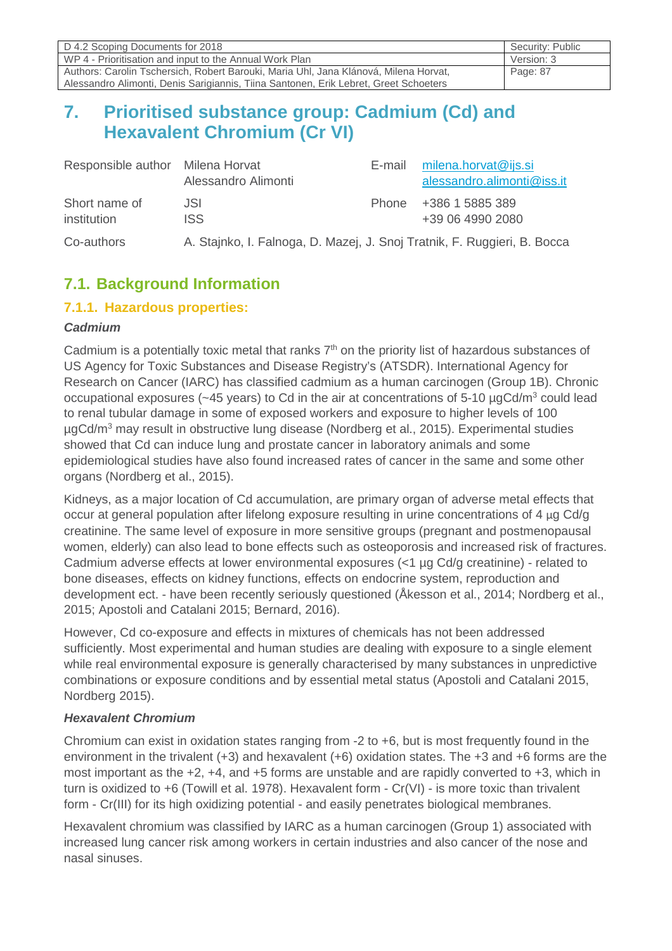| D 4.2 Scoping Documents for 2018                                                     | Security: Public |
|--------------------------------------------------------------------------------------|------------------|
| WP 4 - Prioritisation and input to the Annual Work Plan                              | Version: 3       |
| Authors: Carolin Tschersich, Robert Barouki, Maria Uhl, Jana Klánová, Milena Horvat, | Page: 87         |
| Alessandro Alimonti, Denis Sarigiannis, Tiina Santonen, Erik Lebret, Greet Schoeters |                  |

# **7. Prioritised substance group: Cadmium (Cd) and Hexavalent Chromium (Cr VI)**

| Responsible author Milena Horvat    | Alessandro Alimonti                                                      | E-mail | milena.horvat@ijs.si<br>alessandro.alimonti@iss.it |
|-------------------------------------|--------------------------------------------------------------------------|--------|----------------------------------------------------|
| Short name of<br><i>institution</i> | JSI.<br>ISS.                                                             |        | Phone +386 1 5885 389<br>+39 06 4990 2080          |
| Co-authors                          | A. Stajnko, I. Falnoga, D. Mazej, J. Snoj Tratnik, F. Ruggieri, B. Bocca |        |                                                    |

# **7.1. Background Information**

# **7.1.1. Hazardous properties:**

#### **Cadmium**

Cadmium is a potentially toxic metal that ranks  $7<sup>th</sup>$  on the priority list of hazardous substances of US Agency for Toxic Substances and Disease Registry's (ATSDR). International Agency for Research on Cancer (IARC) has classified cadmium as a human carcinogen (Group 1B). Chronic occupational exposures (~45 years) to Cd in the air at concentrations of 5-10 µgCd/m<sup>3</sup> could lead to renal tubular damage in some of exposed workers and exposure to higher levels of 100 µgCd/m<sup>3</sup> may result in obstructive lung disease (Nordberg et al., 2015). Experimental studies showed that Cd can induce lung and prostate cancer in laboratory animals and some epidemiological studies have also found increased rates of cancer in the same and some other organs (Nordberg et al., 2015).

Kidneys, as a major location of Cd accumulation, are primary organ of adverse metal effects that occur at general population after lifelong exposure resulting in urine concentrations of  $4 \mu q$  Cd/g creatinine. The same level of exposure in more sensitive groups (pregnant and postmenopausal women, elderly) can also lead to bone effects such as osteoporosis and increased risk of fractures. Cadmium adverse effects at lower environmental exposures (<1 µg Cd/g creatinine) - related to bone diseases, effects on kidney functions, effects on endocrine system, reproduction and development ect. - have been recently seriously questioned (Åkesson et al., 2014; Nordberg et al., 2015; Apostoli and Catalani 2015; Bernard, 2016).

However, Cd co-exposure and effects in mixtures of chemicals has not been addressed sufficiently. Most experimental and human studies are dealing with exposure to a single element while real environmental exposure is generally characterised by many substances in unpredictive combinations or exposure conditions and by essential metal status (Apostoli and Catalani 2015, Nordberg 2015).

### **Hexavalent Chromium**

Chromium can exist in oxidation states ranging from -2 to +6, but is most frequently found in the environment in the trivalent (+3) and hexavalent (+6) oxidation states. The +3 and +6 forms are the most important as the +2, +4, and +5 forms are unstable and are rapidly converted to +3, which in turn is oxidized to +6 (Towill et al. 1978). Hexavalent form - Cr(VI) - is more toxic than trivalent form - Cr(III) for its high oxidizing potential - and easily penetrates biological membranes.

Hexavalent chromium was classified by IARC as a human carcinogen (Group 1) associated with increased lung cancer risk among workers in certain industries and also cancer of the nose and nasal sinuses.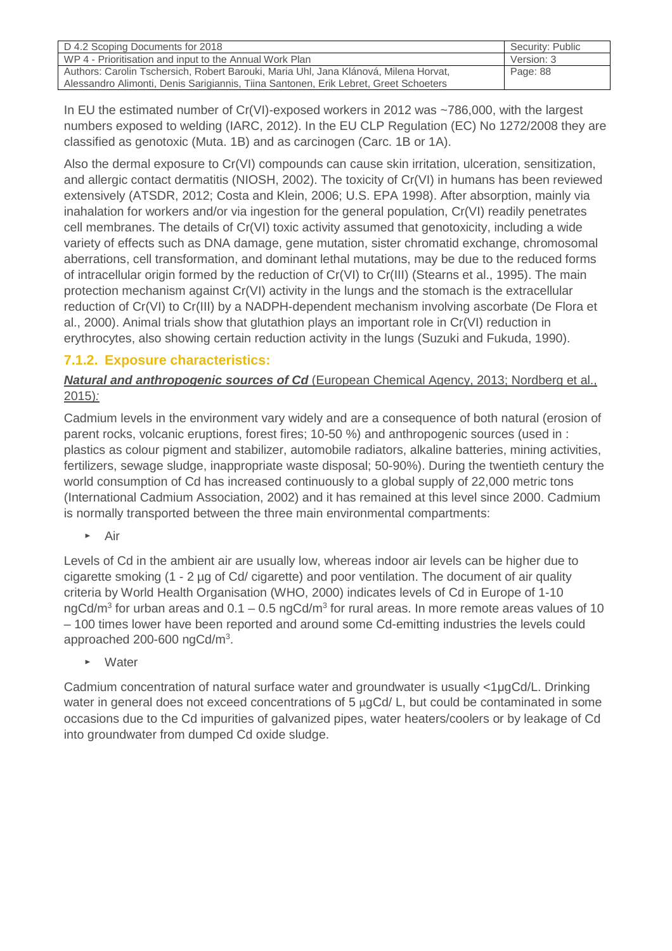| D 4.2 Scoping Documents for 2018                                                     | Security: Public |
|--------------------------------------------------------------------------------------|------------------|
| WP 4 - Prioritisation and input to the Annual Work Plan                              | Version: 3       |
| Authors: Carolin Tschersich, Robert Barouki, Maria Uhl, Jana Klánová, Milena Horvat, | Page: 88         |
| Alessandro Alimonti, Denis Sarigiannis, Tiina Santonen, Erik Lebret, Greet Schoeters |                  |

In EU the estimated number of Cr(VI)-exposed workers in 2012 was ~786,000, with the largest numbers exposed to welding (IARC, 2012). In the EU CLP Regulation (EC) No 1272/2008 they are classified as genotoxic (Muta. 1B) and as carcinogen (Carc. 1B or 1A).

Also the dermal exposure to Cr(VI) compounds can cause skin irritation, ulceration, sensitization, and allergic contact dermatitis (NIOSH, 2002). The toxicity of Cr(VI) in humans has been reviewed extensively (ATSDR, 2012; Costa and Klein, 2006; U.S. EPA 1998). After absorption, mainly via inahalation for workers and/or via ingestion for the general population, Cr(VI) readily penetrates cell membranes. The details of Cr(VI) toxic activity assumed that genotoxicity, including a wide variety of effects such as DNA damage, gene mutation, sister chromatid exchange, chromosomal aberrations, cell transformation, and dominant lethal mutations, may be due to the reduced forms of intracellular origin formed by the reduction of Cr(VI) to Cr(III) (Stearns et al., 1995). The main protection mechanism against Cr(VI) activity in the lungs and the stomach is the extracellular reduction of Cr(VI) to Cr(III) by a NADPH-dependent mechanism involving ascorbate (De Flora et al., 2000). Animal trials show that glutathion plays an important role in Cr(VI) reduction in erythrocytes, also showing certain reduction activity in the lungs (Suzuki and Fukuda, 1990).

# **7.1.2. Exposure characteristics:**

## **Natural and anthropogenic sources of Cd** (European Chemical Agency, 2013; Nordberg et al., 2015):

Cadmium levels in the environment vary widely and are a consequence of both natural (erosion of parent rocks, volcanic eruptions, forest fires; 10-50 %) and anthropogenic sources (used in : plastics as colour pigment and stabilizer, automobile radiators, alkaline batteries, mining activities, fertilizers, sewage sludge, inappropriate waste disposal; 50-90%). During the twentieth century the world consumption of Cd has increased continuously to a global supply of 22,000 metric tons (International Cadmium Association, 2002) and it has remained at this level since 2000. Cadmium is normally transported between the three main environmental compartments:

Levels of Cd in the ambient air are usually low, whereas indoor air levels can be higher due to cigarette smoking (1 - 2 µg of Cd/ cigarette) and poor ventilation. The document of air quality criteria by World Health Organisation (WHO, 2000) indicates levels of Cd in Europe of 1-10 ngCd/m<sup>3</sup> for urban areas and  $0.1 - 0.5$  ngCd/m<sup>3</sup> for rural areas. In more remote areas values of 10 – 100 times lower have been reported and around some Cd-emitting industries the levels could approached 200-600 ngCd/m<sup>3</sup>.

▸ Water

Cadmium concentration of natural surface water and groundwater is usually <1µgCd/L. Drinking water in general does not exceed concentrations of 5  $\mu$ gCd/L, but could be contaminated in some occasions due to the Cd impurities of galvanized pipes, water heaters/coolers or by leakage of Cd into groundwater from dumped Cd oxide sludge.

<sup>▸</sup> Air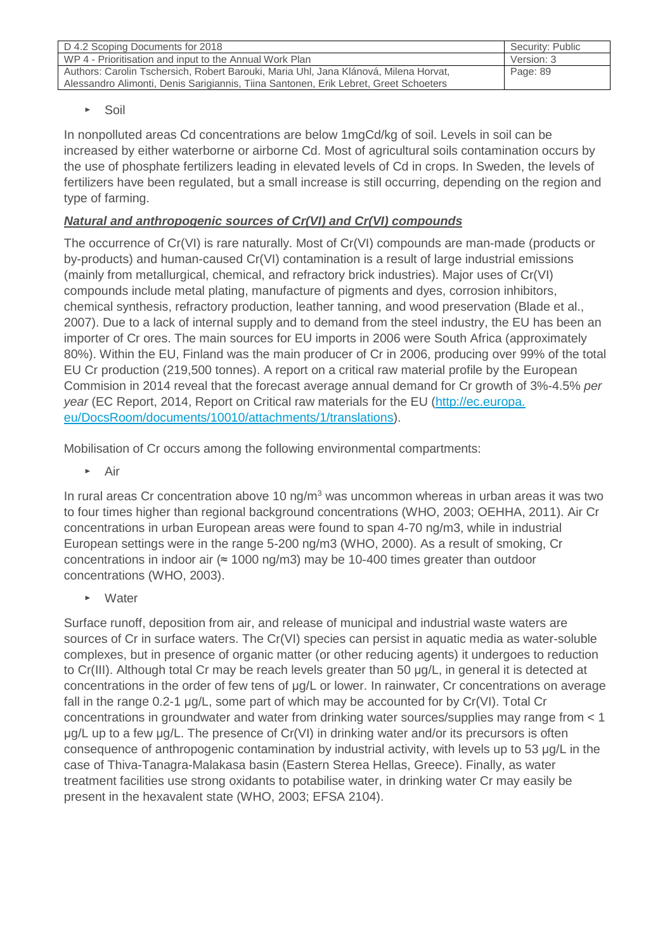| D 4.2 Scoping Documents for 2018                                                     | Security: Public |
|--------------------------------------------------------------------------------------|------------------|
| WP 4 - Prioritisation and input to the Annual Work Plan                              | Version: 3       |
| Authors: Carolin Tschersich, Robert Barouki, Maria Uhl, Jana Klánová, Milena Horvat, | Page: 89         |
| Alessandro Alimonti, Denis Sarigiannis, Tiina Santonen, Erik Lebret, Greet Schoeters |                  |

## ▸ Soil

In nonpolluted areas Cd concentrations are below 1mgCd/kg of soil. Levels in soil can be increased by either waterborne or airborne Cd. Most of agricultural soils contamination occurs by the use of phosphate fertilizers leading in elevated levels of Cd in crops. In Sweden, the levels of fertilizers have been regulated, but a small increase is still occurring, depending on the region and type of farming.

# **Natural and anthropogenic sources of Cr(VI) and Cr(VI) compounds**

The occurrence of Cr(VI) is rare naturally. Most of Cr(VI) compounds are man-made (products or by-products) and human-caused Cr(VI) contamination is a result of large industrial emissions (mainly from metallurgical, chemical, and refractory brick industries). Major uses of Cr(VI) compounds include metal plating, manufacture of pigments and dyes, corrosion inhibitors, chemical synthesis, refractory production, leather tanning, and wood preservation (Blade et al., 2007). Due to a lack of internal supply and to demand from the steel industry, the EU has been an importer of Cr ores. The main sources for EU imports in 2006 were South Africa (approximately 80%). Within the EU, Finland was the main producer of Cr in 2006, producing over 99% of the total EU Cr production (219,500 tonnes). A report on a critical raw material profile by the European Commision in 2014 reveal that the forecast average annual demand for Cr growth of 3%-4.5% per year (EC Report, 2014, Report on Critical raw materials for the EU (http://ec.europa. eu/DocsRoom/documents/10010/attachments/1/translations).

Mobilisation of Cr occurs among the following environmental compartments:

▸ Air

In rural areas Cr concentration above 10 ng/m<sup>3</sup> was uncommon whereas in urban areas it was two to four times higher than regional background concentrations (WHO, 2003; OEHHA, 2011). Air Cr concentrations in urban European areas were found to span 4-70 ng/m3, while in industrial European settings were in the range 5-200 ng/m3 (WHO, 2000). As a result of smoking, Cr concentrations in indoor air ( $\approx$  1000 ng/m3) may be 10-400 times greater than outdoor concentrations (WHO, 2003).

▸ Water

Surface runoff, deposition from air, and release of municipal and industrial waste waters are sources of Cr in surface waters. The Cr(VI) species can persist in aquatic media as water-soluble complexes, but in presence of organic matter (or other reducing agents) it undergoes to reduction to Cr(III). Although total Cr may be reach levels greater than 50 µg/L, in general it is detected at concentrations in the order of few tens of  $\mu$ g/L or lower. In rainwater, Cr concentrations on average fall in the range 0.2-1 µg/L, some part of which may be accounted for by Cr(VI). Total Cr concentrations in groundwater and water from drinking water sources/supplies may range from < 1 µg/L up to a few µg/L. The presence of Cr(VI) in drinking water and/or its precursors is often consequence of anthropogenic contamination by industrial activity, with levels up to 53 µg/L in the case of Thiva-Tanagra-Malakasa basin (Eastern Sterea Hellas, Greece). Finally, as water treatment facilities use strong oxidants to potabilise water, in drinking water Cr may easily be present in the hexavalent state (WHO, 2003; EFSA 2104).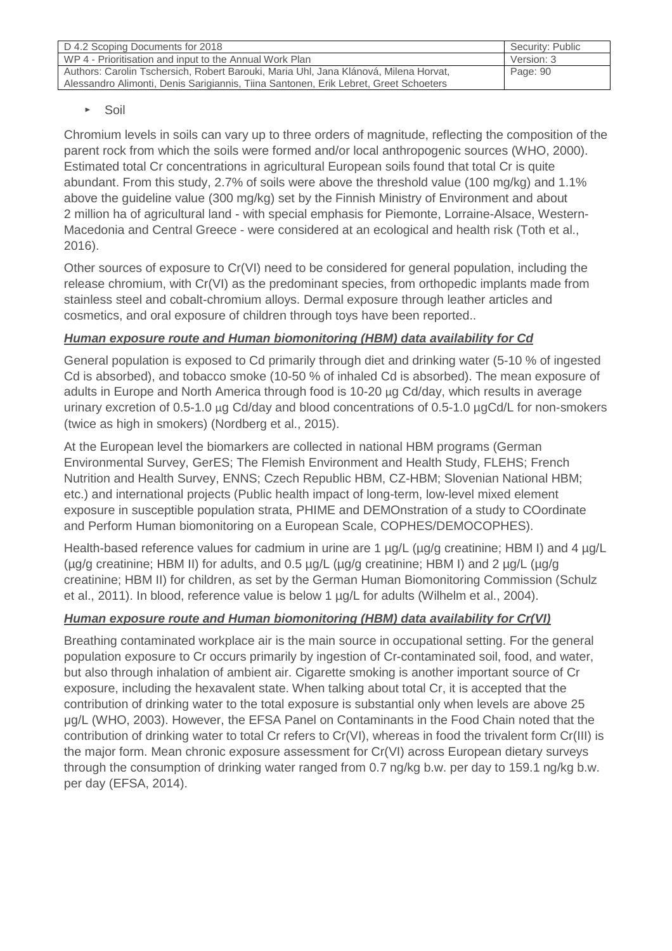| D 4.2 Scoping Documents for 2018                                                     | Security: Public |
|--------------------------------------------------------------------------------------|------------------|
| WP 4 - Prioritisation and input to the Annual Work Plan                              | Version: 3       |
| Authors: Carolin Tschersich, Robert Barouki, Maria Uhl, Jana Klánová, Milena Horvat, | Page: 90         |
| Alessandro Alimonti, Denis Sarigiannis, Tiina Santonen, Erik Lebret, Greet Schoeters |                  |

#### ▸ Soil

Chromium levels in soils can vary up to three orders of magnitude, reflecting the composition of the parent rock from which the soils were formed and/or local anthropogenic sources (WHO, 2000). Estimated total Cr concentrations in agricultural European soils found that total Cr is quite abundant. From this study, 2.7% of soils were above the threshold value (100 mg/kg) and 1.1% above the guideline value (300 mg/kg) set by the Finnish Ministry of Environment and about 2 million ha of agricultural land - with special emphasis for Piemonte, Lorraine-Alsace, Western-Macedonia and Central Greece - were considered at an ecological and health risk (Toth et al., 2016).

Other sources of exposure to Cr(VI) need to be considered for general population, including the release chromium, with Cr(VI) as the predominant species, from orthopedic implants made from stainless steel and cobalt-chromium alloys. Dermal exposure through leather articles and cosmetics, and oral exposure of children through toys have been reported..

### **Human exposure route and Human biomonitoring (HBM) data availability for Cd**

General population is exposed to Cd primarily through diet and drinking water (5-10 % of ingested Cd is absorbed), and tobacco smoke (10-50 % of inhaled Cd is absorbed). The mean exposure of adults in Europe and North America through food is 10-20 µg Cd/day, which results in average urinary excretion of 0.5-1.0 µg Cd/day and blood concentrations of 0.5-1.0 µgCd/L for non-smokers (twice as high in smokers) (Nordberg et al., 2015).

At the European level the biomarkers are collected in national HBM programs (German Environmental Survey, GerES; The Flemish Environment and Health Study, FLEHS; French Nutrition and Health Survey, ENNS; Czech Republic HBM, CZ-HBM; Slovenian National HBM; etc.) and international projects (Public health impact of long-term, low-level mixed element exposure in susceptible population strata, PHIME and DEMOnstration of a study to COordinate and Perform Human biomonitoring on a European Scale, COPHES/DEMOCOPHES).

Health-based reference values for cadmium in urine are 1  $\mu$ g/L ( $\mu$ g/g creatinine; HBM I) and 4  $\mu$ g/L  $(\mu q/q \text{ creationine}; \text{HBM II})$  for adults, and 0.5  $\mu q/L (\mu q/q \text{ creationine}; \text{HBM I})$  and 2  $\mu q/L (\mu q/q \text{ action})$ creatinine; HBM II) for children, as set by the German Human Biomonitoring Commission (Schulz et al., 2011). In blood, reference value is below 1 µg/L for adults (Wilhelm et al., 2004).

# **Human exposure route and Human biomonitoring (HBM) data availability for Cr(VI)**

Breathing contaminated workplace air is the main source in occupational setting. For the general population exposure to Cr occurs primarily by ingestion of Cr-contaminated soil, food, and water, but also through inhalation of ambient air. Cigarette smoking is another important source of Cr exposure, including the hexavalent state. When talking about total Cr, it is accepted that the contribution of drinking water to the total exposure is substantial only when levels are above 25 µg/L (WHO, 2003). However, the EFSA Panel on Contaminants in the Food Chain noted that the contribution of drinking water to total Cr refers to Cr(VI), whereas in food the trivalent form Cr(III) is the major form. Mean chronic exposure assessment for Cr(VI) across European dietary surveys through the consumption of drinking water ranged from 0.7 ng/kg b.w. per day to 159.1 ng/kg b.w. per day (EFSA, 2014).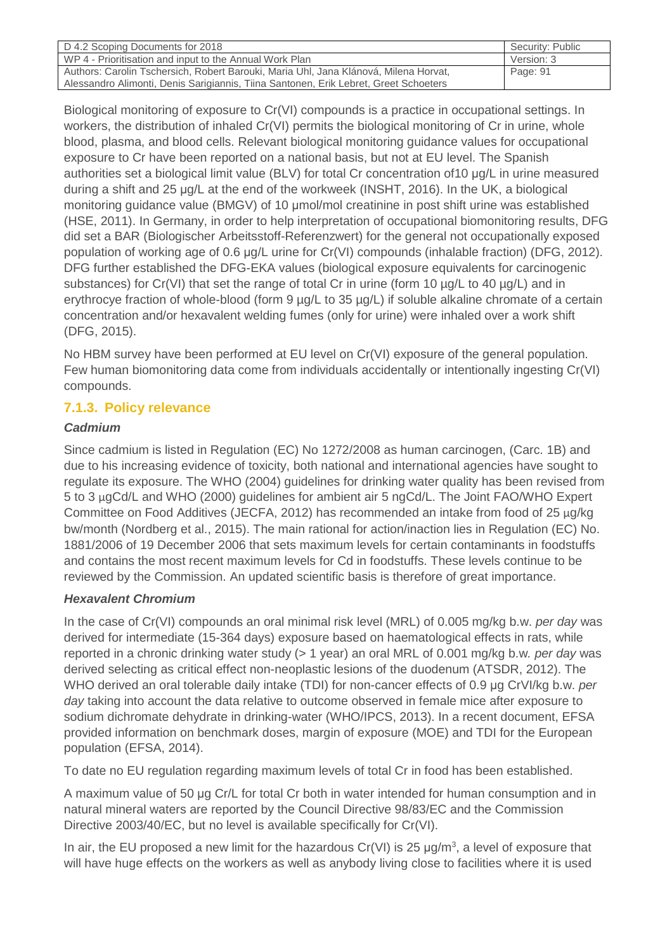| D 4.2 Scoping Documents for 2018                                                     | Security: Public |
|--------------------------------------------------------------------------------------|------------------|
| WP 4 - Prioritisation and input to the Annual Work Plan                              | Version: 3       |
| Authors: Carolin Tschersich, Robert Barouki, Maria Uhl, Jana Klánová, Milena Horvat, | Page: 91         |
| Alessandro Alimonti, Denis Sarigiannis, Tiina Santonen, Erik Lebret, Greet Schoeters |                  |

Biological monitoring of exposure to Cr(VI) compounds is a practice in occupational settings. In workers, the distribution of inhaled Cr(VI) permits the biological monitoring of Cr in urine, whole blood, plasma, and blood cells. Relevant biological monitoring guidance values for occupational exposure to Cr have been reported on a national basis, but not at EU level. The Spanish authorities set a biological limit value (BLV) for total Cr concentration of10 µg/L in urine measured during a shift and 25 µg/L at the end of the workweek (INSHT, 2016). In the UK, a biological monitoring guidance value (BMGV) of 10 µmol/mol creatinine in post shift urine was established (HSE, 2011). In Germany, in order to help interpretation of occupational biomonitoring results, DFG did set a BAR (Biologischer Arbeitsstoff-Referenzwert) for the general not occupationally exposed population of working age of 0.6 µg/L urine for Cr(VI) compounds (inhalable fraction) (DFG, 2012). DFG further established the DFG-EKA values (biological exposure equivalents for carcinogenic substances) for Cr(VI) that set the range of total Cr in urine (form 10 µg/L to 40 µg/L) and in erythrocye fraction of whole-blood (form 9 µg/L to 35 µg/L) if soluble alkaline chromate of a certain concentration and/or hexavalent welding fumes (only for urine) were inhaled over a work shift (DFG, 2015).

No HBM survey have been performed at EU level on Cr(VI) exposure of the general population. Few human biomonitoring data come from individuals accidentally or intentionally ingesting Cr(VI) compounds.

# **7.1.3. Policy relevance**

# **Cadmium**

Since cadmium is listed in Regulation (EC) No 1272/2008 as human carcinogen, (Carc. 1B) and due to his increasing evidence of toxicity, both national and international agencies have sought to regulate its exposure. The WHO (2004) guidelines for drinking water quality has been revised from 5 to 3 µgCd/L and WHO (2000) guidelines for ambient air 5 ngCd/L. The Joint FAO/WHO Expert Committee on Food Additives (JECFA, 2012) has recommended an intake from food of 25 µg/kg bw/month (Nordberg et al., 2015). The main rational for action/inaction lies in Regulation (EC) No. 1881/2006 of 19 December 2006 that sets maximum levels for certain contaminants in foodstuffs and contains the most recent maximum levels for Cd in foodstuffs. These levels continue to be reviewed by the Commission. An updated scientific basis is therefore of great importance.

# **Hexavalent Chromium**

In the case of Cr(VI) compounds an oral minimal risk level (MRL) of 0.005 mg/kg b.w. per day was derived for intermediate (15-364 days) exposure based on haematological effects in rats, while reported in a chronic drinking water study (> 1 year) an oral MRL of 0.001 mg/kg b.w. per day was derived selecting as critical effect non-neoplastic lesions of the duodenum (ATSDR, 2012). The WHO derived an oral tolerable daily intake (TDI) for non-cancer effects of 0.9 µg CrVI/kg b.w. per day taking into account the data relative to outcome observed in female mice after exposure to sodium dichromate dehydrate in drinking-water (WHO/IPCS, 2013). In a recent document, EFSA provided information on benchmark doses, margin of exposure (MOE) and TDI for the European population (EFSA, 2014).

To date no EU regulation regarding maximum levels of total Cr in food has been established.

A maximum value of 50 µg Cr/L for total Cr both in water intended for human consumption and in natural mineral waters are reported by the Council Directive 98/83/EC and the Commission Directive 2003/40/EC, but no level is available specifically for Cr(VI).

In air, the EU proposed a new limit for the hazardous  $Cr(VI)$  is 25  $\mu g/m^3$ , a level of exposure that will have huge effects on the workers as well as anybody living close to facilities where it is used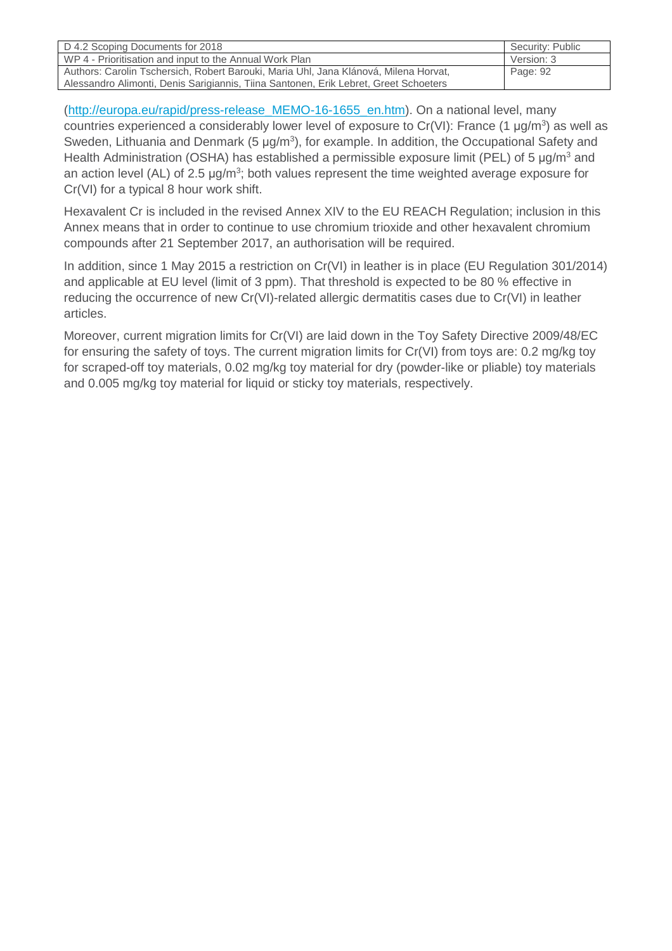| D 4.2 Scoping Documents for 2018                                                     | Security: Public |
|--------------------------------------------------------------------------------------|------------------|
| WP 4 - Prioritisation and input to the Annual Work Plan                              | Version: 3       |
| Authors: Carolin Tschersich, Robert Barouki, Maria Uhl, Jana Klánová, Milena Horvat, | Page: 92         |
| Alessandro Alimonti, Denis Sarigiannis, Tiina Santonen, Erik Lebret, Greet Schoeters |                  |

(http://europa.eu/rapid/press-release\_MEMO-16-1655\_en.htm). On a national level, many countries experienced a considerably lower level of exposure to  $Cr(VI)$ : France (1 µg/m<sup>3</sup>) as well as Sweden, Lithuania and Denmark (5  $\mu$ g/m<sup>3</sup>), for example. In addition, the Occupational Safety and Health Administration (OSHA) has established a permissible exposure limit (PEL) of 5 µg/m<sup>3</sup> and an action level (AL) of 2.5  $\mu$ g/m<sup>3</sup>; both values represent the time weighted average exposure for Cr(VI) for a typical 8 hour work shift.

Hexavalent Cr is included in the revised Annex XIV to the EU REACH Regulation; inclusion in this Annex means that in order to continue to use chromium trioxide and other hexavalent chromium compounds after 21 September 2017, an authorisation will be required.

In addition, since 1 May 2015 a restriction on Cr(VI) in leather is in place (EU Regulation 301/2014) and applicable at EU level (limit of 3 ppm). That threshold is expected to be 80 % effective in reducing the occurrence of new Cr(VI)-related allergic dermatitis cases due to Cr(VI) in leather articles.

Moreover, current migration limits for Cr(VI) are laid down in the Toy Safety Directive 2009/48/EC for ensuring the safety of toys. The current migration limits for Cr(VI) from toys are: 0.2 mg/kg toy for scraped-off toy materials, 0.02 mg/kg toy material for dry (powder-like or pliable) toy materials and 0.005 mg/kg toy material for liquid or sticky toy materials, respectively.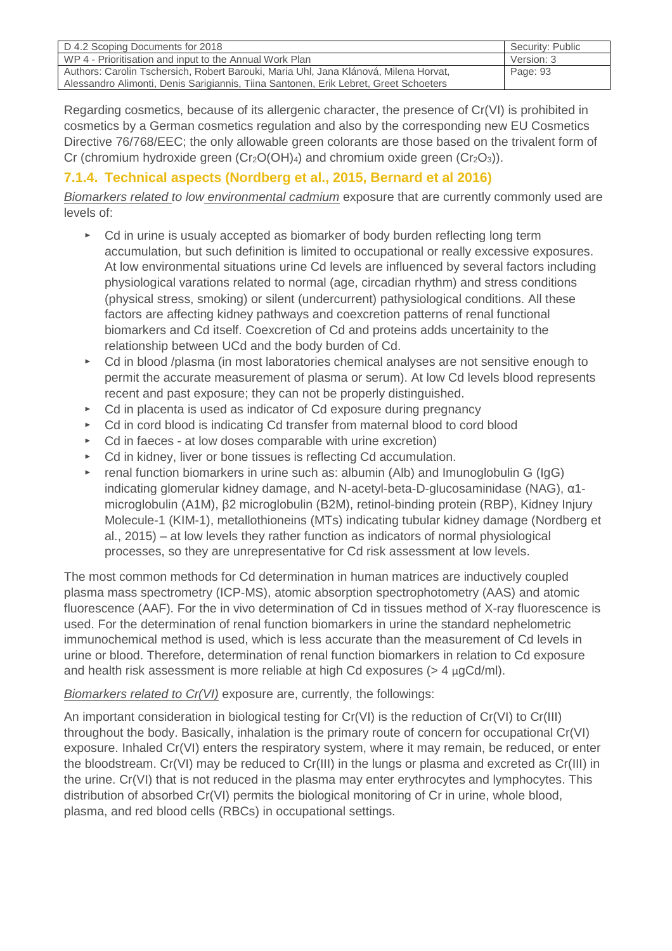| D 4.2 Scoping Documents for 2018                                                     | Security: Public |
|--------------------------------------------------------------------------------------|------------------|
| WP 4 - Prioritisation and input to the Annual Work Plan                              | Version: 3       |
| Authors: Carolin Tschersich, Robert Barouki, Maria Uhl, Jana Klánová, Milena Horvat, | Page: 93         |
| Alessandro Alimonti, Denis Sarigiannis, Tiina Santonen, Erik Lebret, Greet Schoeters |                  |

Regarding cosmetics, because of its allergenic character, the presence of Cr(VI) is prohibited in cosmetics by a German cosmetics regulation and also by the corresponding new EU Cosmetics Directive 76/768/EEC; the only allowable green colorants are those based on the trivalent form of Cr (chromium hydroxide green  $(Cr_2O(OH)_4)$  and chromium oxide green  $(Cr_2O_3)$ ).

# **7.1.4. Technical aspects (Nordberg et al., 2015, Bernard et al 2016)**

Biomarkers related to low environmental cadmium exposure that are currently commonly used are levels of:

- ▸ Cd in urine is usualy accepted as biomarker of body burden reflecting long term accumulation, but such definition is limited to occupational or really excessive exposures. At low environmental situations urine Cd levels are influenced by several factors including physiological varations related to normal (age, circadian rhythm) and stress conditions (physical stress, smoking) or silent (undercurrent) pathysiological conditions. All these factors are affecting kidney pathways and coexcretion patterns of renal functional biomarkers and Cd itself. Coexcretion of Cd and proteins adds uncertainity to the relationship between UCd and the body burden of Cd.
- ▸ Cd in blood /plasma (in most laboratories chemical analyses are not sensitive enough to permit the accurate measurement of plasma or serum). At low Cd levels blood represents recent and past exposure; they can not be properly distinguished.
- ▸ Cd in placenta is used as indicator of Cd exposure during pregnancy
- Cd in cord blood is indicating Cd transfer from maternal blood to cord blood
- $\triangleright$  Cd in faeces at low doses comparable with urine excretion)
- ▸ Cd in kidney, liver or bone tissues is reflecting Cd accumulation.
- $\triangleright$  renal function biomarkers in urine such as: albumin (Alb) and Imunoglobulin G ( $\overline{I}$  (IgG) indicating glomerular kidney damage, and N-acetyl-beta-D-glucosaminidase (NAG), α1 microglobulin (A1M), β2 microglobulin (B2M), retinol-binding protein (RBP), Kidney Injury Molecule-1 (KIM-1), metallothioneins (MTs) indicating tubular kidney damage (Nordberg et al., 2015) – at low levels they rather function as indicators of normal physiological processes, so they are unrepresentative for Cd risk assessment at low levels.

The most common methods for Cd determination in human matrices are inductively coupled plasma mass spectrometry (ICP-MS), atomic absorption spectrophotometry (AAS) and atomic fluorescence (AAF). For the in vivo determination of Cd in tissues method of X-ray fluorescence is used. For the determination of renal function biomarkers in urine the standard nephelometric immunochemical method is used, which is less accurate than the measurement of Cd levels in urine or blood. Therefore, determination of renal function biomarkers in relation to Cd exposure and health risk assessment is more reliable at high Cd exposures ( $>$  4  $\mu$ gCd/ml).

### Biomarkers related to Cr(VI) exposure are, currently, the followings:

An important consideration in biological testing for Cr(VI) is the reduction of Cr(VI) to Cr(III) throughout the body. Basically, inhalation is the primary route of concern for occupational Cr(VI) exposure. Inhaled Cr(VI) enters the respiratory system, where it may remain, be reduced, or enter the bloodstream. Cr(VI) may be reduced to Cr(III) in the lungs or plasma and excreted as Cr(III) in the urine. Cr(VI) that is not reduced in the plasma may enter erythrocytes and lymphocytes. This distribution of absorbed Cr(VI) permits the biological monitoring of Cr in urine, whole blood, plasma, and red blood cells (RBCs) in occupational settings.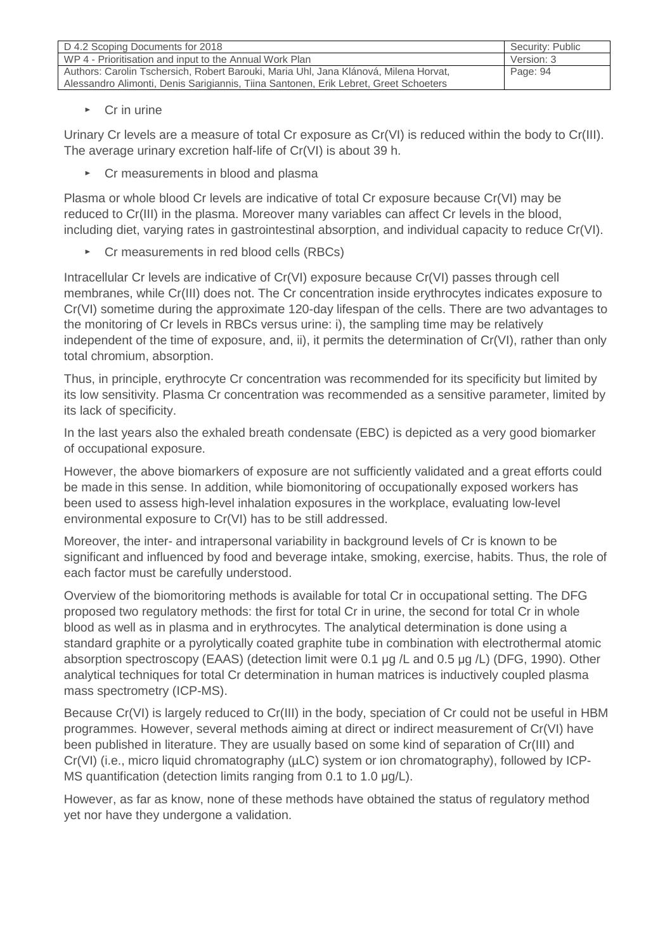| D 4.2 Scoping Documents for 2018                                                     | Security: Public |
|--------------------------------------------------------------------------------------|------------------|
| WP 4 - Prioritisation and input to the Annual Work Plan                              | Version: 3       |
| Authors: Carolin Tschersich, Robert Barouki, Maria Uhl, Jana Klánová, Milena Horvat, | Page: 94         |
| Alessandro Alimonti, Denis Sarigiannis, Tiina Santonen, Erik Lebret, Greet Schoeters |                  |

 $\triangleright$  Cr in urine

Urinary Cr levels are a measure of total Cr exposure as Cr(VI) is reduced within the body to Cr(III). The average urinary excretion half-life of Cr(VI) is about 39 h.

▸ Cr measurements in blood and plasma

Plasma or whole blood Cr levels are indicative of total Cr exposure because Cr(VI) may be reduced to Cr(III) in the plasma. Moreover many variables can affect Cr levels in the blood, including diet, varying rates in gastrointestinal absorption, and individual capacity to reduce Cr(VI).

▸ Cr measurements in red blood cells (RBCs)

Intracellular Cr levels are indicative of Cr(VI) exposure because Cr(VI) passes through cell membranes, while Cr(III) does not. The Cr concentration inside erythrocytes indicates exposure to Cr(VI) sometime during the approximate 120-day lifespan of the cells. There are two advantages to the monitoring of Cr levels in RBCs versus urine: i), the sampling time may be relatively independent of the time of exposure, and, ii), it permits the determination of Cr(VI), rather than only total chromium, absorption.

Thus, in principle, erythrocyte Cr concentration was recommended for its specificity but limited by its low sensitivity. Plasma Cr concentration was recommended as a sensitive parameter, limited by its lack of specificity.

In the last years also the exhaled breath condensate (EBC) is depicted as a very good biomarker of occupational exposure.

However, the above biomarkers of exposure are not sufficiently validated and a great efforts could be made in this sense. In addition, while biomonitoring of occupationally exposed workers has been used to assess high-level inhalation exposures in the workplace, evaluating low-level environmental exposure to Cr(VI) has to be still addressed.

Moreover, the inter- and intrapersonal variability in background levels of Cr is known to be significant and influenced by food and beverage intake, smoking, exercise, habits. Thus, the role of each factor must be carefully understood.

Overview of the biomoritoring methods is available for total Cr in occupational setting. The DFG proposed two regulatory methods: the first for total Cr in urine, the second for total Cr in whole blood as well as in plasma and in erythrocytes. The analytical determination is done using a standard graphite or a pyrolytically coated graphite tube in combination with electrothermal atomic absorption spectroscopy (EAAS) (detection limit were 0.1 µg /L and 0.5 µg /L) (DFG, 1990). Other analytical techniques for total Cr determination in human matrices is inductively coupled plasma mass spectrometry (ICP-MS).

Because Cr(VI) is largely reduced to Cr(III) in the body, speciation of Cr could not be useful in HBM programmes. However, several methods aiming at direct or indirect measurement of Cr(VI) have been published in literature. They are usually based on some kind of separation of Cr(III) and Cr(VI) (i.e., micro liquid chromatography (µLC) system or ion chromatography), followed by ICP-MS quantification (detection limits ranging from 0.1 to 1.0  $\mu$ g/L).

However, as far as know, none of these methods have obtained the status of regulatory method yet nor have they undergone a validation.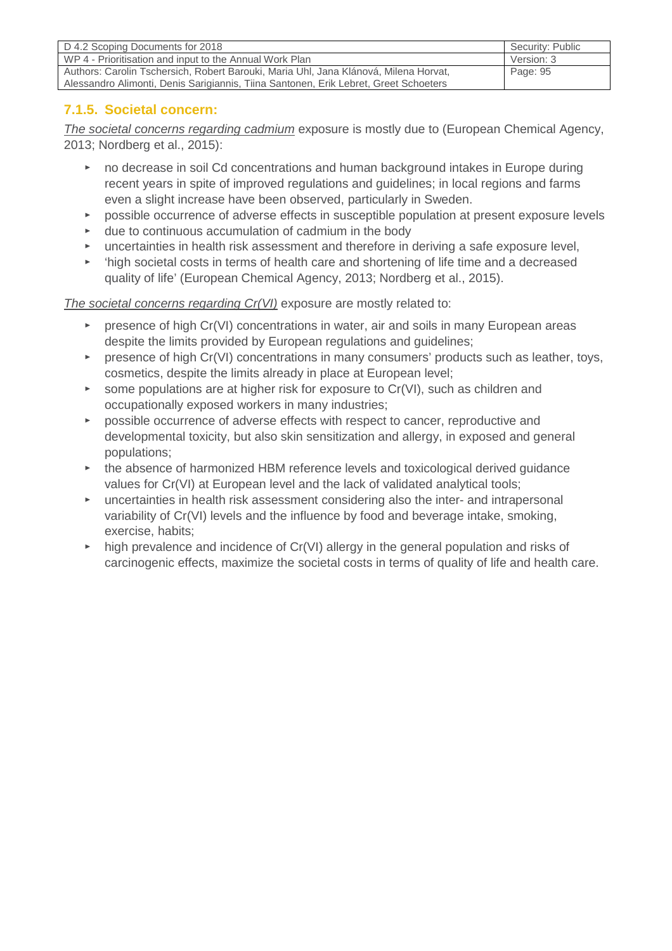| D 4.2 Scoping Documents for 2018                                                     | Security: Public |
|--------------------------------------------------------------------------------------|------------------|
| WP 4 - Prioritisation and input to the Annual Work Plan                              | Version: 3       |
| Authors: Carolin Tschersich, Robert Barouki, Maria Uhl, Jana Klánová, Milena Horvat, | Page: 95         |
| Alessandro Alimonti, Denis Sarigiannis, Tiina Santonen, Erik Lebret, Greet Schoeters |                  |

# **7.1.5. Societal concern:**

The societal concerns regarding cadmium exposure is mostly due to (European Chemical Agency, 2013; Nordberg et al., 2015):

- ▸ no decrease in soil Cd concentrations and human background intakes in Europe during recent years in spite of improved regulations and guidelines; in local regions and farms even a slight increase have been observed, particularly in Sweden.
- ▸ possible occurrence of adverse effects in susceptible population at present exposure levels
- ▸ due to continuous accumulation of cadmium in the body
- ▸ uncertainties in health risk assessment and therefore in deriving a safe exposure level,
- ▸ 'high societal costs in terms of health care and shortening of life time and a decreased quality of life' (European Chemical Agency, 2013; Nordberg et al., 2015).

The societal concerns regarding Cr(VI) exposure are mostly related to:

- ▸ presence of high Cr(VI) concentrations in water, air and soils in many European areas despite the limits provided by European regulations and guidelines;
- ▸ presence of high Cr(VI) concentrations in many consumers' products such as leather, toys, cosmetics, despite the limits already in place at European level;
- ▸ some populations are at higher risk for exposure to Cr(VI), such as children and occupationally exposed workers in many industries;
- ▸ possible occurrence of adverse effects with respect to cancer, reproductive and developmental toxicity, but also skin sensitization and allergy, in exposed and general populations;
- ▸ the absence of harmonized HBM reference levels and toxicological derived guidance values for Cr(VI) at European level and the lack of validated analytical tools;
- ▸ uncertainties in health risk assessment considering also the inter- and intrapersonal variability of Cr(VI) levels and the influence by food and beverage intake, smoking, exercise, habits;
- ▸ high prevalence and incidence of Cr(VI) allergy in the general population and risks of carcinogenic effects, maximize the societal costs in terms of quality of life and health care.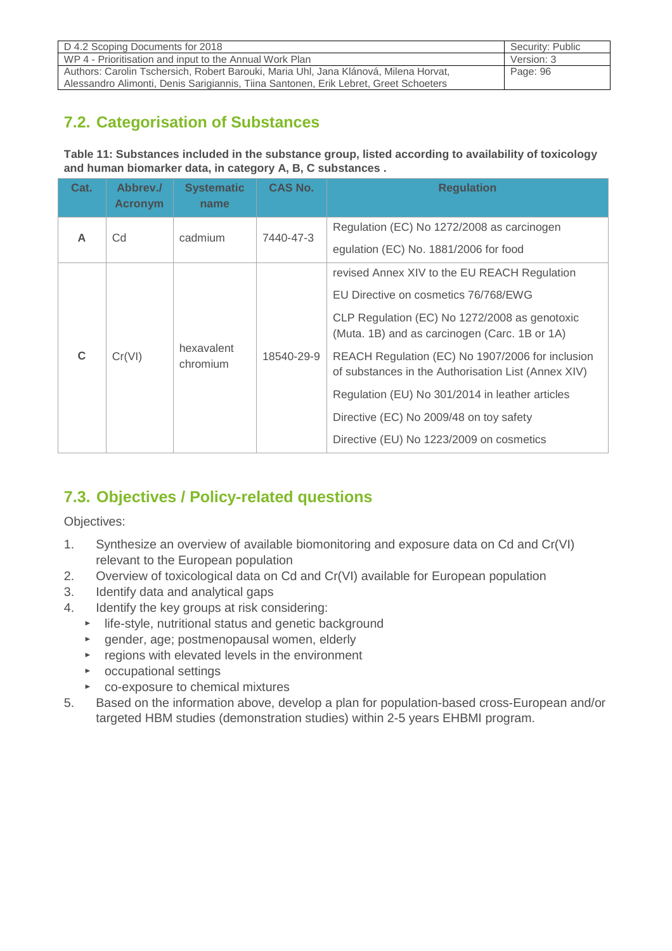| D 4.2 Scoping Documents for 2018                                                     | Security: Public |
|--------------------------------------------------------------------------------------|------------------|
| WP 4 - Prioritisation and input to the Annual Work Plan                              | Version: 3       |
| Authors: Carolin Tschersich, Robert Barouki, Maria Uhl, Jana Klánová, Milena Horvat, | Page: 96         |
| Alessandro Alimonti, Denis Sarigiannis, Tiina Santonen, Erik Lebret, Greet Schoeters |                  |

# **7.2. Categorisation of Substances**

**Table 11: Substances included in the substance group, listed according to availability of toxicology and human biomarker data, in category A, B, C substances .**

| Cat.        | Abbrev./<br><b>Acronym</b> | <b>Systematic</b><br>name                    | <b>CAS No.</b>                                                                                          | <b>Regulation</b>                                                                   |
|-------------|----------------------------|----------------------------------------------|---------------------------------------------------------------------------------------------------------|-------------------------------------------------------------------------------------|
| A           | Cd                         | cadmium                                      | 7440-47-3                                                                                               | Regulation (EC) No 1272/2008 as carcinogen<br>egulation (EC) No. 1881/2006 for food |
|             |                            |                                              |                                                                                                         |                                                                                     |
|             |                            | revised Annex XIV to the EU REACH Regulation |                                                                                                         |                                                                                     |
| C<br>Cr(VI) | hexavalent<br>chromium     | 18540-29-9                                   | EU Directive on cosmetics 76/768/EWG                                                                    |                                                                                     |
|             |                            |                                              | CLP Regulation (EC) No 1272/2008 as genotoxic<br>(Muta. 1B) and as carcinogen (Carc. 1B or 1A)          |                                                                                     |
|             |                            |                                              | REACH Regulation (EC) No 1907/2006 for inclusion<br>of substances in the Authorisation List (Annex XIV) |                                                                                     |
|             |                            |                                              |                                                                                                         | Regulation (EU) No 301/2014 in leather articles                                     |
|             |                            |                                              |                                                                                                         | Directive (EC) No 2009/48 on toy safety                                             |
|             |                            |                                              |                                                                                                         | Directive (EU) No 1223/2009 on cosmetics                                            |

# **7.3. Objectives / Policy-related questions**

Objectives:

- 1. Synthesize an overview of available biomonitoring and exposure data on Cd and Cr(VI) relevant to the European population
- 2. Overview of toxicological data on Cd and Cr(VI) available for European population
- 3. Identify data and analytical gaps
- 4. Identify the key groups at risk considering:
	- ▸ life-style, nutritional status and genetic background
	- ▸ gender, age; postmenopausal women, elderly
	- $\triangleright$  regions with elevated levels in the environment
	- ▸ occupational settings
	- ▸ co-exposure to chemical mixtures
- 5. Based on the information above, develop a plan for population-based cross-European and/or targeted HBM studies (demonstration studies) within 2-5 years EHBMI program.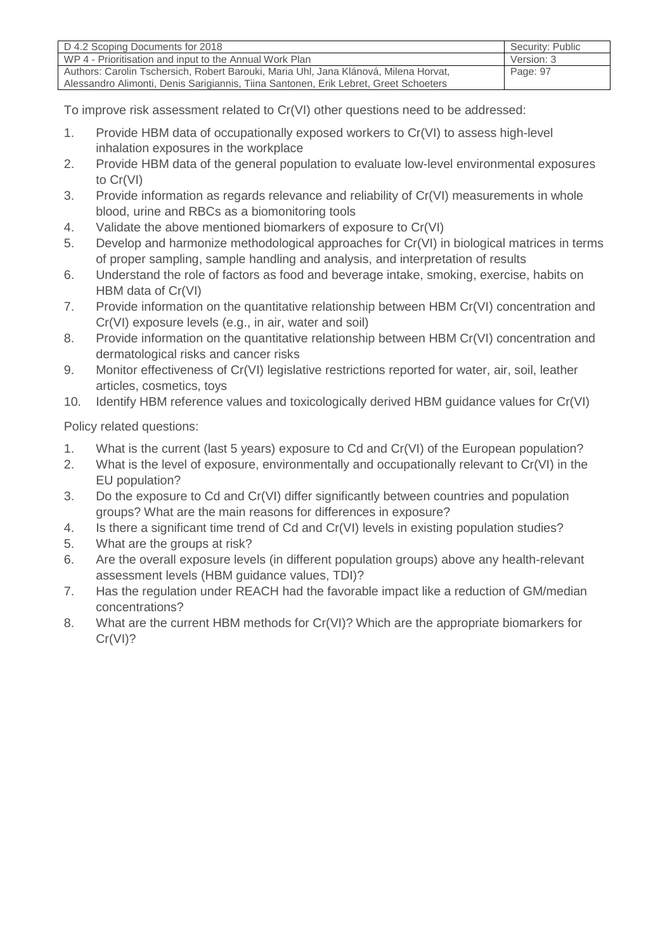| D 4.2 Scoping Documents for 2018                                                     | Security: Public |
|--------------------------------------------------------------------------------------|------------------|
| WP 4 - Prioritisation and input to the Annual Work Plan                              | Version: 3       |
| Authors: Carolin Tschersich, Robert Barouki, Maria Uhl, Jana Klánová, Milena Horvat, | Page: 97         |
| Alessandro Alimonti, Denis Sarigiannis, Tiina Santonen, Erik Lebret, Greet Schoeters |                  |

To improve risk assessment related to Cr(VI) other questions need to be addressed:

- 1. Provide HBM data of occupationally exposed workers to Cr(VI) to assess high-level inhalation exposures in the workplace
- 2. Provide HBM data of the general population to evaluate low-level environmental exposures to Cr(VI)
- 3. Provide information as regards relevance and reliability of Cr(VI) measurements in whole blood, urine and RBCs as a biomonitoring tools
- 4. Validate the above mentioned biomarkers of exposure to Cr(VI)
- 5. Develop and harmonize methodological approaches for Cr(VI) in biological matrices in terms of proper sampling, sample handling and analysis, and interpretation of results
- 6. Understand the role of factors as food and beverage intake, smoking, exercise, habits on HBM data of Cr(VI)
- 7. Provide information on the quantitative relationship between HBM Cr(VI) concentration and Cr(VI) exposure levels (e.g., in air, water and soil)
- 8. Provide information on the quantitative relationship between HBM Cr(VI) concentration and dermatological risks and cancer risks
- 9. Monitor effectiveness of Cr(VI) legislative restrictions reported for water, air, soil, leather articles, cosmetics, toys
- 10. Identify HBM reference values and toxicologically derived HBM guidance values for Cr(VI)

Policy related questions:

- 1. What is the current (last 5 years) exposure to Cd and Cr(VI) of the European population?
- 2. What is the level of exposure, environmentally and occupationally relevant to Cr(VI) in the EU population?
- 3. Do the exposure to Cd and Cr(VI) differ significantly between countries and population groups? What are the main reasons for differences in exposure?
- 4. Is there a significant time trend of Cd and Cr(VI) levels in existing population studies?
- 5. What are the groups at risk?
- 6. Are the overall exposure levels (in different population groups) above any health-relevant assessment levels (HBM guidance values, TDI)?
- 7. Has the regulation under REACH had the favorable impact like a reduction of GM/median concentrations?
- 8. What are the current HBM methods for Cr(VI)? Which are the appropriate biomarkers for Cr(VI)?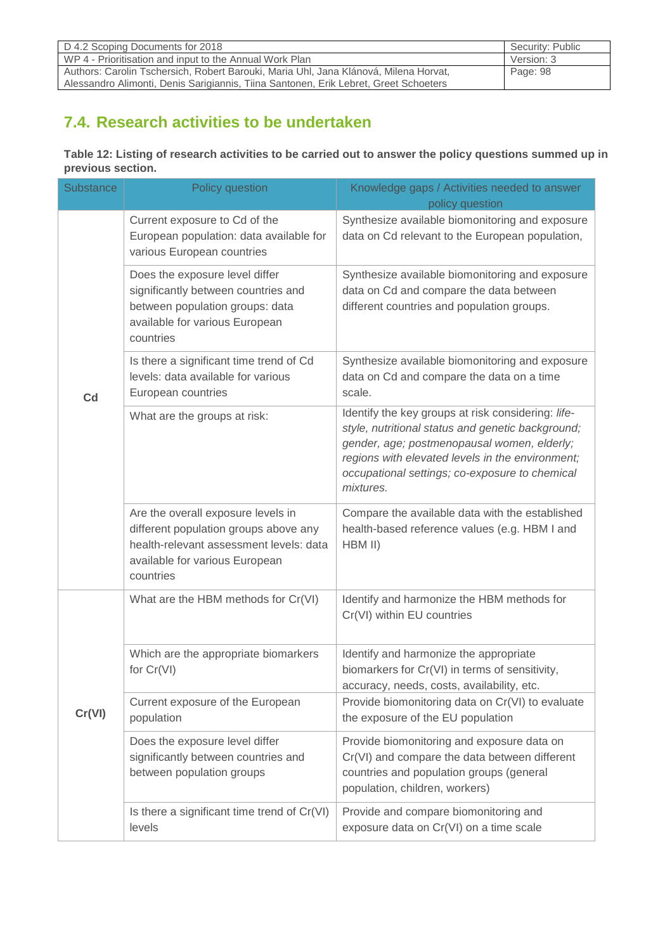| D 4.2 Scoping Documents for 2018                                                     | Security: Public |
|--------------------------------------------------------------------------------------|------------------|
| WP 4 - Prioritisation and input to the Annual Work Plan                              | Version: 3       |
| Authors: Carolin Tschersich, Robert Barouki, Maria Uhl, Jana Klánová, Milena Horvat, | Page: 98         |
| Alessandro Alimonti, Denis Sarigiannis, Tiina Santonen, Erik Lebret, Greet Schoeters |                  |

# **7.4. Research activities to be undertaken**

#### **Table 12: Listing of research activities to be carried out to answer the policy questions summed up in previous section.**

| <b>Substance</b> | Policy question                                                                                                                                                       | Knowledge gaps / Activities needed to answer<br>policy question                                                                                                                                                                                                           |  |
|------------------|-----------------------------------------------------------------------------------------------------------------------------------------------------------------------|---------------------------------------------------------------------------------------------------------------------------------------------------------------------------------------------------------------------------------------------------------------------------|--|
|                  | Current exposure to Cd of the<br>European population: data available for<br>various European countries                                                                | Synthesize available biomonitoring and exposure<br>data on Cd relevant to the European population,                                                                                                                                                                        |  |
|                  | Does the exposure level differ<br>significantly between countries and<br>between population groups: data<br>available for various European<br>countries               | Synthesize available biomonitoring and exposure<br>data on Cd and compare the data between<br>different countries and population groups.                                                                                                                                  |  |
| Cd               | Is there a significant time trend of Cd<br>levels: data available for various<br>European countries                                                                   | Synthesize available biomonitoring and exposure<br>data on Cd and compare the data on a time<br>scale.                                                                                                                                                                    |  |
|                  | What are the groups at risk:                                                                                                                                          | Identify the key groups at risk considering: life-<br>style, nutritional status and genetic background;<br>gender, age; postmenopausal women, elderly;<br>regions with elevated levels in the environment;<br>occupational settings; co-exposure to chemical<br>mixtures. |  |
|                  | Are the overall exposure levels in<br>different population groups above any<br>health-relevant assessment levels: data<br>available for various European<br>countries | Compare the available data with the established<br>health-based reference values (e.g. HBM I and<br>HBM II)                                                                                                                                                               |  |
|                  | What are the HBM methods for Cr(VI)                                                                                                                                   | Identify and harmonize the HBM methods for<br>Cr(VI) within EU countries                                                                                                                                                                                                  |  |
| Cr(VI)           | Which are the appropriate biomarkers<br>for Cr(VI)                                                                                                                    | Identify and harmonize the appropriate<br>biomarkers for Cr(VI) in terms of sensitivity,<br>accuracy, needs, costs, availability, etc.                                                                                                                                    |  |
|                  | Current exposure of the European<br>population                                                                                                                        | Provide biomonitoring data on Cr(VI) to evaluate<br>the exposure of the EU population                                                                                                                                                                                     |  |
|                  | Does the exposure level differ<br>significantly between countries and<br>between population groups                                                                    | Provide biomonitoring and exposure data on<br>Cr(VI) and compare the data between different<br>countries and population groups (general<br>population, children, workers)                                                                                                 |  |
|                  | Is there a significant time trend of Cr(VI)<br>levels                                                                                                                 | Provide and compare biomonitoring and<br>exposure data on Cr(VI) on a time scale                                                                                                                                                                                          |  |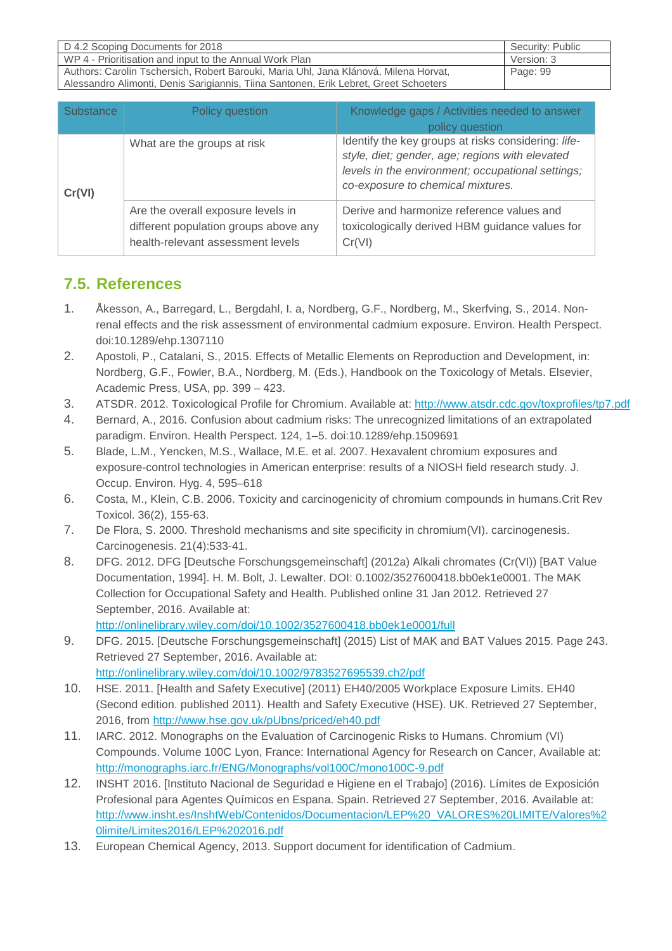| D 4.2 Scoping Documents for 2018                                                     | Security: Public |
|--------------------------------------------------------------------------------------|------------------|
| WP 4 - Prioritisation and input to the Annual Work Plan                              | Version: 3       |
| Authors: Carolin Tschersich, Robert Barouki, Maria Uhl, Jana Klánová, Milena Horvat, | Page: 99         |
| Alessandro Alimonti, Denis Sarigiannis, Tiina Santonen, Erik Lebret, Greet Schoeters |                  |

| Substance | Policy question                                                                                                  | Knowledge gaps / Activities needed to answer<br>policy question                                                                                                                                  |
|-----------|------------------------------------------------------------------------------------------------------------------|--------------------------------------------------------------------------------------------------------------------------------------------------------------------------------------------------|
| Cr(VI)    | What are the groups at risk                                                                                      | Identify the key groups at risks considering: life-<br>style, diet; gender, age; regions with elevated<br>levels in the environment; occupational settings;<br>co-exposure to chemical mixtures. |
|           | Are the overall exposure levels in<br>different population groups above any<br>health-relevant assessment levels | Derive and harmonize reference values and<br>toxicologically derived HBM guidance values for<br>Cr(VI)                                                                                           |

# **7.5. References**

- 1. Åkesson, A., Barregard, L., Bergdahl, I. a, Nordberg, G.F., Nordberg, M., Skerfving, S., 2014. Nonrenal effects and the risk assessment of environmental cadmium exposure. Environ. Health Perspect. doi:10.1289/ehp.1307110
- 2. Apostoli, P., Catalani, S., 2015. Effects of Metallic Elements on Reproduction and Development, in: Nordberg, G.F., Fowler, B.A., Nordberg, M. (Eds.), Handbook on the Toxicology of Metals. Elsevier, Academic Press, USA, pp. 399 – 423.
- 3. ATSDR. 2012. Toxicological Profile for Chromium. Available at: http://www.atsdr.cdc.gov/toxprofiles/tp7.pdf
- 4. Bernard, A., 2016. Confusion about cadmium risks: The unrecognized limitations of an extrapolated paradigm. Environ. Health Perspect. 124, 1–5. doi:10.1289/ehp.1509691
- 5. Blade, L.M., Yencken, M.S., Wallace, M.E. et al. 2007. Hexavalent chromium exposures and exposure-control technologies in American enterprise: results of a NIOSH field research study. J. Occup. Environ. Hyg. 4, 595–618
- 6. Costa, M., Klein, C.B. 2006. Toxicity and carcinogenicity of chromium compounds in humans.Crit Rev Toxicol. 36(2), 155-63.
- 7. De Flora, S. 2000. Threshold mechanisms and site specificity in chromium(VI). carcinogenesis. Carcinogenesis. 21(4):533-41.
- 8. DFG. 2012. DFG [Deutsche Forschungsgemeinschaft] (2012a) Alkali chromates (Cr(VI)) [BAT Value Documentation, 1994]. H. M. Bolt, J. Lewalter. DOI: 0.1002/3527600418.bb0ek1e0001. The MAK Collection for Occupational Safety and Health. Published online 31 Jan 2012. Retrieved 27 September, 2016. Available at:

http://onlinelibrary.wiley.com/doi/10.1002/3527600418.bb0ek1e0001/full

- 9. DFG. 2015. [Deutsche Forschungsgemeinschaft] (2015) List of MAK and BAT Values 2015. Page 243. Retrieved 27 September, 2016. Available at: http://onlinelibrary.wiley.com/doi/10.1002/9783527695539.ch2/pdf
- 10. HSE. 2011. [Health and Safety Executive] (2011) EH40/2005 Workplace Exposure Limits. EH40 (Second edition. published 2011). Health and Safety Executive (HSE). UK. Retrieved 27 September, 2016, from http://www.hse.gov.uk/pUbns/priced/eh40.pdf
- 11. IARC. 2012. Monographs on the Evaluation of Carcinogenic Risks to Humans. Chromium (VI) Compounds. Volume 100C Lyon, France: International Agency for Research on Cancer, Available at: http://monographs.iarc.fr/ENG/Monographs/vol100C/mono100C-9.pdf
- 12. INSHT 2016. [Instituto Nacional de Seguridad e Higiene en el Trabajo] (2016). Límites de Exposición Profesional para Agentes Químicos en Espana. Spain. Retrieved 27 September, 2016. Available at: http://www.insht.es/InshtWeb/Contenidos/Documentacion/LEP%20\_VALORES%20LIMITE/Valores%2 0limite/Limites2016/LEP%202016.pdf
- 13. European Chemical Agency, 2013. Support document for identification of Cadmium.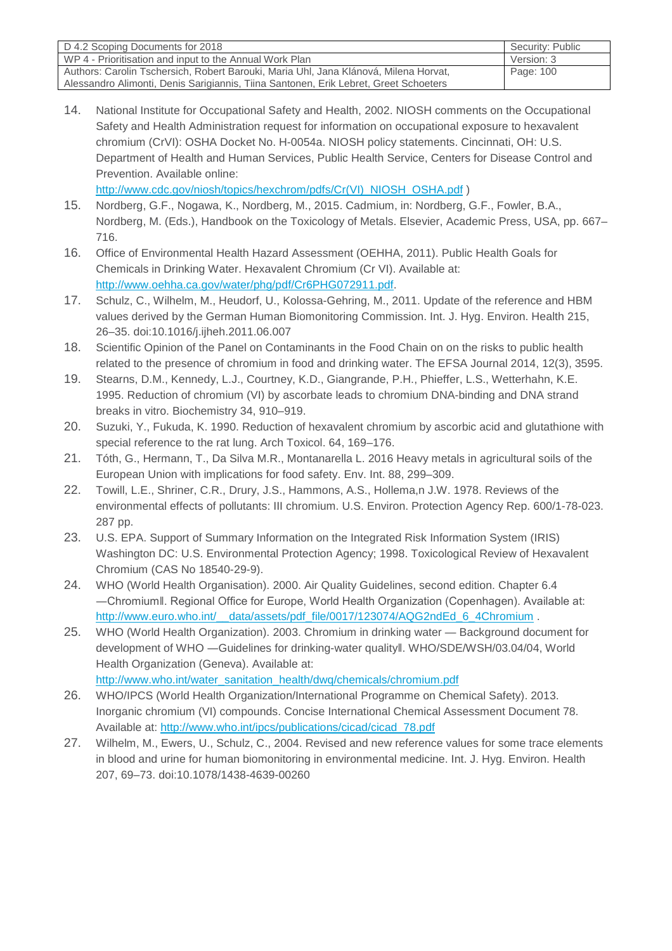| D 4.2 Scoping Documents for 2018                                                     | Security: Public |
|--------------------------------------------------------------------------------------|------------------|
| WP 4 - Prioritisation and input to the Annual Work Plan                              | Version: 3       |
| Authors: Carolin Tschersich, Robert Barouki, Maria Uhl, Jana Klánová, Milena Horvat, | Page: 100        |
| Alessandro Alimonti, Denis Sarigiannis, Tiina Santonen, Erik Lebret, Greet Schoeters |                  |

14. National Institute for Occupational Safety and Health, 2002. NIOSH comments on the Occupational Safety and Health Administration request for information on occupational exposure to hexavalent chromium (CrVI): OSHA Docket No. H-0054a. NIOSH policy statements. Cincinnati, OH: U.S. Department of Health and Human Services, Public Health Service, Centers for Disease Control and Prevention. Available online:

http://www.cdc.gov/niosh/topics/hexchrom/pdfs/Cr(VI)\_NIOSH\_OSHA.pdf )

- 15. Nordberg, G.F., Nogawa, K., Nordberg, M., 2015. Cadmium, in: Nordberg, G.F., Fowler, B.A., Nordberg, M. (Eds.), Handbook on the Toxicology of Metals. Elsevier, Academic Press, USA, pp. 667– 716.
- 16. Office of Environmental Health Hazard Assessment (OEHHA, 2011). Public Health Goals for Chemicals in Drinking Water. Hexavalent Chromium (Cr VI). Available at: http://www.oehha.ca.gov/water/phg/pdf/Cr6PHG072911.pdf.
- 17. Schulz, C., Wilhelm, M., Heudorf, U., Kolossa-Gehring, M., 2011. Update of the reference and HBM values derived by the German Human Biomonitoring Commission. Int. J. Hyg. Environ. Health 215, 26–35. doi:10.1016/j.ijheh.2011.06.007
- 18. Scientific Opinion of the Panel on Contaminants in the Food Chain on on the risks to public health related to the presence of chromium in food and drinking water. The EFSA Journal 2014, 12(3), 3595.
- 19. Stearns, D.M., Kennedy, L.J., Courtney, K.D., Giangrande, P.H., Phieffer, L.S., Wetterhahn, K.E. 1995. Reduction of chromium (VI) by ascorbate leads to chromium DNA-binding and DNA strand breaks in vitro. Biochemistry 34, 910–919.
- 20. Suzuki, Y., Fukuda, K. 1990. Reduction of hexavalent chromium by ascorbic acid and glutathione with special reference to the rat lung. Arch Toxicol. 64, 169–176.
- 21. Tóth, G., Hermann, T., Da Silva M.R., Montanarella L. 2016 Heavy metals in agricultural soils of the European Union with implications for food safety. Env. Int. 88, 299–309.
- 22. Towill, L.E., Shriner, C.R., Drury, J.S., Hammons, A.S., Hollema,n J.W. 1978. Reviews of the environmental effects of pollutants: III chromium. U.S. Environ. Protection Agency Rep. 600/1-78-023. 287 pp.
- 23. U.S. EPA. Support of Summary Information on the Integrated Risk Information System (IRIS) Washington DC: U.S. Environmental Protection Agency; 1998. Toxicological Review of Hexavalent Chromium (CAS No 18540-29-9).
- 24. WHO (World Health Organisation). 2000. Air Quality Guidelines, second edition. Chapter 6.4 ―Chromiumǁ. Regional Office for Europe, World Health Organization (Copenhagen). Available at: http://www.euro.who.int/\_\_data/assets/pdf\_file/0017/123074/AQG2ndEd\_6\_4Chromium .
- 25. WHO (World Health Organization). 2003. Chromium in drinking water Background document for development of WHO ―Guidelines for drinking-water qualityǁ. WHO/SDE/WSH/03.04/04, World Health Organization (Geneva). Available at: http://www.who.int/water\_sanitation\_health/dwq/chemicals/chromium.pdf
- 26. WHO/IPCS (World Health Organization/International Programme on Chemical Safety). 2013. Inorganic chromium (VI) compounds. Concise International Chemical Assessment Document 78. Available at: http://www.who.int/ipcs/publications/cicad/cicad\_78.pdf
- 27. Wilhelm, M., Ewers, U., Schulz, C., 2004. Revised and new reference values for some trace elements in blood and urine for human biomonitoring in environmental medicine. Int. J. Hyg. Environ. Health 207, 69–73. doi:10.1078/1438-4639-00260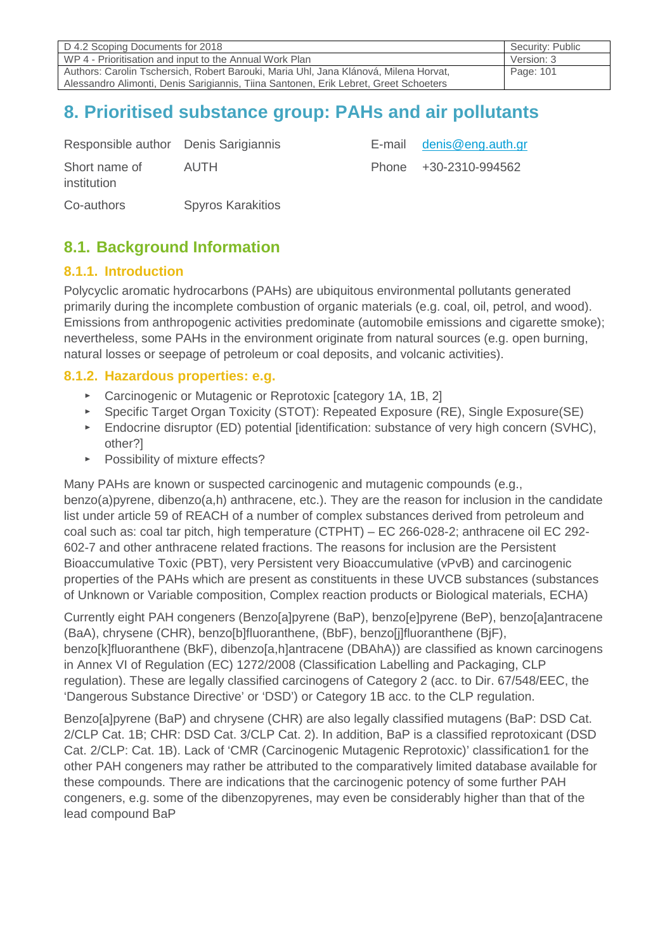| D 4.2 Scoping Documents for 2018                                                     | Security: Public |
|--------------------------------------------------------------------------------------|------------------|
| WP 4 - Prioritisation and input to the Annual Work Plan                              | Version: 3       |
| Authors: Carolin Tschersich, Robert Barouki, Maria Uhl, Jana Klánová, Milena Horvat, | Page: 101        |
| Alessandro Alimonti, Denis Sarigiannis, Tiina Santonen, Erik Lebret, Greet Schoeters |                  |

# **8. Prioritised substance group: PAHs and air pollutants**

| Responsible author Denis Sarigiannis |                          |
|--------------------------------------|--------------------------|
| Short name of<br>institution         | AUTH                     |
| Co-authors                           | <b>Spyros Karakitios</b> |

E-mail denis@eng.auth.gr  $Phone +30-2310-994562$ 

# **8.1. Background Information**

### **8.1.1. Introduction**

Polycyclic aromatic hydrocarbons (PAHs) are ubiquitous environmental pollutants generated primarily during the incomplete combustion of organic materials (e.g. coal, oil, petrol, and wood). Emissions from anthropogenic activities predominate (automobile emissions and cigarette smoke); nevertheless, some PAHs in the environment originate from natural sources (e.g. open burning, natural losses or seepage of petroleum or coal deposits, and volcanic activities).

### **8.1.2. Hazardous properties: e.g.**

- ▸ Carcinogenic or Mutagenic or Reprotoxic [category 1A, 1B, 2]
- ▸ Specific Target Organ Toxicity (STOT): Repeated Exposure (RE), Single Exposure(SE)
- ▸ Endocrine disruptor (ED) potential [identification: substance of very high concern (SVHC), other?]
- ▸ Possibility of mixture effects?

Many PAHs are known or suspected carcinogenic and mutagenic compounds (e.g., benzo(a)pyrene, dibenzo(a,h) anthracene, etc.). They are the reason for inclusion in the candidate list under article 59 of REACH of a number of complex substances derived from petroleum and coal such as: coal tar pitch, high temperature (CTPHT) – EC 266-028-2; anthracene oil EC 292- 602-7 and other anthracene related fractions. The reasons for inclusion are the Persistent Bioaccumulative Toxic (PBT), very Persistent very Bioaccumulative (vPvB) and carcinogenic properties of the PAHs which are present as constituents in these UVCB substances (substances of Unknown or Variable composition, Complex reaction products or Biological materials, ECHA)

Currently eight PAH congeners (Benzo[a]pyrene (BaP), benzo[e]pyrene (BeP), benzo[a]antracene (BaA), chrysene (CHR), benzo[b]fluoranthene, (BbF), benzo[j]fluoranthene (BjF), benzo[k]fluoranthene (BkF), dibenzo[a,h]antracene (DBAhA)) are classified as known carcinogens in Annex VI of Regulation (EC) 1272/2008 (Classification Labelling and Packaging, CLP regulation). These are legally classified carcinogens of Category 2 (acc. to Dir. 67/548/EEC, the 'Dangerous Substance Directive' or 'DSD') or Category 1B acc. to the CLP regulation.

Benzo[a]pyrene (BaP) and chrysene (CHR) are also legally classified mutagens (BaP: DSD Cat. 2/CLP Cat. 1B; CHR: DSD Cat. 3/CLP Cat. 2). In addition, BaP is a classified reprotoxicant (DSD Cat. 2/CLP: Cat. 1B). Lack of 'CMR (Carcinogenic Mutagenic Reprotoxic)' classification1 for the other PAH congeners may rather be attributed to the comparatively limited database available for these compounds. There are indications that the carcinogenic potency of some further PAH congeners, e.g. some of the dibenzopyrenes, may even be considerably higher than that of the lead compound BaP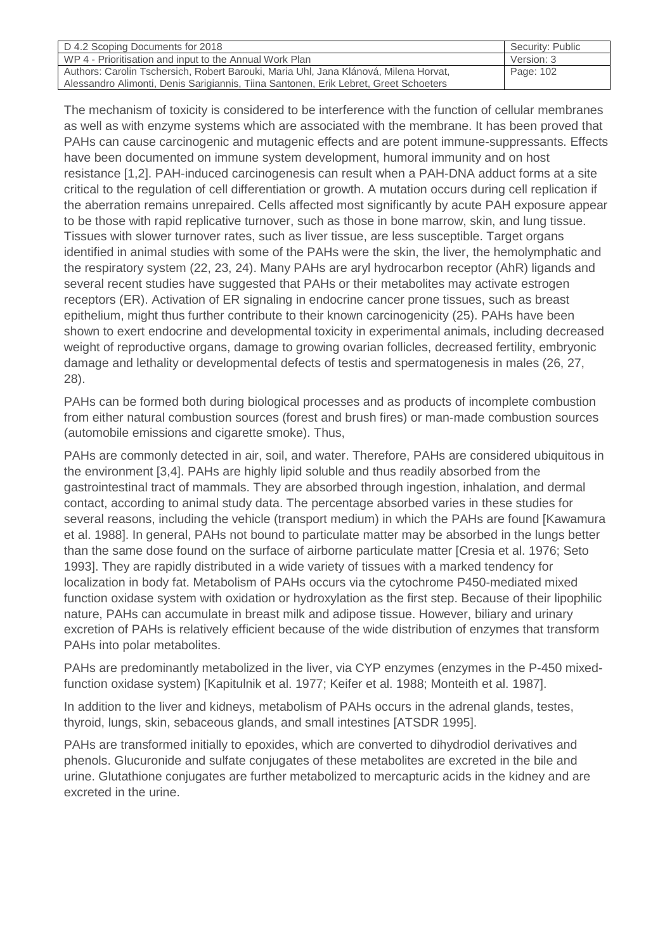| D 4.2 Scoping Documents for 2018                                                     | Security: Public |
|--------------------------------------------------------------------------------------|------------------|
|                                                                                      |                  |
| WP 4 - Prioritisation and input to the Annual Work Plan                              | Version: 3       |
| Authors: Carolin Tschersich, Robert Barouki, Maria Uhl, Jana Klánová, Milena Horvat, | Page: 102        |
| Alessandro Alimonti, Denis Sarigiannis, Tiina Santonen, Erik Lebret, Greet Schoeters |                  |

The mechanism of toxicity is considered to be interference with the function of cellular membranes as well as with enzyme systems which are associated with the membrane. It has been proved that PAHs can cause carcinogenic and mutagenic effects and are potent immune-suppressants. Effects have been documented on immune system development, humoral immunity and on host resistance [1,2]. PAH-induced carcinogenesis can result when a PAH-DNA adduct forms at a site critical to the regulation of cell differentiation or growth. A mutation occurs during cell replication if the aberration remains unrepaired. Cells affected most significantly by acute PAH exposure appear to be those with rapid replicative turnover, such as those in bone marrow, skin, and lung tissue. Tissues with slower turnover rates, such as liver tissue, are less susceptible. Target organs identified in animal studies with some of the PAHs were the skin, the liver, the hemolymphatic and the respiratory system (22, 23, 24). Many PAHs are aryl hydrocarbon receptor (AhR) ligands and several recent studies have suggested that PAHs or their metabolites may activate estrogen receptors (ER). Activation of ER signaling in endocrine cancer prone tissues, such as breast epithelium, might thus further contribute to their known carcinogenicity (25). PAHs have been shown to exert endocrine and developmental toxicity in experimental animals, including decreased weight of reproductive organs, damage to growing ovarian follicles, decreased fertility, embryonic damage and lethality or developmental defects of testis and spermatogenesis in males (26, 27, 28).

PAHs can be formed both during biological processes and as products of incomplete combustion from either natural combustion sources (forest and brush fires) or man-made combustion sources (automobile emissions and cigarette smoke). Thus,

PAHs are commonly detected in air, soil, and water. Therefore, PAHs are considered ubiquitous in the environment [3,4]. PAHs are highly lipid soluble and thus readily absorbed from the gastrointestinal tract of mammals. They are absorbed through ingestion, inhalation, and dermal contact, according to animal study data. The percentage absorbed varies in these studies for several reasons, including the vehicle (transport medium) in which the PAHs are found [Kawamura et al. 1988]. In general, PAHs not bound to particulate matter may be absorbed in the lungs better than the same dose found on the surface of airborne particulate matter [Cresia et al. 1976; Seto 1993]. They are rapidly distributed in a wide variety of tissues with a marked tendency for localization in body fat. Metabolism of PAHs occurs via the cytochrome P450-mediated mixed function oxidase system with oxidation or hydroxylation as the first step. Because of their lipophilic nature, PAHs can accumulate in breast milk and adipose tissue. However, biliary and urinary excretion of PAHs is relatively efficient because of the wide distribution of enzymes that transform PAHs into polar metabolites.

PAHs are predominantly metabolized in the liver, via CYP enzymes (enzymes in the P-450 mixedfunction oxidase system) [Kapitulnik et al. 1977; Keifer et al. 1988; Monteith et al. 1987].

In addition to the liver and kidneys, metabolism of PAHs occurs in the adrenal glands, testes, thyroid, lungs, skin, sebaceous glands, and small intestines [ATSDR 1995].

PAHs are transformed initially to epoxides, which are converted to dihydrodiol derivatives and phenols. Glucuronide and sulfate conjugates of these metabolites are excreted in the bile and urine. Glutathione conjugates are further metabolized to mercapturic acids in the kidney and are excreted in the urine.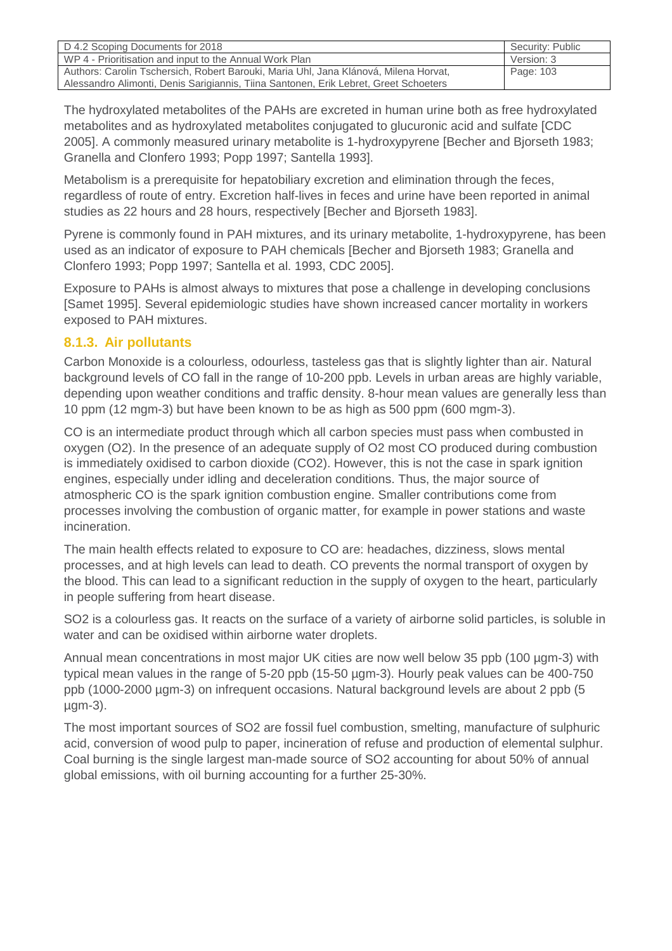| D 4.2 Scoping Documents for 2018                                                     | Security: Public |
|--------------------------------------------------------------------------------------|------------------|
| WP 4 - Prioritisation and input to the Annual Work Plan                              | Version: 3       |
| Authors: Carolin Tschersich, Robert Barouki, Maria Uhl, Jana Klánová, Milena Horvat, | Page: 103        |
| Alessandro Alimonti, Denis Sarigiannis, Tiina Santonen, Erik Lebret, Greet Schoeters |                  |

The hydroxylated metabolites of the PAHs are excreted in human urine both as free hydroxylated metabolites and as hydroxylated metabolites conjugated to glucuronic acid and sulfate [CDC 2005]. A commonly measured urinary metabolite is 1-hydroxypyrene [Becher and Bjorseth 1983; Granella and Clonfero 1993; Popp 1997; Santella 1993].

Metabolism is a prerequisite for hepatobiliary excretion and elimination through the feces, regardless of route of entry. Excretion half-lives in feces and urine have been reported in animal studies as 22 hours and 28 hours, respectively [Becher and Bjorseth 1983].

Pyrene is commonly found in PAH mixtures, and its urinary metabolite, 1-hydroxypyrene, has been used as an indicator of exposure to PAH chemicals [Becher and Bjorseth 1983; Granella and Clonfero 1993; Popp 1997; Santella et al. 1993, CDC 2005].

Exposure to PAHs is almost always to mixtures that pose a challenge in developing conclusions [Samet 1995]. Several epidemiologic studies have shown increased cancer mortality in workers exposed to PAH mixtures.

# **8.1.3. Air pollutants**

Carbon Monoxide is a colourless, odourless, tasteless gas that is slightly lighter than air. Natural background levels of CO fall in the range of 10-200 ppb. Levels in urban areas are highly variable, depending upon weather conditions and traffic density. 8-hour mean values are generally less than 10 ppm (12 mgm-3) but have been known to be as high as 500 ppm (600 mgm-3).

CO is an intermediate product through which all carbon species must pass when combusted in oxygen (O2). In the presence of an adequate supply of O2 most CO produced during combustion is immediately oxidised to carbon dioxide (CO2). However, this is not the case in spark ignition engines, especially under idling and deceleration conditions. Thus, the major source of atmospheric CO is the spark ignition combustion engine. Smaller contributions come from processes involving the combustion of organic matter, for example in power stations and waste incineration.

The main health effects related to exposure to CO are: headaches, dizziness, slows mental processes, and at high levels can lead to death. CO prevents the normal transport of oxygen by the blood. This can lead to a significant reduction in the supply of oxygen to the heart, particularly in people suffering from heart disease.

SO2 is a colourless gas. It reacts on the surface of a variety of airborne solid particles, is soluble in water and can be oxidised within airborne water droplets.

Annual mean concentrations in most major UK cities are now well below 35 ppb (100 µgm-3) with typical mean values in the range of 5-20 ppb (15-50 µgm-3). Hourly peak values can be 400-750 ppb (1000-2000 µgm-3) on infrequent occasions. Natural background levels are about 2 ppb (5 µgm-3).

The most important sources of SO2 are fossil fuel combustion, smelting, manufacture of sulphuric acid, conversion of wood pulp to paper, incineration of refuse and production of elemental sulphur. Coal burning is the single largest man-made source of SO2 accounting for about 50% of annual global emissions, with oil burning accounting for a further 25-30%.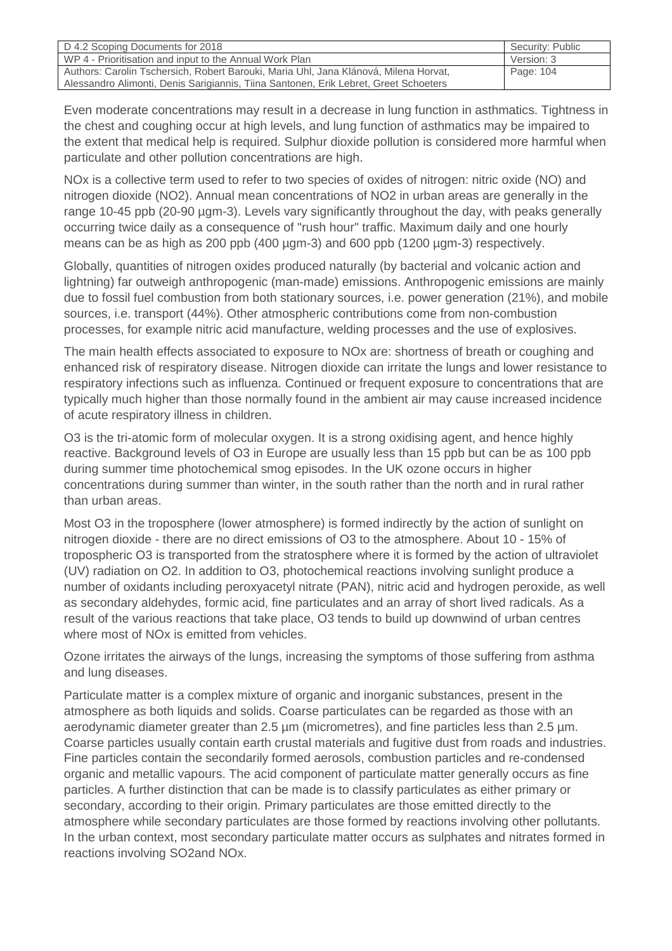| D 4.2 Scoping Documents for 2018                                                     | Security: Public |
|--------------------------------------------------------------------------------------|------------------|
| WP 4 - Prioritisation and input to the Annual Work Plan                              | Version: 3       |
| Authors: Carolin Tschersich, Robert Barouki, Maria Uhl, Jana Klánová, Milena Horvat, | Page: 104        |
| Alessandro Alimonti, Denis Sarigiannis, Tiina Santonen, Erik Lebret, Greet Schoeters |                  |

Even moderate concentrations may result in a decrease in lung function in asthmatics. Tightness in the chest and coughing occur at high levels, and lung function of asthmatics may be impaired to the extent that medical help is required. Sulphur dioxide pollution is considered more harmful when particulate and other pollution concentrations are high.

NOx is a collective term used to refer to two species of oxides of nitrogen: nitric oxide (NO) and nitrogen dioxide (NO2). Annual mean concentrations of NO2 in urban areas are generally in the range 10-45 ppb (20-90 µgm-3). Levels vary significantly throughout the day, with peaks generally occurring twice daily as a consequence of "rush hour" traffic. Maximum daily and one hourly means can be as high as 200 ppb (400 µgm-3) and 600 ppb (1200 µgm-3) respectively.

Globally, quantities of nitrogen oxides produced naturally (by bacterial and volcanic action and lightning) far outweigh anthropogenic (man-made) emissions. Anthropogenic emissions are mainly due to fossil fuel combustion from both stationary sources, i.e. power generation (21%), and mobile sources, i.e. transport (44%). Other atmospheric contributions come from non-combustion processes, for example nitric acid manufacture, welding processes and the use of explosives.

The main health effects associated to exposure to NOx are: shortness of breath or coughing and enhanced risk of respiratory disease. Nitrogen dioxide can irritate the lungs and lower resistance to respiratory infections such as influenza. Continued or frequent exposure to concentrations that are typically much higher than those normally found in the ambient air may cause increased incidence of acute respiratory illness in children.

O3 is the tri-atomic form of molecular oxygen. It is a strong oxidising agent, and hence highly reactive. Background levels of O3 in Europe are usually less than 15 ppb but can be as 100 ppb during summer time photochemical smog episodes. In the UK ozone occurs in higher concentrations during summer than winter, in the south rather than the north and in rural rather than urban areas.

Most O3 in the troposphere (lower atmosphere) is formed indirectly by the action of sunlight on nitrogen dioxide - there are no direct emissions of O3 to the atmosphere. About 10 - 15% of tropospheric O3 is transported from the stratosphere where it is formed by the action of ultraviolet (UV) radiation on O2. In addition to O3, photochemical reactions involving sunlight produce a number of oxidants including peroxyacetyl nitrate (PAN), nitric acid and hydrogen peroxide, as well as secondary aldehydes, formic acid, fine particulates and an array of short lived radicals. As a result of the various reactions that take place, O3 tends to build up downwind of urban centres where most of NO<sub>x</sub> is emitted from vehicles.

Ozone irritates the airways of the lungs, increasing the symptoms of those suffering from asthma and lung diseases.

Particulate matter is a complex mixture of organic and inorganic substances, present in the atmosphere as both liquids and solids. Coarse particulates can be regarded as those with an aerodynamic diameter greater than 2.5  $\mu$ m (micrometres), and fine particles less than 2.5  $\mu$ m. Coarse particles usually contain earth crustal materials and fugitive dust from roads and industries. Fine particles contain the secondarily formed aerosols, combustion particles and re-condensed organic and metallic vapours. The acid component of particulate matter generally occurs as fine particles. A further distinction that can be made is to classify particulates as either primary or secondary, according to their origin. Primary particulates are those emitted directly to the atmosphere while secondary particulates are those formed by reactions involving other pollutants. In the urban context, most secondary particulate matter occurs as sulphates and nitrates formed in reactions involving SO2and NOx.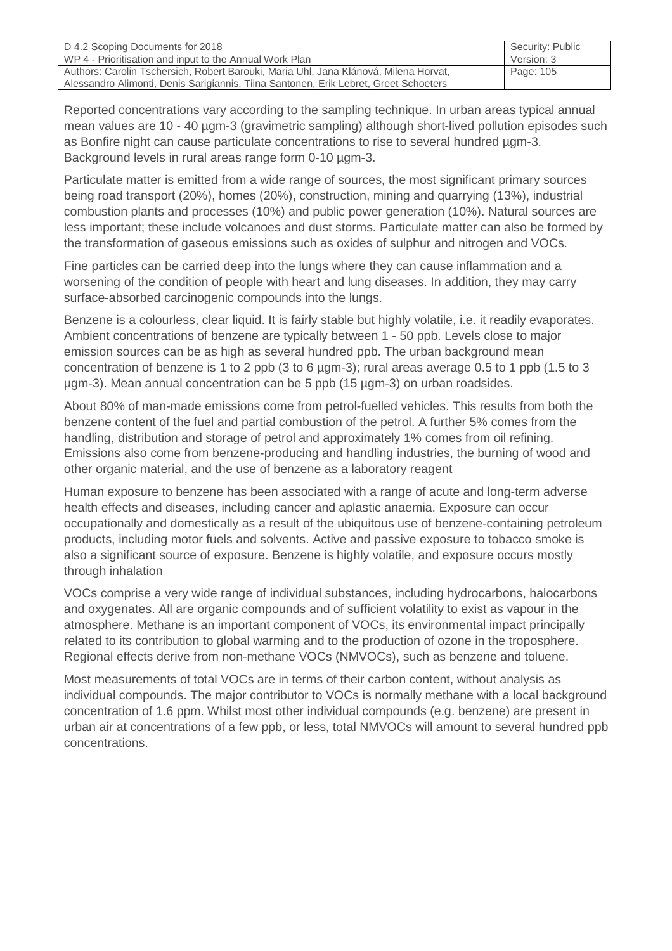| D 4.2 Scoping Documents for 2018                                                     | Security: Public |
|--------------------------------------------------------------------------------------|------------------|
| WP 4 - Prioritisation and input to the Annual Work Plan                              | Version: 3       |
| Authors: Carolin Tschersich, Robert Barouki, Maria Uhl, Jana Klánová, Milena Horvat, | Page: 105        |
| Alessandro Alimonti, Denis Sarigiannis, Tiina Santonen, Erik Lebret, Greet Schoeters |                  |

Reported concentrations vary according to the sampling technique. In urban areas typical annual mean values are 10 - 40 µgm-3 (gravimetric sampling) although short-lived pollution episodes such as Bonfire night can cause particulate concentrations to rise to several hundred µgm-3. Background levels in rural areas range form 0-10 ugm-3.

Particulate matter is emitted from a wide range of sources, the most significant primary sources being road transport (20%), homes (20%), construction, mining and quarrying (13%), industrial combustion plants and processes (10%) and public power generation (10%). Natural sources are less important; these include volcanoes and dust storms. Particulate matter can also be formed by the transformation of gaseous emissions such as oxides of sulphur and nitrogen and VOCs.

Fine particles can be carried deep into the lungs where they can cause inflammation and a worsening of the condition of people with heart and lung diseases. In addition, they may carry surface-absorbed carcinogenic compounds into the lungs.

Benzene is a colourless, clear liquid. It is fairly stable but highly volatile, i.e. it readily evaporates. Ambient concentrations of benzene are typically between 1 - 50 ppb. Levels close to major emission sources can be as high as several hundred ppb. The urban background mean concentration of benzene is 1 to 2 ppb (3 to 6 µgm-3); rural areas average 0.5 to 1 ppb (1.5 to 3 µgm-3). Mean annual concentration can be 5 ppb (15 µgm-3) on urban roadsides.

About 80% of man-made emissions come from petrol-fuelled vehicles. This results from both the benzene content of the fuel and partial combustion of the petrol. A further 5% comes from the handling, distribution and storage of petrol and approximately 1% comes from oil refining. Emissions also come from benzene-producing and handling industries, the burning of wood and other organic material, and the use of benzene as a laboratory reagent

Human exposure to benzene has been associated with a range of acute and long-term adverse health effects and diseases, including cancer and aplastic anaemia. Exposure can occur occupationally and domestically as a result of the ubiquitous use of benzene-containing petroleum products, including motor fuels and solvents. Active and passive exposure to tobacco smoke is also a significant source of exposure. Benzene is highly volatile, and exposure occurs mostly through inhalation

VOCs comprise a very wide range of individual substances, including hydrocarbons, halocarbons and oxygenates. All are organic compounds and of sufficient volatility to exist as vapour in the atmosphere. Methane is an important component of VOCs, its environmental impact principally related to its contribution to global warming and to the production of ozone in the troposphere. Regional effects derive from non-methane VOCs (NMVOCs), such as benzene and toluene.

Most measurements of total VOCs are in terms of their carbon content, without analysis as individual compounds. The major contributor to VOCs is normally methane with a local background concentration of 1.6 ppm. Whilst most other individual compounds (e.g. benzene) are present in urban air at concentrations of a few ppb, or less, total NMVOCs will amount to several hundred ppb concentrations.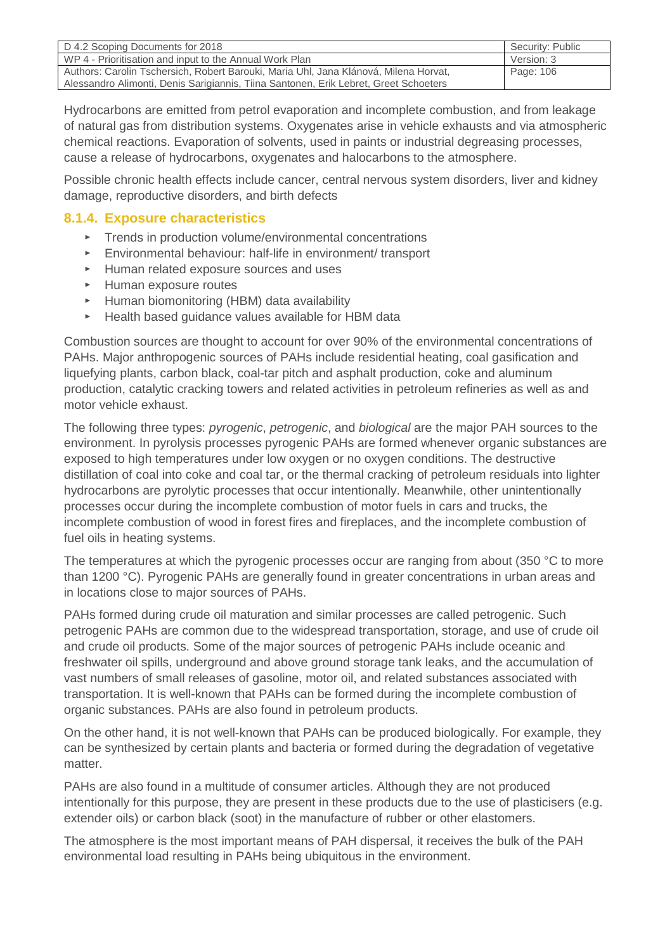| D 4.2 Scoping Documents for 2018                                                     | Security: Public |
|--------------------------------------------------------------------------------------|------------------|
| WP 4 - Prioritisation and input to the Annual Work Plan                              | Version: 3       |
| Authors: Carolin Tschersich, Robert Barouki, Maria Uhl, Jana Klánová, Milena Horvat, | Page: 106        |
| Alessandro Alimonti, Denis Sarigiannis, Tiina Santonen, Erik Lebret, Greet Schoeters |                  |

Hydrocarbons are emitted from petrol evaporation and incomplete combustion, and from leakage of natural gas from distribution systems. Oxygenates arise in vehicle exhausts and via atmospheric chemical reactions. Evaporation of solvents, used in paints or industrial degreasing processes, cause a release of hydrocarbons, oxygenates and halocarbons to the atmosphere.

Possible chronic health effects include cancer, central nervous system disorders, liver and kidney damage, reproductive disorders, and birth defects

## **8.1.4. Exposure characteristics**

- ▸ Trends in production volume/environmental concentrations
- ▸ Environmental behaviour: half-life in environment/ transport
- ▸ Human related exposure sources and uses
- ▸ Human exposure routes
- ▸ Human biomonitoring (HBM) data availability
- ▸ Health based guidance values available for HBM data

Combustion sources are thought to account for over 90% of the environmental concentrations of PAHs. Major anthropogenic sources of PAHs include residential heating, coal gasification and liquefying plants, carbon black, coal-tar pitch and asphalt production, coke and aluminum production, catalytic cracking towers and related activities in petroleum refineries as well as and motor vehicle exhaust.

The following three types: pyrogenic, petrogenic, and biological are the major PAH sources to the environment. In pyrolysis processes pyrogenic PAHs are formed whenever organic substances are exposed to high temperatures under low oxygen or no oxygen conditions. The destructive distillation of coal into coke and coal tar, or the thermal cracking of petroleum residuals into lighter hydrocarbons are pyrolytic processes that occur intentionally. Meanwhile, other unintentionally processes occur during the incomplete combustion of motor fuels in cars and trucks, the incomplete combustion of wood in forest fires and fireplaces, and the incomplete combustion of fuel oils in heating systems.

The temperatures at which the pyrogenic processes occur are ranging from about (350 °C to more than 1200 °C). Pyrogenic PAHs are generally found in greater concentrations in urban areas and in locations close to major sources of PAHs.

PAHs formed during crude oil maturation and similar processes are called petrogenic. Such petrogenic PAHs are common due to the widespread transportation, storage, and use of crude oil and crude oil products. Some of the major sources of petrogenic PAHs include oceanic and freshwater oil spills, underground and above ground storage tank leaks, and the accumulation of vast numbers of small releases of gasoline, motor oil, and related substances associated with transportation. It is well-known that PAHs can be formed during the incomplete combustion of organic substances. PAHs are also found in petroleum products.

On the other hand, it is not well-known that PAHs can be produced biologically. For example, they can be synthesized by certain plants and bacteria or formed during the degradation of vegetative matter.

PAHs are also found in a multitude of consumer articles. Although they are not produced intentionally for this purpose, they are present in these products due to the use of plasticisers (e.g. extender oils) or carbon black (soot) in the manufacture of rubber or other elastomers.

The atmosphere is the most important means of PAH dispersal, it receives the bulk of the PAH environmental load resulting in PAHs being ubiquitous in the environment.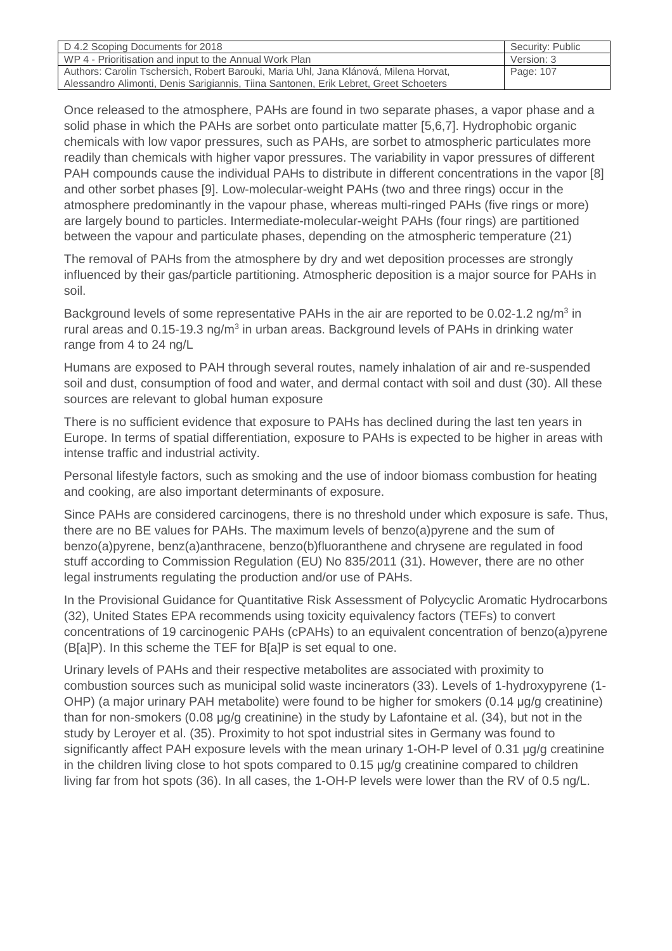| D 4.2 Scoping Documents for 2018                                                     | Security: Public |
|--------------------------------------------------------------------------------------|------------------|
|                                                                                      |                  |
| WP 4 - Prioritisation and input to the Annual Work Plan                              | Version: 3       |
| Authors: Carolin Tschersich, Robert Barouki, Maria Uhl, Jana Klánová, Milena Horvat, | Page: 107        |
| Alessandro Alimonti, Denis Sarigiannis, Tiina Santonen, Erik Lebret, Greet Schoeters |                  |

Once released to the atmosphere, PAHs are found in two separate phases, a vapor phase and a solid phase in which the PAHs are sorbet onto particulate matter [5,6,7]. Hydrophobic organic chemicals with low vapor pressures, such as PAHs, are sorbet to atmospheric particulates more readily than chemicals with higher vapor pressures. The variability in vapor pressures of different PAH compounds cause the individual PAHs to distribute in different concentrations in the vapor [8] and other sorbet phases [9]. Low-molecular-weight PAHs (two and three rings) occur in the atmosphere predominantly in the vapour phase, whereas multi-ringed PAHs (five rings or more) are largely bound to particles. Intermediate-molecular-weight PAHs (four rings) are partitioned between the vapour and particulate phases, depending on the atmospheric temperature (21)

The removal of PAHs from the atmosphere by dry and wet deposition processes are strongly influenced by their gas/particle partitioning. Atmospheric deposition is a major source for PAHs in soil.

Background levels of some representative PAHs in the air are reported to be 0.02-1.2 ng/m<sup>3</sup> in rural areas and 0.15-19.3 ng/m<sup>3</sup> in urban areas. Background levels of PAHs in drinking water range from 4 to 24 ng/L

Humans are exposed to PAH through several routes, namely inhalation of air and re-suspended soil and dust, consumption of food and water, and dermal contact with soil and dust (30). All these sources are relevant to global human exposure

There is no sufficient evidence that exposure to PAHs has declined during the last ten years in Europe. In terms of spatial differentiation, exposure to PAHs is expected to be higher in areas with intense traffic and industrial activity.

Personal lifestyle factors, such as smoking and the use of indoor biomass combustion for heating and cooking, are also important determinants of exposure.

Since PAHs are considered carcinogens, there is no threshold under which exposure is safe. Thus, there are no BE values for PAHs. The maximum levels of benzo(a)pyrene and the sum of benzo(a)pyrene, benz(a)anthracene, benzo(b)fluoranthene and chrysene are regulated in food stuff according to Commission Regulation (EU) No 835/2011 (31). However, there are no other legal instruments regulating the production and/or use of PAHs.

In the Provisional Guidance for Quantitative Risk Assessment of Polycyclic Aromatic Hydrocarbons (32), United States EPA recommends using toxicity equivalency factors (TEFs) to convert concentrations of 19 carcinogenic PAHs (cPAHs) to an equivalent concentration of benzo(a)pyrene (B[a]P). In this scheme the TEF for B[a]P is set equal to one.

Urinary levels of PAHs and their respective metabolites are associated with proximity to combustion sources such as municipal solid waste incinerators (33). Levels of 1-hydroxypyrene (1- OHP) (a major urinary PAH metabolite) were found to be higher for smokers (0.14 µg/g creatinine) than for non-smokers (0.08 µg/g creatinine) in the study by Lafontaine et al. (34), but not in the study by Leroyer et al. (35). Proximity to hot spot industrial sites in Germany was found to significantly affect PAH exposure levels with the mean urinary 1-OH-P level of 0.31 µg/g creatinine in the children living close to hot spots compared to 0.15 µg/g creatinine compared to children living far from hot spots (36). In all cases, the 1-OH-P levels were lower than the RV of 0.5 ng/L.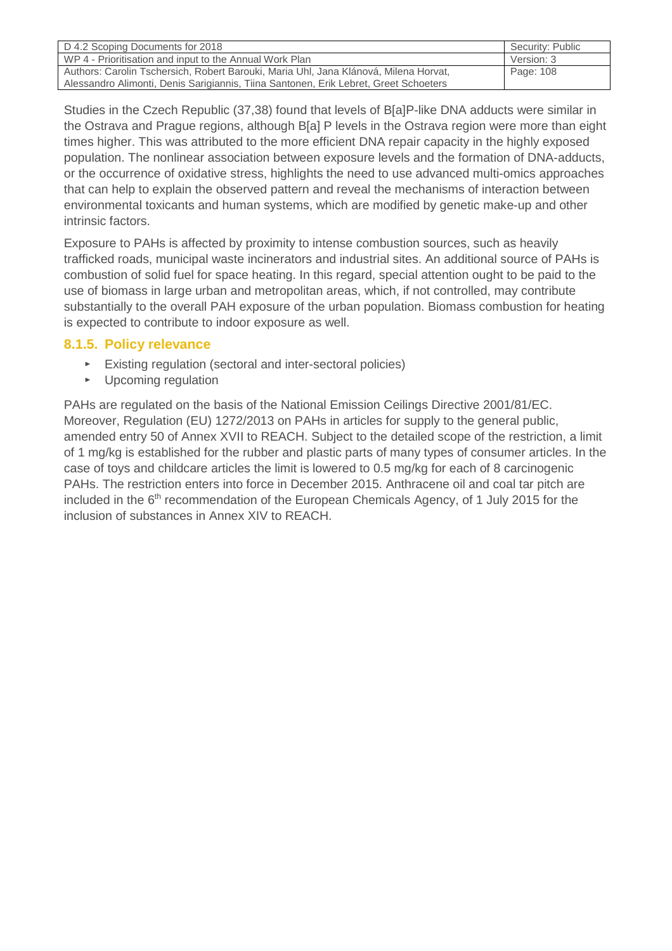| D 4.2 Scoping Documents for 2018                                                     | Security: Public |
|--------------------------------------------------------------------------------------|------------------|
| WP 4 - Prioritisation and input to the Annual Work Plan                              | Version: 3       |
| Authors: Carolin Tschersich, Robert Barouki, Maria Uhl, Jana Klánová, Milena Horvat, | Page: 108        |
| Alessandro Alimonti, Denis Sarigiannis, Tiina Santonen, Erik Lebret, Greet Schoeters |                  |

Studies in the Czech Republic (37,38) found that levels of B[a]P-like DNA adducts were similar in the Ostrava and Prague regions, although B[a] P levels in the Ostrava region were more than eight times higher. This was attributed to the more efficient DNA repair capacity in the highly exposed population. The nonlinear association between exposure levels and the formation of DNA-adducts, or the occurrence of oxidative stress, highlights the need to use advanced multi-omics approaches that can help to explain the observed pattern and reveal the mechanisms of interaction between environmental toxicants and human systems, which are modified by genetic make-up and other intrinsic factors.

Exposure to PAHs is affected by proximity to intense combustion sources, such as heavily trafficked roads, municipal waste incinerators and industrial sites. An additional source of PAHs is combustion of solid fuel for space heating. In this regard, special attention ought to be paid to the use of biomass in large urban and metropolitan areas, which, if not controlled, may contribute substantially to the overall PAH exposure of the urban population. Biomass combustion for heating is expected to contribute to indoor exposure as well.

### **8.1.5. Policy relevance**

- ▸ Existing regulation (sectoral and inter-sectoral policies)
- ▸ Upcoming regulation

PAHs are regulated on the basis of the National Emission Ceilings Directive 2001/81/EC. Moreover, Regulation (EU) 1272/2013 on PAHs in articles for supply to the general public, amended entry 50 of Annex XVII to REACH. Subject to the detailed scope of the restriction, a limit of 1 mg/kg is established for the rubber and plastic parts of many types of consumer articles. In the case of toys and childcare articles the limit is lowered to 0.5 mg/kg for each of 8 carcinogenic PAHs. The restriction enters into force in December 2015. Anthracene oil and coal tar pitch are included in the 6<sup>th</sup> recommendation of the European Chemicals Agency, of 1 July 2015 for the inclusion of substances in Annex XIV to REACH.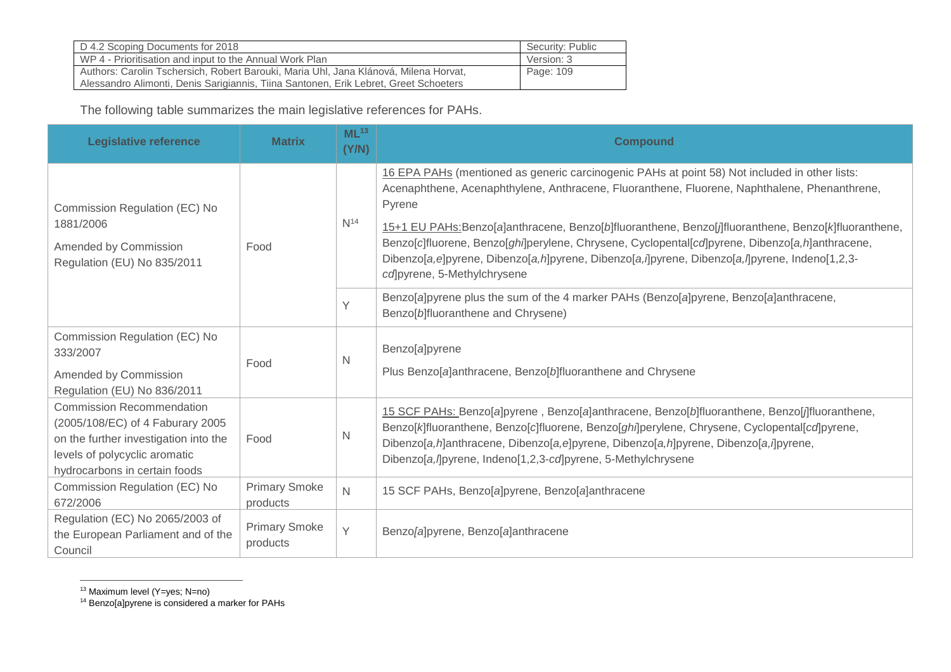| D 4.2 Scoping Documents for 2018                                                                                                                                             | Security: Public |
|------------------------------------------------------------------------------------------------------------------------------------------------------------------------------|------------------|
| WP 4 - Prioritisation and input to the Annual Work Plan                                                                                                                      | Version: 3       |
| Authors: Carolin Tschersich, Robert Barouki, Maria Uhl, Jana Klánová, Milena Horvat,<br>Alessandro Alimonti, Denis Sarigiannis, Tiina Santonen, Erik Lebret, Greet Schoeters | Page: 109        |

The following table summarizes the main legislative references for PAHs.

| <b>Legislative reference</b>                                                                                                                                                    | <b>Matrix</b>                    | ML <sup>13</sup><br>(Y/N) | <b>Compound</b>                                                                                                                                                                                                                                                                                                                                                                                                                                                                                                                                   |
|---------------------------------------------------------------------------------------------------------------------------------------------------------------------------------|----------------------------------|---------------------------|---------------------------------------------------------------------------------------------------------------------------------------------------------------------------------------------------------------------------------------------------------------------------------------------------------------------------------------------------------------------------------------------------------------------------------------------------------------------------------------------------------------------------------------------------|
| Commission Regulation (EC) No<br>1881/2006<br>Amended by Commission<br>Regulation (EU) No 835/2011                                                                              | Food                             |                           | 16 EPA PAHs (mentioned as generic carcinogenic PAHs at point 58) Not included in other lists:<br>Acenaphthene, Acenaphthylene, Anthracene, Fluoranthene, Fluorene, Naphthalene, Phenanthrene,<br>Pyrene<br>15+1 EU PAHs:Benzo[a]anthracene, Benzo[b]fluoranthene, Benzo[j]fluoranthene, Benzo[k]fluoranthene,<br>Benzo[c]fluorene, Benzo[ghi]perylene, Chrysene, Cyclopental[cd]pyrene, Dibenzo[a,h]anthracene,<br>Dibenzo[a,e]pyrene, Dibenzo[a,h]pyrene, Dibenzo[a, j]pyrene, Dibenzo[a, l]pyrene, Indeno[1,2,3-<br>cd]pyrene, 5-Methylchrysene |
|                                                                                                                                                                                 |                                  | Y                         | Benzo[a]pyrene plus the sum of the 4 marker PAHs (Benzo[a]pyrene, Benzo[a]anthracene,<br>Benzo[b]fluoranthene and Chrysene)                                                                                                                                                                                                                                                                                                                                                                                                                       |
| Commission Regulation (EC) No<br>333/2007<br>Amended by Commission<br>Regulation (EU) No 836/2011                                                                               | Food                             | $\mathsf{N}$              | Benzo[a]pyrene<br>Plus Benzo[a]anthracene, Benzo[b]fluoranthene and Chrysene                                                                                                                                                                                                                                                                                                                                                                                                                                                                      |
| <b>Commission Recommendation</b><br>(2005/108/EC) of 4 Faburary 2005<br>on the further investigation into the<br>levels of polycyclic aromatic<br>hydrocarbons in certain foods | Food                             | N                         | 15 SCF PAHs: Benzo[a]pyrene, Benzo[a]anthracene, Benzo[b]fluoranthene, Benzo[j]fluoranthene,<br>Benzo[k]fluoranthene, Benzo[c]fluorene, Benzo[ghi]perylene, Chrysene, Cyclopental[cd]pyrene,<br>Dibenzo[a,h]anthracene, Dibenzo[a,e]pyrene, Dibenzo[a,h]pyrene, Dibenzo[a,i]pyrene,<br>Dibenzo[a, / pyrene, Indeno[1,2,3-cd]pyrene, 5-Methylchrysene                                                                                                                                                                                              |
| Commission Regulation (EC) No<br>672/2006                                                                                                                                       | <b>Primary Smoke</b><br>products | $\mathsf{N}$              | 15 SCF PAHs, Benzo[a]pyrene, Benzo[a]anthracene                                                                                                                                                                                                                                                                                                                                                                                                                                                                                                   |
| Regulation (EC) No 2065/2003 of<br>the European Parliament and of the<br>Council                                                                                                | <b>Primary Smoke</b><br>products | Y                         | Benzo[a]pyrene, Benzo[a]anthracene                                                                                                                                                                                                                                                                                                                                                                                                                                                                                                                |

<sup>&</sup>lt;sup>13</sup> Maximum level (Y=yes; N=no)<br><sup>14</sup> Benzo[a]pyrene is considered a marker for PAHs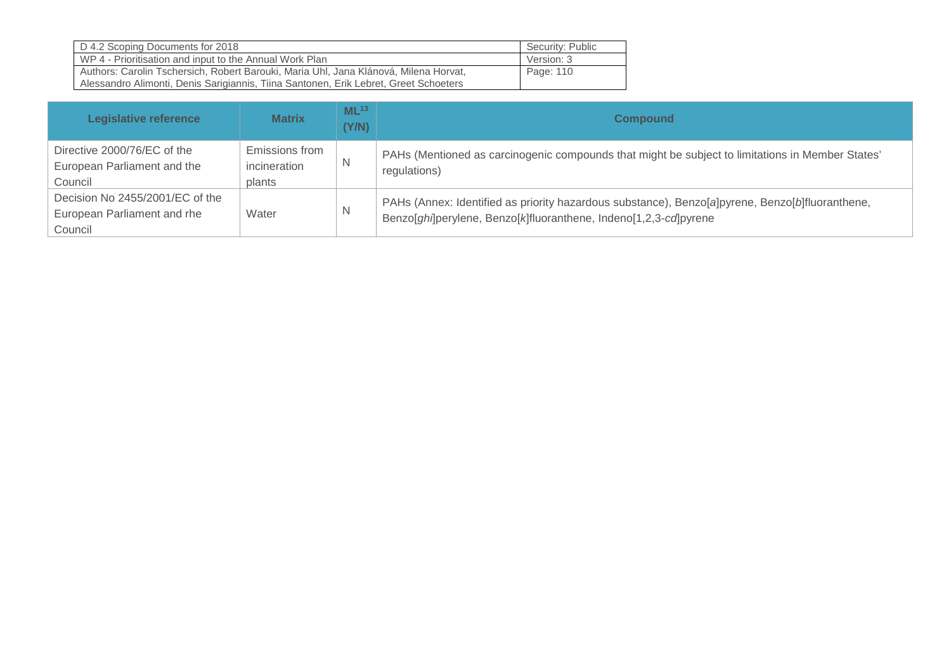| D 4.2 Scoping Documents for 2018                                                     | Security: Public |
|--------------------------------------------------------------------------------------|------------------|
| WP 4 - Prioritisation and input to the Annual Work Plan                              | Version: 3       |
| Authors: Carolin Tschersich, Robert Barouki, Maria Uhl, Jana Klánová, Milena Horvat, | Page: 110        |
| Alessandro Alimonti, Denis Sarigiannis, Tiina Santonen, Erik Lebret, Greet Schoeters |                  |

| Legislative reference                                                     | <b>Matrix</b>                            | ML <sup>13</sup><br>(Y/N) | <b>Compound</b>                                                                                                                                                     |
|---------------------------------------------------------------------------|------------------------------------------|---------------------------|---------------------------------------------------------------------------------------------------------------------------------------------------------------------|
| Directive 2000/76/EC of the<br>European Parliament and the<br>Council     | Emissions from<br>incineration<br>plants | N                         | PAHs (Mentioned as carcinogenic compounds that might be subject to limitations in Member States'<br>regulations)                                                    |
| Decision No 2455/2001/EC of the<br>European Parliament and rhe<br>Council | Water                                    | N                         | PAHs (Annex: Identified as priority hazardous substance), Benzo[a]pyrene, Benzo[b]fluoranthene,<br>Benzo[ghi]perylene, Benzo[k]fluoranthene, Indeno[1,2,3-cd]pyrene |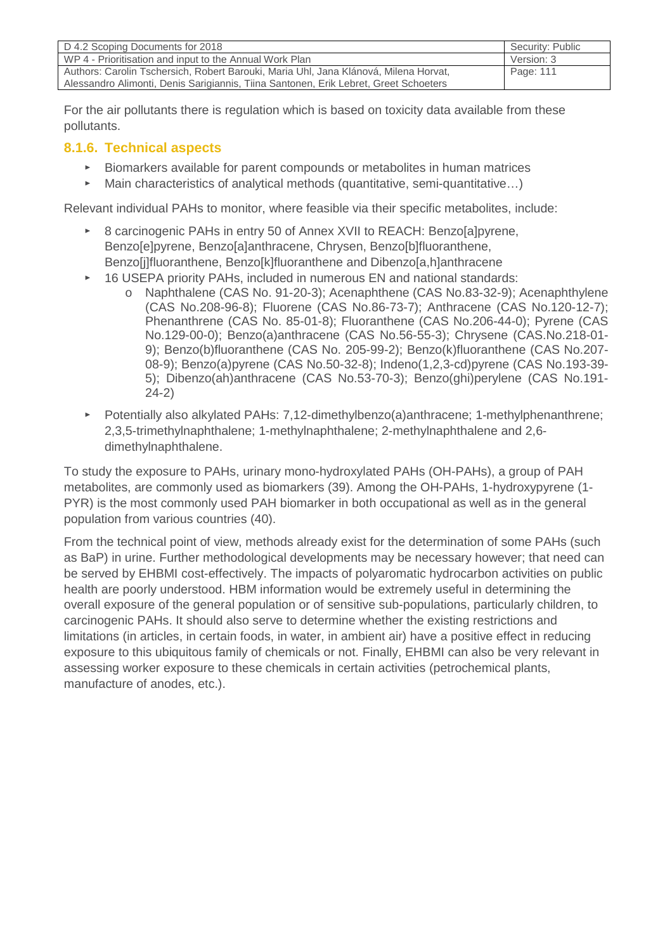| D 4.2 Scoping Documents for 2018                                                     | Security: Public |
|--------------------------------------------------------------------------------------|------------------|
| WP 4 - Prioritisation and input to the Annual Work Plan                              | Version: 3       |
| Authors: Carolin Tschersich, Robert Barouki, Maria Uhl, Jana Klánová, Milena Horvat, | Page: 111        |
| Alessandro Alimonti, Denis Sarigiannis, Tiina Santonen, Erik Lebret, Greet Schoeters |                  |

For the air pollutants there is regulation which is based on toxicity data available from these pollutants.

#### **8.1.6. Technical aspects**

- ▸ Biomarkers available for parent compounds or metabolites in human matrices
- $\triangleright$  Main characteristics of analytical methods (quantitative, semi-quantitative...)

Relevant individual PAHs to monitor, where feasible via their specific metabolites, include:

- ▸ 8 carcinogenic PAHs in entry 50 of Annex XVII to REACH: Benzo[a]pyrene, Benzo[e]pyrene, Benzo[a]anthracene, Chrysen, Benzo[b]fluoranthene, Benzo[j]fluoranthene, Benzo[k]fluoranthene and Dibenzo[a,h]anthracene
- ▸ 16 USEPA priority PAHs, included in numerous EN and national standards:
	- o Naphthalene (CAS No. 91-20-3); Acenaphthene (CAS No.83-32-9); Acenaphthylene (CAS No.208-96-8); Fluorene (CAS No.86-73-7); Anthracene (CAS No.120-12-7); Phenanthrene (CAS No. 85-01-8); Fluoranthene (CAS No.206-44-0); Pyrene (CAS No.129-00-0); Benzo(a)anthracene (CAS No.56-55-3); Chrysene (CAS.No.218-01- 9); Benzo(b)fluoranthene (CAS No. 205-99-2); Benzo(k)fluoranthene (CAS No.207- 08-9); Benzo(a)pyrene (CAS No.50-32-8); Indeno(1,2,3-cd)pyrene (CAS No.193-39- 5); Dibenzo(ah)anthracene (CAS No.53-70-3); Benzo(ghi)perylene (CAS No.191- 24-2)
- ▸ Potentially also alkylated PAHs: 7,12-dimethylbenzo(a)anthracene; 1-methylphenanthrene; 2,3,5-trimethylnaphthalene; 1-methylnaphthalene; 2-methylnaphthalene and 2,6 dimethylnaphthalene.

To study the exposure to PAHs, urinary mono-hydroxylated PAHs (OH-PAHs), a group of PAH metabolites, are commonly used as biomarkers (39). Among the OH-PAHs, 1-hydroxypyrene (1- PYR) is the most commonly used PAH biomarker in both occupational as well as in the general population from various countries (40).

From the technical point of view, methods already exist for the determination of some PAHs (such as BaP) in urine. Further methodological developments may be necessary however; that need can be served by EHBMI cost-effectively. The impacts of polyaromatic hydrocarbon activities on public health are poorly understood. HBM information would be extremely useful in determining the overall exposure of the general population or of sensitive sub-populations, particularly children, to carcinogenic PAHs. It should also serve to determine whether the existing restrictions and limitations (in articles, in certain foods, in water, in ambient air) have a positive effect in reducing exposure to this ubiquitous family of chemicals or not. Finally, EHBMI can also be very relevant in assessing worker exposure to these chemicals in certain activities (petrochemical plants, manufacture of anodes, etc.).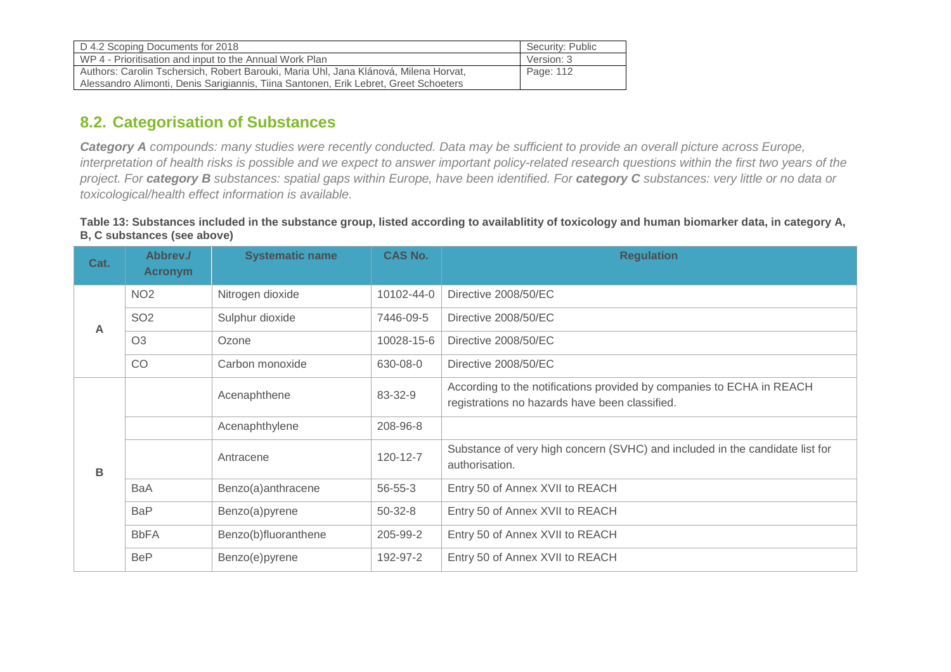| D 4.2 Scoping Documents for 2018                                                     | Security: Public |
|--------------------------------------------------------------------------------------|------------------|
| WP 4 - Prioritisation and input to the Annual Work Plan                              | Version: 3       |
| Authors: Carolin Tschersich, Robert Barouki, Maria Uhl, Jana Klánová, Milena Horvat, | Page: 112        |
| Alessandro Alimonti, Denis Sarigiannis, Tiina Santonen, Erik Lebret, Greet Schoeters |                  |

## **8.2. Categorisation of Substances**

**Category A** compounds: many studies were recently conducted. Data may be sufficient to provide an overall picture across Europe, interpretation of health risks is possible and we expect to answer important policy-related research questions within the first two years of the project. For **category B** substances: spatial gaps within Europe, have been identified. For **category C** substances: very little or no data or toxicological/health effect information is available.

#### **Table 13: Substances included in the substance group, listed according to availablitity of toxicology and human biomarker data, in category A, B, C substances (see above)**

| Cat.         | Abbrey./<br><b>Acronym</b> | <b>Systematic name</b> | <b>CAS No.</b> | <b>Regulation</b>                                                                                                       |
|--------------|----------------------------|------------------------|----------------|-------------------------------------------------------------------------------------------------------------------------|
| A            | NO <sub>2</sub>            | Nitrogen dioxide       | 10102-44-0     | Directive 2008/50/EC                                                                                                    |
|              | SO <sub>2</sub>            | Sulphur dioxide        | 7446-09-5      | Directive 2008/50/EC                                                                                                    |
|              | O <sub>3</sub>             | Ozone                  | 10028-15-6     | Directive 2008/50/EC                                                                                                    |
|              | CO                         | Carbon monoxide        | 630-08-0       | Directive 2008/50/EC                                                                                                    |
| $\, {\bf B}$ |                            | Acenaphthene           | 83-32-9        | According to the notifications provided by companies to ECHA in REACH<br>registrations no hazards have been classified. |
|              |                            | Acenaphthylene         | 208-96-8       |                                                                                                                         |
|              |                            | Antracene              | 120-12-7       | Substance of very high concern (SVHC) and included in the candidate list for<br>authorisation.                          |
|              | BaA                        | Benzo(a)anthracene     | $56 - 55 - 3$  | Entry 50 of Annex XVII to REACH                                                                                         |
|              | <b>BaP</b>                 | Benzo(a)pyrene         | $50 - 32 - 8$  | Entry 50 of Annex XVII to REACH                                                                                         |
|              | <b>BbFA</b>                | Benzo(b)fluoranthene   | 205-99-2       | Entry 50 of Annex XVII to REACH                                                                                         |
|              | <b>BeP</b>                 | Benzo(e)pyrene         | 192-97-2       | Entry 50 of Annex XVII to REACH                                                                                         |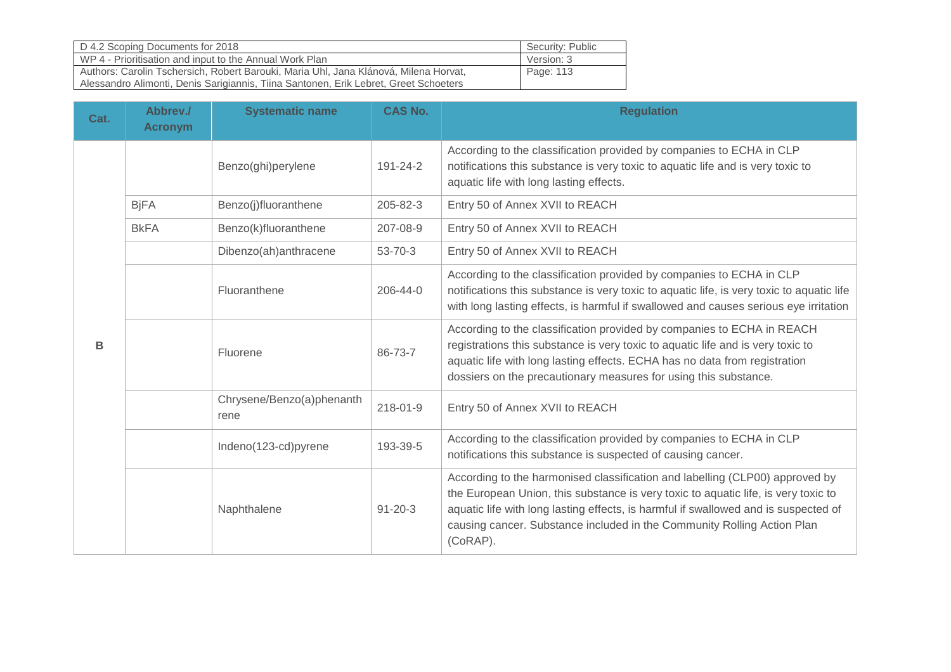| D 4.2 Scoping Documents for 2018                                                     | Security: Public |
|--------------------------------------------------------------------------------------|------------------|
| WP 4 - Prioritisation and input to the Annual Work Plan                              | Version: 3       |
| Authors: Carolin Tschersich, Robert Barouki, Maria Uhl, Jana Klánová, Milena Horvat, | Page: 113        |
| Alessandro Alimonti, Denis Sarigiannis, Tiina Santonen, Erik Lebret, Greet Schoeters |                  |

| Cat. | Abbrev./<br><b>Acronym</b> | <b>Systematic name</b>            | <b>CAS No.</b> | <b>Regulation</b>                                                                                                                                                                                                                                                                                                                                |
|------|----------------------------|-----------------------------------|----------------|--------------------------------------------------------------------------------------------------------------------------------------------------------------------------------------------------------------------------------------------------------------------------------------------------------------------------------------------------|
|      |                            | Benzo(ghi)perylene                | 191-24-2       | According to the classification provided by companies to ECHA in CLP<br>notifications this substance is very toxic to aquatic life and is very toxic to<br>aquatic life with long lasting effects.                                                                                                                                               |
|      | <b>BjFA</b>                | Benzo(j)fluoranthene              | 205-82-3       | Entry 50 of Annex XVII to REACH                                                                                                                                                                                                                                                                                                                  |
|      | <b>BkFA</b>                | Benzo(k)fluoranthene              | 207-08-9       | Entry 50 of Annex XVII to REACH                                                                                                                                                                                                                                                                                                                  |
|      |                            | Dibenzo(ah)anthracene             | 53-70-3        | Entry 50 of Annex XVII to REACH                                                                                                                                                                                                                                                                                                                  |
|      |                            | Fluoranthene                      | 206-44-0       | According to the classification provided by companies to ECHA in CLP<br>notifications this substance is very toxic to aquatic life, is very toxic to aquatic life<br>with long lasting effects, is harmful if swallowed and causes serious eye irritation                                                                                        |
| B    |                            | Fluorene                          | 86-73-7        | According to the classification provided by companies to ECHA in REACH<br>registrations this substance is very toxic to aquatic life and is very toxic to<br>aquatic life with long lasting effects. ECHA has no data from registration<br>dossiers on the precautionary measures for using this substance.                                      |
|      |                            | Chrysene/Benzo(a)phenanth<br>rene | $218 - 01 - 9$ | Entry 50 of Annex XVII to REACH                                                                                                                                                                                                                                                                                                                  |
|      |                            | Indeno(123-cd)pyrene              | 193-39-5       | According to the classification provided by companies to ECHA in CLP<br>notifications this substance is suspected of causing cancer.                                                                                                                                                                                                             |
|      |                            | Naphthalene                       | $91 - 20 - 3$  | According to the harmonised classification and labelling (CLP00) approved by<br>the European Union, this substance is very toxic to aquatic life, is very toxic to<br>aquatic life with long lasting effects, is harmful if swallowed and is suspected of<br>causing cancer. Substance included in the Community Rolling Action Plan<br>(CoRAP). |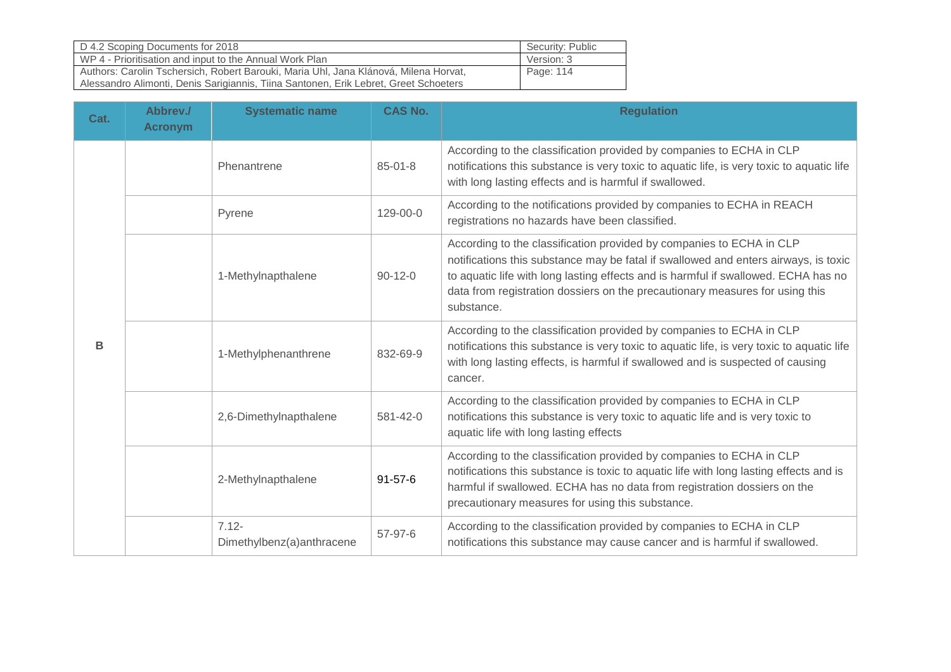| D 4.2 Scoping Documents for 2018                                                     | Security: Public |
|--------------------------------------------------------------------------------------|------------------|
| WP 4 - Prioritisation and input to the Annual Work Plan                              | Version: 3       |
| Authors: Carolin Tschersich, Robert Barouki, Maria Uhl, Jana Klánová, Milena Horvat, | Page: 114        |
| Alessandro Alimonti, Denis Sarigiannis, Tiina Santonen, Erik Lebret, Greet Schoeters |                  |

| Cat. | Abbrev./<br><b>Acronym</b> | <b>Systematic name</b>                | <b>CAS No.</b> | <b>Regulation</b>                                                                                                                                                                                                                                                                                                                               |
|------|----------------------------|---------------------------------------|----------------|-------------------------------------------------------------------------------------------------------------------------------------------------------------------------------------------------------------------------------------------------------------------------------------------------------------------------------------------------|
|      |                            | Phenantrene                           | $85 - 01 - 8$  | According to the classification provided by companies to ECHA in CLP<br>notifications this substance is very toxic to aquatic life, is very toxic to aquatic life<br>with long lasting effects and is harmful if swallowed.                                                                                                                     |
|      |                            | Pyrene                                | 129-00-0       | According to the notifications provided by companies to ECHA in REACH<br>registrations no hazards have been classified.                                                                                                                                                                                                                         |
|      |                            | 1-Methylnapthalene                    | $90 - 12 - 0$  | According to the classification provided by companies to ECHA in CLP<br>notifications this substance may be fatal if swallowed and enters airways, is toxic<br>to aquatic life with long lasting effects and is harmful if swallowed. ECHA has no<br>data from registration dossiers on the precautionary measures for using this<br>substance. |
| B    |                            | 1-Methylphenanthrene                  | 832-69-9       | According to the classification provided by companies to ECHA in CLP<br>notifications this substance is very toxic to aquatic life, is very toxic to aquatic life<br>with long lasting effects, is harmful if swallowed and is suspected of causing<br>cancer.                                                                                  |
|      |                            | 2,6-Dimethylnapthalene                | 581-42-0       | According to the classification provided by companies to ECHA in CLP<br>notifications this substance is very toxic to aquatic life and is very toxic to<br>aquatic life with long lasting effects                                                                                                                                               |
|      |                            | 2-Methylnapthalene                    | $91 - 57 - 6$  | According to the classification provided by companies to ECHA in CLP<br>notifications this substance is toxic to aquatic life with long lasting effects and is<br>harmful if swallowed. ECHA has no data from registration dossiers on the<br>precautionary measures for using this substance.                                                  |
|      |                            | $7.12 -$<br>Dimethylbenz(a)anthracene | 57-97-6        | According to the classification provided by companies to ECHA in CLP<br>notifications this substance may cause cancer and is harmful if swallowed.                                                                                                                                                                                              |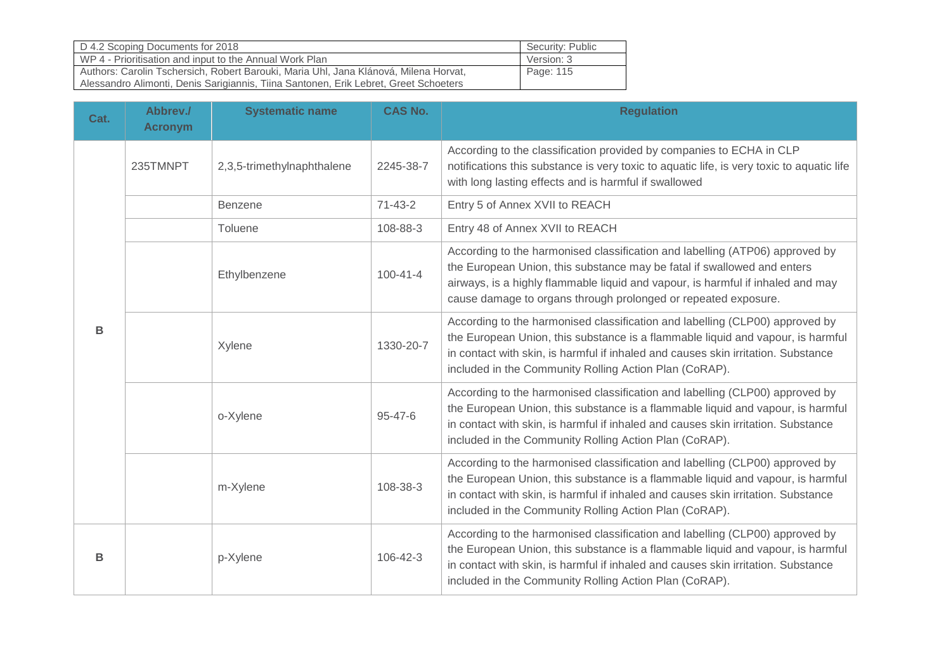| D 4.2 Scoping Documents for 2018                                                     | Security: Public |
|--------------------------------------------------------------------------------------|------------------|
| WP 4 - Prioritisation and input to the Annual Work Plan                              | Version: 3       |
| Authors: Carolin Tschersich, Robert Barouki, Maria Uhl, Jana Klánová, Milena Horvat, | Page: 115        |
| Alessandro Alimonti, Denis Sarigiannis, Tiina Santonen, Erik Lebret, Greet Schoeters |                  |

| Cat. | Abbrev./<br><b>Acronym</b> | <b>Systematic name</b>     | <b>CAS No.</b> | <b>Regulation</b>                                                                                                                                                                                                                                                                                              |  |  |
|------|----------------------------|----------------------------|----------------|----------------------------------------------------------------------------------------------------------------------------------------------------------------------------------------------------------------------------------------------------------------------------------------------------------------|--|--|
|      | 235TMNPT                   | 2,3,5-trimethylnaphthalene | 2245-38-7      | According to the classification provided by companies to ECHA in CLP<br>notifications this substance is very toxic to aquatic life, is very toxic to aquatic life<br>with long lasting effects and is harmful if swallowed                                                                                     |  |  |
|      |                            | Benzene                    | $71 - 43 - 2$  | Entry 5 of Annex XVII to REACH                                                                                                                                                                                                                                                                                 |  |  |
|      |                            | Toluene                    | 108-88-3       | Entry 48 of Annex XVII to REACH                                                                                                                                                                                                                                                                                |  |  |
| B    |                            | Ethylbenzene               | $100 - 41 - 4$ | According to the harmonised classification and labelling (ATP06) approved by<br>the European Union, this substance may be fatal if swallowed and enters<br>airways, is a highly flammable liquid and vapour, is harmful if inhaled and may<br>cause damage to organs through prolonged or repeated exposure.   |  |  |
|      |                            | Xylene                     | 1330-20-7      | According to the harmonised classification and labelling (CLP00) approved by<br>the European Union, this substance is a flammable liquid and vapour, is harmful<br>in contact with skin, is harmful if inhaled and causes skin irritation. Substance<br>included in the Community Rolling Action Plan (CoRAP). |  |  |
|      |                            | o-Xylene                   | $95 - 47 - 6$  | According to the harmonised classification and labelling (CLP00) approved by<br>the European Union, this substance is a flammable liquid and vapour, is harmful<br>in contact with skin, is harmful if inhaled and causes skin irritation. Substance<br>included in the Community Rolling Action Plan (CoRAP). |  |  |
|      |                            | m-Xylene                   | 108-38-3       | According to the harmonised classification and labelling (CLP00) approved by<br>the European Union, this substance is a flammable liquid and vapour, is harmful<br>in contact with skin, is harmful if inhaled and causes skin irritation. Substance<br>included in the Community Rolling Action Plan (CoRAP). |  |  |
| в    |                            | p-Xylene                   | 106-42-3       | According to the harmonised classification and labelling (CLP00) approved by<br>the European Union, this substance is a flammable liquid and vapour, is harmful<br>in contact with skin, is harmful if inhaled and causes skin irritation. Substance<br>included in the Community Rolling Action Plan (CoRAP). |  |  |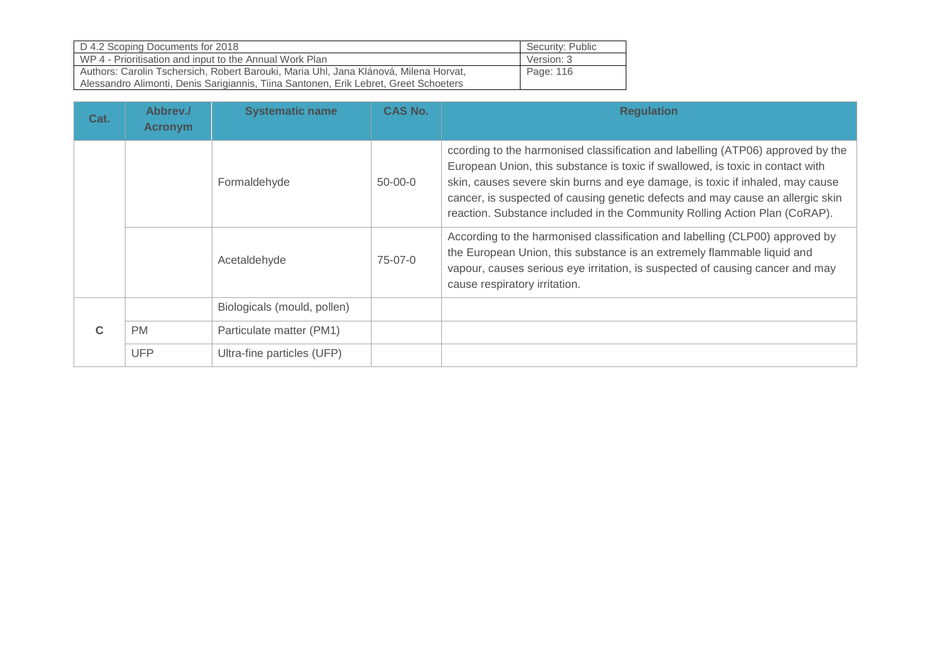| D 4.2 Scoping Documents for 2018                                                     | Security: Public |
|--------------------------------------------------------------------------------------|------------------|
| WP 4 - Prioritisation and input to the Annual Work Plan                              | Version: 3       |
| Authors: Carolin Tschersich, Robert Barouki, Maria Uhl, Jana Klánová, Milena Horvat, | Page: 116        |
| Alessandro Alimonti, Denis Sarigiannis, Tiina Santonen, Erik Lebret, Greet Schoeters |                  |

| Cat. | Abbrey./<br><b>Acronym</b> | <b>Systematic name</b>      | <b>CAS No.</b> | <b>Regulation</b>                                                                                                                                                                                                                                                                                                                                                                                                  |
|------|----------------------------|-----------------------------|----------------|--------------------------------------------------------------------------------------------------------------------------------------------------------------------------------------------------------------------------------------------------------------------------------------------------------------------------------------------------------------------------------------------------------------------|
|      |                            | Formaldehyde                | $50 - 00 - 0$  | ccording to the harmonised classification and labelling (ATP06) approved by the<br>European Union, this substance is toxic if swallowed, is toxic in contact with<br>skin, causes severe skin burns and eye damage, is toxic if inhaled, may cause<br>cancer, is suspected of causing genetic defects and may cause an allergic skin<br>reaction. Substance included in the Community Rolling Action Plan (CoRAP). |
|      |                            | Acetaldehyde                | 75-07-0        | According to the harmonised classification and labelling (CLP00) approved by<br>the European Union, this substance is an extremely flammable liquid and<br>vapour, causes serious eye irritation, is suspected of causing cancer and may<br>cause respiratory irritation.                                                                                                                                          |
|      |                            | Biologicals (mould, pollen) |                |                                                                                                                                                                                                                                                                                                                                                                                                                    |
| C    | <b>PM</b>                  | Particulate matter (PM1)    |                |                                                                                                                                                                                                                                                                                                                                                                                                                    |
|      | <b>UFP</b>                 | Ultra-fine particles (UFP)  |                |                                                                                                                                                                                                                                                                                                                                                                                                                    |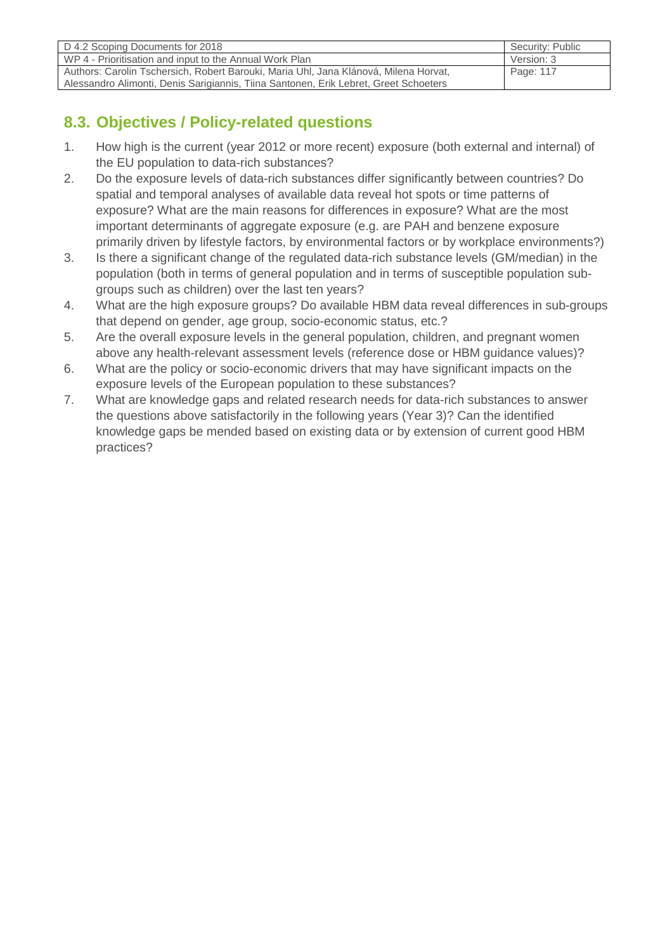| D 4.2 Scoping Documents for 2018                                                     | Security: Public |
|--------------------------------------------------------------------------------------|------------------|
| WP 4 - Prioritisation and input to the Annual Work Plan                              | Version: 3       |
| Authors: Carolin Tschersich, Robert Barouki, Maria Uhl, Jana Klánová, Milena Horvat, | Page: 117        |
| Alessandro Alimonti, Denis Sarigiannis, Tiina Santonen, Erik Lebret, Greet Schoeters |                  |

# **8.3. Objectives / Policy-related questions**

- 1. How high is the current (year 2012 or more recent) exposure (both external and internal) of the EU population to data-rich substances?
- 2. Do the exposure levels of data-rich substances differ significantly between countries? Do spatial and temporal analyses of available data reveal hot spots or time patterns of exposure? What are the main reasons for differences in exposure? What are the most important determinants of aggregate exposure (e.g. are PAH and benzene exposure primarily driven by lifestyle factors, by environmental factors or by workplace environments?)
- 3. Is there a significant change of the regulated data-rich substance levels (GM/median) in the population (both in terms of general population and in terms of susceptible population subgroups such as children) over the last ten years?
- 4. What are the high exposure groups? Do available HBM data reveal differences in sub-groups that depend on gender, age group, socio-economic status, etc.?
- 5. Are the overall exposure levels in the general population, children, and pregnant women above any health-relevant assessment levels (reference dose or HBM guidance values)?
- 6. What are the policy or socio-economic drivers that may have significant impacts on the exposure levels of the European population to these substances?
- 7. What are knowledge gaps and related research needs for data-rich substances to answer the questions above satisfactorily in the following years (Year 3)? Can the identified knowledge gaps be mended based on existing data or by extension of current good HBM practices?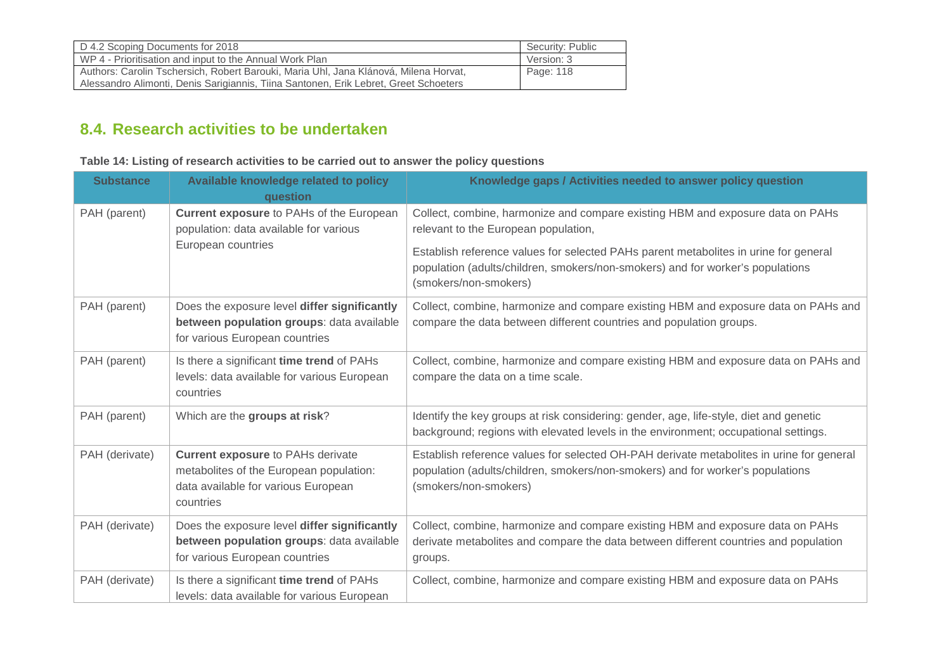| D 4.2 Scoping Documents for 2018                                                     | Security: Public |
|--------------------------------------------------------------------------------------|------------------|
| WP 4 - Prioritisation and input to the Annual Work Plan                              | Version: 3       |
| Authors: Carolin Tschersich, Robert Barouki, Maria Uhl, Jana Klánová, Milena Horvat, | Page: 118        |
| Alessandro Alimonti, Denis Sarigiannis, Tiina Santonen, Erik Lebret, Greet Schoeters |                  |

# **8.4. Research activities to be undertaken**

#### **Table 14: Listing of research activities to be carried out to answer the policy questions**

| <b>Substance</b> | Available knowledge related to policy<br>question                                                                                       | Knowledge gaps / Activities needed to answer policy question                                                                                                                                        |  |
|------------------|-----------------------------------------------------------------------------------------------------------------------------------------|-----------------------------------------------------------------------------------------------------------------------------------------------------------------------------------------------------|--|
| PAH (parent)     | Current exposure to PAHs of the European<br>population: data available for various                                                      | Collect, combine, harmonize and compare existing HBM and exposure data on PAHs<br>relevant to the European population,                                                                              |  |
|                  | European countries                                                                                                                      | Establish reference values for selected PAHs parent metabolites in urine for general<br>population (adults/children, smokers/non-smokers) and for worker's populations<br>(smokers/non-smokers)     |  |
| PAH (parent)     | Does the exposure level differ significantly<br>between population groups: data available<br>for various European countries             | Collect, combine, harmonize and compare existing HBM and exposure data on PAHs and<br>compare the data between different countries and population groups.                                           |  |
| PAH (parent)     | Is there a significant time trend of PAHs<br>levels: data available for various European<br>countries                                   | Collect, combine, harmonize and compare existing HBM and exposure data on PAHs and<br>compare the data on a time scale.                                                                             |  |
| PAH (parent)     | Which are the groups at risk?                                                                                                           | Identify the key groups at risk considering: gender, age, life-style, diet and genetic<br>background; regions with elevated levels in the environment; occupational settings.                       |  |
| PAH (derivate)   | <b>Current exposure to PAHs derivate</b><br>metabolites of the European population:<br>data available for various European<br>countries | Establish reference values for selected OH-PAH derivate metabolites in urine for general<br>population (adults/children, smokers/non-smokers) and for worker's populations<br>(smokers/non-smokers) |  |
| PAH (derivate)   | Does the exposure level differ significantly<br>between population groups: data available<br>for various European countries             | Collect, combine, harmonize and compare existing HBM and exposure data on PAHs<br>derivate metabolites and compare the data between different countries and population<br>groups.                   |  |
| PAH (derivate)   | Is there a significant time trend of PAHs<br>levels: data available for various European                                                | Collect, combine, harmonize and compare existing HBM and exposure data on PAHs                                                                                                                      |  |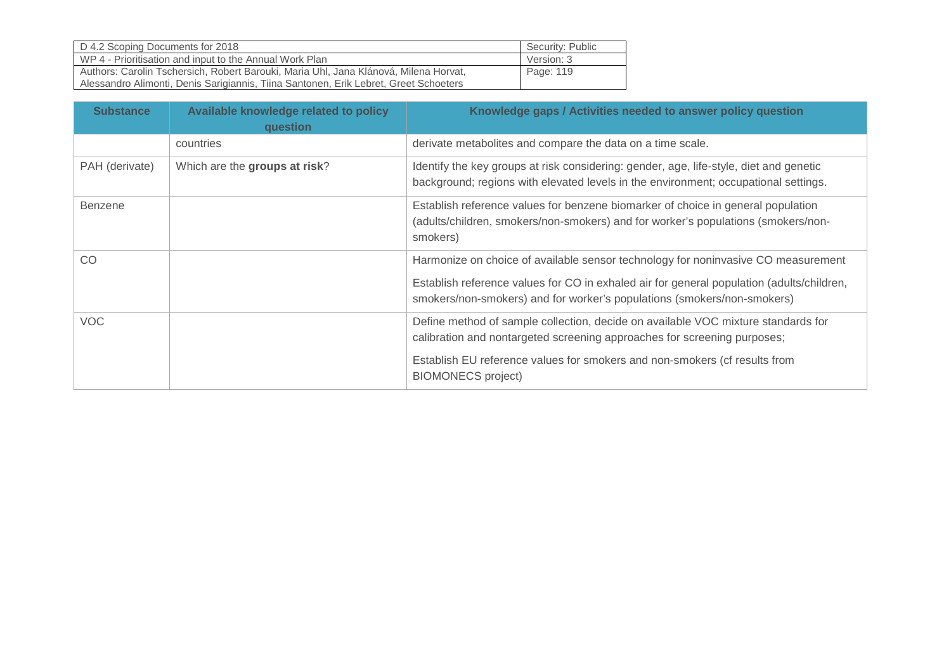| D 4.2 Scoping Documents for 2018                                                     | Security: Public |
|--------------------------------------------------------------------------------------|------------------|
| WP 4 - Prioritisation and input to the Annual Work Plan                              | Version: 3       |
| Authors: Carolin Tschersich, Robert Barouki, Maria Uhl, Jana Klánová, Milena Horvat, | Page: 119        |
| Alessandro Alimonti, Denis Sarigiannis, Tiina Santonen, Erik Lebret, Greet Schoeters |                  |

| <b>Substance</b> | Available knowledge related to policy<br>question | Knowledge gaps / Activities needed to answer policy question                                                                                                                      |  |
|------------------|---------------------------------------------------|-----------------------------------------------------------------------------------------------------------------------------------------------------------------------------------|--|
|                  | countries                                         | derivate metabolites and compare the data on a time scale.                                                                                                                        |  |
| PAH (derivate)   | Which are the groups at risk?                     | Identify the key groups at risk considering: gender, age, life-style, diet and genetic<br>background; regions with elevated levels in the environment; occupational settings.     |  |
| <b>Benzene</b>   |                                                   | Establish reference values for benzene biomarker of choice in general population<br>(adults/children, smokers/non-smokers) and for worker's populations (smokers/non-<br>smokers) |  |
| CO               |                                                   | Harmonize on choice of available sensor technology for noninvasive CO measurement                                                                                                 |  |
|                  |                                                   | Establish reference values for CO in exhaled air for general population (adults/children,<br>smokers/non-smokers) and for worker's populations (smokers/non-smokers)              |  |
| <b>VOC</b>       |                                                   | Define method of sample collection, decide on available VOC mixture standards for<br>calibration and nontargeted screening approaches for screening purposes;                     |  |
|                  |                                                   | Establish EU reference values for smokers and non-smokers (cf results from<br><b>BIOMONECS</b> project)                                                                           |  |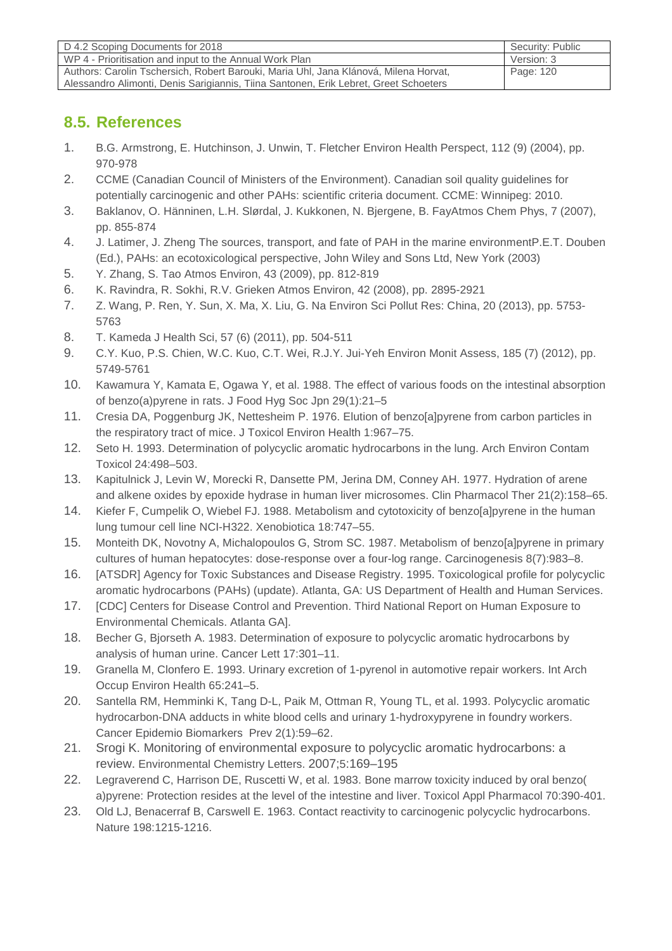| D 4.2 Scoping Documents for 2018                                                     | Security: Public |
|--------------------------------------------------------------------------------------|------------------|
| WP 4 - Prioritisation and input to the Annual Work Plan                              | Version: 3       |
| Authors: Carolin Tschersich, Robert Barouki, Maria Uhl, Jana Klánová, Milena Horvat, | Page: 120        |
| Alessandro Alimonti, Denis Sarigiannis, Tiina Santonen, Erik Lebret, Greet Schoeters |                  |

## **8.5. References**

- 1. B.G. Armstrong, E. Hutchinson, J. Unwin, T. Fletcher Environ Health Perspect, 112 (9) (2004), pp. 970-978
- 2. CCME (Canadian Council of Ministers of the Environment). Canadian soil quality guidelines for potentially carcinogenic and other PAHs: scientific criteria document. CCME: Winnipeg: 2010.
- 3. Baklanov, O. Hänninen, L.H. Slørdal, J. Kukkonen, N. Bjergene, B. FayAtmos Chem Phys, 7 (2007), pp. 855-874
- 4. J. Latimer, J. Zheng The sources, transport, and fate of PAH in the marine environmentP.E.T. Douben (Ed.), PAHs: an ecotoxicological perspective, John Wiley and Sons Ltd, New York (2003)
- 5. Y. Zhang, S. Tao Atmos Environ, 43 (2009), pp. 812-819
- 6. K. Ravindra, R. Sokhi, R.V. Grieken Atmos Environ, 42 (2008), pp. 2895-2921
- 7. Z. Wang, P. Ren, Y. Sun, X. Ma, X. Liu, G. Na Environ Sci Pollut Res: China, 20 (2013), pp. 5753- 5763
- 8. T. Kameda J Health Sci, 57 (6) (2011), pp. 504-511
- 9. C.Y. Kuo, P.S. Chien, W.C. Kuo, C.T. Wei, R.J.Y. Jui-Yeh Environ Monit Assess, 185 (7) (2012), pp. 5749-5761
- 10. Kawamura Y, Kamata E, Ogawa Y, et al. 1988. The effect of various foods on the intestinal absorption of benzo(a)pyrene in rats. J Food Hyg Soc Jpn 29(1):21–5
- 11. Cresia DA, Poggenburg JK, Nettesheim P. 1976. Elution of benzo[a]pyrene from carbon particles in the respiratory tract of mice. J Toxicol Environ Health 1:967–75.
- 12. Seto H. 1993. Determination of polycyclic aromatic hydrocarbons in the lung. Arch Environ Contam Toxicol 24:498–503.
- 13. Kapitulnick J, Levin W, Morecki R, Dansette PM, Jerina DM, Conney AH. 1977. Hydration of arene and alkene oxides by epoxide hydrase in human liver microsomes. Clin Pharmacol Ther 21(2):158–65.
- 14. Kiefer F, Cumpelik O, Wiebel FJ. 1988. Metabolism and cytotoxicity of benzo[a]pyrene in the human lung tumour cell line NCI-H322. Xenobiotica 18:747–55.
- 15. Monteith DK, Novotny A, Michalopoulos G, Strom SC. 1987. Metabolism of benzo[a]pyrene in primary cultures of human hepatocytes: dose-response over a four-log range. Carcinogenesis 8(7):983–8.
- 16. [ATSDR] Agency for Toxic Substances and Disease Registry. 1995. Toxicological profile for polycyclic aromatic hydrocarbons (PAHs) (update). Atlanta, GA: US Department of Health and Human Services.
- 17. [CDC] Centers for Disease Control and Prevention. Third National Report on Human Exposure to Environmental Chemicals. Atlanta GA].
- 18. Becher G, Bjorseth A. 1983. Determination of exposure to polycyclic aromatic hydrocarbons by analysis of human urine. Cancer Lett 17:301–11.
- 19. Granella M, Clonfero E. 1993. Urinary excretion of 1-pyrenol in automotive repair workers. Int Arch Occup Environ Health 65:241–5.
- 20. Santella RM, Hemminki K, Tang D-L, Paik M, Ottman R, Young TL, et al. 1993. Polycyclic aromatic hydrocarbon-DNA adducts in white blood cells and urinary 1-hydroxypyrene in foundry workers. Cancer Epidemio Biomarkers Prev 2(1):59–62.
- 21. Srogi K. Monitoring of environmental exposure to polycyclic aromatic hydrocarbons: a review. Environmental Chemistry Letters. 2007;5:169–195
- 22. Legraverend C, Harrison DE, Ruscetti W, et al. 1983. Bone marrow toxicity induced by oral benzo( a)pyrene: Protection resides at the level of the intestine and liver. Toxicol Appl Pharmacol 70:390-401.
- 23. Old LJ, Benacerraf B, Carswell E. 1963. Contact reactivity to carcinogenic polycyclic hydrocarbons. Nature 198:1215-1216.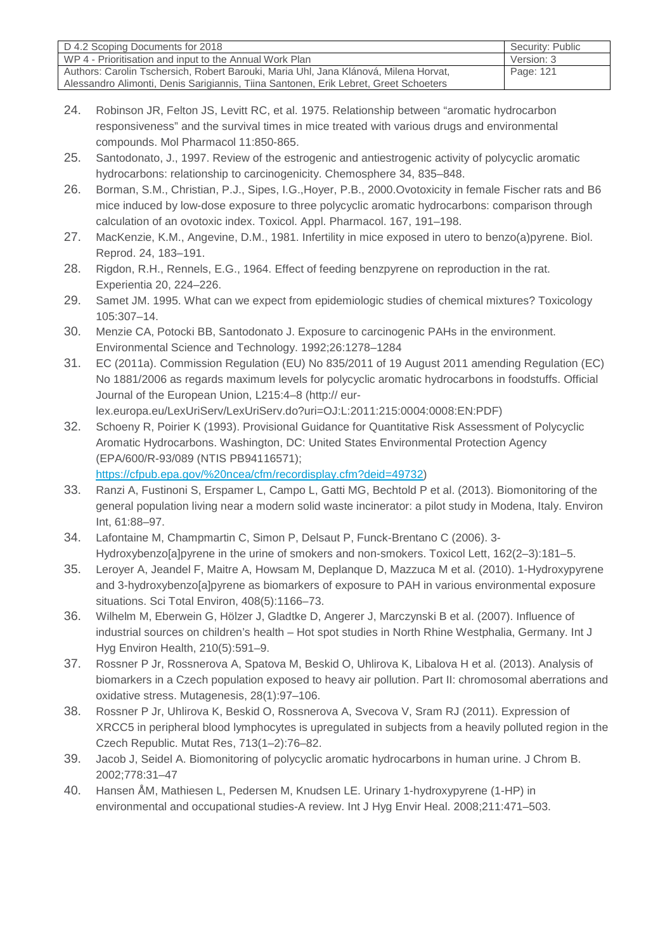| D 4.2 Scoping Documents for 2018                                                     | Security: Public |
|--------------------------------------------------------------------------------------|------------------|
| WP 4 - Prioritisation and input to the Annual Work Plan                              | Version: 3       |
| Authors: Carolin Tschersich, Robert Barouki, Maria Uhl, Jana Klánová, Milena Horvat, | Page: 121        |
| Alessandro Alimonti, Denis Sarigiannis, Tiina Santonen, Erik Lebret, Greet Schoeters |                  |

- 24. Robinson JR, Felton JS, Levitt RC, et al. 1975. Relationship between "aromatic hydrocarbon responsiveness" and the survival times in mice treated with various drugs and environmental compounds. Mol Pharmacol 11:850-865.
- 25. Santodonato, J., 1997. Review of the estrogenic and antiestrogenic activity of polycyclic aromatic hydrocarbons: relationship to carcinogenicity. Chemosphere 34, 835–848.
- 26. Borman, S.M., Christian, P.J., Sipes, I.G.,Hoyer, P.B., 2000.Ovotoxicity in female Fischer rats and B6 mice induced by low-dose exposure to three polycyclic aromatic hydrocarbons: comparison through calculation of an ovotoxic index. Toxicol. Appl. Pharmacol. 167, 191–198.
- 27. MacKenzie, K.M., Angevine, D.M., 1981. Infertility in mice exposed in utero to benzo(a)pyrene. Biol. Reprod. 24, 183–191.
- 28. Rigdon, R.H., Rennels, E.G., 1964. Effect of feeding benzpyrene on reproduction in the rat. Experientia 20, 224–226.
- 29. Samet JM. 1995. What can we expect from epidemiologic studies of chemical mixtures? Toxicology 105:307–14.
- 30. Menzie CA, Potocki BB, Santodonato J. Exposure to carcinogenic PAHs in the environment. Environmental Science and Technology. 1992;26:1278–1284
- 31. EC (2011a). Commission Regulation (EU) No 835/2011 of 19 August 2011 amending Regulation (EC) No 1881/2006 as regards maximum levels for polycyclic aromatic hydrocarbons in foodstuffs. Official Journal of the European Union, L215:4–8 (http:// eurlex.europa.eu/LexUriServ/LexUriServ.do?uri=OJ:L:2011:215:0004:0008:EN:PDF)
- 32. Schoeny R, Poirier K (1993). Provisional Guidance for Quantitative Risk Assessment of Polycyclic Aromatic Hydrocarbons. Washington, DC: United States Environmental Protection Agency (EPA/600/R-93/089 (NTIS PB94116571); https://cfpub.epa.gov/%20ncea/cfm/recordisplay.cfm?deid=49732)
- 33. Ranzi A, Fustinoni S, Erspamer L, Campo L, Gatti MG, Bechtold P et al. (2013). Biomonitoring of the general population living near a modern solid waste incinerator: a pilot study in Modena, Italy. Environ Int, 61:88–97.
- 34. Lafontaine M, Champmartin C, Simon P, Delsaut P, Funck-Brentano C (2006). 3- Hydroxybenzo[a]pyrene in the urine of smokers and non-smokers. Toxicol Lett, 162(2–3):181–5.
- 35. Leroyer A, Jeandel F, Maitre A, Howsam M, Deplanque D, Mazzuca M et al. (2010). 1-Hydroxypyrene and 3-hydroxybenzo[a]pyrene as biomarkers of exposure to PAH in various environmental exposure situations. Sci Total Environ, 408(5):1166–73.
- 36. Wilhelm M, Eberwein G, Hölzer J, Gladtke D, Angerer J, Marczynski B et al. (2007). Influence of industrial sources on children's health – Hot spot studies in North Rhine Westphalia, Germany. Int J Hyg Environ Health, 210(5):591–9.
- 37. Rossner P Jr, Rossnerova A, Spatova M, Beskid O, Uhlirova K, Libalova H et al. (2013). Analysis of biomarkers in a Czech population exposed to heavy air pollution. Part II: chromosomal aberrations and oxidative stress. Mutagenesis, 28(1):97–106.
- 38. Rossner P Jr, Uhlirova K, Beskid O, Rossnerova A, Svecova V, Sram RJ (2011). Expression of XRCC5 in peripheral blood lymphocytes is upregulated in subjects from a heavily polluted region in the Czech Republic. Mutat Res, 713(1–2):76–82.
- 39. Jacob J, Seidel A. Biomonitoring of polycyclic aromatic hydrocarbons in human urine. J Chrom B. 2002;778:31–47
- 40. Hansen ÅM, Mathiesen L, Pedersen M, Knudsen LE. Urinary 1-hydroxypyrene (1-HP) in environmental and occupational studies-A review. Int J Hyg Envir Heal. 2008;211:471–503.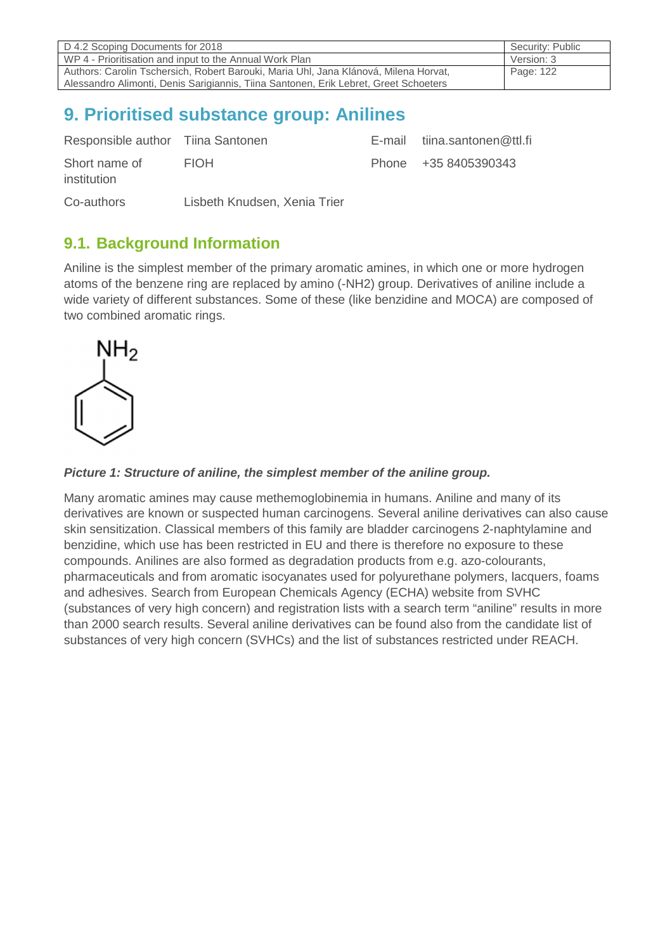| D 4.2 Scoping Documents for 2018                                                                                                                                             | Security: Public |
|------------------------------------------------------------------------------------------------------------------------------------------------------------------------------|------------------|
| WP 4 - Prioritisation and input to the Annual Work Plan                                                                                                                      | Version: 3       |
| Authors: Carolin Tschersich, Robert Barouki, Maria Uhl, Jana Klánová, Milena Horvat,<br>Alessandro Alimonti, Denis Sarigiannis, Tiina Santonen, Erik Lebret, Greet Schoeters | Page: 122        |

# **9. Prioritised substance group: Anilines**

| Responsible author Tiina Santonen |                              | E-mail tiina.santonen@ttl.fi |
|-----------------------------------|------------------------------|------------------------------|
| Short name of<br>institution      | <b>FIOH</b>                  | Phone +35 8405390343         |
| Co-authors                        | Lisbeth Knudsen, Xenia Trier |                              |

## **9.1. Background Information**

Aniline is the simplest member of the primary aromatic amines, in which one or more hydrogen atoms of the benzene ring are replaced by amino (-NH2) group. Derivatives of aniline include a wide variety of different substances. Some of these (like benzidine and MOCA) are composed of two combined aromatic rings.



#### **Picture 1: Structure of aniline, the simplest member of the aniline group.**

Many aromatic amines may cause methemoglobinemia in humans. Aniline and many of its derivatives are known or suspected human carcinogens. Several aniline derivatives can also cause skin sensitization. Classical members of this family are bladder carcinogens 2-naphtylamine and benzidine, which use has been restricted in EU and there is therefore no exposure to these compounds. Anilines are also formed as degradation products from e.g. azo-colourants, pharmaceuticals and from aromatic isocyanates used for polyurethane polymers, lacquers, foams and adhesives. Search from European Chemicals Agency (ECHA) website from SVHC (substances of very high concern) and registration lists with a search term "aniline" results in more than 2000 search results. Several aniline derivatives can be found also from the candidate list of substances of very high concern (SVHCs) and the list of substances restricted under REACH.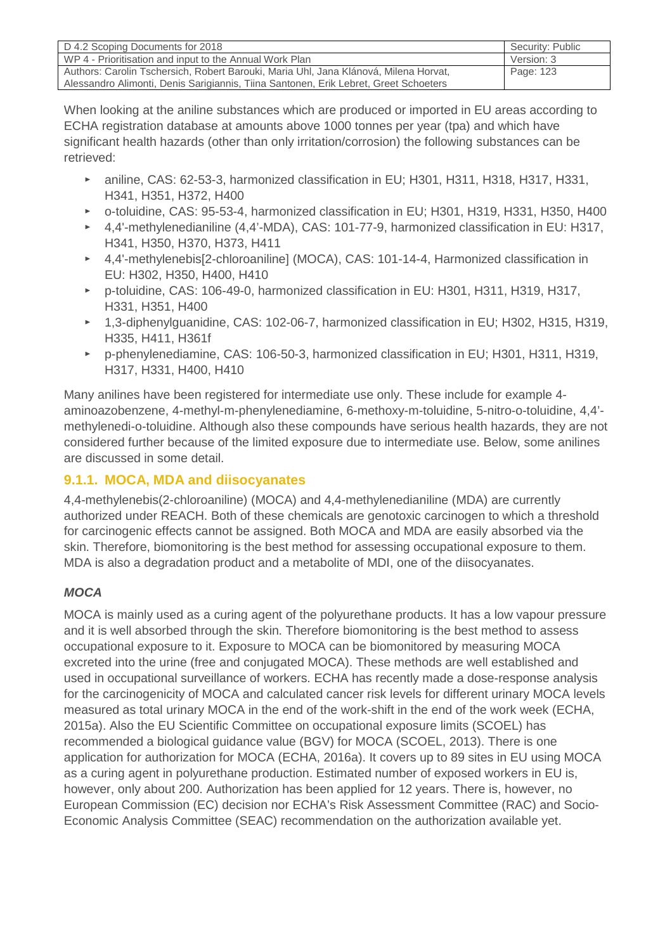| D 4.2 Scoping Documents for 2018                                                     | Security: Public |
|--------------------------------------------------------------------------------------|------------------|
| WP 4 - Prioritisation and input to the Annual Work Plan                              | Version: 3       |
| Authors: Carolin Tschersich, Robert Barouki, Maria Uhl, Jana Klánová, Milena Horvat, | Page: 123        |
| Alessandro Alimonti, Denis Sarigiannis, Tiina Santonen, Erik Lebret, Greet Schoeters |                  |

When looking at the aniline substances which are produced or imported in EU areas according to ECHA registration database at amounts above 1000 tonnes per year (tpa) and which have significant health hazards (other than only irritation/corrosion) the following substances can be retrieved:

- ▸ aniline, CAS: 62-53-3, harmonized classification in EU; H301, H311, H318, H317, H331, H341, H351, H372, H400
- ▸ o-toluidine, CAS: 95-53-4, harmonized classification in EU; H301, H319, H331, H350, H400
- ▸ 4,4'-methylenedianiline (4,4'-MDA), CAS: 101-77-9, harmonized classification in EU: H317, H341, H350, H370, H373, H411
- ▸ 4,4'-methylenebis[2-chloroaniline] (MOCA), CAS: 101-14-4, Harmonized classification in EU: H302, H350, H400, H410
- ▸ p-toluidine, CAS: 106-49-0, harmonized classification in EU: H301, H311, H319, H317, H331, H351, H400
- ▸ 1,3-diphenylguanidine, CAS: 102-06-7, harmonized classification in EU; H302, H315, H319, H335, H411, H361f
- ▸ p-phenylenediamine, CAS: 106-50-3, harmonized classification in EU; H301, H311, H319, H317, H331, H400, H410

Many anilines have been registered for intermediate use only. These include for example 4 aminoazobenzene, 4-methyl-m-phenylenediamine, 6-methoxy-m-toluidine, 5-nitro-o-toluidine, 4,4' methylenedi-o-toluidine. Although also these compounds have serious health hazards, they are not considered further because of the limited exposure due to intermediate use. Below, some anilines are discussed in some detail.

### **9.1.1. MOCA, MDA and diisocyanates**

4,4-methylenebis(2-chloroaniline) (MOCA) and 4,4-methylenedianiline (MDA) are currently authorized under REACH. Both of these chemicals are genotoxic carcinogen to which a threshold for carcinogenic effects cannot be assigned. Both MOCA and MDA are easily absorbed via the skin. Therefore, biomonitoring is the best method for assessing occupational exposure to them. MDA is also a degradation product and a metabolite of MDI, one of the diisocyanates.

## **MOCA**

MOCA is mainly used as a curing agent of the polyurethane products. It has a low vapour pressure and it is well absorbed through the skin. Therefore biomonitoring is the best method to assess occupational exposure to it. Exposure to MOCA can be biomonitored by measuring MOCA excreted into the urine (free and conjugated MOCA). These methods are well established and used in occupational surveillance of workers. ECHA has recently made a dose-response analysis for the carcinogenicity of MOCA and calculated cancer risk levels for different urinary MOCA levels measured as total urinary MOCA in the end of the work-shift in the end of the work week (ECHA, 2015a). Also the EU Scientific Committee on occupational exposure limits (SCOEL) has recommended a biological guidance value (BGV) for MOCA (SCOEL, 2013). There is one application for authorization for MOCA (ECHA, 2016a). It covers up to 89 sites in EU using MOCA as a curing agent in polyurethane production. Estimated number of exposed workers in EU is, however, only about 200. Authorization has been applied for 12 years. There is, however, no European Commission (EC) decision nor ECHA's Risk Assessment Committee (RAC) and Socio-Economic Analysis Committee (SEAC) recommendation on the authorization available yet.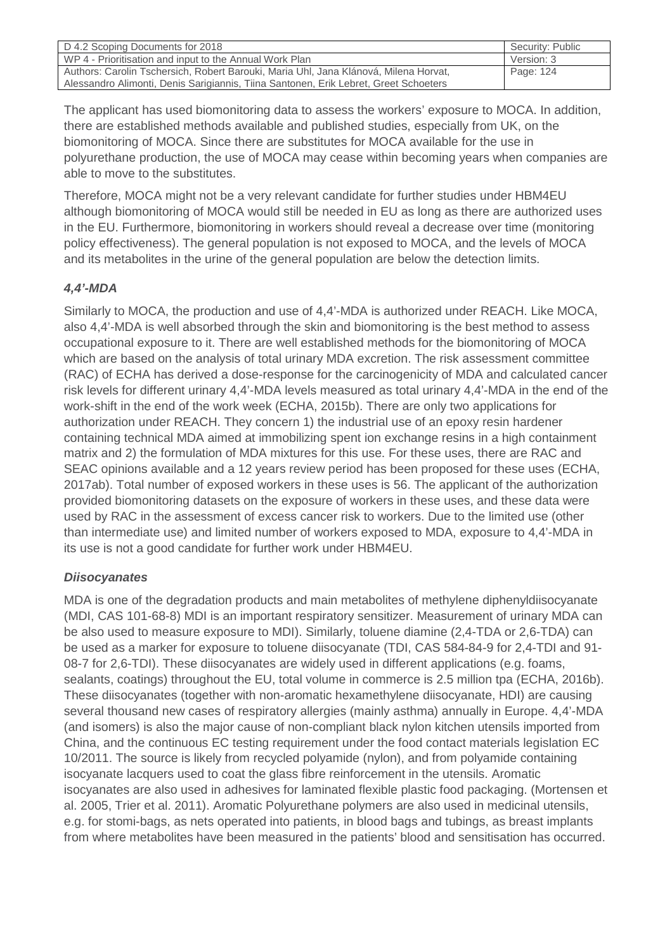| D 4.2 Scoping Documents for 2018                                                     | Security: Public |
|--------------------------------------------------------------------------------------|------------------|
| WP 4 - Prioritisation and input to the Annual Work Plan                              | Version: 3       |
| Authors: Carolin Tschersich, Robert Barouki, Maria Uhl, Jana Klánová, Milena Horvat, | Page: 124        |
| Alessandro Alimonti, Denis Sarigiannis, Tiina Santonen, Erik Lebret, Greet Schoeters |                  |

The applicant has used biomonitoring data to assess the workers' exposure to MOCA. In addition, there are established methods available and published studies, especially from UK, on the biomonitoring of MOCA. Since there are substitutes for MOCA available for the use in polyurethane production, the use of MOCA may cease within becoming years when companies are able to move to the substitutes.

Therefore, MOCA might not be a very relevant candidate for further studies under HBM4EU although biomonitoring of MOCA would still be needed in EU as long as there are authorized uses in the EU. Furthermore, biomonitoring in workers should reveal a decrease over time (monitoring policy effectiveness). The general population is not exposed to MOCA, and the levels of MOCA and its metabolites in the urine of the general population are below the detection limits.

### **4,4'-MDA**

Similarly to MOCA, the production and use of 4,4'-MDA is authorized under REACH. Like MOCA, also 4,4'-MDA is well absorbed through the skin and biomonitoring is the best method to assess occupational exposure to it. There are well established methods for the biomonitoring of MOCA which are based on the analysis of total urinary MDA excretion. The risk assessment committee (RAC) of ECHA has derived a dose-response for the carcinogenicity of MDA and calculated cancer risk levels for different urinary 4,4'-MDA levels measured as total urinary 4,4'-MDA in the end of the work-shift in the end of the work week (ECHA, 2015b). There are only two applications for authorization under REACH. They concern 1) the industrial use of an epoxy resin hardener containing technical MDA aimed at immobilizing spent ion exchange resins in a high containment matrix and 2) the formulation of MDA mixtures for this use. For these uses, there are RAC and SEAC opinions available and a 12 years review period has been proposed for these uses (ECHA, 2017ab). Total number of exposed workers in these uses is 56. The applicant of the authorization provided biomonitoring datasets on the exposure of workers in these uses, and these data were used by RAC in the assessment of excess cancer risk to workers. Due to the limited use (other than intermediate use) and limited number of workers exposed to MDA, exposure to 4,4'-MDA in its use is not a good candidate for further work under HBM4EU.

### **Diisocyanates**

MDA is one of the degradation products and main metabolites of methylene diphenyldiisocyanate (MDI, CAS 101-68-8) MDI is an important respiratory sensitizer. Measurement of urinary MDA can be also used to measure exposure to MDI). Similarly, toluene diamine (2,4-TDA or 2,6-TDA) can be used as a marker for exposure to toluene diisocyanate (TDI, CAS 584-84-9 for 2,4-TDI and 91- 08-7 for 2,6-TDI). These diisocyanates are widely used in different applications (e.g. foams, sealants, coatings) throughout the EU, total volume in commerce is 2.5 million tpa (ECHA, 2016b). These diisocyanates (together with non-aromatic hexamethylene diisocyanate, HDI) are causing several thousand new cases of respiratory allergies (mainly asthma) annually in Europe. 4,4'-MDA (and isomers) is also the major cause of non-compliant black nylon kitchen utensils imported from China, and the continuous EC testing requirement under the food contact materials legislation EC 10/2011. The source is likely from recycled polyamide (nylon), and from polyamide containing isocyanate lacquers used to coat the glass fibre reinforcement in the utensils. Aromatic isocyanates are also used in adhesives for laminated flexible plastic food packaging. (Mortensen et al. 2005, Trier et al. 2011). Aromatic Polyurethane polymers are also used in medicinal utensils, e.g. for stomi-bags, as nets operated into patients, in blood bags and tubings, as breast implants from where metabolites have been measured in the patients' blood and sensitisation has occurred.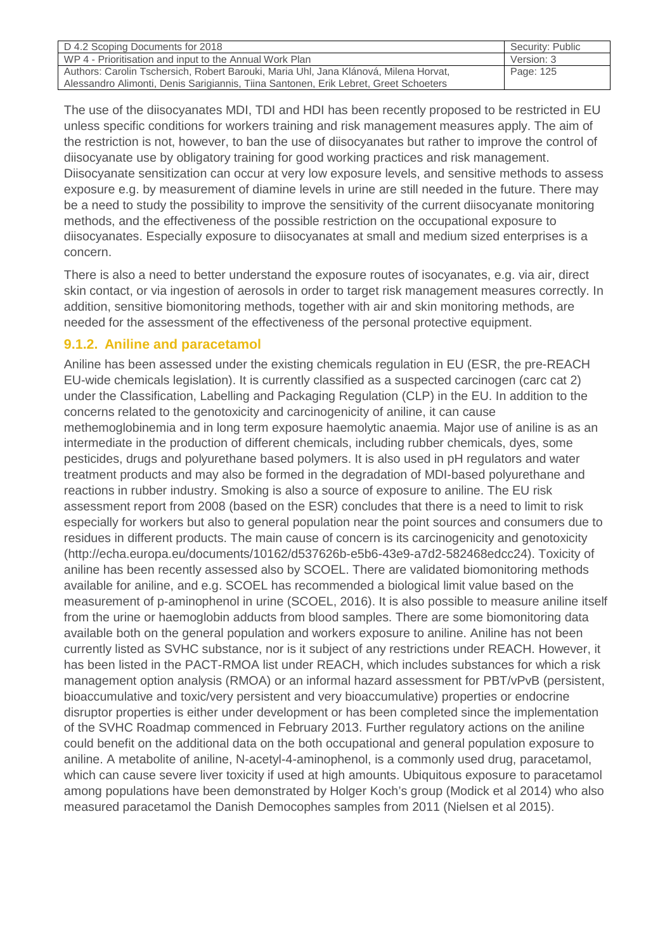| D 4.2 Scoping Documents for 2018                                                     | Security: Public |
|--------------------------------------------------------------------------------------|------------------|
| WP 4 - Prioritisation and input to the Annual Work Plan                              | Version: 3       |
| Authors: Carolin Tschersich, Robert Barouki, Maria Uhl, Jana Klánová, Milena Horvat, | Page: 125        |
| Alessandro Alimonti, Denis Sarigiannis, Tiina Santonen, Erik Lebret, Greet Schoeters |                  |

The use of the diisocyanates MDI, TDI and HDI has been recently proposed to be restricted in EU unless specific conditions for workers training and risk management measures apply. The aim of the restriction is not, however, to ban the use of diisocyanates but rather to improve the control of diisocyanate use by obligatory training for good working practices and risk management. Diisocyanate sensitization can occur at very low exposure levels, and sensitive methods to assess exposure e.g. by measurement of diamine levels in urine are still needed in the future. There may be a need to study the possibility to improve the sensitivity of the current diisocyanate monitoring methods, and the effectiveness of the possible restriction on the occupational exposure to diisocyanates. Especially exposure to diisocyanates at small and medium sized enterprises is a concern.

There is also a need to better understand the exposure routes of isocyanates, e.g. via air, direct skin contact, or via ingestion of aerosols in order to target risk management measures correctly. In addition, sensitive biomonitoring methods, together with air and skin monitoring methods, are needed for the assessment of the effectiveness of the personal protective equipment.

#### **9.1.2. Aniline and paracetamol**

Aniline has been assessed under the existing chemicals regulation in EU (ESR, the pre-REACH EU-wide chemicals legislation). It is currently classified as a suspected carcinogen (carc cat 2) under the Classification, Labelling and Packaging Regulation (CLP) in the EU. In addition to the concerns related to the genotoxicity and carcinogenicity of aniline, it can cause methemoglobinemia and in long term exposure haemolytic anaemia. Major use of aniline is as an intermediate in the production of different chemicals, including rubber chemicals, dyes, some pesticides, drugs and polyurethane based polymers. It is also used in pH regulators and water treatment products and may also be formed in the degradation of MDI-based polyurethane and reactions in rubber industry. Smoking is also a source of exposure to aniline. The EU risk assessment report from 2008 (based on the ESR) concludes that there is a need to limit to risk especially for workers but also to general population near the point sources and consumers due to residues in different products. The main cause of concern is its carcinogenicity and genotoxicity (http://echa.europa.eu/documents/10162/d537626b-e5b6-43e9-a7d2-582468edcc24). Toxicity of aniline has been recently assessed also by SCOEL. There are validated biomonitoring methods available for aniline, and e.g. SCOEL has recommended a biological limit value based on the measurement of p-aminophenol in urine (SCOEL, 2016). It is also possible to measure aniline itself from the urine or haemoglobin adducts from blood samples. There are some biomonitoring data available both on the general population and workers exposure to aniline. Aniline has not been currently listed as SVHC substance, nor is it subject of any restrictions under REACH. However, it has been listed in the PACT-RMOA list under REACH, which includes substances for which a risk management option analysis (RMOA) or an informal hazard assessment for PBT/vPvB (persistent, bioaccumulative and toxic/very persistent and very bioaccumulative) properties or endocrine disruptor properties is either under development or has been completed since the implementation of the SVHC Roadmap commenced in February 2013. Further regulatory actions on the aniline could benefit on the additional data on the both occupational and general population exposure to aniline. A metabolite of aniline, N-acetyl-4-aminophenol, is a commonly used drug, paracetamol, which can cause severe liver toxicity if used at high amounts. Ubiquitous exposure to paracetamol among populations have been demonstrated by Holger Koch's group (Modick et al 2014) who also measured paracetamol the Danish Democophes samples from 2011 (Nielsen et al 2015).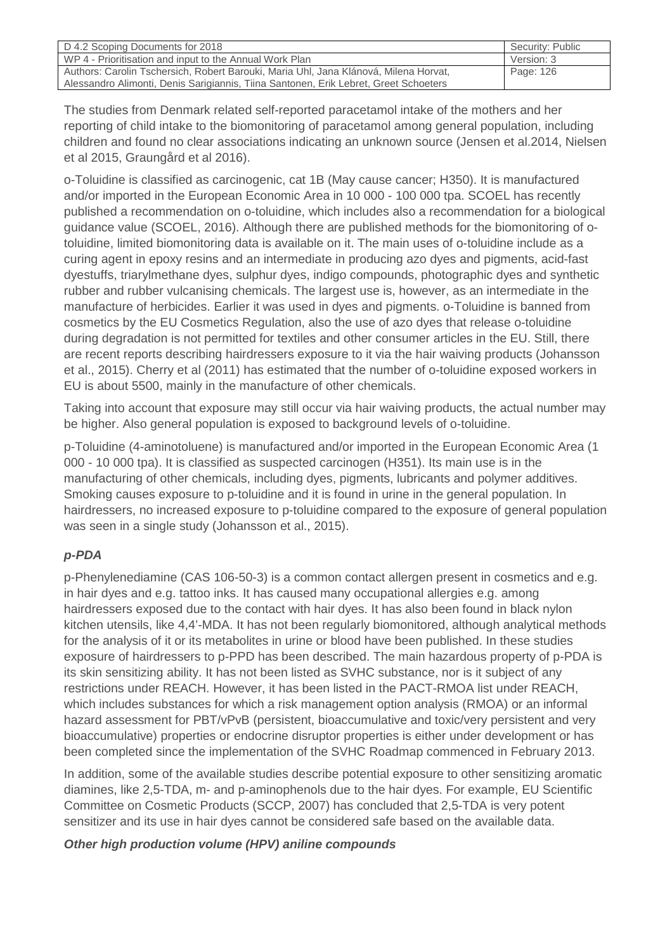| D 4.2 Scoping Documents for 2018                                                     | Security: Public |
|--------------------------------------------------------------------------------------|------------------|
| WP 4 - Prioritisation and input to the Annual Work Plan                              | Version: 3       |
| Authors: Carolin Tschersich, Robert Barouki, Maria Uhl, Jana Klánová, Milena Horvat, | Page: 126        |
| Alessandro Alimonti, Denis Sarigiannis, Tiina Santonen, Erik Lebret, Greet Schoeters |                  |

The studies from Denmark related self-reported paracetamol intake of the mothers and her reporting of child intake to the biomonitoring of paracetamol among general population, including children and found no clear associations indicating an unknown source (Jensen et al.2014, Nielsen et al 2015, Graungård et al 2016).

o-Toluidine is classified as carcinogenic, cat 1B (May cause cancer; H350). It is manufactured and/or imported in the European Economic Area in 10 000 - 100 000 tpa. SCOEL has recently published a recommendation on o-toluidine, which includes also a recommendation for a biological guidance value (SCOEL, 2016). Although there are published methods for the biomonitoring of otoluidine, limited biomonitoring data is available on it. The main uses of o-toluidine include as a curing agent in epoxy resins and an intermediate in producing azo dyes and pigments, acid-fast dyestuffs, triarylmethane dyes, sulphur dyes, indigo compounds, photographic dyes and synthetic rubber and rubber vulcanising chemicals. The largest use is, however, as an intermediate in the manufacture of herbicides. Earlier it was used in dyes and pigments. o-Toluidine is banned from cosmetics by the EU Cosmetics Regulation, also the use of azo dyes that release o-toluidine during degradation is not permitted for textiles and other consumer articles in the EU. Still, there are recent reports describing hairdressers exposure to it via the hair waiving products (Johansson et al., 2015). Cherry et al (2011) has estimated that the number of o-toluidine exposed workers in EU is about 5500, mainly in the manufacture of other chemicals.

Taking into account that exposure may still occur via hair waiving products, the actual number may be higher. Also general population is exposed to background levels of o-toluidine.

p-Toluidine (4-aminotoluene) is manufactured and/or imported in the European Economic Area (1 000 - 10 000 tpa). It is classified as suspected carcinogen (H351). Its main use is in the manufacturing of other chemicals, including dyes, pigments, lubricants and polymer additives. Smoking causes exposure to p-toluidine and it is found in urine in the general population. In hairdressers, no increased exposure to p-toluidine compared to the exposure of general population was seen in a single study (Johansson et al., 2015).

### **p-PDA**

p-Phenylenediamine (CAS 106-50-3) is a common contact allergen present in cosmetics and e.g. in hair dyes and e.g. tattoo inks. It has caused many occupational allergies e.g. among hairdressers exposed due to the contact with hair dyes. It has also been found in black nylon kitchen utensils, like 4,4'-MDA. It has not been regularly biomonitored, although analytical methods for the analysis of it or its metabolites in urine or blood have been published. In these studies exposure of hairdressers to p-PPD has been described. The main hazardous property of p-PDA is its skin sensitizing ability. It has not been listed as SVHC substance, nor is it subject of any restrictions under REACH. However, it has been listed in the PACT-RMOA list under REACH, which includes substances for which a risk management option analysis (RMOA) or an informal hazard assessment for PBT/vPvB (persistent, bioaccumulative and toxic/very persistent and very bioaccumulative) properties or endocrine disruptor properties is either under development or has been completed since the implementation of the SVHC Roadmap commenced in February 2013.

In addition, some of the available studies describe potential exposure to other sensitizing aromatic diamines, like 2,5-TDA, m- and p-aminophenols due to the hair dyes. For example, EU Scientific Committee on Cosmetic Products (SCCP, 2007) has concluded that 2,5-TDA is very potent sensitizer and its use in hair dyes cannot be considered safe based on the available data.

#### **Other high production volume (HPV) aniline compounds**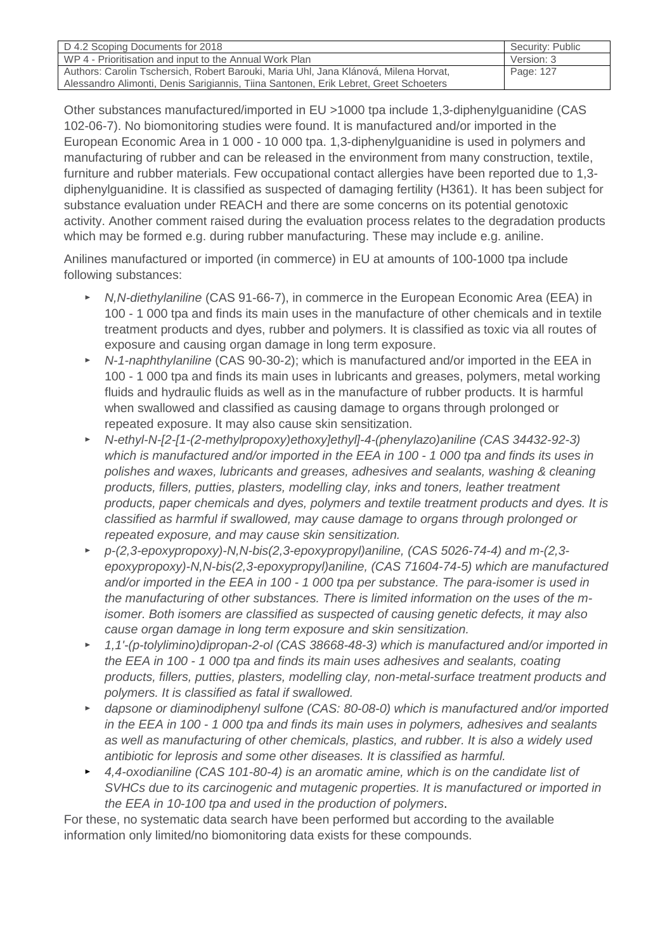| D 4.2 Scoping Documents for 2018                                                     | Security: Public |
|--------------------------------------------------------------------------------------|------------------|
| WP 4 - Prioritisation and input to the Annual Work Plan                              | Version: 3       |
| Authors: Carolin Tschersich, Robert Barouki, Maria Uhl, Jana Klánová, Milena Horvat, | Page: 127        |
| Alessandro Alimonti, Denis Sarigiannis, Tiina Santonen, Erik Lebret, Greet Schoeters |                  |

Other substances manufactured/imported in EU >1000 tpa include 1,3-diphenylguanidine (CAS 102-06-7). No biomonitoring studies were found. It is manufactured and/or imported in the European Economic Area in 1 000 - 10 000 tpa. 1,3-diphenylguanidine is used in polymers and manufacturing of rubber and can be released in the environment from many construction, textile, furniture and rubber materials. Few occupational contact allergies have been reported due to 1,3 diphenylguanidine. It is classified as suspected of damaging fertility (H361). It has been subject for substance evaluation under REACH and there are some concerns on its potential genotoxic activity. Another comment raised during the evaluation process relates to the degradation products which may be formed e.g. during rubber manufacturing. These may include e.g. aniline.

Anilines manufactured or imported (in commerce) in EU at amounts of 100-1000 tpa include following substances:

- ▸ N,N-diethylaniline (CAS 91-66-7), in commerce in the European Economic Area (EEA) in 100 - 1 000 tpa and finds its main uses in the manufacture of other chemicals and in textile treatment products and dyes, rubber and polymers. It is classified as toxic via all routes of exposure and causing organ damage in long term exposure.
- $\triangleright$  N-1-naphthylaniline (CAS 90-30-2); which is manufactured and/or imported in the EEA in 100 - 1 000 tpa and finds its main uses in lubricants and greases, polymers, metal working fluids and hydraulic fluids as well as in the manufacture of rubber products. It is harmful when swallowed and classified as causing damage to organs through prolonged or repeated exposure. It may also cause skin sensitization.
- ▸ N-ethyl-N-[2-[1-(2-methylpropoxy)ethoxy]ethyl]-4-(phenylazo)aniline (CAS 34432-92-3) which is manufactured and/or imported in the EEA in 100 - 1 000 tpa and finds its uses in polishes and waxes, lubricants and greases, adhesives and sealants, washing & cleaning products, fillers, putties, plasters, modelling clay, inks and toners, leather treatment products, paper chemicals and dyes, polymers and textile treatment products and dyes. It is classified as harmful if swallowed, may cause damage to organs through prolonged or repeated exposure, and may cause skin sensitization.
- ▸ p-(2,3-epoxypropoxy)-N,N-bis(2,3-epoxypropyl)aniline, (CAS 5026-74-4) and m-(2,3 epoxypropoxy)-N,N-bis(2,3-epoxypropyl)aniline, (CAS 71604-74-5) which are manufactured and/or imported in the EEA in 100 - 1 000 tpa per substance. The para-isomer is used in the manufacturing of other substances. There is limited information on the uses of the misomer. Both isomers are classified as suspected of causing genetic defects, it may also cause organ damage in long term exposure and skin sensitization.
- ▸ 1,1'-(p-tolylimino)dipropan-2-ol (CAS 38668-48-3) which is manufactured and/or imported in the EEA in 100 - 1 000 tpa and finds its main uses adhesives and sealants, coating products, fillers, putties, plasters, modelling clay, non-metal-surface treatment products and polymers. It is classified as fatal if swallowed.
- ▸ dapsone or diaminodiphenyl sulfone (CAS: 80-08-0) which is manufactured and/or imported in the EEA in 100 - 1 000 tpa and finds its main uses in polymers, adhesives and sealants as well as manufacturing of other chemicals, plastics, and rubber. It is also a widely used antibiotic for leprosis and some other diseases. It is classified as harmful.
- ▸ 4,4-oxodianiline (CAS 101-80-4) is an aromatic amine, which is on the candidate list of SVHCs due to its carcinogenic and mutagenic properties. It is manufactured or imported in the EEA in 10-100 tpa and used in the production of polymers.

For these, no systematic data search have been performed but according to the available information only limited/no biomonitoring data exists for these compounds.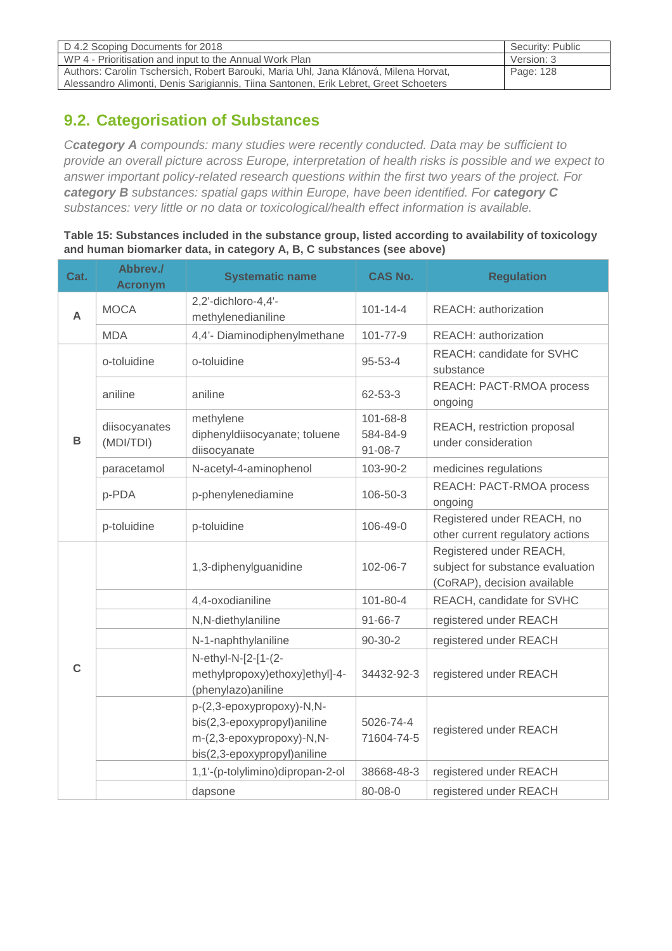| D 4.2 Scoping Documents for 2018                                                     | Security: Public |
|--------------------------------------------------------------------------------------|------------------|
| WP 4 - Prioritisation and input to the Annual Work Plan                              | Version: 3       |
| Authors: Carolin Tschersich, Robert Barouki, Maria Uhl, Jana Klánová, Milena Horvat, | Page: 128        |
| Alessandro Alimonti, Denis Sarigiannis, Tiina Santonen, Erik Lebret, Greet Schoeters |                  |

## **9.2. Categorisation of Substances**

C**category A** compounds: many studies were recently conducted. Data may be sufficient to provide an overall picture across Europe, interpretation of health risks is possible and we expect to answer important policy-related research questions within the first two years of the project. For **category B** substances: spatial gaps within Europe, have been identified. For **category C** substances: very little or no data or toxicological/health effect information is available.

#### **Table 15: Substances included in the substance group, listed according to availability of toxicology and human biomarker data, in category A, B, C substances (see above)**

| Cat.        | Abbrev./<br><b>Acronym</b> | <b>Systematic name</b>                                                                                               | <b>CAS No.</b>                        | <b>Regulation</b>                                                                          |
|-------------|----------------------------|----------------------------------------------------------------------------------------------------------------------|---------------------------------------|--------------------------------------------------------------------------------------------|
| A           | <b>MOCA</b>                | 2,2'-dichloro-4,4'-<br>methylenedianiline                                                                            | $101 - 14 - 4$                        | REACH: authorization                                                                       |
|             | <b>MDA</b>                 | 4,4'- Diaminodiphenylmethane                                                                                         | 101-77-9                              | REACH: authorization                                                                       |
|             | o-toluidine                | o-toluidine                                                                                                          | $95 - 53 - 4$                         | REACH: candidate for SVHC<br>substance                                                     |
|             | aniline                    | aniline                                                                                                              | 62-53-3                               | REACH: PACT-RMOA process<br>ongoing                                                        |
| В           | diisocyanates<br>(MDI/TDI) | methylene<br>diphenyldiisocyanate; toluene<br>diisocyanate                                                           | 101-68-8<br>584-84-9<br>$91 - 08 - 7$ | REACH, restriction proposal<br>under consideration                                         |
|             | paracetamol                | N-acetyl-4-aminophenol                                                                                               | 103-90-2                              | medicines regulations                                                                      |
|             | p-PDA                      | p-phenylenediamine                                                                                                   | 106-50-3                              | REACH: PACT-RMOA process<br>ongoing                                                        |
|             | p-toluidine                | p-toluidine                                                                                                          | 106-49-0                              | Registered under REACH, no<br>other current regulatory actions                             |
|             |                            | 1,3-diphenylguanidine                                                                                                | 102-06-7                              | Registered under REACH,<br>subject for substance evaluation<br>(CoRAP), decision available |
|             |                            | 4,4-oxodianiline                                                                                                     | 101-80-4                              | REACH, candidate for SVHC                                                                  |
|             |                            | N,N-diethylaniline                                                                                                   | $91 - 66 - 7$                         | registered under REACH                                                                     |
|             |                            | N-1-naphthylaniline                                                                                                  | $90 - 30 - 2$                         | registered under REACH                                                                     |
| $\mathbf C$ |                            | N-ethyl-N-[2-[1-(2-<br>methylpropoxy)ethoxy]ethyl]-4-<br>(phenylazo) aniline                                         | 34432-92-3                            | registered under REACH                                                                     |
|             |                            | p-(2,3-epoxypropoxy)-N,N-<br>bis(2,3-epoxypropyl)aniline<br>m-(2,3-epoxypropoxy)-N,N-<br>bis(2,3-epoxypropyl)aniline | 5026-74-4<br>71604-74-5               | registered under REACH                                                                     |
|             |                            | 1,1'-(p-tolylimino)dipropan-2-ol                                                                                     | 38668-48-3                            | registered under REACH                                                                     |
|             |                            | dapsone                                                                                                              | 80-08-0                               | registered under REACH                                                                     |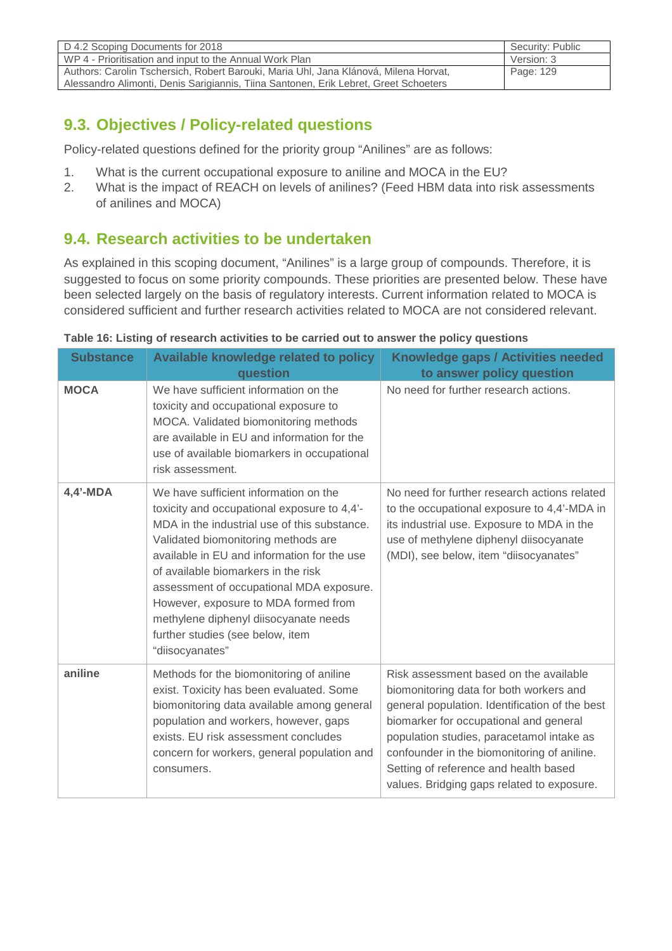| D 4.2 Scoping Documents for 2018                                                     | Security: Public |
|--------------------------------------------------------------------------------------|------------------|
| WP 4 - Prioritisation and input to the Annual Work Plan                              | Version: 3       |
| Authors: Carolin Tschersich, Robert Barouki, Maria Uhl, Jana Klánová, Milena Horvat, | Page: 129        |
| Alessandro Alimonti, Denis Sarigiannis, Tiina Santonen, Erik Lebret, Greet Schoeters |                  |

# **9.3. Objectives / Policy-related questions**

Policy-related questions defined for the priority group "Anilines" are as follows:

- 1. What is the current occupational exposure to aniline and MOCA in the EU?
- 2. What is the impact of REACH on levels of anilines? (Feed HBM data into risk assessments of anilines and MOCA)

## **9.4. Research activities to be undertaken**

As explained in this scoping document, "Anilines" is a large group of compounds. Therefore, it is suggested to focus on some priority compounds. These priorities are presented below. These have been selected largely on the basis of regulatory interests. Current information related to MOCA is considered sufficient and further research activities related to MOCA are not considered relevant.

| <b>Substance</b> | Available knowledge related to policy<br>question                                                                                                                                                                                                                                                                                                                                                                                                     | Knowledge gaps / Activities needed<br>to answer policy question                                                                                                                                                                                                                                                                                                  |
|------------------|-------------------------------------------------------------------------------------------------------------------------------------------------------------------------------------------------------------------------------------------------------------------------------------------------------------------------------------------------------------------------------------------------------------------------------------------------------|------------------------------------------------------------------------------------------------------------------------------------------------------------------------------------------------------------------------------------------------------------------------------------------------------------------------------------------------------------------|
| <b>MOCA</b>      | We have sufficient information on the<br>toxicity and occupational exposure to<br>MOCA. Validated biomonitoring methods<br>are available in EU and information for the<br>use of available biomarkers in occupational<br>risk assessment.                                                                                                                                                                                                             | No need for further research actions.                                                                                                                                                                                                                                                                                                                            |
| $4,4'$ -MDA      | We have sufficient information on the<br>toxicity and occupational exposure to 4,4'-<br>MDA in the industrial use of this substance.<br>Validated biomonitoring methods are<br>available in EU and information for the use<br>of available biomarkers in the risk<br>assessment of occupational MDA exposure.<br>However, exposure to MDA formed from<br>methylene diphenyl diisocyanate needs<br>further studies (see below, item<br>"diisocyanates" | No need for further research actions related<br>to the occupational exposure to 4,4'-MDA in<br>its industrial use. Exposure to MDA in the<br>use of methylene diphenyl diisocyanate<br>(MDI), see below, item "diisocyanates"                                                                                                                                    |
| aniline          | Methods for the biomonitoring of aniline<br>exist. Toxicity has been evaluated. Some<br>biomonitoring data available among general<br>population and workers, however, gaps<br>exists. EU risk assessment concludes<br>concern for workers, general population and<br>consumers.                                                                                                                                                                      | Risk assessment based on the available<br>biomonitoring data for both workers and<br>general population. Identification of the best<br>biomarker for occupational and general<br>population studies, paracetamol intake as<br>confounder in the biomonitoring of aniline.<br>Setting of reference and health based<br>values. Bridging gaps related to exposure. |

#### **Table 16: Listing of research activities to be carried out to answer the policy questions**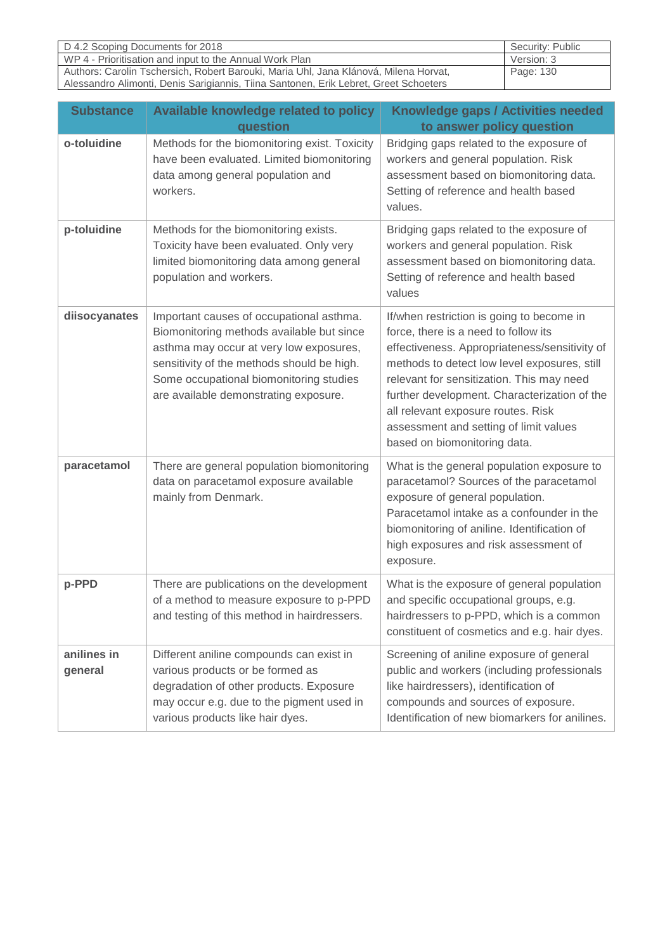| D 4.2 Scoping Documents for 2018                                                     | Security: Public |
|--------------------------------------------------------------------------------------|------------------|
| WP 4 - Prioritisation and input to the Annual Work Plan                              | Version: 3       |
| Authors: Carolin Tschersich, Robert Barouki, Maria Uhl, Jana Klánová, Milena Horvat, | Page: 130        |
| Alessandro Alimonti, Denis Sarigiannis, Tiina Santonen, Erik Lebret, Greet Schoeters |                  |

| <b>Substance</b>       | <b>Available knowledge related to policy</b><br>question                                                                                                                                                                                                           | Knowledge gaps / Activities needed<br>to answer policy question                                                                                                                                                                                                                                                                                                                                 |
|------------------------|--------------------------------------------------------------------------------------------------------------------------------------------------------------------------------------------------------------------------------------------------------------------|-------------------------------------------------------------------------------------------------------------------------------------------------------------------------------------------------------------------------------------------------------------------------------------------------------------------------------------------------------------------------------------------------|
| o-toluidine            | Methods for the biomonitoring exist. Toxicity<br>have been evaluated. Limited biomonitoring<br>data among general population and<br>workers.                                                                                                                       | Bridging gaps related to the exposure of<br>workers and general population. Risk<br>assessment based on biomonitoring data.<br>Setting of reference and health based<br>values.                                                                                                                                                                                                                 |
| p-toluidine            | Methods for the biomonitoring exists.<br>Toxicity have been evaluated. Only very<br>limited biomonitoring data among general<br>population and workers.                                                                                                            | Bridging gaps related to the exposure of<br>workers and general population. Risk<br>assessment based on biomonitoring data.<br>Setting of reference and health based<br>values                                                                                                                                                                                                                  |
| diisocyanates          | Important causes of occupational asthma.<br>Biomonitoring methods available but since<br>asthma may occur at very low exposures,<br>sensitivity of the methods should be high.<br>Some occupational biomonitoring studies<br>are available demonstrating exposure. | If/when restriction is going to become in<br>force, there is a need to follow its<br>effectiveness. Appropriateness/sensitivity of<br>methods to detect low level exposures, still<br>relevant for sensitization. This may need<br>further development. Characterization of the<br>all relevant exposure routes. Risk<br>assessment and setting of limit values<br>based on biomonitoring data. |
| paracetamol            | There are general population biomonitoring<br>data on paracetamol exposure available<br>mainly from Denmark.                                                                                                                                                       | What is the general population exposure to<br>paracetamol? Sources of the paracetamol<br>exposure of general population.<br>Paracetamol intake as a confounder in the<br>biomonitoring of aniline. Identification of<br>high exposures and risk assessment of<br>exposure.                                                                                                                      |
| p-PPD                  | There are publications on the development<br>of a method to measure exposure to p-PPD<br>and testing of this method in hairdressers.                                                                                                                               | What is the exposure of general population<br>and specific occupational groups, e.g.<br>hairdressers to p-PPD, which is a common<br>constituent of cosmetics and e.g. hair dyes.                                                                                                                                                                                                                |
| anilines in<br>general | Different aniline compounds can exist in<br>various products or be formed as<br>degradation of other products. Exposure<br>may occur e.g. due to the pigment used in<br>various products like hair dyes.                                                           | Screening of aniline exposure of general<br>public and workers (including professionals<br>like hairdressers), identification of<br>compounds and sources of exposure.<br>Identification of new biomarkers for anilines.                                                                                                                                                                        |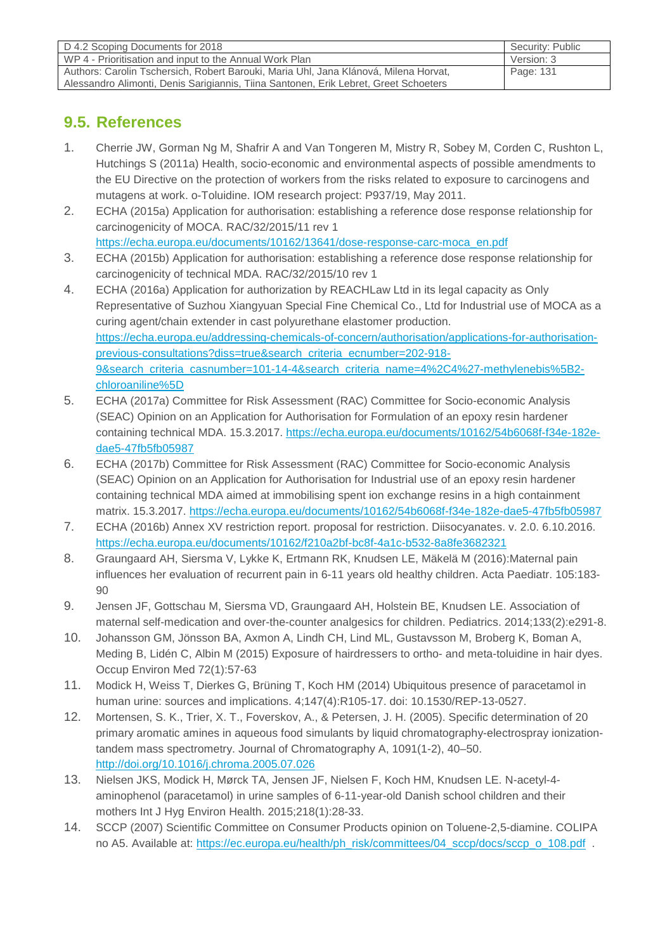| D 4.2 Scoping Documents for 2018                                                     | Security: Public |
|--------------------------------------------------------------------------------------|------------------|
| WP 4 - Prioritisation and input to the Annual Work Plan                              | Version: 3       |
| Authors: Carolin Tschersich, Robert Barouki, Maria Uhl, Jana Klánová, Milena Horvat, | Page: 131        |
| Alessandro Alimonti, Denis Sarigiannis, Tiina Santonen, Erik Lebret, Greet Schoeters |                  |

## **9.5. References**

- 1. Cherrie JW, Gorman Ng M, Shafrir A and Van Tongeren M, Mistry R, Sobey M, Corden C, Rushton L, Hutchings S (2011a) Health, socio-economic and environmental aspects of possible amendments to the EU Directive on the protection of workers from the risks related to exposure to carcinogens and mutagens at work. o-Toluidine. IOM research project: P937/19, May 2011.
- 2. ECHA (2015a) Application for authorisation: establishing a reference dose response relationship for carcinogenicity of MOCA. RAC/32/2015/11 rev 1 https://echa.europa.eu/documents/10162/13641/dose-response-carc-moca\_en.pdf
- 3. ECHA (2015b) Application for authorisation: establishing a reference dose response relationship for carcinogenicity of technical MDA. RAC/32/2015/10 rev 1
- 4. ECHA (2016a) Application for authorization by REACHLaw Ltd in its legal capacity as Only Representative of Suzhou Xiangyuan Special Fine Chemical Co., Ltd for Industrial use of MOCA as a curing agent/chain extender in cast polyurethane elastomer production. https://echa.europa.eu/addressing-chemicals-of-concern/authorisation/applications-for-authorisationprevious-consultations?diss=true&search\_criteria\_ecnumber=202-918- 9&search\_criteria\_casnumber=101-14-4&search\_criteria\_name=4%2C4%27-methylenebis%5B2 chloroaniline%5D
- 5. ECHA (2017a) Committee for Risk Assessment (RAC) Committee for Socio-economic Analysis (SEAC) Opinion on an Application for Authorisation for Formulation of an epoxy resin hardener containing technical MDA. 15.3.2017. https://echa.europa.eu/documents/10162/54b6068f-f34e-182edae5-47fb5fb05987
- 6. ECHA (2017b) Committee for Risk Assessment (RAC) Committee for Socio-economic Analysis (SEAC) Opinion on an Application for Authorisation for Industrial use of an epoxy resin hardener containing technical MDA aimed at immobilising spent ion exchange resins in a high containment matrix. 15.3.2017. https://echa.europa.eu/documents/10162/54b6068f-f34e-182e-dae5-47fb5fb05987
- 7. ECHA (2016b) Annex XV restriction report. proposal for restriction. Diisocyanates. v. 2.0. 6.10.2016. https://echa.europa.eu/documents/10162/f210a2bf-bc8f-4a1c-b532-8a8fe3682321
- 8. Graungaard AH, Siersma V, Lykke K, Ertmann RK, Knudsen LE, Mäkelä M (2016):Maternal pain influences her evaluation of recurrent pain in 6-11 years old healthy children. Acta Paediatr. 105:183- 90
- 9. Jensen JF, Gottschau M, Siersma VD, Graungaard AH, Holstein BE, Knudsen LE. Association of maternal self-medication and over-the-counter analgesics for children. Pediatrics. 2014;133(2):e291-8.
- 10. Johansson GM, Jönsson BA, Axmon A, Lindh CH, Lind ML, Gustavsson M, Broberg K, Boman A, Meding B, Lidén C, Albin M (2015) Exposure of hairdressers to ortho- and meta-toluidine in hair dyes. Occup Environ Med 72(1):57-63
- 11. Modick H, Weiss T, Dierkes G, Brüning T, Koch HM (2014) Ubiquitous presence of paracetamol in human urine: sources and implications. 4;147(4):R105-17. doi: 10.1530/REP-13-0527.
- 12. Mortensen, S. K., Trier, X. T., Foverskov, A., & Petersen, J. H. (2005). Specific determination of 20 primary aromatic amines in aqueous food simulants by liquid chromatography-electrospray ionizationtandem mass spectrometry. Journal of Chromatography A, 1091(1-2), 40–50. http://doi.org/10.1016/j.chroma.2005.07.026
- 13. Nielsen JKS, Modick H, Mørck TA, Jensen JF, Nielsen F, Koch HM, Knudsen LE. N-acetyl-4 aminophenol (paracetamol) in urine samples of 6-11-year-old Danish school children and their mothers Int J Hyg Environ Health. 2015;218(1):28-33.
- 14. SCCP (2007) Scientific Committee on Consumer Products opinion on Toluene-2,5-diamine. COLIPA no A5. Available at: https://ec.europa.eu/health/ph\_risk/committees/04\_sccp/docs/sccp\_o\_108.pdf .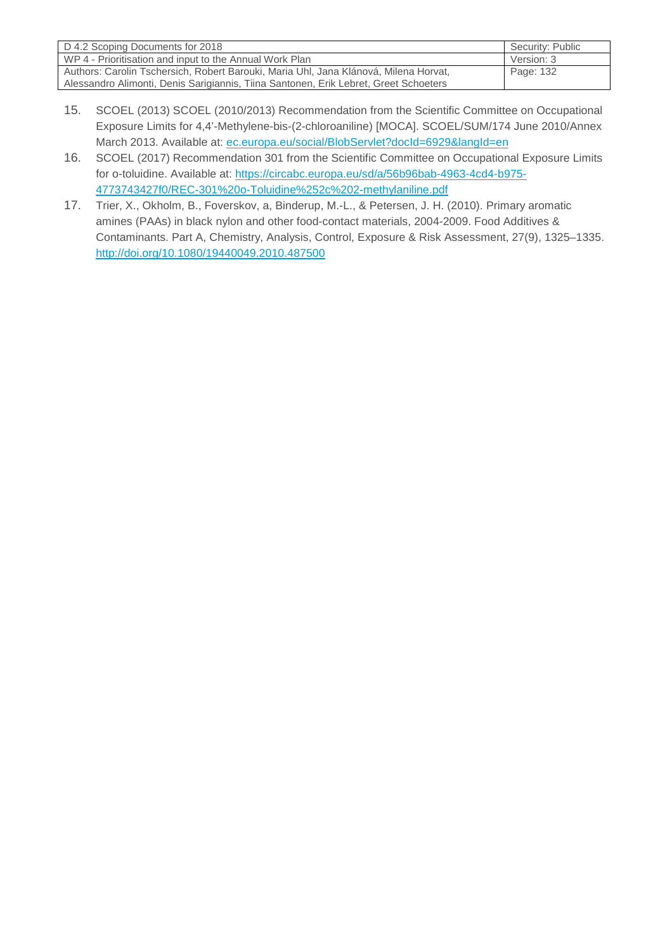| D 4.2 Scoping Documents for 2018                                                     | Security: Public |
|--------------------------------------------------------------------------------------|------------------|
| WP 4 - Prioritisation and input to the Annual Work Plan                              | Version: 3       |
| Authors: Carolin Tschersich, Robert Barouki, Maria Uhl, Jana Klánová, Milena Horvat, | Page: 132        |
| Alessandro Alimonti, Denis Sarigiannis, Tiina Santonen, Erik Lebret, Greet Schoeters |                  |

- 15. SCOEL (2013) SCOEL (2010/2013) Recommendation from the Scientific Committee on Occupational Exposure Limits for 4,4'-Methylene-bis-(2-chloroaniline) [MOCA]. SCOEL/SUM/174 June 2010/Annex March 2013. Available at: ec.europa.eu/social/BlobServlet?docId=6929&langId=en
- 16. SCOEL (2017) Recommendation 301 from the Scientific Committee on Occupational Exposure Limits for o-toluidine. Available at: https://circabc.europa.eu/sd/a/56b96bab-4963-4cd4-b975- 4773743427f0/REC-301%20o-Toluidine%252c%202-methylaniline.pdf
- 17. Trier, X., Okholm, B., Foverskov, a, Binderup, M.-L., & Petersen, J. H. (2010). Primary aromatic amines (PAAs) in black nylon and other food-contact materials, 2004-2009. Food Additives & Contaminants. Part A, Chemistry, Analysis, Control, Exposure & Risk Assessment, 27(9), 1325–1335. http://doi.org/10.1080/19440049.2010.487500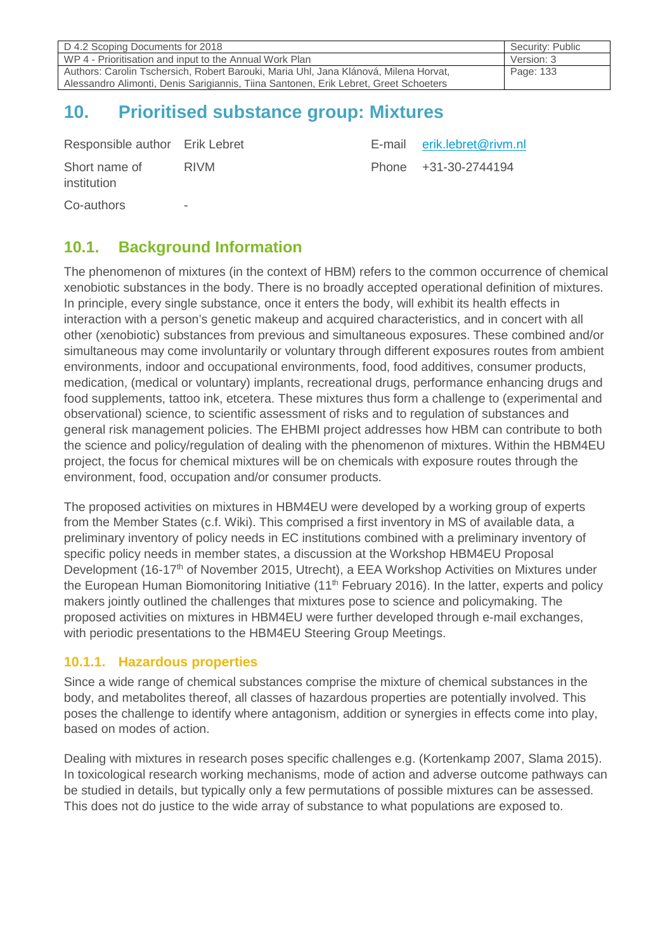| D 4.2 Scoping Documents for 2018                                                     | Security: Public |
|--------------------------------------------------------------------------------------|------------------|
| WP 4 - Prioritisation and input to the Annual Work Plan                              | Version: 3       |
| Authors: Carolin Tschersich, Robert Barouki, Maria Uhl, Jana Klánová, Milena Horvat, | Page: 133        |
| Alessandro Alimonti, Denis Sarigiannis, Tiina Santonen, Erik Lebret, Greet Schoeters |                  |

# **10. Prioritised substance group: Mixtures**

| Responsible author Erik Lebret |      |
|--------------------------------|------|
| Short name of<br>institution   | RIVM |

E-mail erik.lebret@rivm.nl Phone +31-30-2744194

Co-authors

# **10.1. Background Information**

The phenomenon of mixtures (in the context of HBM) refers to the common occurrence of chemical xenobiotic substances in the body. There is no broadly accepted operational definition of mixtures. In principle, every single substance, once it enters the body, will exhibit its health effects in interaction with a person's genetic makeup and acquired characteristics, and in concert with all other (xenobiotic) substances from previous and simultaneous exposures. These combined and/or simultaneous may come involuntarily or voluntary through different exposures routes from ambient environments, indoor and occupational environments, food, food additives, consumer products, medication, (medical or voluntary) implants, recreational drugs, performance enhancing drugs and food supplements, tattoo ink, etcetera. These mixtures thus form a challenge to (experimental and observational) science, to scientific assessment of risks and to regulation of substances and general risk management policies. The EHBMI project addresses how HBM can contribute to both the science and policy/regulation of dealing with the phenomenon of mixtures. Within the HBM4EU project, the focus for chemical mixtures will be on chemicals with exposure routes through the environment, food, occupation and/or consumer products.

The proposed activities on mixtures in HBM4EU were developed by a working group of experts from the Member States (c.f. Wiki). This comprised a first inventory in MS of available data, a preliminary inventory of policy needs in EC institutions combined with a preliminary inventory of specific policy needs in member states, a discussion at the Workshop HBM4EU Proposal Development (16-17<sup>th</sup> of November 2015, Utrecht), a EEA Workshop Activities on Mixtures under the European Human Biomonitoring Initiative  $(11<sup>th</sup>$  February 2016). In the latter, experts and policy makers jointly outlined the challenges that mixtures pose to science and policymaking. The proposed activities on mixtures in HBM4EU were further developed through e-mail exchanges, with periodic presentations to the HBM4EU Steering Group Meetings.

### **10.1.1. Hazardous properties**

Since a wide range of chemical substances comprise the mixture of chemical substances in the body, and metabolites thereof, all classes of hazardous properties are potentially involved. This poses the challenge to identify where antagonism, addition or synergies in effects come into play, based on modes of action.

Dealing with mixtures in research poses specific challenges e.g. (Kortenkamp 2007, Slama 2015). In toxicological research working mechanisms, mode of action and adverse outcome pathways can be studied in details, but typically only a few permutations of possible mixtures can be assessed. This does not do justice to the wide array of substance to what populations are exposed to.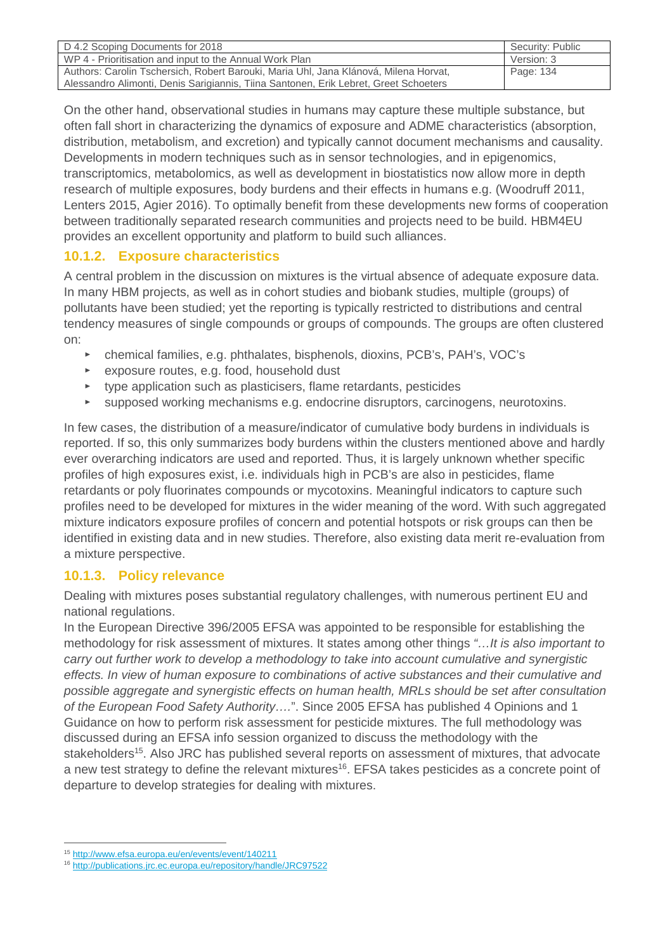| D 4.2 Scoping Documents for 2018                                                     | Security: Public |
|--------------------------------------------------------------------------------------|------------------|
| WP 4 - Prioritisation and input to the Annual Work Plan                              | Version: 3       |
| Authors: Carolin Tschersich, Robert Barouki, Maria Uhl, Jana Klánová, Milena Horvat, | Page: 134        |
| Alessandro Alimonti, Denis Sarigiannis, Tiina Santonen, Erik Lebret, Greet Schoeters |                  |

On the other hand, observational studies in humans may capture these multiple substance, but often fall short in characterizing the dynamics of exposure and ADME characteristics (absorption, distribution, metabolism, and excretion) and typically cannot document mechanisms and causality. Developments in modern techniques such as in sensor technologies, and in epigenomics, transcriptomics, metabolomics, as well as development in biostatistics now allow more in depth research of multiple exposures, body burdens and their effects in humans e.g. (Woodruff 2011, Lenters 2015, Agier 2016). To optimally benefit from these developments new forms of cooperation between traditionally separated research communities and projects need to be build. HBM4EU provides an excellent opportunity and platform to build such alliances.

### **10.1.2. Exposure characteristics**

A central problem in the discussion on mixtures is the virtual absence of adequate exposure data. In many HBM projects, as well as in cohort studies and biobank studies, multiple (groups) of pollutants have been studied; yet the reporting is typically restricted to distributions and central tendency measures of single compounds or groups of compounds. The groups are often clustered on:

- ▸ chemical families, e.g. phthalates, bisphenols, dioxins, PCB's, PAH's, VOC's
- ▸ exposure routes, e.g. food, household dust
- ▸ type application such as plasticisers, flame retardants, pesticides
- supposed working mechanisms e.g. endocrine disruptors, carcinogens, neurotoxins.

In few cases, the distribution of a measure/indicator of cumulative body burdens in individuals is reported. If so, this only summarizes body burdens within the clusters mentioned above and hardly ever overarching indicators are used and reported. Thus, it is largely unknown whether specific profiles of high exposures exist, i.e. individuals high in PCB's are also in pesticides, flame retardants or poly fluorinates compounds or mycotoxins. Meaningful indicators to capture such profiles need to be developed for mixtures in the wider meaning of the word. With such aggregated mixture indicators exposure profiles of concern and potential hotspots or risk groups can then be identified in existing data and in new studies. Therefore, also existing data merit re-evaluation from a mixture perspective.

### **10.1.3. Policy relevance**

Dealing with mixtures poses substantial regulatory challenges, with numerous pertinent EU and national regulations.

In the European Directive 396/2005 EFSA was appointed to be responsible for establishing the methodology for risk assessment of mixtures. It states among other things "... It is also important to carry out further work to develop a methodology to take into account cumulative and synergistic effects. In view of human exposure to combinations of active substances and their cumulative and possible aggregate and synergistic effects on human health, MRLs should be set after consultation of the European Food Safety Authority….". Since 2005 EFSA has published 4 Opinions and 1 Guidance on how to perform risk assessment for pesticide mixtures. The full methodology was discussed during an EFSA info session organized to discuss the methodology with the stakeholders<sup>15</sup>. Also JRC has published several reports on assessment of mixtures, that advocate a new test strategy to define the relevant mixtures<sup>16</sup>. EFSA takes pesticides as a concrete point of departure to develop strategies for dealing with mixtures.

 $\overline{a}$ <sup>15</sup> http://www.efsa.europa.eu/en/events/event/140211

<sup>16</sup> http://publications.jrc.ec.europa.eu/repository/handle/JRC97522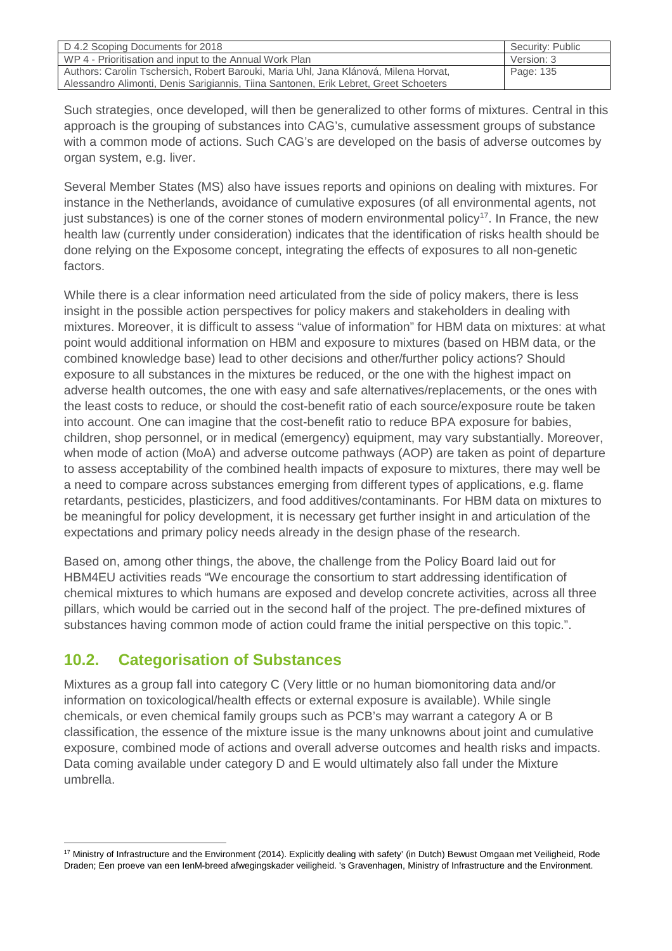| D 4.2 Scoping Documents for 2018                                                     | Security: Public |
|--------------------------------------------------------------------------------------|------------------|
| WP 4 - Prioritisation and input to the Annual Work Plan                              | Version: 3       |
| Authors: Carolin Tschersich, Robert Barouki, Maria Uhl, Jana Klánová, Milena Horvat, | Page: 135        |
| Alessandro Alimonti, Denis Sarigiannis, Tiina Santonen, Erik Lebret, Greet Schoeters |                  |

Such strategies, once developed, will then be generalized to other forms of mixtures. Central in this approach is the grouping of substances into CAG's, cumulative assessment groups of substance with a common mode of actions. Such CAG's are developed on the basis of adverse outcomes by organ system, e.g. liver.

Several Member States (MS) also have issues reports and opinions on dealing with mixtures. For instance in the Netherlands, avoidance of cumulative exposures (of all environmental agents, not just substances) is one of the corner stones of modern environmental policy<sup>17</sup>. In France, the new health law (currently under consideration) indicates that the identification of risks health should be done relying on the Exposome concept, integrating the effects of exposures to all non-genetic factors.

While there is a clear information need articulated from the side of policy makers, there is less insight in the possible action perspectives for policy makers and stakeholders in dealing with mixtures. Moreover, it is difficult to assess "value of information" for HBM data on mixtures: at what point would additional information on HBM and exposure to mixtures (based on HBM data, or the combined knowledge base) lead to other decisions and other/further policy actions? Should exposure to all substances in the mixtures be reduced, or the one with the highest impact on adverse health outcomes, the one with easy and safe alternatives/replacements, or the ones with the least costs to reduce, or should the cost-benefit ratio of each source/exposure route be taken into account. One can imagine that the cost-benefit ratio to reduce BPA exposure for babies, children, shop personnel, or in medical (emergency) equipment, may vary substantially. Moreover, when mode of action (MoA) and adverse outcome pathways (AOP) are taken as point of departure to assess acceptability of the combined health impacts of exposure to mixtures, there may well be a need to compare across substances emerging from different types of applications, e.g. flame retardants, pesticides, plasticizers, and food additives/contaminants. For HBM data on mixtures to be meaningful for policy development, it is necessary get further insight in and articulation of the expectations and primary policy needs already in the design phase of the research.

Based on, among other things, the above, the challenge from the Policy Board laid out for HBM4EU activities reads "We encourage the consortium to start addressing identification of chemical mixtures to which humans are exposed and develop concrete activities, across all three pillars, which would be carried out in the second half of the project. The pre-defined mixtures of substances having common mode of action could frame the initial perspective on this topic.".

## **10.2. Categorisation of Substances**

Mixtures as a group fall into category C (Very little or no human biomonitoring data and/or information on toxicological/health effects or external exposure is available). While single chemicals, or even chemical family groups such as PCB's may warrant a category A or B classification, the essence of the mixture issue is the many unknowns about joint and cumulative exposure, combined mode of actions and overall adverse outcomes and health risks and impacts. Data coming available under category D and E would ultimately also fall under the Mixture umbrella.

 $\overline{a}$ <sup>17</sup> Ministry of Infrastructure and the Environment (2014). Explicitly dealing with safety' (in Dutch) Bewust Omgaan met Veiligheid. Rode Draden; Een proeve van een IenM-breed afwegingskader veiligheid. 's Gravenhagen, Ministry of Infrastructure and the Environment.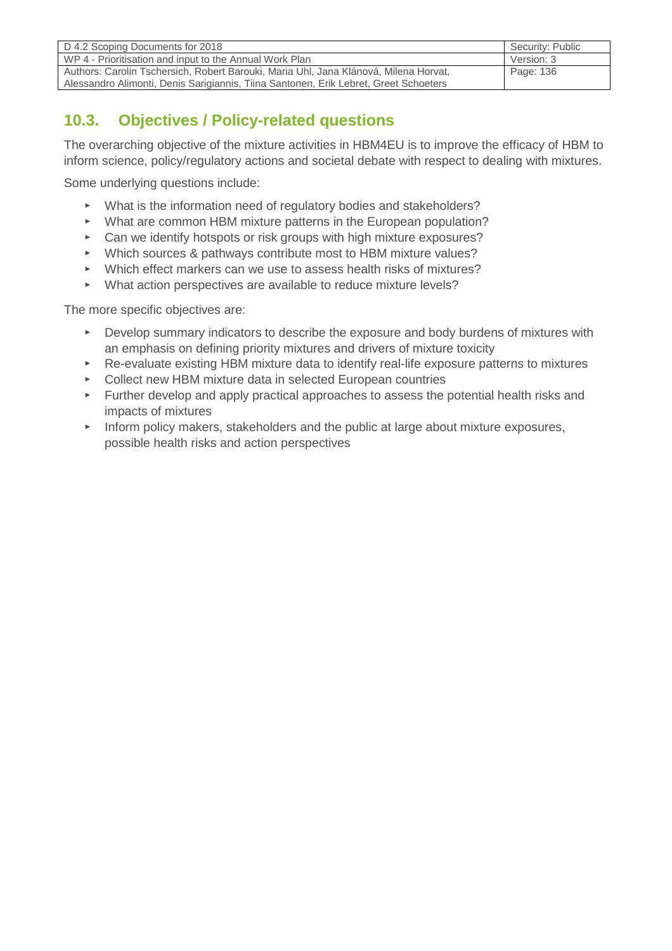| D 4.2 Scoping Documents for 2018                                                     | Security: Public |
|--------------------------------------------------------------------------------------|------------------|
| WP 4 - Prioritisation and input to the Annual Work Plan                              | Version: 3       |
| Authors: Carolin Tschersich, Robert Barouki, Maria Uhl, Jana Klánová, Milena Horvat, | Page: 136        |
| Alessandro Alimonti, Denis Sarigiannis, Tiina Santonen, Erik Lebret, Greet Schoeters |                  |

# **10.3. Objectives / Policy-related questions**

The overarching objective of the mixture activities in HBM4EU is to improve the efficacy of HBM to inform science, policy/regulatory actions and societal debate with respect to dealing with mixtures.

Some underlying questions include:

- ▸ What is the information need of regulatory bodies and stakeholders?
- ▸ What are common HBM mixture patterns in the European population?
- ▸ Can we identify hotspots or risk groups with high mixture exposures?
- ▸ Which sources & pathways contribute most to HBM mixture values?
- ▸ Which effect markers can we use to assess health risks of mixtures?
- ▸ What action perspectives are available to reduce mixture levels?

The more specific objectives are:

- ▸ Develop summary indicators to describe the exposure and body burdens of mixtures with an emphasis on defining priority mixtures and drivers of mixture toxicity
- ▸ Re-evaluate existing HBM mixture data to identify real-life exposure patterns to mixtures
- ▸ Collect new HBM mixture data in selected European countries
- ▸ Further develop and apply practical approaches to assess the potential health risks and impacts of mixtures
- ▸ Inform policy makers, stakeholders and the public at large about mixture exposures, possible health risks and action perspectives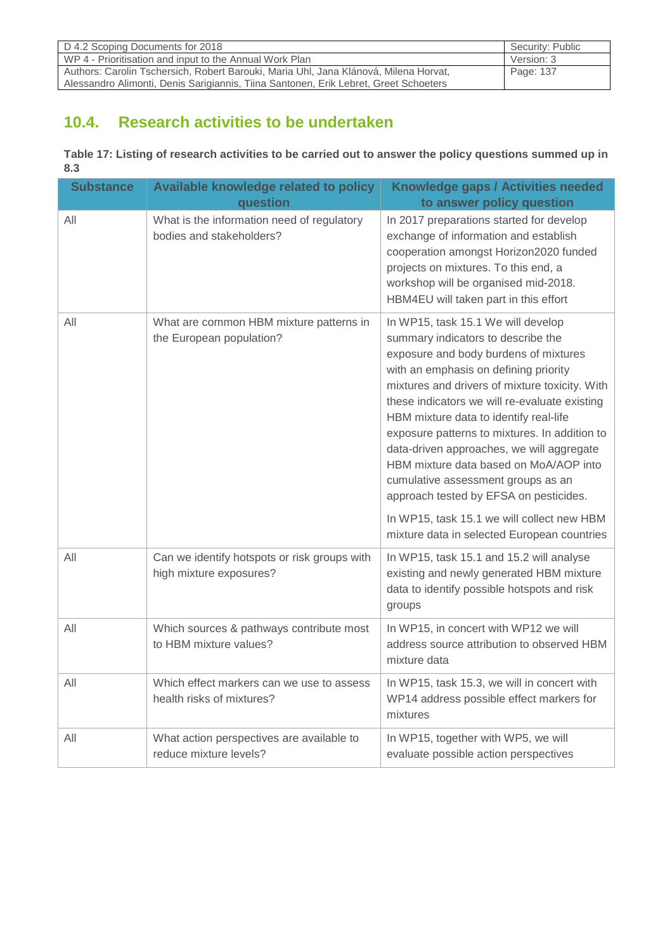| D 4.2 Scoping Documents for 2018                                                     | Security: Public |
|--------------------------------------------------------------------------------------|------------------|
| WP 4 - Prioritisation and input to the Annual Work Plan                              | Version: 3       |
| Authors: Carolin Tschersich, Robert Barouki, Maria Uhl, Jana Klánová, Milena Horvat, | Page: 137        |
| Alessandro Alimonti, Denis Sarigiannis, Tiina Santonen, Erik Lebret, Greet Schoeters |                  |

# **10.4. Research activities to be undertaken**

#### **Table 17: Listing of research activities to be carried out to answer the policy questions summed up in 8.3**

| <b>Substance</b> | <b>Available knowledge related to policy</b><br>question                | Knowledge gaps / Activities needed<br>to answer policy question                                                                                                                                                                                                                                                                                                                                                                                                                                                                                                               |
|------------------|-------------------------------------------------------------------------|-------------------------------------------------------------------------------------------------------------------------------------------------------------------------------------------------------------------------------------------------------------------------------------------------------------------------------------------------------------------------------------------------------------------------------------------------------------------------------------------------------------------------------------------------------------------------------|
| All              | What is the information need of regulatory<br>bodies and stakeholders?  | In 2017 preparations started for develop<br>exchange of information and establish<br>cooperation amongst Horizon2020 funded<br>projects on mixtures. To this end, a<br>workshop will be organised mid-2018.<br>HBM4EU will taken part in this effort                                                                                                                                                                                                                                                                                                                          |
| All              | What are common HBM mixture patterns in<br>the European population?     | In WP15, task 15.1 We will develop<br>summary indicators to describe the<br>exposure and body burdens of mixtures<br>with an emphasis on defining priority<br>mixtures and drivers of mixture toxicity. With<br>these indicators we will re-evaluate existing<br>HBM mixture data to identify real-life<br>exposure patterns to mixtures. In addition to<br>data-driven approaches, we will aggregate<br>HBM mixture data based on MoA/AOP into<br>cumulative assessment groups as an<br>approach tested by EFSA on pesticides.<br>In WP15, task 15.1 we will collect new HBM |
| All              | Can we identify hotspots or risk groups with<br>high mixture exposures? | mixture data in selected European countries<br>In WP15, task 15.1 and 15.2 will analyse<br>existing and newly generated HBM mixture<br>data to identify possible hotspots and risk<br>groups                                                                                                                                                                                                                                                                                                                                                                                  |
| All              | Which sources & pathways contribute most<br>to HBM mixture values?      | In WP15, in concert with WP12 we will<br>address source attribution to observed HBM<br>mixture data                                                                                                                                                                                                                                                                                                                                                                                                                                                                           |
| All              | Which effect markers can we use to assess<br>health risks of mixtures?  | In WP15, task 15.3, we will in concert with<br>WP14 address possible effect markers for<br>mixtures                                                                                                                                                                                                                                                                                                                                                                                                                                                                           |
| All              | What action perspectives are available to<br>reduce mixture levels?     | In WP15, together with WP5, we will<br>evaluate possible action perspectives                                                                                                                                                                                                                                                                                                                                                                                                                                                                                                  |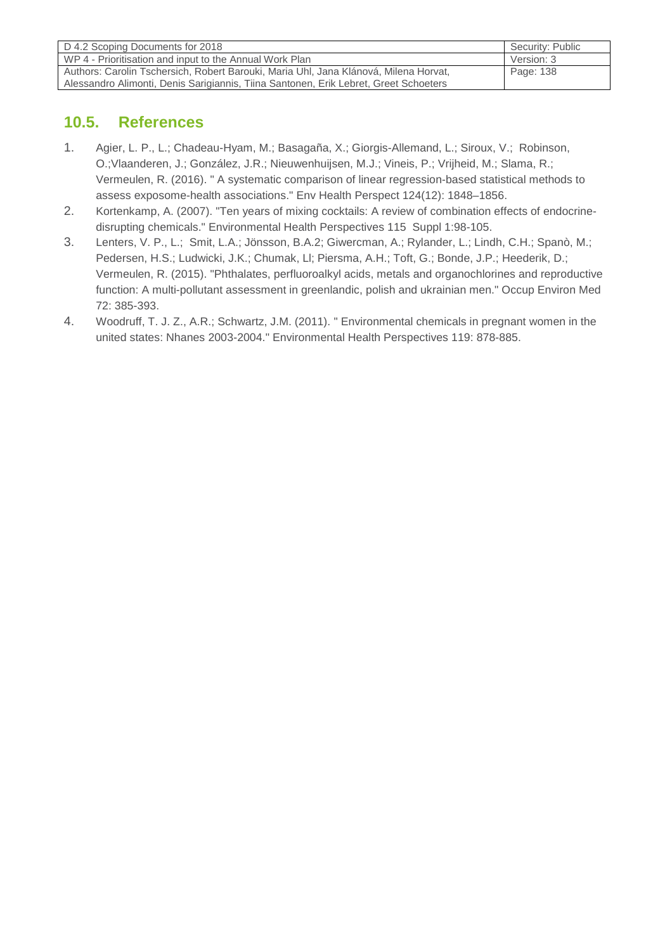| D 4.2 Scoping Documents for 2018                                                     | Security: Public |
|--------------------------------------------------------------------------------------|------------------|
| WP 4 - Prioritisation and input to the Annual Work Plan                              | Version: 3       |
| Authors: Carolin Tschersich, Robert Barouki, Maria Uhl, Jana Klánová, Milena Horvat, | Page: 138        |
| Alessandro Alimonti, Denis Sarigiannis, Tiina Santonen, Erik Lebret, Greet Schoeters |                  |

## **10.5. References**

- 1. Agier, L. P., L.; Chadeau-Hyam, M.; Basagaña, X.; Giorgis-Allemand, L.; Siroux, V.; Robinson, O.;Vlaanderen, J.; González, J.R.; Nieuwenhuijsen, M.J.; Vineis, P.; Vrijheid, M.; Slama, R.; Vermeulen, R. (2016). " A systematic comparison of linear regression-based statistical methods to assess exposome-health associations." Env Health Perspect 124(12): 1848–1856.
- 2. Kortenkamp, A. (2007). "Ten years of mixing cocktails: A review of combination effects of endocrinedisrupting chemicals." Environmental Health Perspectives 115 Suppl 1:98-105.
- 3. Lenters, V. P., L.; Smit, L.A.; Jönsson, B.A.2; Giwercman, A.; Rylander, L.; Lindh, C.H.; Spanò, M.; Pedersen, H.S.; Ludwicki, J.K.; Chumak, Ll; Piersma, A.H.; Toft, G.; Bonde, J.P.; Heederik, D.; Vermeulen, R. (2015). "Phthalates, perfluoroalkyl acids, metals and organochlorines and reproductive function: A multi-pollutant assessment in greenlandic, polish and ukrainian men." Occup Environ Med 72: 385-393.
- 4. Woodruff, T. J. Z., A.R.; Schwartz, J.M. (2011). " Environmental chemicals in pregnant women in the united states: Nhanes 2003-2004." Environmental Health Perspectives 119: 878-885.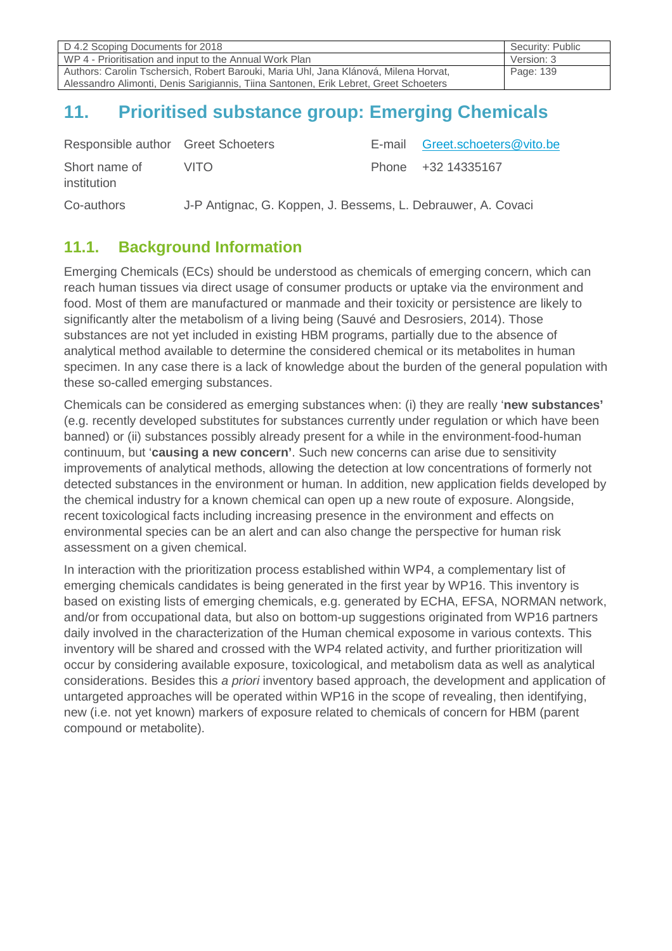| D 4.2 Scoping Documents for 2018                                                     | Security: Public |
|--------------------------------------------------------------------------------------|------------------|
| WP 4 - Prioritisation and input to the Annual Work Plan                              | Version: 3       |
| Authors: Carolin Tschersich, Robert Barouki, Maria Uhl, Jana Klánová, Milena Horvat, | Page: 139        |
| Alessandro Alimonti, Denis Sarigiannis, Tiina Santonen, Erik Lebret, Greet Schoeters |                  |

# **11. Prioritised substance group: Emerging Chemicals**

| Responsible author Greet Schoeters |                                                              | E-mail Greet.schoeters@vito.be |
|------------------------------------|--------------------------------------------------------------|--------------------------------|
| Short name of<br>institution       | VITO.                                                        | Phone +32 14335167             |
| Co-authors                         | J-P Antignac, G. Koppen, J. Bessems, L. Debrauwer, A. Covaci |                                |

# **11.1. Background Information**

Emerging Chemicals (ECs) should be understood as chemicals of emerging concern, which can reach human tissues via direct usage of consumer products or uptake via the environment and food. Most of them are manufactured or manmade and their toxicity or persistence are likely to significantly alter the metabolism of a living being (Sauvé and Desrosiers, 2014). Those substances are not yet included in existing HBM programs, partially due to the absence of analytical method available to determine the considered chemical or its metabolites in human specimen. In any case there is a lack of knowledge about the burden of the general population with these so-called emerging substances.

Chemicals can be considered as emerging substances when: (i) they are really '**new substances'** (e.g. recently developed substitutes for substances currently under regulation or which have been banned) or (ii) substances possibly already present for a while in the environment-food-human continuum, but '**causing a new concern'**. Such new concerns can arise due to sensitivity improvements of analytical methods, allowing the detection at low concentrations of formerly not detected substances in the environment or human. In addition, new application fields developed by the chemical industry for a known chemical can open up a new route of exposure. Alongside, recent toxicological facts including increasing presence in the environment and effects on environmental species can be an alert and can also change the perspective for human risk assessment on a given chemical.

In interaction with the prioritization process established within WP4, a complementary list of emerging chemicals candidates is being generated in the first year by WP16. This inventory is based on existing lists of emerging chemicals, e.g. generated by ECHA, EFSA, NORMAN network, and/or from occupational data, but also on bottom-up suggestions originated from WP16 partners daily involved in the characterization of the Human chemical exposome in various contexts. This inventory will be shared and crossed with the WP4 related activity, and further prioritization will occur by considering available exposure, toxicological, and metabolism data as well as analytical considerations. Besides this a priori inventory based approach, the development and application of untargeted approaches will be operated within WP16 in the scope of revealing, then identifying, new (i.e. not yet known) markers of exposure related to chemicals of concern for HBM (parent compound or metabolite).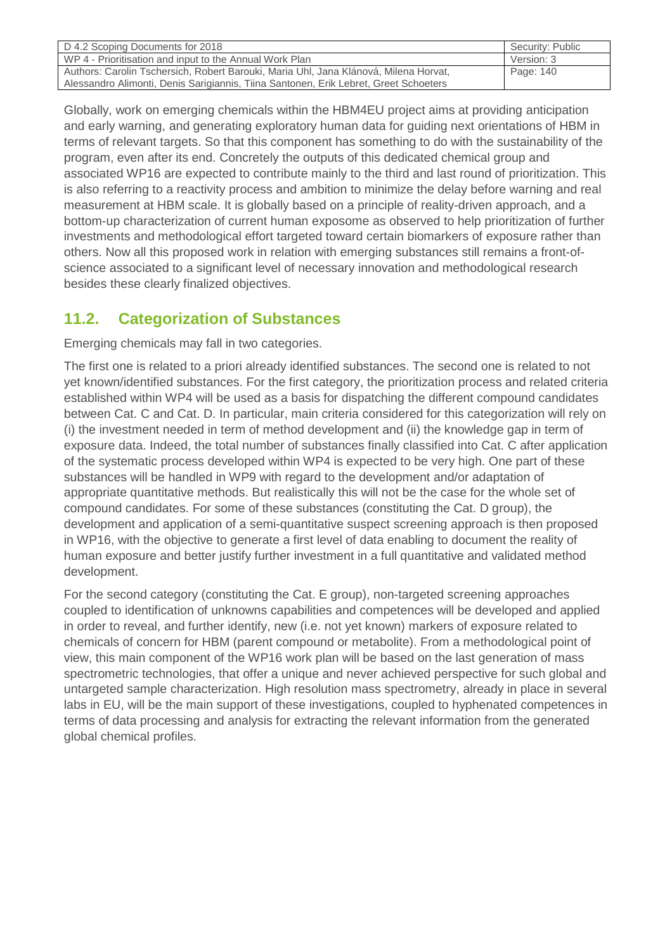| D 4.2 Scoping Documents for 2018                                                     | Security: Public |
|--------------------------------------------------------------------------------------|------------------|
| WP 4 - Prioritisation and input to the Annual Work Plan                              | Version: 3       |
| Authors: Carolin Tschersich, Robert Barouki, Maria Uhl, Jana Klánová, Milena Horvat, | Page: 140        |
| Alessandro Alimonti, Denis Sarigiannis, Tiina Santonen, Erik Lebret, Greet Schoeters |                  |

Globally, work on emerging chemicals within the HBM4EU project aims at providing anticipation and early warning, and generating exploratory human data for guiding next orientations of HBM in terms of relevant targets. So that this component has something to do with the sustainability of the program, even after its end. Concretely the outputs of this dedicated chemical group and associated WP16 are expected to contribute mainly to the third and last round of prioritization. This is also referring to a reactivity process and ambition to minimize the delay before warning and real measurement at HBM scale. It is globally based on a principle of reality-driven approach, and a bottom-up characterization of current human exposome as observed to help prioritization of further investments and methodological effort targeted toward certain biomarkers of exposure rather than others. Now all this proposed work in relation with emerging substances still remains a front-ofscience associated to a significant level of necessary innovation and methodological research besides these clearly finalized objectives.

### **11.2. Categorization of Substances**

Emerging chemicals may fall in two categories.

The first one is related to a priori already identified substances. The second one is related to not yet known/identified substances. For the first category, the prioritization process and related criteria established within WP4 will be used as a basis for dispatching the different compound candidates between Cat. C and Cat. D. In particular, main criteria considered for this categorization will rely on (i) the investment needed in term of method development and (ii) the knowledge gap in term of exposure data. Indeed, the total number of substances finally classified into Cat. C after application of the systematic process developed within WP4 is expected to be very high. One part of these substances will be handled in WP9 with regard to the development and/or adaptation of appropriate quantitative methods. But realistically this will not be the case for the whole set of compound candidates. For some of these substances (constituting the Cat. D group), the development and application of a semi-quantitative suspect screening approach is then proposed in WP16, with the objective to generate a first level of data enabling to document the reality of human exposure and better justify further investment in a full quantitative and validated method development.

For the second category (constituting the Cat. E group), non-targeted screening approaches coupled to identification of unknowns capabilities and competences will be developed and applied in order to reveal, and further identify, new (i.e. not yet known) markers of exposure related to chemicals of concern for HBM (parent compound or metabolite). From a methodological point of view, this main component of the WP16 work plan will be based on the last generation of mass spectrometric technologies, that offer a unique and never achieved perspective for such global and untargeted sample characterization. High resolution mass spectrometry, already in place in several labs in EU, will be the main support of these investigations, coupled to hyphenated competences in terms of data processing and analysis for extracting the relevant information from the generated global chemical profiles.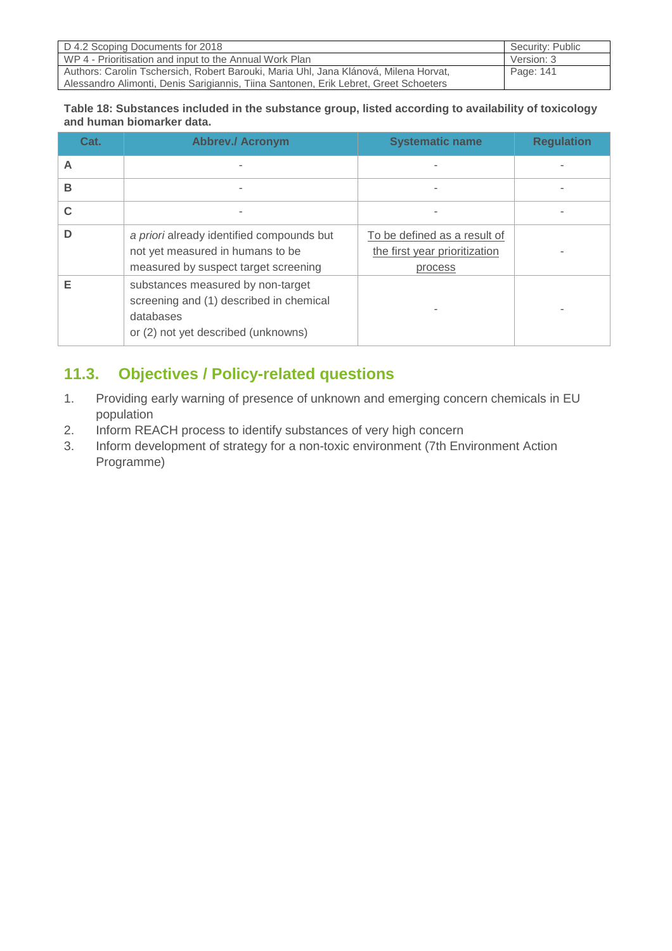| D 4.2 Scoping Documents for 2018                                                     | Security: Public |
|--------------------------------------------------------------------------------------|------------------|
| WP 4 - Prioritisation and input to the Annual Work Plan                              | Version: 3       |
| Authors: Carolin Tschersich, Robert Barouki, Maria Uhl, Jana Klánová, Milena Horvat, | Page: 141        |
| Alessandro Alimonti, Denis Sarigiannis, Tiina Santonen, Erik Lebret, Greet Schoeters |                  |

#### **Table 18: Substances included in the substance group, listed according to availability of toxicology and human biomarker data.**

| Cat. | <b>Abbrev./ Acronym</b>                                                                                                          | <b>Systematic name</b>                                                   | <b>Regulation</b> |
|------|----------------------------------------------------------------------------------------------------------------------------------|--------------------------------------------------------------------------|-------------------|
| A    |                                                                                                                                  |                                                                          |                   |
| в    |                                                                                                                                  |                                                                          |                   |
| C    |                                                                                                                                  |                                                                          |                   |
|      | a priori already identified compounds but<br>not yet measured in humans to be<br>measured by suspect target screening            | To be defined as a result of<br>the first year prioritization<br>process |                   |
|      | substances measured by non-target<br>screening and (1) described in chemical<br>databases<br>or (2) not yet described (unknowns) |                                                                          |                   |

# **11.3. Objectives / Policy-related questions**

- 1. Providing early warning of presence of unknown and emerging concern chemicals in EU population
- 2. Inform REACH process to identify substances of very high concern
- 3. Inform development of strategy for a non-toxic environment (7th Environment Action Programme)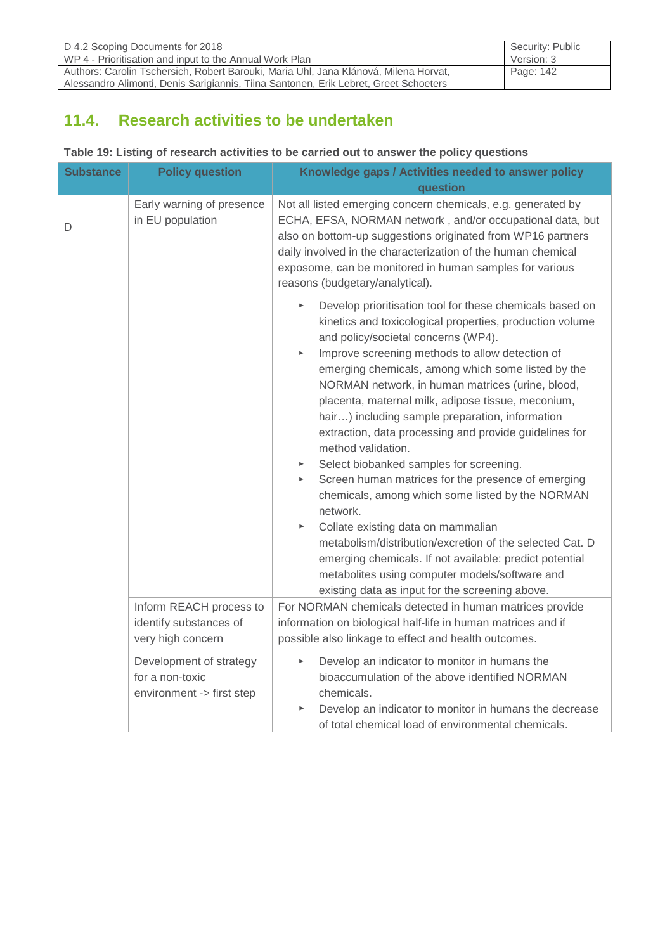| D 4.2 Scoping Documents for 2018                                                     | Security: Public |
|--------------------------------------------------------------------------------------|------------------|
| WP 4 - Prioritisation and input to the Annual Work Plan                              | Version: 3       |
| Authors: Carolin Tschersich, Robert Barouki, Maria Uhl, Jana Klánová, Milena Horvat, | Page: 142        |
| Alessandro Alimonti, Denis Sarigiannis, Tiina Santonen, Erik Lebret, Greet Schoeters |                  |

## **11.4. Research activities to be undertaken**

### **Table 19: Listing of research activities to be carried out to answer the policy questions**

| <b>Substance</b> | <b>Policy question</b>                                                  | Knowledge gaps / Activities needed to answer policy<br>question                                                                                                                                                                                                                                                                                                                                                                                                                                                                                                                                                      |
|------------------|-------------------------------------------------------------------------|----------------------------------------------------------------------------------------------------------------------------------------------------------------------------------------------------------------------------------------------------------------------------------------------------------------------------------------------------------------------------------------------------------------------------------------------------------------------------------------------------------------------------------------------------------------------------------------------------------------------|
| D                | Early warning of presence<br>in EU population                           | Not all listed emerging concern chemicals, e.g. generated by<br>ECHA, EFSA, NORMAN network, and/or occupational data, but<br>also on bottom-up suggestions originated from WP16 partners<br>daily involved in the characterization of the human chemical<br>exposome, can be monitored in human samples for various<br>reasons (budgetary/analytical).<br>Develop prioritisation tool for these chemicals based on<br>$\blacktriangleright$                                                                                                                                                                          |
|                  |                                                                         | kinetics and toxicological properties, production volume<br>and policy/societal concerns (WP4).<br>Improve screening methods to allow detection of<br>emerging chemicals, among which some listed by the<br>NORMAN network, in human matrices (urine, blood,<br>placenta, maternal milk, adipose tissue, meconium,<br>hair) including sample preparation, information<br>extraction, data processing and provide guidelines for<br>method validation.<br>Select biobanked samples for screening.<br>▶<br>Screen human matrices for the presence of emerging<br>▶<br>chemicals, among which some listed by the NORMAN |
|                  |                                                                         | network.<br>Collate existing data on mammalian<br>▶<br>metabolism/distribution/excretion of the selected Cat. D<br>emerging chemicals. If not available: predict potential<br>metabolites using computer models/software and<br>existing data as input for the screening above.                                                                                                                                                                                                                                                                                                                                      |
|                  | Inform REACH process to<br>identify substances of<br>very high concern  | For NORMAN chemicals detected in human matrices provide<br>information on biological half-life in human matrices and if<br>possible also linkage to effect and health outcomes.                                                                                                                                                                                                                                                                                                                                                                                                                                      |
|                  | Development of strategy<br>for a non-toxic<br>environment -> first step | Develop an indicator to monitor in humans the<br>Þ.<br>bioaccumulation of the above identified NORMAN<br>chemicals.<br>Develop an indicator to monitor in humans the decrease<br>of total chemical load of environmental chemicals.                                                                                                                                                                                                                                                                                                                                                                                  |